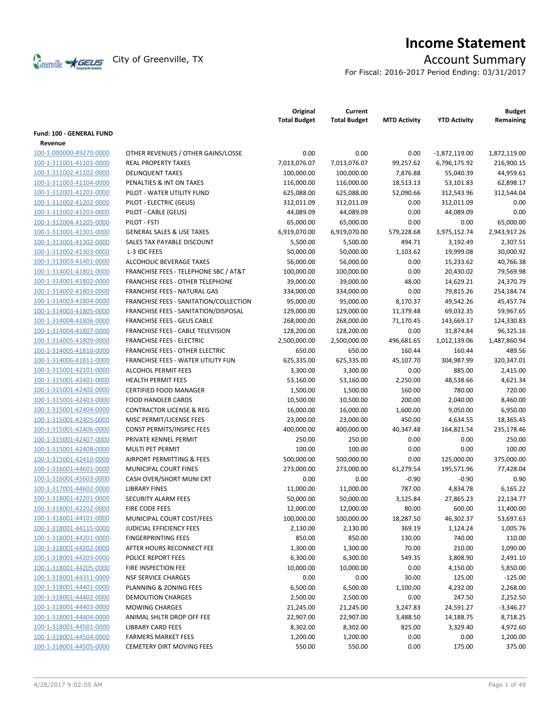

# **Income Statement**

For Fiscal: 2016-2017 Period Ending: 03/31/2017

|                          |                                           | Original<br><b>Total Budget</b> | Current<br><b>Total Budget</b> | <b>MTD Activity</b> | <b>YTD Activity</b> | <b>Budget</b><br>Remaining |
|--------------------------|-------------------------------------------|---------------------------------|--------------------------------|---------------------|---------------------|----------------------------|
| Fund: 100 - GENERAL FUND |                                           |                                 |                                |                     |                     |                            |
| Revenue                  |                                           |                                 |                                |                     |                     |                            |
| 100-1-000000-49270-0000  | OTHER REVENUES / OTHER GAINS/LOSSE        | 0.00                            | 0.00                           | 0.00                | $-1,872,119.00$     | 1,872,119.00               |
| 100-1-311001-41101-0000  | <b>REAL PROPERTY TAXES</b>                | 7,013,076.07                    | 7,013,076.07                   | 99,257.62           | 6,796,175.92        | 216,900.15                 |
| 100-1-311002-41102-0000  | <b>DELINQUENT TAXES</b>                   | 100,000.00                      | 100,000.00                     | 7,876.88            | 55,040.39           | 44,959.61                  |
| 100-1-311003-41104-0000  | PENALTIES & INT ON TAXES                  | 116,000.00                      | 116,000.00                     | 18,513.13           | 53,101.83           | 62,898.17                  |
| 100-1-312001-41201-0000  | PILOT - WATER UTILITY FUND                | 625,088.00                      | 625,088.00                     | 52,090.66           | 312,543.96          | 312,544.04                 |
| 100-1-312002-41202-0000  | PILOT - ELECTRIC (GEUS)                   | 312,011.09                      | 312,011.09                     | 0.00                | 312,011.09          | 0.00                       |
| 100-1-312002-41203-0000  | PILOT - CABLE (GEUS)                      | 44,089.09                       | 44,089.09                      | 0.00                | 44,089.09           | 0.00                       |
| 100-1-312004-41205-0000  | PILOT - FSTI                              | 65,000.00                       | 65,000.00                      | 0.00                | 0.00                | 65,000.00                  |
| 100-1-313001-41301-0000  | <b>GENERAL SALES &amp; USE TAXES</b>      | 6,919,070.00                    | 6,919,070.00                   | 579,228.68          | 3,975,152.74        | 2,943,917.26               |
| 100-1-313001-41302-0000  | SALES TAX PAYABLE DISCOUNT                | 5,500.00                        | 5,500.00                       | 494.71              | 3,192.49            | 2,307.51                   |
| 100-1-313002-41303-0000  | L-3 IDC FEES                              | 50,000.00                       | 50,000.00                      | 1,103.62            | 19,999.08           | 30,000.92                  |
| 100-1-313003-41401-0000  | ALCOHOLIC BEVERAGE TAXES                  | 56,000.00                       | 56,000.00                      | 0.00                | 15,233.62           | 40,766.38                  |
| 100-1-314001-41801-0000  | FRANCHISE FEES - TELEPHONE SBC / AT&T     | 100,000.00                      | 100,000.00                     | 0.00                | 20,430.02           | 79,569.98                  |
| 100-1-314001-41802-0000  | <b>FRANCHISE FEES - OTHER TELEPHONE</b>   | 39,000.00                       | 39,000.00                      | 48.00               | 14,629.21           | 24,370.79                  |
| 100-1-314002-41803-0000  | FRANCHISE FEES - NATURAL GAS              | 334,000.00                      | 334,000.00                     | 0.00                | 79,815.26           | 254,184.74                 |
| 100-1-314003-41804-0000  | FRANCHISE FEES - SANITATION/COLLECTION    | 95,000.00                       | 95,000.00                      | 8,170.37            | 49,542.26           | 45,457.74                  |
| 100-1-314003-41805-0000  | FRANCHISE FEES - SANITATION/DISPOSAL      | 129,000.00                      | 129,000.00                     | 11,379.48           | 69,032.35           | 59,967.65                  |
| 100-1-314004-41806-0000  | <b>FRANCHISE FEES - GEUS CABLE</b>        | 268,000.00                      | 268,000.00                     | 71,170.45           | 143,669.17          | 124,330.83                 |
| 100-1-314004-41807-0000  | FRANCHISE FEES - CABLE TELEVISION         | 128,200.00                      | 128,200.00                     | 0.00                | 31,874.84           | 96,325.16                  |
| 100-1-314005-41809-0000  | <b>FRANCHISE FEES - ELECTRIC</b>          | 2,500,000.00                    | 2,500,000.00                   | 496,681.65          | 1,012,139.06        | 1,487,860.94               |
| 100-1-314005-41810-0000  | <b>FRANCHISE FEES - OTHER ELECTRIC</b>    | 650.00                          | 650.00                         | 160.44              | 160.44              | 489.56                     |
| 100-1-314006-41811-0000  | <b>FRANCHISE FEES - WATER UTILITY FUN</b> | 625,335.00                      | 625,335.00                     | 45,107.70           | 304,987.99          | 320,347.01                 |
| 100-1-315001-42101-0000  | <b>ALCOHOL PERMIT FEES</b>                | 3,300.00                        | 3,300.00                       | 0.00                | 885.00              | 2,415.00                   |
| 100-1-315001-42401-0000  | <b>HEALTH PERMIT FEES</b>                 | 53,160.00                       | 53,160.00                      | 2,250.00            | 48,538.66           | 4,621.34                   |
| 100-1-315001-42402-0000  | <b>CERTIFIED FOOD MANAGER</b>             | 1,500.00                        | 1,500.00                       | 160.00              | 780.00              | 720.00                     |
| 100-1-315001-42403-0000  | <b>FOOD HANDLER CARDS</b>                 | 10,500.00                       | 10,500.00                      | 200.00              | 2,040.00            | 8,460.00                   |
| 100-1-315001-42404-0000  | <b>CONTRACTOR LICENSE &amp; REG</b>       | 16,000.00                       | 16,000.00                      | 1,600.00            | 9,050.00            | 6,950.00                   |
| 100-1-315001-42405-0000  | MISC PERMIT/LICENSE FEES                  | 23,000.00                       | 23,000.00                      | 450.00              | 4,634.55            | 18,365.45                  |
| 100-1-315001-42406-0000  | CONST PERMITS/INSPEC FEES                 | 400,000.00                      | 400,000.00                     | 40,347.48           | 164,821.54          | 235,178.46                 |
| 100-1-315001-42407-0000  | PRIVATE KENNEL PERMIT                     | 250.00                          | 250.00                         | 0.00                | 0.00                | 250.00                     |
| 100-1-315001-42408-0000  | MULTI PET PERMIT                          | 100.00                          | 100.00                         | 0.00                | 0.00                | 100.00                     |
| 100-1-315001-42410-0000  | AIRPORT PERMITTING & FEES                 | 500,000.00                      | 500,000.00                     | 0.00                | 125,000.00          | 375,000.00                 |
| 100-1-316001-44601-0000  | MUNICIPAL COURT FINES                     | 273,000.00                      | 273,000.00                     | 61,279.54           | 195,571.96          | 77,428.04                  |
| 100-1-316001-45603-0000  | CASH OVER/SHORT MUNI CRT                  | 0.00                            | 0.00                           | $-0.90$             | $-0.90$             | 0.90                       |
| 100-1-317001-44602-0000  | <b>LIBRARY FINES</b>                      | 11,000.00                       | 11,000.00                      | 787.00              | 4,834.78            | 6,165.22                   |
| 100-1-318001-42201-0000  | <b>SECURITY ALARM FEES</b>                | 50,000.00                       | 50,000.00                      | 3,125.84            | 27,865.23           | 22,134.77                  |
| 100-1-318001-42202-0000  | FIRE CODE FEES                            | 12,000.00                       | 12,000.00                      | 80.00               | 600.00              | 11,400.00                  |
| 100-1-318001-44101-0000  | MUNICIPAL COURT COST/FEES                 | 100,000.00                      | 100,000.00                     | 18,287.50           | 46,302.37           | 53,697.63                  |
| 100-1-318001-44115-0000  | JUDICIAL EFFICIENCY FEES                  | 2,130.00                        | 2,130.00                       | 369.19              | 1,124.24            | 1,005.76                   |
| 100-1-318001-44201-0000  | <b>FINGERPRINTING FEES</b>                | 850.00                          | 850.00                         | 130.00              | 740.00              | 110.00                     |
| 100-1-318001-44202-0000  | AFTER HOURS RECONNECT FEE                 | 1,300.00                        | 1,300.00                       | 70.00               | 210.00              | 1,090.00                   |
| 100-1-318001-44203-0000  | POLICE REPORT FEES                        | 6,300.00                        | 6,300.00                       | 549.35              | 3,808.90            | 2,491.10                   |
| 100-1-318001-44205-0000  | FIRE INSPECTION FEE                       | 10,000.00                       | 10,000.00                      | 0.00                | 4,150.00            | 5,850.00                   |
| 100-1-318001-44311-0000  | <b>NSF SERVICE CHARGES</b>                | 0.00                            | 0.00                           | 30.00               | 125.00              | $-125.00$                  |
| 100-1-318001-44401-0000  | PLANNING & ZONING FEES                    | 6,500.00                        | 6,500.00                       | 1,100.00            | 4,232.00            | 2,268.00                   |
| 100-1-318001-44402-0000  | <b>DEMOLITION CHARGES</b>                 | 2,500.00                        | 2,500.00                       | 0.00                | 247.50              | 2,252.50                   |
| 100-1-318001-44403-0000  | <b>MOWING CHARGES</b>                     | 21,245.00                       | 21,245.00                      | 3,247.83            | 24,591.27           | $-3,346.27$                |
| 100-1-318001-44404-0000  | ANIMAL SHLTR DROP OFF FEE                 | 22,907.00                       | 22,907.00                      | 3,488.50            | 14,188.75           | 8,718.25                   |
| 100-1-318001-44501-0000  | <b>LIBRARY CARD FEES</b>                  | 8,302.00                        | 8,302.00                       | 825.00              | 3,329.40            | 4,972.60                   |
| 100-1-318001-44504-0000  | <b>FARMERS MARKET FEES</b>                | 1,200.00                        | 1,200.00                       | 0.00                | 0.00                | 1,200.00                   |
| 100-1-318001-44505-0000  |                                           |                                 |                                |                     |                     |                            |
|                          | <b>CEMETERY DIRT MOVING FEES</b>          | 550.00                          | 550.00                         | 0.00                | 175.00              | 375.00                     |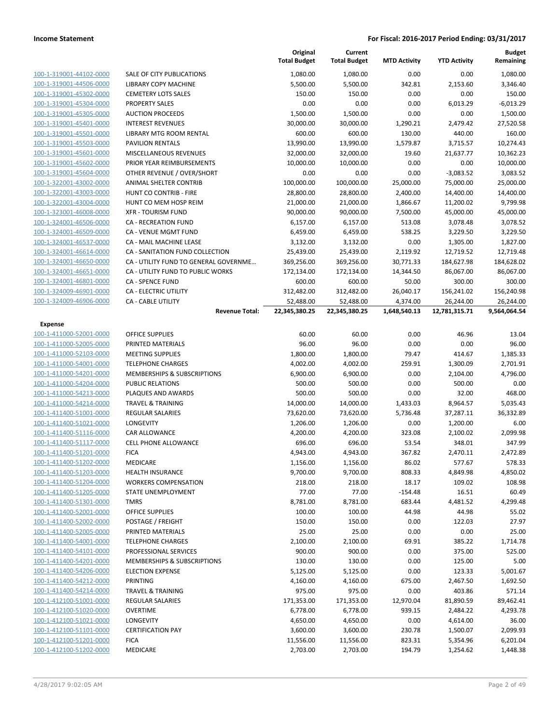|                         |                                        | Original<br><b>Total Budget</b> | Current<br><b>Total Budget</b> | <b>MTD Activity</b> | <b>YTD Activity</b> | <b>Budget</b><br>Remaining |
|-------------------------|----------------------------------------|---------------------------------|--------------------------------|---------------------|---------------------|----------------------------|
| 100-1-319001-44102-0000 | <b>SALE OF CITY PUBLICATIONS</b>       | 1.080.00                        | 1,080.00                       | 0.00                | 0.00                | 1,080.00                   |
| 100-1-319001-44506-0000 | LIBRARY COPY MACHINE                   | 5,500.00                        | 5,500.00                       | 342.81              | 2,153.60            | 3,346.40                   |
| 100-1-319001-45302-0000 | <b>CEMETERY LOTS SALES</b>             | 150.00                          | 150.00                         | 0.00                | 0.00                | 150.00                     |
| 100-1-319001-45304-0000 | <b>PROPERTY SALES</b>                  | 0.00                            | 0.00                           | 0.00                | 6,013.29            | $-6,013.29$                |
| 100-1-319001-45305-0000 | <b>AUCTION PROCEEDS</b>                | 1,500.00                        | 1,500.00                       | 0.00                | 0.00                | 1,500.00                   |
| 100-1-319001-45401-0000 | <b>INTEREST REVENUES</b>               | 30,000.00                       | 30,000.00                      | 1,290.21            | 2,479.42            | 27,520.58                  |
| 100-1-319001-45501-0000 | LIBRARY MTG ROOM RENTAL                | 600.00                          | 600.00                         | 130.00              | 440.00              | 160.00                     |
| 100-1-319001-45503-0000 | <b>PAVILION RENTALS</b>                | 13,990.00                       | 13,990.00                      | 1,579.87            | 3,715.57            | 10,274.43                  |
| 100-1-319001-45601-0000 | MISCELLANEOUS REVENUES                 | 32,000.00                       | 32,000.00                      | 19.60               | 21,637.77           | 10,362.23                  |
| 100-1-319001-45602-0000 | PRIOR YEAR REIMBURSEMENTS              | 10,000.00                       | 10,000.00                      | 0.00                | 0.00                | 10,000.00                  |
| 100-1-319001-45604-0000 | OTHER REVENUE / OVER/SHORT             | 0.00                            | 0.00                           | 0.00                | $-3,083.52$         | 3,083.52                   |
| 100-1-322001-43002-0000 | ANIMAL SHELTER CONTRIB                 | 100,000.00                      | 100,000.00                     | 25,000.00           | 75,000.00           | 25,000.00                  |
| 100-1-322001-43003-0000 | HUNT CO CONTRIB - FIRE                 | 28,800.00                       | 28,800.00                      | 2,400.00            | 14,400.00           | 14,400.00                  |
| 100-1-322001-43004-0000 | HUNT CO MEM HOSP REIM                  | 21,000.00                       | 21,000.00                      | 1,866.67            | 11,200.02           | 9,799.98                   |
| 100-1-323001-46008-0000 | <b>XFR - TOURISM FUND</b>              | 90,000.00                       | 90,000.00                      | 7,500.00            | 45,000.00           | 45,000.00                  |
| 100-1-324001-46506-0000 | <b>CA - RECREATION FUND</b>            | 6,157.00                        | 6,157.00                       | 513.08              | 3,078.48            | 3,078.52                   |
| 100-1-324001-46509-0000 | CA - VENUE MGMT FUND                   | 6,459.00                        | 6,459.00                       | 538.25              | 3,229.50            | 3,229.50                   |
| 100-1-324001-46537-0000 | CA - MAIL MACHINE LEASE                | 3,132.00                        | 3,132.00                       | 0.00                | 1,305.00            | 1,827.00                   |
| 100-1-324001-46614-0000 | CA - SANITATION FUND COLLECTION        | 25,439.00                       | 25,439.00                      | 2,119.92            | 12,719.52           | 12,719.48                  |
| 100-1-324001-46650-0000 | CA - UTILITY FUND TO GENERAL GOVERNME  | 369,256.00                      | 369,256.00                     | 30,771.33           | 184,627.98          | 184,628.02                 |
| 100-1-324001-46651-0000 | CA - UTILITY FUND TO PUBLIC WORKS      | 172,134.00                      | 172,134.00                     | 14,344.50           | 86,067.00           | 86,067.00                  |
| 100-1-324001-46801-0000 | <b>CA - SPENCE FUND</b>                | 600.00                          | 600.00                         | 50.00               | 300.00              | 300.00                     |
| 100-1-324009-46901-0000 | CA - ELECTRIC UTILITY                  | 312,482.00                      | 312,482.00                     | 26,040.17           | 156,241.02          | 156,240.98                 |
| 100-1-324009-46906-0000 | <b>CA - CABLE UTILITY</b>              | 52,488.00                       | 52,488.00                      | 4,374.00            | 26,244.00           | 26,244.00                  |
|                         | <b>Revenue Total:</b>                  | 22,345,380.25                   | 22,345,380.25                  | 1,648,540.13        | 12,781,315.71       | 9,564,064.54               |
| <b>Expense</b>          |                                        |                                 |                                |                     |                     |                            |
| 100-1-411000-52001-0000 | <b>OFFICE SUPPLIES</b>                 | 60.00                           | 60.00                          | 0.00                | 46.96               | 13.04                      |
| 100-1-411000-52005-0000 | PRINTED MATERIALS                      | 96.00                           | 96.00                          | 0.00                | 0.00                | 96.00                      |
| 100-1-411000-52103-0000 | <b>MEETING SUPPLIES</b>                | 1,800.00                        | 1,800.00                       | 79.47               | 414.67              | 1,385.33                   |
| 100-1-411000-54001-0000 | <b>TELEPHONE CHARGES</b>               | 4,002.00                        | 4,002.00                       | 259.91              | 1,300.09            | 2,701.91                   |
| 100-1-411000-54201-0000 | MEMBERSHIPS & SUBSCRIPTIONS            | 6,900.00                        | 6,900.00                       | 0.00                | 2,104.00            | 4,796.00                   |
| 100-1-411000-54204-0000 | <b>PUBLIC RELATIONS</b>                | 500.00                          | 500.00                         | 0.00                | 500.00              | 0.00                       |
| 100-1-411000-54213-0000 | PLAQUES AND AWARDS                     | 500.00                          | 500.00                         | 0.00                | 32.00               | 468.00                     |
| 100-1-411000-54214-0000 | <b>TRAVEL &amp; TRAINING</b>           | 14,000.00                       | 14,000.00                      | 1,433.03            | 8,964.57            | 5,035.43                   |
| 100-1-411400-51001-0000 | REGULAR SALARIES                       | 73,620.00                       | 73,620.00                      | 5,736.48            | 37,287.11           | 36,332.89                  |
| 100-1-411400-51021-0000 | LONGEVITY                              | 1,206.00                        | 1,206.00                       | 0.00                | 1,200.00            | 6.00                       |
| 100-1-411400-51116-0000 | CAR ALLOWANCE                          | 4,200.00                        | 4,200.00                       | 323.08              | 2,100.02            | 2,099.98                   |
| 100-1-411400-51117-0000 | <b>CELL PHONE ALLOWANCE</b>            | 696.00                          | 696.00                         | 53.54               | 348.01              | 347.99                     |
| 100-1-411400-51201-0000 | <b>FICA</b>                            | 4,943.00                        | 4,943.00                       | 367.82              | 2,470.11            | 2,472.89                   |
| 100-1-411400-51202-0000 | MEDICARE                               | 1,156.00                        | 1,156.00                       | 86.02               | 577.67              | 578.33                     |
| 100-1-411400-51203-0000 | <b>HEALTH INSURANCE</b>                | 9,700.00                        | 9,700.00                       | 808.33              | 4,849.98            | 4,850.02                   |
| 100-1-411400-51204-0000 | <b>WORKERS COMPENSATION</b>            | 218.00                          | 218.00                         | 18.17               | 109.02              | 108.98                     |
| 100-1-411400-51205-0000 | STATE UNEMPLOYMENT                     | 77.00                           | 77.00                          | $-154.48$           | 16.51               | 60.49                      |
| 100-1-411400-51301-0000 | <b>TMRS</b>                            | 8,781.00                        | 8,781.00                       | 683.44              | 4,481.52            | 4,299.48                   |
| 100-1-411400-52001-0000 | <b>OFFICE SUPPLIES</b>                 | 100.00                          | 100.00                         | 44.98               | 44.98               | 55.02                      |
| 100-1-411400-52002-0000 | POSTAGE / FREIGHT                      | 150.00                          | 150.00                         | 0.00                | 122.03              | 27.97                      |
| 100-1-411400-52005-0000 | PRINTED MATERIALS                      | 25.00                           | 25.00                          | 0.00                | 0.00                | 25.00                      |
| 100-1-411400-54001-0000 | <b>TELEPHONE CHARGES</b>               | 2,100.00                        | 2,100.00                       | 69.91               | 385.22              | 1,714.78                   |
| 100-1-411400-54101-0000 | PROFESSIONAL SERVICES                  | 900.00                          | 900.00                         | 0.00                | 375.00              | 525.00                     |
| 100-1-411400-54201-0000 | <b>MEMBERSHIPS &amp; SUBSCRIPTIONS</b> | 130.00                          | 130.00                         | 0.00                | 125.00              | 5.00                       |
| 100-1-411400-54206-0000 | <b>ELECTION EXPENSE</b>                | 5,125.00                        | 5,125.00                       | 0.00                | 123.33              | 5,001.67                   |
| 100-1-411400-54212-0000 | <b>PRINTING</b>                        | 4,160.00                        | 4,160.00                       | 675.00              | 2,467.50            | 1,692.50                   |
| 100-1-411400-54214-0000 | <b>TRAVEL &amp; TRAINING</b>           | 975.00                          | 975.00                         | 0.00                | 403.86              | 571.14                     |
| 100-1-412100-51001-0000 | <b>REGULAR SALARIES</b>                | 171,353.00                      | 171,353.00                     | 12,970.04           | 81,890.59           | 89,462.41                  |
| 100-1-412100-51020-0000 | <b>OVERTIME</b>                        | 6,778.00                        | 6,778.00                       | 939.15              | 2,484.22            | 4,293.78                   |
| 100-1-412100-51021-0000 | LONGEVITY                              | 4,650.00                        | 4,650.00                       | 0.00                | 4,614.00            | 36.00                      |
| 100-1-412100-51101-0000 | <b>CERTIFICATION PAY</b>               | 3,600.00                        | 3,600.00                       | 230.78              | 1,500.07            | 2,099.93                   |
| 100-1-412100-51201-0000 | <b>FICA</b>                            | 11,556.00                       | 11,556.00                      | 823.31              | 5,354.96            | 6,201.04                   |
| 100-1-412100-51202-0000 | MEDICARE                               | 2,703.00                        | 2,703.00                       | 194.79              | 1,254.62            | 1,448.38                   |
|                         |                                        |                                 |                                |                     |                     |                            |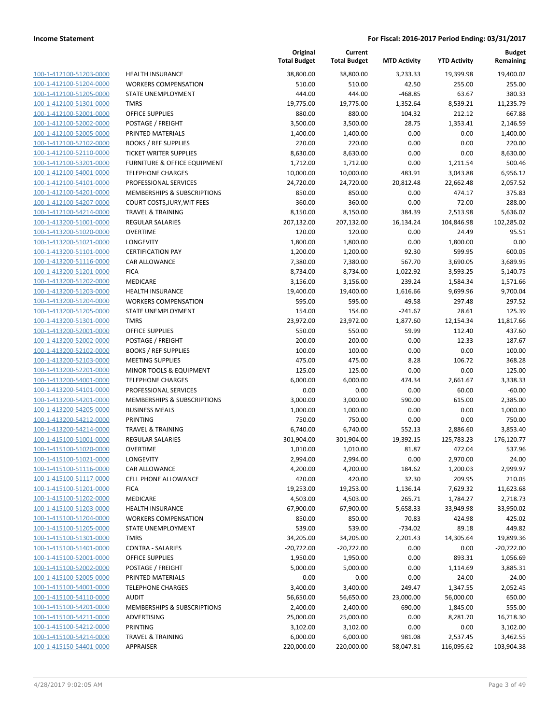| 100-1-412100-51203-0000                                   |
|-----------------------------------------------------------|
| 100-1-412100-51204-0000                                   |
| 100-1-412100-51205-0000                                   |
| 100-1-412100-51301-0000                                   |
| 100-1-412100-52001-0000                                   |
| 100-1-412100-52002-0000                                   |
| 100-1-412100-52005-0000                                   |
| 100-1-412100-52102-0000                                   |
| 100-1-412100-52110-0000                                   |
| 100-1-412100-53201-0000                                   |
| 100-1-412100-54001-0000                                   |
| 100-1-412100-54101-0000                                   |
| 100-1-412100-54201-0000                                   |
| 100-1-412100-54207-0000                                   |
| 100-1-412100-54214-0000                                   |
| 100-1-413200-51001-0000                                   |
| 100-1-413200-51020-0000                                   |
| 100-1-413200-51021-0000                                   |
| 100-1-413200-51101-0000                                   |
| 100-1-413200-51116-0000                                   |
| 100-1-413200-51201-0000                                   |
| 100-1-413200-51202-0000                                   |
| 100-1-413200-51203-0000                                   |
| 100-1-413200-51204-0000                                   |
| 100-1-413200-51205-0000                                   |
| 100-1-413200-51301-0000                                   |
| 100-1-413200-52001-0000                                   |
| 100-1-413200-52002-0000                                   |
| 100-1-413200-52102-0000                                   |
| 100-1-413200-52103-0000                                   |
| 100-1-413200-52201-0000                                   |
| 100-1-413200-54001-0000                                   |
| 100-1-413200-54101-0000                                   |
| 100-1-413200-54201-0000                                   |
| 100-1-413200-54205-0000                                   |
| 100-1-413200-54212-0000                                   |
| 100-1-413200-54214-0000                                   |
| 100-1-415100-51001-0000                                   |
| 100-1-415100-51020-0000                                   |
| 100-1-415100-51021-0000                                   |
| 100-1-415100-51116-0000                                   |
| <u>100-1-415100-51117-0000</u>                            |
| 100-1-415100-51201-0000<br>100-1-415100-51202-0000        |
| 100-1-415100-51203-0000                                   |
|                                                           |
| 100-1-415100-51204-0000                                   |
| <u>100-1-415100-51205-0000</u>                            |
| <u>100-1-415100-51301-0000</u>                            |
| <u>100-1-415100-51401-0000</u>                            |
| 100-1-415100-52001-0000                                   |
| <u>100-1-415100-52002-0000</u><br>100-1-415100-52005-0000 |
| <u>100-1-415100-54001-0000</u>                            |
| 100-1-415100-54110-0000                                   |
| 100-1-415100-54201-0000                                   |
| <u>100-1-415100-54211-0000</u>                            |
| <u>100-1-415100-54212-0000</u>                            |
| <u>100-1-415100-54214-0000</u>                            |
| 100-1-415150-54401-0000                                   |
|                                                           |

|                         |                               | Original<br><b>Total Budget</b> | Current<br><b>Total Budget</b> | <b>MTD Activity</b> | <b>YTD Activity</b> | <b>Budget</b><br>Remaining |
|-------------------------|-------------------------------|---------------------------------|--------------------------------|---------------------|---------------------|----------------------------|
| 100-1-412100-51203-0000 | <b>HEALTH INSURANCE</b>       | 38,800.00                       | 38,800.00                      | 3,233.33            | 19,399.98           | 19,400.02                  |
| 100-1-412100-51204-0000 | <b>WORKERS COMPENSATION</b>   | 510.00                          | 510.00                         | 42.50               | 255.00              | 255.00                     |
| 100-1-412100-51205-0000 | STATE UNEMPLOYMENT            | 444.00                          | 444.00                         | $-468.85$           | 63.67               | 380.33                     |
| 100-1-412100-51301-0000 | <b>TMRS</b>                   | 19,775.00                       | 19,775.00                      | 1,352.64            | 8,539.21            | 11,235.79                  |
| 100-1-412100-52001-0000 | <b>OFFICE SUPPLIES</b>        | 880.00                          | 880.00                         | 104.32              | 212.12              | 667.88                     |
| 100-1-412100-52002-0000 | POSTAGE / FREIGHT             | 3,500.00                        | 3,500.00                       | 28.75               | 1,353.41            | 2,146.59                   |
| 100-1-412100-52005-0000 | PRINTED MATERIALS             | 1,400.00                        | 1,400.00                       | 0.00                | 0.00                | 1,400.00                   |
| 100-1-412100-52102-0000 | <b>BOOKS / REF SUPPLIES</b>   | 220.00                          | 220.00                         | 0.00                | 0.00                | 220.00                     |
| 100-1-412100-52110-0000 | <b>TICKET WRITER SUPPLIES</b> | 8,630.00                        | 8,630.00                       | 0.00                | 0.00                | 8,630.00                   |
| 100-1-412100-53201-0000 | FURNITURE & OFFICE EQUIPMENT  | 1,712.00                        | 1,712.00                       | 0.00                | 1,211.54            | 500.46                     |
| 100-1-412100-54001-0000 | <b>TELEPHONE CHARGES</b>      | 10,000.00                       | 10,000.00                      | 483.91              | 3,043.88            | 6,956.12                   |
| 100-1-412100-54101-0000 | PROFESSIONAL SERVICES         | 24,720.00                       | 24,720.00                      | 20,812.48           | 22,662.48           | 2,057.52                   |
| 100-1-412100-54201-0000 | MEMBERSHIPS & SUBSCRIPTIONS   | 850.00                          | 850.00                         | 0.00                | 474.17              | 375.83                     |
| 100-1-412100-54207-0000 | COURT COSTS, JURY, WIT FEES   | 360.00                          | 360.00                         | 0.00                | 72.00               | 288.00                     |
| 100-1-412100-54214-0000 | <b>TRAVEL &amp; TRAINING</b>  | 8,150.00                        | 8,150.00                       | 384.39              | 2,513.98            | 5,636.02                   |
| 100-1-413200-51001-0000 | REGULAR SALARIES              | 207,132.00                      | 207,132.00                     | 16,134.24           | 104,846.98          | 102,285.02                 |
| 100-1-413200-51020-0000 | <b>OVERTIME</b>               | 120.00                          | 120.00                         | 0.00                | 24.49               | 95.51                      |
| 100-1-413200-51021-0000 | <b>LONGEVITY</b>              | 1,800.00                        | 1,800.00                       | 0.00                | 1,800.00            | 0.00                       |
| 100-1-413200-51101-0000 | <b>CERTIFICATION PAY</b>      | 1,200.00                        | 1,200.00                       | 92.30               | 599.95              | 600.05                     |
| 100-1-413200-51116-0000 | <b>CAR ALLOWANCE</b>          | 7,380.00                        | 7,380.00                       | 567.70              | 3,690.05            | 3,689.95                   |
| 100-1-413200-51201-0000 | <b>FICA</b>                   | 8,734.00                        | 8,734.00                       | 1,022.92            | 3,593.25            | 5,140.75                   |
| 100-1-413200-51202-0000 | MEDICARE                      | 3,156.00                        | 3,156.00                       | 239.24              | 1,584.34            | 1,571.66                   |
| 100-1-413200-51203-0000 | <b>HEALTH INSURANCE</b>       | 19,400.00                       | 19,400.00                      | 1,616.66            | 9,699.96            | 9,700.04                   |
| 100-1-413200-51204-0000 | <b>WORKERS COMPENSATION</b>   | 595.00                          | 595.00                         | 49.58               | 297.48              | 297.52                     |
| 100-1-413200-51205-0000 | STATE UNEMPLOYMENT            | 154.00                          | 154.00                         | $-241.67$           | 28.61               | 125.39                     |
| 100-1-413200-51301-0000 | <b>TMRS</b>                   | 23,972.00                       | 23,972.00                      | 1,877.60            | 12,154.34           | 11,817.66                  |
| 100-1-413200-52001-0000 | <b>OFFICE SUPPLIES</b>        | 550.00                          | 550.00                         | 59.99               | 112.40              | 437.60                     |
| 100-1-413200-52002-0000 | POSTAGE / FREIGHT             | 200.00                          | 200.00                         | 0.00                | 12.33               | 187.67                     |
| 100-1-413200-52102-0000 | <b>BOOKS / REF SUPPLIES</b>   | 100.00                          | 100.00                         | 0.00                | 0.00                | 100.00                     |
| 100-1-413200-52103-0000 | <b>MEETING SUPPLIES</b>       | 475.00                          | 475.00                         | 8.28                | 106.72              | 368.28                     |
| 100-1-413200-52201-0000 | MINOR TOOLS & EQUIPMENT       | 125.00                          | 125.00                         | 0.00                | 0.00                | 125.00                     |
| 100-1-413200-54001-0000 | <b>TELEPHONE CHARGES</b>      | 6,000.00                        | 6,000.00                       | 474.34              | 2,661.67            | 3,338.33                   |
| 100-1-413200-54101-0000 | PROFESSIONAL SERVICES         | 0.00                            | 0.00                           | 0.00                | 60.00               | $-60.00$                   |
| 100-1-413200-54201-0000 | MEMBERSHIPS & SUBSCRIPTIONS   | 3,000.00                        | 3,000.00                       | 590.00              | 615.00              | 2,385.00                   |
| 100-1-413200-54205-0000 | <b>BUSINESS MEALS</b>         | 1,000.00                        | 1,000.00                       | 0.00                | 0.00                | 1,000.00                   |
| 100-1-413200-54212-0000 | <b>PRINTING</b>               | 750.00                          | 750.00                         | 0.00                | 0.00                | 750.00                     |
| 100-1-413200-54214-0000 | <b>TRAVEL &amp; TRAINING</b>  | 6,740.00                        | 6,740.00                       | 552.13              | 2,886.60            | 3,853.40                   |
| 100-1-415100-51001-0000 | <b>REGULAR SALARIES</b>       | 301,904.00                      | 301,904.00                     | 19,392.15           | 125,783.23          | 176,120.77                 |
| 100-1-415100-51020-0000 | <b>OVERTIME</b>               | 1,010.00                        | 1,010.00                       | 81.87               | 472.04              | 537.96                     |
| 100-1-415100-51021-0000 | <b>LONGEVITY</b>              | 2,994.00                        | 2,994.00                       | 0.00                | 2,970.00            | 24.00                      |
| 100-1-415100-51116-0000 | CAR ALLOWANCE                 | 4,200.00                        | 4,200.00                       | 184.62              | 1,200.03            | 2,999.97                   |
| 100-1-415100-51117-0000 | CELL PHONE ALLOWANCE          | 420.00                          | 420.00                         | 32.30               | 209.95              | 210.05                     |
| 100-1-415100-51201-0000 | <b>FICA</b>                   | 19,253.00                       | 19,253.00                      | 1,136.14            | 7,629.32            | 11,623.68                  |
| 100-1-415100-51202-0000 | MEDICARE                      | 4,503.00                        | 4,503.00                       | 265.71              | 1,784.27            | 2,718.73                   |
| 100-1-415100-51203-0000 | <b>HEALTH INSURANCE</b>       | 67,900.00                       | 67,900.00                      | 5,658.33            | 33,949.98           | 33,950.02                  |
| 100-1-415100-51204-0000 | <b>WORKERS COMPENSATION</b>   | 850.00                          | 850.00                         | 70.83               | 424.98              | 425.02                     |
| 100-1-415100-51205-0000 | STATE UNEMPLOYMENT            | 539.00                          | 539.00                         | $-734.02$           | 89.18               | 449.82                     |
| 100-1-415100-51301-0000 | <b>TMRS</b>                   | 34,205.00                       | 34,205.00                      | 2,201.43            | 14,305.64           | 19,899.36                  |
| 100-1-415100-51401-0000 | <b>CONTRA - SALARIES</b>      | $-20,722.00$                    | $-20,722.00$                   | 0.00                | 0.00                | $-20,722.00$               |
| 100-1-415100-52001-0000 | <b>OFFICE SUPPLIES</b>        | 1,950.00                        | 1,950.00                       | 0.00                | 893.31              | 1,056.69                   |
| 100-1-415100-52002-0000 | POSTAGE / FREIGHT             | 5,000.00                        | 5,000.00                       | 0.00                | 1,114.69            | 3,885.31                   |
| 100-1-415100-52005-0000 | PRINTED MATERIALS             | 0.00                            | 0.00                           | 0.00                | 24.00               | $-24.00$                   |
| 100-1-415100-54001-0000 | <b>TELEPHONE CHARGES</b>      | 3,400.00                        | 3,400.00                       | 249.47              | 1,347.55            | 2,052.45                   |
| 100-1-415100-54110-0000 | <b>AUDIT</b>                  | 56,650.00                       | 56,650.00                      | 23,000.00           | 56,000.00           | 650.00                     |
| 100-1-415100-54201-0000 | MEMBERSHIPS & SUBSCRIPTIONS   | 2,400.00                        | 2,400.00                       | 690.00              | 1,845.00            | 555.00                     |
| 100-1-415100-54211-0000 | ADVERTISING                   | 25,000.00                       | 25,000.00                      | 0.00                | 8,281.70            | 16,718.30                  |
| 100-1-415100-54212-0000 | <b>PRINTING</b>               | 3,102.00                        | 3,102.00                       | 0.00                | 0.00                | 3,102.00                   |
| 100-1-415100-54214-0000 | <b>TRAVEL &amp; TRAINING</b>  | 6,000.00                        | 6,000.00                       | 981.08              | 2,537.45            | 3,462.55                   |
| 100-1-415150-54401-0000 | APPRAISER                     | 220,000.00                      | 220,000.00                     | 58,047.81           | 116,095.62          | 103,904.38                 |
|                         |                               |                                 |                                |                     |                     |                            |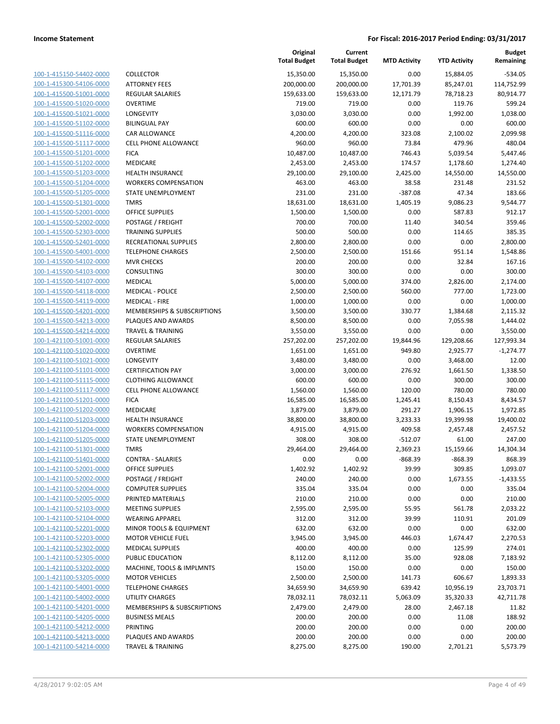| 100-1-415150-54402-0000             |
|-------------------------------------|
| 100-1-415300-54106-0000             |
| 100-1-415500-51001-0000             |
| 100-1-415500-51020-0000             |
| <u>100-1-415500-51021-0000</u>      |
| 100-1-415500-51102-0000             |
| 100-1-415500-51116-0000             |
| 100-1-415500-51117-0000             |
| 100-1-415500-51201-0000             |
| 100-1-415500-51202-0000             |
| 100-1-415500-51203-0000             |
| 100-1-415500-51204-0000             |
| 100-1-415500-51205-0000             |
| 100-1-415500-51301-0000             |
| <u>100-1-415500-52001-0000</u>      |
| 100-1-415500-52002-0000             |
| 100-1-415500-52303-0000             |
| 100-1-415500-52401-0000             |
| 100-1-415500-54001-0000             |
|                                     |
| 100-1-415500-54102-0000             |
| 100-1-415500-54103-0000             |
| 100-1-415500-54107-0000             |
| 100-1-415500-54118-0000             |
| 100-1-415500-54119-0000             |
| <u>100-1-415500-54201-0000</u>      |
| 100-1-415500-54213-0000             |
| 100-1-415500-54214-0000             |
| 100-1-421100-51001-0000             |
| 100-1-421100-51020-0000             |
| 100-1-421100-51021-0000             |
| 100-1-421100-51101-0000             |
| 100-1-421100-51115-0000             |
| 100-1-421100-51117-0000             |
| 100-1-421100-51201-0000             |
| 100-1-421100-51202-0000             |
| 100-1-421100-51203-0000             |
| 100-1-421100-51204-0000             |
| 100-1-421100-51205-0000             |
| 100-1-421100-51301-0000             |
| 100-1-421100-51401-0000             |
| 100-1-421100-52001-0000             |
| 100-1-421100-52002-0000             |
| 100-1-421100-52004-0000             |
| <u>100-1-421100-52005-0000</u>      |
| 100-1-421100-52103-0000             |
|                                     |
| 100-1-421100-52104-0000             |
| 100-1-421100-52201-0000             |
| 100-1-421100-52203-0000             |
| 100-1-421100-52302-0000             |
| <u>100-1-421100-52305-0000</u>      |
| <u>100-1-421100-53202-0000</u>      |
| 100-1-421100-53205-0000             |
| 100-1-421100-54001-0000             |
| <u>100-1-421100-54002-0000</u>      |
| 100-1-421100-54201-0000             |
| <u>100-1-421100-54205-0000</u>      |
| 1-421100-54212-0000<br><u> 100-</u> |
| 100-1-421100-54213-0000             |
| 100-1-421100-54214-0000             |
|                                     |

|                                                    |                                         | Original<br><b>Total Budget</b> | Current<br><b>Total Budget</b> | <b>MTD Activity</b>   | <b>YTD Activity</b> | <b>Budget</b><br>Remaining |
|----------------------------------------------------|-----------------------------------------|---------------------------------|--------------------------------|-----------------------|---------------------|----------------------------|
| 100-1-415150-54402-0000                            | <b>COLLECTOR</b>                        | 15,350.00                       | 15,350.00                      | 0.00                  | 15,884.05           | $-534.05$                  |
| 100-1-415300-54106-0000                            | <b>ATTORNEY FEES</b>                    | 200,000.00                      | 200,000.00                     | 17,701.39             | 85,247.01           | 114,752.99                 |
| 100-1-415500-51001-0000                            | <b>REGULAR SALARIES</b>                 | 159,633.00                      | 159,633.00                     | 12,171.79             | 78,718.23           | 80,914.77                  |
| 100-1-415500-51020-0000                            | <b>OVERTIME</b>                         | 719.00                          | 719.00                         | 0.00                  | 119.76              | 599.24                     |
| 100-1-415500-51021-0000                            | LONGEVITY                               | 3,030.00                        | 3,030.00                       | 0.00                  | 1,992.00            | 1,038.00                   |
| 100-1-415500-51102-0000                            | <b>BILINGUAL PAY</b>                    | 600.00                          | 600.00                         | 0.00                  | 0.00                | 600.00                     |
| 100-1-415500-51116-0000                            | CAR ALLOWANCE                           | 4,200.00                        | 4,200.00                       | 323.08                | 2,100.02            | 2,099.98                   |
| 100-1-415500-51117-0000                            | <b>CELL PHONE ALLOWANCE</b>             | 960.00                          | 960.00                         | 73.84                 | 479.96              | 480.04                     |
| 100-1-415500-51201-0000                            | <b>FICA</b>                             | 10,487.00                       | 10,487.00                      | 746.43                | 5,039.54            | 5,447.46                   |
| 100-1-415500-51202-0000                            | MEDICARE                                | 2,453.00                        | 2,453.00                       | 174.57                | 1,178.60            | 1,274.40                   |
| 100-1-415500-51203-0000                            | HEALTH INSURANCE                        | 29,100.00                       | 29,100.00                      | 2,425.00              | 14,550.00           | 14,550.00                  |
| 100-1-415500-51204-0000                            | <b>WORKERS COMPENSATION</b>             | 463.00                          | 463.00                         | 38.58                 | 231.48              | 231.52                     |
| 100-1-415500-51205-0000                            | STATE UNEMPLOYMENT                      | 231.00                          | 231.00                         | $-387.08$             | 47.34               | 183.66                     |
| 100-1-415500-51301-0000                            | <b>TMRS</b>                             | 18,631.00                       | 18,631.00                      | 1,405.19              | 9,086.23            | 9,544.77                   |
| 100-1-415500-52001-0000                            | <b>OFFICE SUPPLIES</b>                  | 1,500.00                        | 1,500.00                       | 0.00                  | 587.83              | 912.17                     |
| 100-1-415500-52002-0000                            | POSTAGE / FREIGHT                       | 700.00                          | 700.00                         | 11.40                 | 340.54              | 359.46                     |
| 100-1-415500-52303-0000                            | <b>TRAINING SUPPLIES</b>                | 500.00                          | 500.00                         | 0.00                  | 114.65              | 385.35                     |
| 100-1-415500-52401-0000                            | RECREATIONAL SUPPLIES                   | 2,800.00                        | 2,800.00                       | 0.00                  | 0.00                | 2,800.00                   |
| 100-1-415500-54001-0000                            | <b>TELEPHONE CHARGES</b>                | 2,500.00                        | 2,500.00                       | 151.66                | 951.14              | 1,548.86                   |
| 100-1-415500-54102-0000                            | <b>MVR CHECKS</b>                       | 200.00                          | 200.00                         | 0.00                  | 32.84               | 167.16                     |
| 100-1-415500-54103-0000                            | CONSULTING                              | 300.00                          | 300.00                         | 0.00                  | 0.00                | 300.00                     |
| 100-1-415500-54107-0000                            | <b>MEDICAL</b>                          | 5,000.00                        | 5,000.00                       | 374.00                | 2,826.00            | 2,174.00                   |
| 100-1-415500-54118-0000                            | <b>MEDICAL - POLICE</b>                 | 2,500.00                        | 2,500.00                       | 560.00                | 777.00              | 1,723.00                   |
| 100-1-415500-54119-0000                            | <b>MEDICAL - FIRE</b>                   | 1,000.00                        | 1,000.00                       | 0.00                  | 0.00                | 1,000.00                   |
| 100-1-415500-54201-0000                            | MEMBERSHIPS & SUBSCRIPTIONS             | 3,500.00                        | 3,500.00                       | 330.77                | 1,384.68            | 2,115.32                   |
| 100-1-415500-54213-0000                            | PLAQUES AND AWARDS                      | 8,500.00                        | 8,500.00                       | 0.00                  | 7,055.98            | 1,444.02                   |
| 100-1-415500-54214-0000                            | <b>TRAVEL &amp; TRAINING</b>            | 3,550.00                        | 3,550.00                       | 0.00                  | 0.00                | 3,550.00                   |
| 100-1-421100-51001-0000                            | <b>REGULAR SALARIES</b>                 | 257,202.00                      | 257,202.00                     | 19,844.96             | 129,208.66          | 127,993.34                 |
| 100-1-421100-51020-0000                            | <b>OVERTIME</b>                         | 1,651.00                        | 1,651.00                       | 949.80                | 2,925.77            | $-1,274.77$                |
| 100-1-421100-51021-0000                            | LONGEVITY                               | 3,480.00                        | 3,480.00                       | 0.00                  | 3,468.00            | 12.00                      |
| 100-1-421100-51101-0000                            | <b>CERTIFICATION PAY</b>                | 3,000.00                        | 3,000.00                       | 276.92                | 1,661.50            | 1,338.50                   |
| 100-1-421100-51115-0000                            | <b>CLOTHING ALLOWANCE</b>               | 600.00                          | 600.00                         | 0.00                  | 300.00              | 300.00                     |
| 100-1-421100-51117-0000                            | CELL PHONE ALLOWANCE                    | 1,560.00                        | 1,560.00                       | 120.00                | 780.00              | 780.00                     |
| 100-1-421100-51201-0000                            | <b>FICA</b>                             | 16,585.00                       | 16,585.00                      | 1,245.41              | 8,150.43            | 8,434.57                   |
| 100-1-421100-51202-0000                            | MEDICARE                                | 3,879.00                        | 3,879.00                       | 291.27                | 1,906.15            | 1,972.85                   |
| 100-1-421100-51203-0000                            | <b>HEALTH INSURANCE</b>                 | 38,800.00                       | 38,800.00                      | 3,233.33              | 19,399.98           | 19,400.02                  |
| 100-1-421100-51204-0000                            | <b>WORKERS COMPENSATION</b>             | 4,915.00                        | 4,915.00                       | 409.58                | 2,457.48            | 2,457.52                   |
| 100-1-421100-51205-0000                            | STATE UNEMPLOYMENT                      | 308.00                          | 308.00                         | $-512.07$             | 61.00               | 247.00                     |
| 100-1-421100-51301-0000                            | <b>TMRS</b><br><b>CONTRA - SALARIES</b> | 29,464.00<br>0.00               | 29,464.00                      | 2,369.23<br>$-868.39$ | 15,159.66           | 14,304.34                  |
| 100-1-421100-51401-0000<br>100-1-421100-52001-0000 | <b>OFFICE SUPPLIES</b>                  | 1,402.92                        | 0.00<br>1,402.92               | 39.99                 | -868.39<br>309.85   | 868.39<br>1,093.07         |
| 100-1-421100-52002-0000                            | POSTAGE / FREIGHT                       | 240.00                          | 240.00                         | 0.00                  | 1,673.55            | $-1,433.55$                |
| 100-1-421100-52004-0000                            | <b>COMPUTER SUPPLIES</b>                | 335.04                          | 335.04                         | 0.00                  | 0.00                | 335.04                     |
| 100-1-421100-52005-0000                            | PRINTED MATERIALS                       | 210.00                          | 210.00                         | 0.00                  | 0.00                | 210.00                     |
| 100-1-421100-52103-0000                            | <b>MEETING SUPPLIES</b>                 | 2,595.00                        | 2,595.00                       | 55.95                 | 561.78              | 2,033.22                   |
| 100-1-421100-52104-0000                            | <b>WEARING APPAREL</b>                  | 312.00                          | 312.00                         | 39.99                 | 110.91              | 201.09                     |
| 100-1-421100-52201-0000                            | MINOR TOOLS & EQUIPMENT                 | 632.00                          | 632.00                         | 0.00                  | 0.00                | 632.00                     |
| 100-1-421100-52203-0000                            | <b>MOTOR VEHICLE FUEL</b>               | 3,945.00                        | 3,945.00                       | 446.03                | 1,674.47            | 2,270.53                   |
| 100-1-421100-52302-0000                            | <b>MEDICAL SUPPLIES</b>                 | 400.00                          | 400.00                         | 0.00                  | 125.99              | 274.01                     |
| 100-1-421100-52305-0000                            | PUBLIC EDUCATION                        | 8,112.00                        | 8,112.00                       | 35.00                 | 928.08              | 7,183.92                   |
| 100-1-421100-53202-0000                            | MACHINE, TOOLS & IMPLMNTS               | 150.00                          | 150.00                         | 0.00                  | 0.00                | 150.00                     |
| 100-1-421100-53205-0000                            | <b>MOTOR VEHICLES</b>                   | 2,500.00                        | 2,500.00                       | 141.73                | 606.67              | 1,893.33                   |
| 100-1-421100-54001-0000                            | <b>TELEPHONE CHARGES</b>                | 34,659.90                       | 34,659.90                      | 639.42                | 10,956.19           | 23,703.71                  |
| 100-1-421100-54002-0000                            | UTILITY CHARGES                         | 78,032.11                       | 78,032.11                      | 5,063.09              | 35,320.33           | 42,711.78                  |
| 100-1-421100-54201-0000                            | MEMBERSHIPS & SUBSCRIPTIONS             | 2,479.00                        | 2,479.00                       | 28.00                 | 2,467.18            | 11.82                      |
| 100-1-421100-54205-0000                            | <b>BUSINESS MEALS</b>                   | 200.00                          | 200.00                         | 0.00                  | 11.08               | 188.92                     |
| 100-1-421100-54212-0000                            | PRINTING                                | 200.00                          | 200.00                         | 0.00                  | 0.00                | 200.00                     |
| 100-1-421100-54213-0000                            | PLAQUES AND AWARDS                      | 200.00                          | 200.00                         | 0.00                  | 0.00                | 200.00                     |
| 100-1-421100-54214-0000                            | <b>TRAVEL &amp; TRAINING</b>            | 8,275.00                        | 8,275.00                       | 190.00                | 2,701.21            | 5,573.79                   |
|                                                    |                                         |                                 |                                |                       |                     |                            |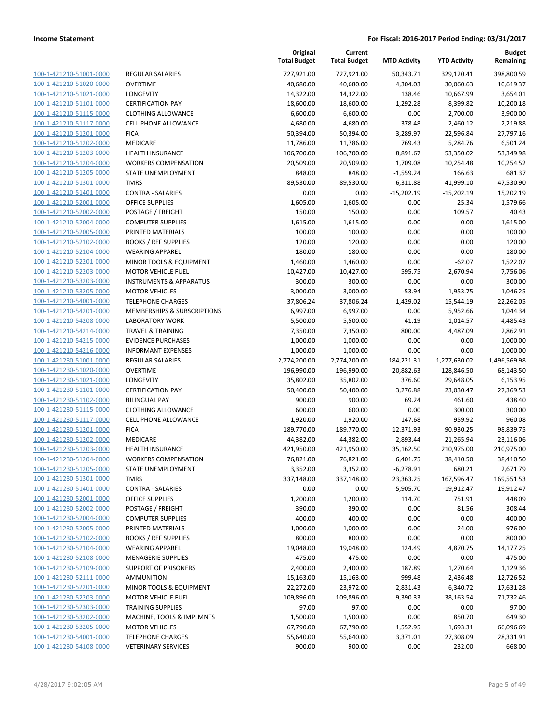| 100-1-421210-51001-0000                 |
|-----------------------------------------|
| 100-1-421210-51020-0000                 |
| 100-1-421210-51021-0000                 |
| 100-1-421210-51101-0000                 |
| 100-1-421210-51115-0000                 |
| 100-1-421210-51117-0000                 |
| 100-1-421210-51201-0000                 |
| 100-1-421210-51202-0000                 |
| 100-1-421210-51203-0000                 |
| 100-1-421210-51204-0000                 |
| 100-1-421210-51205-0000                 |
| $-421210 - 51301$<br>$100 - 1$<br>-0000 |
| 100-1-421210-51401-0000                 |
| 100-1-421210-52001-0000                 |
| <u>100-1-421210-52002-0000</u>          |
| <u>100-1-421210-52004-0000</u>          |
| 100-1-421210-52005-0000                 |
| 100-1-421210-52102-0000                 |
| 100-1-421210-52104-0000                 |
| 100-1-421210-52201-0000                 |
| 100-1-421210-52203-0000                 |
| -421210-53203-0000<br>$100 - 1$         |
| 100-1-421210-53205-0000                 |
| 100-1-421210-54001-0000                 |
| <u>100-1-421210-54201-0000</u>          |
| <u>100-1-421210-54208-0000</u>          |
| 100-1-421210-54214-0000                 |
| 100-1-421210-54215-0000                 |
| 100-1-421210-54216-0000                 |
| 100-1-421230-51001-0000                 |
| 100-1-421230-51020-0000                 |
| 100-1-421230-51021-0000                 |
| 100-1-421230-51101-0000                 |
| 100-1-421230-51102-0000                 |
| 100-1-421230-51115-0000                 |
| 100-1-421230-51117-0000                 |
| 100-1-421230-51201-0000                 |
| 100-1-421230-51202-0000                 |
| 100-1-421230-51203-0000                 |
| 100-1-421230-51204-0000                 |
| 100-1-421230-51205-0000                 |
| 100-1-421230-51301-0000                 |
| 100-1-421230-51401-0000                 |
| <u>100-1-421230-52001-0000</u>          |
| <u>100-1-421230-52002-0000</u>          |
| 100-1-421230-52004-0000                 |
| 100-1-421230-52005-0000                 |
| 100-1-421230-52102-0000                 |
| <u>100-1-421230-52104-0000</u>          |
| <u>100-1-421230-52108-0000</u>          |
| <u>100-1-421230-52109-0000</u>          |
| 100-1-421230-52111-0000                 |
| 100-1-421230-52201-0000                 |
| <u>100-1-421230-52203-0000</u>          |
| <u>100-1-421230-52303-0000</u>          |
| <u>100-1-421230-53202-0000</u>          |
| <u>100-1-421230-53205-0000</u>          |
| 100-1-421230-54001-0000                 |
| 100-1-421230-54108-0000                 |

| REGULAR SALARIES            |
|-----------------------------|
| OVERTIME                    |
| LONGEVITY                   |
| <b>CERTIFICATION PAY</b>    |
| CLOTHING ALLOWANCE          |
| <b>CELL PHONE ALLOWANCE</b> |
| FICA                        |
| MEDICARE                    |
| HEALTH INSURANCE            |
| WORKERS COMPENSATION        |
| STATE UNEMPLOYMENT          |
| TMRS                        |
| CONTRA - SALARIES           |
| OFFICE SUPPLIES             |
| POSTAGE / FREIGHT           |
| COMPUTER SUPPLIES           |
| PRINTED MATERIALS           |
| <b>BOOKS / REF SUPPLIES</b> |
| <b>WEARING APPAREL</b>      |
| MINOR TOOLS & EQUIPMENT     |
| <b>MOTOR VEHICLE FUEL</b>   |
| INSTRUMENTS & APPARATUS     |
| <b>MOTOR VEHICLES</b>       |
| <b>TELEPHONE CHARGES</b>    |
| MEMBERSHIPS & SUBSCRIPTIONS |
| LABORATORY WORK             |
| TRAVEL & TRAINING           |
| EVIDENCE PURCHASES          |
| INFORMANT EXPENSES          |
| REGULAR SALARIES            |
| OVERTIME                    |
| LONGEVITY                   |
| CERTIFICATION PAY           |
| BILINGUAL PAY               |
| CLOTHING ALLOWANCE          |
| <b>CELL PHONE ALLOWANCE</b> |
| FICA                        |
| MEDICARE                    |
| HEALTH INSURANCE            |
| WORKERS COMPENSATION        |
| STATE UNEMPLOYMENT          |
| TMRS                        |
| CONTRA - SALARIES           |
| OFFICE SUPPLIES             |
| POSTAGE / FREIGHT           |
| <b>COMPUTER SUPPLIES</b>    |
| PRINTED MATERIALS           |
| <b>BOOKS / REF SUPPLIES</b> |
| WEARING APPAREL             |
| <b>MENAGERIE SUPPLIES</b>   |
| <b>SUPPORT OF PRISONERS</b> |
| AMMUNITION                  |
| MINOR TOOLS & EQUIPMENT     |
| MOTOR VEHICLE FUEL          |
| TRAINING SUPPLIES           |
| MACHINE, TOOLS & IMPLMNTS   |
| <b>MOTOR VEHICLES</b>       |
| <b>TELEPHONE CHARGES</b>    |

|                         |                                    | Original<br><b>Total Budget</b> | Current<br><b>Total Budget</b> | <b>MTD Activity</b> | <b>YTD Activity</b> | <b>Budget</b><br>Remaining |
|-------------------------|------------------------------------|---------------------------------|--------------------------------|---------------------|---------------------|----------------------------|
| 100-1-421210-51001-0000 | REGULAR SALARIES                   | 727,921.00                      | 727,921.00                     | 50,343.71           | 329,120.41          | 398,800.59                 |
| 100-1-421210-51020-0000 | <b>OVERTIME</b>                    | 40,680.00                       | 40,680.00                      | 4,304.03            | 30,060.63           | 10,619.37                  |
| 100-1-421210-51021-0000 | <b>LONGEVITY</b>                   | 14,322.00                       | 14,322.00                      | 138.46              | 10,667.99           | 3,654.01                   |
| 100-1-421210-51101-0000 | <b>CERTIFICATION PAY</b>           | 18,600.00                       | 18,600.00                      | 1,292.28            | 8,399.82            | 10,200.18                  |
| 100-1-421210-51115-0000 | <b>CLOTHING ALLOWANCE</b>          | 6,600.00                        | 6,600.00                       | 0.00                | 2,700.00            | 3,900.00                   |
| 100-1-421210-51117-0000 | <b>CELL PHONE ALLOWANCE</b>        | 4,680.00                        | 4,680.00                       | 378.48              | 2,460.12            | 2,219.88                   |
| 100-1-421210-51201-0000 | <b>FICA</b>                        | 50,394.00                       | 50,394.00                      | 3,289.97            | 22,596.84           | 27,797.16                  |
| 100-1-421210-51202-0000 | MEDICARE                           | 11,786.00                       | 11,786.00                      | 769.43              | 5,284.76            | 6,501.24                   |
| 100-1-421210-51203-0000 | <b>HEALTH INSURANCE</b>            | 106,700.00                      | 106,700.00                     | 8,891.67            | 53,350.02           | 53,349.98                  |
| 100-1-421210-51204-0000 | <b>WORKERS COMPENSATION</b>        | 20,509.00                       | 20,509.00                      | 1,709.08            | 10,254.48           | 10,254.52                  |
| 100-1-421210-51205-0000 | STATE UNEMPLOYMENT                 | 848.00                          | 848.00                         | $-1,559.24$         | 166.63              | 681.37                     |
| 100-1-421210-51301-0000 | <b>TMRS</b>                        | 89,530.00                       | 89,530.00                      | 6,311.88            | 41,999.10           | 47,530.90                  |
| 100-1-421210-51401-0000 | <b>CONTRA - SALARIES</b>           | 0.00                            | 0.00                           | $-15,202.19$        | $-15,202.19$        | 15,202.19                  |
| 100-1-421210-52001-0000 | <b>OFFICE SUPPLIES</b>             | 1,605.00                        | 1,605.00                       | 0.00                | 25.34               | 1,579.66                   |
| 100-1-421210-52002-0000 | POSTAGE / FREIGHT                  | 150.00                          | 150.00                         | 0.00                | 109.57              | 40.43                      |
| 100-1-421210-52004-0000 | <b>COMPUTER SUPPLIES</b>           | 1,615.00                        | 1,615.00                       | 0.00                | 0.00                | 1,615.00                   |
| 100-1-421210-52005-0000 | PRINTED MATERIALS                  | 100.00                          | 100.00                         | 0.00                | 0.00                | 100.00                     |
| 100-1-421210-52102-0000 | <b>BOOKS / REF SUPPLIES</b>        | 120.00                          | 120.00                         | 0.00                | 0.00                | 120.00                     |
| 100-1-421210-52104-0000 | <b>WEARING APPAREL</b>             | 180.00                          | 180.00                         | 0.00                | 0.00                | 180.00                     |
| 100-1-421210-52201-0000 | MINOR TOOLS & EQUIPMENT            | 1,460.00                        | 1,460.00                       | 0.00                | $-62.07$            | 1,522.07                   |
| 100-1-421210-52203-0000 | <b>MOTOR VEHICLE FUEL</b>          | 10,427.00                       | 10,427.00                      | 595.75              | 2,670.94            | 7,756.06                   |
| 100-1-421210-53203-0000 | <b>INSTRUMENTS &amp; APPARATUS</b> | 300.00                          | 300.00                         | 0.00                | 0.00                | 300.00                     |
| 100-1-421210-53205-0000 | <b>MOTOR VEHICLES</b>              | 3,000.00                        | 3,000.00                       | $-53.94$            | 1,953.75            | 1,046.25                   |
| 100-1-421210-54001-0000 | <b>TELEPHONE CHARGES</b>           | 37,806.24                       | 37,806.24                      | 1,429.02            | 15,544.19           | 22,262.05                  |
| 100-1-421210-54201-0000 | MEMBERSHIPS & SUBSCRIPTIONS        | 6,997.00                        | 6,997.00                       | 0.00                | 5,952.66            | 1,044.34                   |
| 100-1-421210-54208-0000 | <b>LABORATORY WORK</b>             | 5,500.00                        | 5,500.00                       | 41.19               | 1,014.57            | 4,485.43                   |
| 100-1-421210-54214-0000 | <b>TRAVEL &amp; TRAINING</b>       | 7,350.00                        | 7,350.00                       | 800.00              | 4,487.09            | 2,862.91                   |
| 100-1-421210-54215-0000 | <b>EVIDENCE PURCHASES</b>          | 1,000.00                        | 1,000.00                       | 0.00                | 0.00                | 1,000.00                   |
| 100-1-421210-54216-0000 | <b>INFORMANT EXPENSES</b>          | 1,000.00                        | 1,000.00                       | 0.00                | 0.00                | 1,000.00                   |
| 100-1-421230-51001-0000 | REGULAR SALARIES                   | 2,774,200.00                    | 2,774,200.00                   | 184,221.31          | 1,277,630.02        | 1,496,569.98               |
| 100-1-421230-51020-0000 | <b>OVERTIME</b>                    | 196,990.00                      | 196,990.00                     | 20,882.63           | 128,846.50          | 68,143.50                  |
| 100-1-421230-51021-0000 | LONGEVITY                          | 35,802.00                       | 35,802.00                      | 376.60              | 29,648.05           | 6,153.95                   |
| 100-1-421230-51101-0000 | <b>CERTIFICATION PAY</b>           | 50,400.00                       | 50,400.00                      | 3,276.88            | 23,030.47           | 27,369.53                  |
| 100-1-421230-51102-0000 | <b>BILINGUAL PAY</b>               | 900.00                          | 900.00                         | 69.24               | 461.60              | 438.40                     |
| 100-1-421230-51115-0000 | <b>CLOTHING ALLOWANCE</b>          | 600.00                          | 600.00                         | 0.00                | 300.00              | 300.00                     |
| 100-1-421230-51117-0000 | <b>CELL PHONE ALLOWANCE</b>        | 1,920.00                        | 1,920.00                       | 147.68              | 959.92              | 960.08                     |
| 100-1-421230-51201-0000 | <b>FICA</b>                        | 189,770.00                      | 189,770.00                     | 12,371.93           | 90,930.25           | 98,839.75                  |
| 100-1-421230-51202-0000 | MEDICARE                           | 44,382.00                       | 44,382.00                      | 2,893.44            | 21,265.94           | 23,116.06                  |
| 100-1-421230-51203-0000 | <b>HEALTH INSURANCE</b>            | 421,950.00                      | 421,950.00                     | 35,162.50           | 210,975.00          | 210,975.00                 |
| 100-1-421230-51204-0000 | <b>WORKERS COMPENSATION</b>        | 76,821.00                       | 76,821.00                      | 6,401.75            | 38,410.50           | 38,410.50                  |
| 100-1-421230-51205-0000 | STATE UNEMPLOYMENT                 | 3,352.00                        | 3,352.00                       | $-6,278.91$         | 680.21              | 2,671.79                   |
| 100-1-421230-51301-0000 | TMRS                               | 337,148.00                      | 337,148.00                     | 23,363.25           | 167,596.47          | 169,551.53                 |
| 100-1-421230-51401-0000 | <b>CONTRA - SALARIES</b>           | 0.00                            | 0.00                           | $-5,905.70$         | $-19,912.47$        | 19,912.47                  |
| 100-1-421230-52001-0000 | <b>OFFICE SUPPLIES</b>             | 1,200.00                        | 1,200.00                       | 114.70              | 751.91              | 448.09                     |
| 100-1-421230-52002-0000 | POSTAGE / FREIGHT                  | 390.00                          | 390.00                         | 0.00                | 81.56               | 308.44                     |
| 100-1-421230-52004-0000 | <b>COMPUTER SUPPLIES</b>           | 400.00                          | 400.00                         | 0.00                | 0.00                | 400.00                     |
| 100-1-421230-52005-0000 | PRINTED MATERIALS                  | 1,000.00                        | 1,000.00                       | 0.00                | 24.00               | 976.00                     |
| 100-1-421230-52102-0000 | <b>BOOKS / REF SUPPLIES</b>        | 800.00                          | 800.00                         | 0.00                | 0.00                | 800.00                     |
| 100-1-421230-52104-0000 | <b>WEARING APPAREL</b>             | 19,048.00                       | 19,048.00                      | 124.49              | 4,870.75            | 14,177.25                  |
| 100-1-421230-52108-0000 | <b>MENAGERIE SUPPLIES</b>          | 475.00                          | 475.00                         | 0.00                | 0.00                | 475.00                     |
| 100-1-421230-52109-0000 | <b>SUPPORT OF PRISONERS</b>        | 2,400.00                        | 2,400.00                       | 187.89              | 1,270.64            | 1,129.36                   |
| 100-1-421230-52111-0000 | AMMUNITION                         | 15,163.00                       | 15,163.00                      | 999.48              | 2,436.48            | 12,726.52                  |
| 100-1-421230-52201-0000 | MINOR TOOLS & EQUIPMENT            | 22,272.00                       | 23,972.00                      | 2,831.43            | 6,340.72            | 17,631.28                  |
| 100-1-421230-52203-0000 | <b>MOTOR VEHICLE FUEL</b>          | 109,896.00                      | 109,896.00                     | 9,390.33            | 38,163.54           | 71,732.46                  |
| 100-1-421230-52303-0000 | <b>TRAINING SUPPLIES</b>           | 97.00                           | 97.00                          | 0.00                | 0.00                | 97.00                      |
| 100-1-421230-53202-0000 | MACHINE, TOOLS & IMPLMNTS          | 1,500.00                        | 1,500.00                       | 0.00                | 850.70              | 649.30                     |
| 100-1-421230-53205-0000 | <b>MOTOR VEHICLES</b>              | 67,790.00                       | 67,790.00                      | 1,552.95            | 1,693.31            | 66,096.69                  |
| 100-1-421230-54001-0000 | <b>TELEPHONE CHARGES</b>           | 55,640.00                       | 55,640.00                      | 3,371.01            | 27,308.09           | 28,331.91                  |
| 100-1-421230-54108-0000 | <b>VETERINARY SERVICES</b>         | 900.00                          | 900.00                         | 0.00                | 232.00              | 668.00                     |
|                         |                                    |                                 |                                |                     |                     |                            |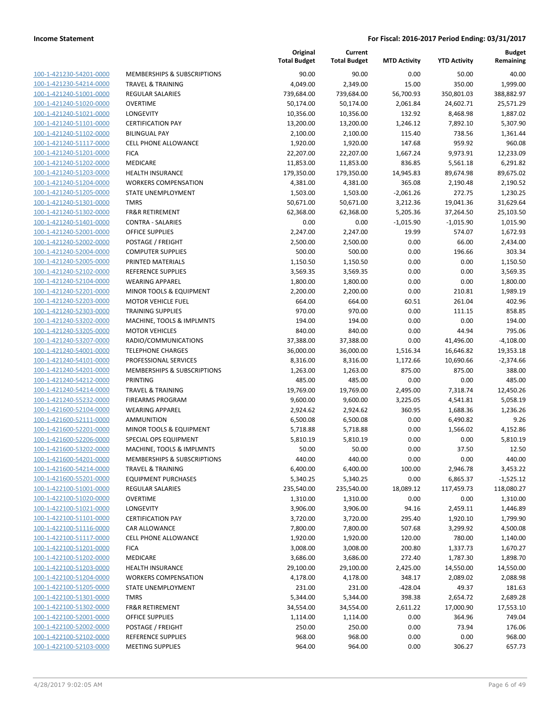| 100-1-421230-54201-0000         |
|---------------------------------|
| 100-1-421230-54214-0000         |
| 100-1-421240-51001-0000         |
| 100-1-421240-51020-0000         |
| 100-1-421240-51021-0000         |
| 100-1-421240-51101-0000         |
| 100-1-421240-51102-0000         |
| 100-1-421240-51117-0000         |
| 100-1-421240-51201-0000         |
| <u>100-1-421240-51202-0000</u>  |
| 100-1-421240-51203-0000         |
| -421240-51204-0000<br>$100 - 1$ |
| 100-1-421240-51205-0000         |
| 100-1-421240-51301-0000         |
| <u>100-1-421240-51302-0000</u>  |
| 100-1-421240-51401-0000         |
| -421240-52001-0000<br>$100 - 1$ |
| 100-1-421240-52002-0000         |
| 100-1-421240-52004-0000         |
|                                 |
| <u>100-1-421240-52005-0000</u>  |
| 100-1-421240-52102-0000         |
| -421240-52104-0000<br>$100 - 1$ |
| 100-1-421240-52201-0000         |
| 100-1-421240-52203-0000         |
| <u>100-1-421240-52303-0000</u>  |
| 100-1-421240-53202-0000         |
| -421240-53205-0000<br>$100 - 1$ |
| 100-1-421240-53207-0000         |
| 100-1-421240-54001-0000         |
| 100-1-421240-54101-0000         |
| 100-1-421240-54201-0000         |
| -421240-54212-0000<br>$100 - 1$ |
| 100-1-421240-54214-0000         |
| 100-1-421240-55232-0000         |
| <u>100-1-421600-52104-0000</u>  |
| 100-1-421600-52111-0000         |
| 100-1-421600-52201-0000         |
| 100-1-421600-52206-0000         |
| 100-1-421600-53202-0000         |
| <u>100-1-421600-54201-0000</u>  |
| 100-1-421600-54214-0000         |
| <u>100-1-421600-55201-0000</u>  |
| 100-1-422100-51001-0000         |
| <u>100-1-422100-51020-0000</u>  |
| <u>100-1-422100-51021-0000</u>  |
| <u>100-1-422100-51101-0000</u>  |
| 100-1-422100-51116-0000         |
| 100-1-422100-51117-0000         |
| <u>100-1-422100-51201-0000</u>  |
|                                 |
| <u>100-1-422100-51202-0000</u>  |
| <u>100-1-422100-51203-0000</u>  |
| 100-1-422100-51204-0000         |
| 100-1-422100-51205-0000         |
| <u>100-1-422100-51301-0000</u>  |
| 100-1-422100-51302-0000         |
| <u>100-1-422100-52001-0000</u>  |
| <u>100-1-422100-52002-0000</u>  |
| 100-1-422100-52102-0000         |
| 100-1-422100-52103-0000         |

|                                                    |                                                   | Original<br><b>Total Budget</b> | Current<br><b>Total Budget</b> | <b>MTD Activity</b> | <b>YTD Activity</b> | <b>Budget</b><br>Remaining |
|----------------------------------------------------|---------------------------------------------------|---------------------------------|--------------------------------|---------------------|---------------------|----------------------------|
| 100-1-421230-54201-0000                            | MEMBERSHIPS & SUBSCRIPTIONS                       | 90.00                           | 90.00                          | 0.00                | 50.00               | 40.00                      |
| 100-1-421230-54214-0000                            | <b>TRAVEL &amp; TRAINING</b>                      | 4,049.00                        | 2,349.00                       | 15.00               | 350.00              | 1,999.00                   |
| 100-1-421240-51001-0000                            | <b>REGULAR SALARIES</b>                           | 739,684.00                      | 739,684.00                     | 56,700.93           | 350,801.03          | 388,882.97                 |
| 100-1-421240-51020-0000                            | <b>OVERTIME</b>                                   | 50,174.00                       | 50,174.00                      | 2,061.84            | 24,602.71           | 25,571.29                  |
| 100-1-421240-51021-0000                            | LONGEVITY                                         | 10,356.00                       | 10,356.00                      | 132.92              | 8,468.98            | 1,887.02                   |
| 100-1-421240-51101-0000                            | <b>CERTIFICATION PAY</b>                          | 13,200.00                       | 13,200.00                      | 1,246.12            | 7,892.10            | 5,307.90                   |
| 100-1-421240-51102-0000                            | <b>BILINGUAL PAY</b>                              | 2,100.00                        | 2,100.00                       | 115.40              | 738.56              | 1,361.44                   |
| 100-1-421240-51117-0000                            | <b>CELL PHONE ALLOWANCE</b>                       | 1,920.00                        | 1,920.00                       | 147.68              | 959.92              | 960.08                     |
| 100-1-421240-51201-0000                            | <b>FICA</b>                                       | 22,207.00                       | 22,207.00                      | 1,667.24            | 9,973.91            | 12,233.09                  |
| 100-1-421240-51202-0000                            | MEDICARE                                          | 11,853.00                       | 11,853.00                      | 836.85              | 5,561.18            | 6,291.82                   |
| 100-1-421240-51203-0000                            | <b>HEALTH INSURANCE</b>                           | 179,350.00                      | 179,350.00                     | 14,945.83           | 89,674.98           | 89,675.02                  |
| 100-1-421240-51204-0000                            | <b>WORKERS COMPENSATION</b>                       | 4,381.00                        | 4,381.00                       | 365.08              | 2,190.48            | 2,190.52                   |
| 100-1-421240-51205-0000                            | STATE UNEMPLOYMENT                                | 1,503.00                        | 1,503.00                       | $-2,061.26$         | 272.75              | 1,230.25                   |
| 100-1-421240-51301-0000                            | <b>TMRS</b>                                       | 50,671.00                       | 50,671.00                      | 3,212.36            | 19,041.36           | 31,629.64                  |
| 100-1-421240-51302-0000                            | <b>FR&amp;R RETIREMENT</b>                        | 62,368.00                       | 62,368.00                      | 5,205.36            | 37,264.50           | 25,103.50                  |
| 100-1-421240-51401-0000                            | <b>CONTRA - SALARIES</b>                          | 0.00                            | 0.00                           | $-1,015.90$         | $-1,015.90$         | 1,015.90                   |
| 100-1-421240-52001-0000                            | <b>OFFICE SUPPLIES</b>                            | 2,247.00                        | 2,247.00                       | 19.99               | 574.07              | 1,672.93                   |
| 100-1-421240-52002-0000                            | POSTAGE / FREIGHT                                 | 2,500.00                        | 2,500.00                       | 0.00                | 66.00               | 2,434.00                   |
| 100-1-421240-52004-0000                            | <b>COMPUTER SUPPLIES</b>                          | 500.00                          | 500.00                         | 0.00                | 196.66              | 303.34                     |
| 100-1-421240-52005-0000<br>100-1-421240-52102-0000 | PRINTED MATERIALS                                 | 1,150.50                        | 1,150.50                       | 0.00                | 0.00                | 1,150.50                   |
|                                                    | <b>REFERENCE SUPPLIES</b>                         | 3,569.35                        | 3,569.35                       | 0.00                | 0.00                | 3,569.35                   |
| 100-1-421240-52104-0000<br>100-1-421240-52201-0000 | <b>WEARING APPAREL</b><br>MINOR TOOLS & EQUIPMENT | 1,800.00                        | 1,800.00<br>2,200.00           | 0.00<br>0.00        | 0.00                | 1,800.00                   |
| 100-1-421240-52203-0000                            | <b>MOTOR VEHICLE FUEL</b>                         | 2,200.00                        |                                | 60.51               | 210.81              | 1,989.19<br>402.96         |
| 100-1-421240-52303-0000                            | <b>TRAINING SUPPLIES</b>                          | 664.00<br>970.00                | 664.00<br>970.00               | 0.00                | 261.04<br>111.15    | 858.85                     |
| 100-1-421240-53202-0000                            | MACHINE, TOOLS & IMPLMNTS                         | 194.00                          | 194.00                         | 0.00                | 0.00                | 194.00                     |
| 100-1-421240-53205-0000                            | <b>MOTOR VEHICLES</b>                             | 840.00                          | 840.00                         | 0.00                | 44.94               | 795.06                     |
| 100-1-421240-53207-0000                            | RADIO/COMMUNICATIONS                              | 37,388.00                       | 37,388.00                      | 0.00                | 41,496.00           | $-4,108.00$                |
| 100-1-421240-54001-0000                            | <b>TELEPHONE CHARGES</b>                          | 36,000.00                       | 36,000.00                      | 1,516.34            | 16,646.82           | 19,353.18                  |
| 100-1-421240-54101-0000                            | PROFESSIONAL SERVICES                             | 8,316.00                        | 8,316.00                       | 1,172.66            | 10,690.66           | $-2,374.66$                |
| 100-1-421240-54201-0000                            | MEMBERSHIPS & SUBSCRIPTIONS                       | 1,263.00                        | 1,263.00                       | 875.00              | 875.00              | 388.00                     |
| 100-1-421240-54212-0000                            | PRINTING                                          | 485.00                          | 485.00                         | 0.00                | 0.00                | 485.00                     |
| 100-1-421240-54214-0000                            | <b>TRAVEL &amp; TRAINING</b>                      | 19,769.00                       | 19,769.00                      | 2,495.00            | 7,318.74            | 12,450.26                  |
| 100-1-421240-55232-0000                            | <b>FIREARMS PROGRAM</b>                           | 9,600.00                        | 9,600.00                       | 3,225.05            | 4,541.81            | 5,058.19                   |
| 100-1-421600-52104-0000                            | <b>WEARING APPAREL</b>                            | 2,924.62                        | 2,924.62                       | 360.95              | 1,688.36            | 1,236.26                   |
| 100-1-421600-52111-0000                            | <b>AMMUNITION</b>                                 | 6,500.08                        | 6,500.08                       | 0.00                | 6,490.82            | 9.26                       |
| 100-1-421600-52201-0000                            | MINOR TOOLS & EQUIPMENT                           | 5,718.88                        | 5,718.88                       | 0.00                | 1,566.02            | 4,152.86                   |
| 100-1-421600-52206-0000                            | SPECIAL OPS EQUIPMENT                             | 5,810.19                        | 5,810.19                       | 0.00                | 0.00                | 5,810.19                   |
| 100-1-421600-53202-0000                            | MACHINE, TOOLS & IMPLMNTS                         | 50.00                           | 50.00                          | 0.00                | 37.50               | 12.50                      |
| 100-1-421600-54201-0000                            | MEMBERSHIPS & SUBSCRIPTIONS                       | 440.00                          | 440.00                         | 0.00                | 0.00                | 440.00                     |
| 100-1-421600-54214-0000                            | <b>TRAVEL &amp; TRAINING</b>                      | 6,400.00                        | 6,400.00                       | 100.00              | 2,946.78            | 3,453.22                   |
| 100-1-421600-55201-0000                            | <b>EQUIPMENT PURCHASES</b>                        | 5,340.25                        | 5,340.25                       | 0.00                | 6,865.37            | $-1,525.12$                |
| 100-1-422100-51001-0000                            | REGULAR SALARIES                                  | 235,540.00                      | 235,540.00                     | 18,089.12           | 117,459.73          | 118,080.27                 |
| 100-1-422100-51020-0000                            | <b>OVERTIME</b>                                   | 1,310.00                        | 1,310.00                       | 0.00                | 0.00                | 1,310.00                   |
| 100-1-422100-51021-0000                            | <b>LONGEVITY</b>                                  | 3,906.00                        | 3,906.00                       | 94.16               | 2,459.11            | 1,446.89                   |
| 100-1-422100-51101-0000                            | <b>CERTIFICATION PAY</b>                          | 3,720.00                        | 3,720.00                       | 295.40              | 1,920.10            | 1,799.90                   |
| 100-1-422100-51116-0000                            | CAR ALLOWANCE                                     | 7,800.00                        | 7,800.00                       | 507.68              | 3,299.92            | 4,500.08                   |
| 100-1-422100-51117-0000                            | <b>CELL PHONE ALLOWANCE</b>                       | 1,920.00                        | 1,920.00                       | 120.00              | 780.00              | 1,140.00                   |
| 100-1-422100-51201-0000                            | <b>FICA</b>                                       | 3,008.00                        | 3,008.00                       | 200.80              | 1,337.73            | 1,670.27                   |
| 100-1-422100-51202-0000                            | MEDICARE                                          | 3,686.00                        | 3,686.00                       | 272.40              | 1,787.30            | 1,898.70                   |
| 100-1-422100-51203-0000                            | HEALTH INSURANCE                                  | 29,100.00                       | 29,100.00                      | 2,425.00            | 14,550.00           | 14,550.00                  |
| 100-1-422100-51204-0000                            | <b>WORKERS COMPENSATION</b>                       | 4,178.00                        | 4,178.00                       | 348.17              | 2,089.02            | 2,088.98                   |
| 100-1-422100-51205-0000                            | STATE UNEMPLOYMENT                                | 231.00                          | 231.00                         | $-428.04$           | 49.37               | 181.63                     |
| 100-1-422100-51301-0000                            | <b>TMRS</b>                                       | 5,344.00                        | 5,344.00                       | 398.38              | 2,654.72            | 2,689.28                   |
| 100-1-422100-51302-0000                            | <b>FR&amp;R RETIREMENT</b>                        | 34,554.00                       | 34,554.00                      | 2,611.22            | 17,000.90           | 17,553.10                  |
| 100-1-422100-52001-0000                            | OFFICE SUPPLIES                                   | 1,114.00                        | 1,114.00                       | 0.00                | 364.96              | 749.04                     |
| 100-1-422100-52002-0000                            | POSTAGE / FREIGHT                                 | 250.00                          | 250.00                         | 0.00                | 73.94               | 176.06                     |
| 100-1-422100-52102-0000                            | REFERENCE SUPPLIES                                | 968.00                          | 968.00                         | 0.00                | 0.00                | 968.00                     |
| 100-1-422100-52103-0000                            | <b>MEETING SUPPLIES</b>                           | 964.00                          | 964.00                         | 0.00                | 306.27              | 657.73                     |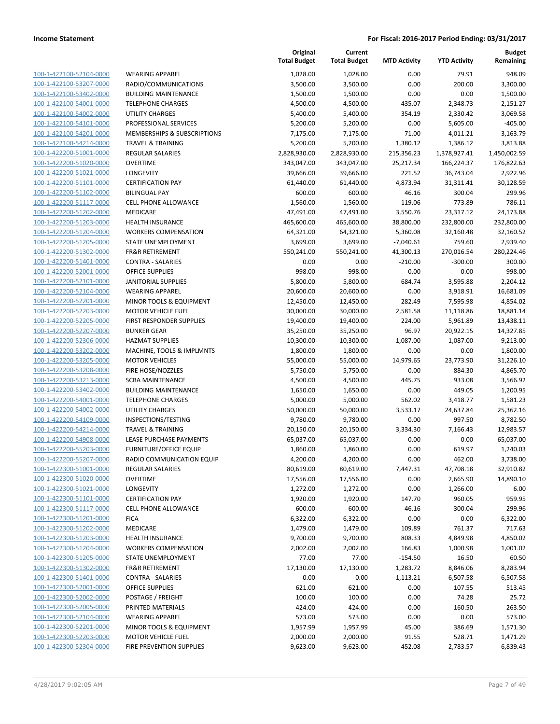| 100-1-422100-52104-0000        |
|--------------------------------|
| 100-1-422100-53207-0000        |
| <u>100-1-422100-53402-0000</u> |
| <u>100-1-422100-54001-0000</u> |
| 100-1-422100-54002-0000        |
| 100-1-422100-54101-0000        |
| 100-1-422100-54201-0000        |
| <u>100-1-422100-54214-0000</u> |
| <u>100-1-422200-51001-0000</u> |
| 100-1-422200-51020-0000        |
| 100-1-422200-51021-0000        |
| 100-1-422200-51101-0000        |
| <u>100-1-422200-51102-0000</u> |
| <u>100-1-422200-51117-0000</u> |
| 100-1-422200-51202-0000        |
| 100-1-422200-51203-0000        |
| 100-1-422200-51204-0000        |
| <u>100-1-422200-51205-0000</u> |
| <u>100-1-422200-51302-0000</u> |
| 100-1-422200-51401-0000        |
| 100-1-422200-52001-0000        |
| 100-1-422200-52101-0000        |
| <u>100-1-422200-52104-0000</u> |
| 100-1-422200-52201-0000        |
| 100-1-422200-52203-0000        |
| 100-1-422200-52205-0000        |
| 100-1-422200-52207-0000        |
| <u>100-1-422200-52306-0000</u> |
| <u>100-1-422200-53202-0000</u> |
| 100-1-422200-53205-0000        |
| 100-1-422200-53208-0000        |
| 100-1-422200-53213-0000        |
| <u>100-1-422200-53402-0000</u> |
| <u>100-1-422200-54001-0000</u> |
| 100-1-422200-54002-0000        |
| 100-1-422200-54109-0000        |
| 100-1-422200-54214-0000        |
| <u>100-1-422200-54908-0000</u> |
| <u>100-1-422200-55203-0000</u> |
| 100-1-422200-55207-0000        |
| 100-1-422300-51001-0000        |
| <u>100-1-422300-51020-0000</u> |
| <u>100-1-422300-51021-0000</u> |
| 100-1-422300-51101-0000        |
| <u>100-1-422300-51117-0000</u> |
| 100-1-422300-51201-0000        |
| <u>100-1-422300-51202-0000</u> |
| <u>100-1-422300-51203-0000</u> |
| 100-1-422300-51204-0000        |
| <u>100-1-422300-51205-0000</u> |
| 100-1-422300-51302-0000        |
| 100-1-422300-51401-0000        |
| <u>100-1-422300-52001-0000</u> |
| 100-1-422300-52002-0000        |
| <u>100-1-422300-52005-0000</u> |
| 100-1-422300-52104-0000        |
| 100-1-422300-52201-0000        |
| <u>100-1-422300-52203-0000</u> |
| <u>100-1-422300-52304-0000</u> |

|                         |                               | Original<br><b>Total Budget</b> | Current<br><b>Total Budget</b> | <b>MTD Activity</b> | <b>YTD Activity</b> | <b>Budget</b><br>Remaining |
|-------------------------|-------------------------------|---------------------------------|--------------------------------|---------------------|---------------------|----------------------------|
| 100-1-422100-52104-0000 | <b>WEARING APPAREL</b>        | 1,028.00                        | 1,028.00                       | 0.00                | 79.91               | 948.09                     |
| 100-1-422100-53207-0000 | RADIO/COMMUNICATIONS          | 3,500.00                        | 3,500.00                       | 0.00                | 200.00              | 3,300.00                   |
| 100-1-422100-53402-0000 | <b>BUILDING MAINTENANCE</b>   | 1,500.00                        | 1,500.00                       | 0.00                | 0.00                | 1,500.00                   |
| 100-1-422100-54001-0000 | <b>TELEPHONE CHARGES</b>      | 4,500.00                        | 4,500.00                       | 435.07              | 2,348.73            | 2,151.27                   |
| 100-1-422100-54002-0000 | <b>UTILITY CHARGES</b>        | 5,400.00                        | 5,400.00                       | 354.19              | 2,330.42            | 3,069.58                   |
| 100-1-422100-54101-0000 | PROFESSIONAL SERVICES         | 5,200.00                        | 5,200.00                       | 0.00                | 5,605.00            | $-405.00$                  |
| 100-1-422100-54201-0000 | MEMBERSHIPS & SUBSCRIPTIONS   | 7,175.00                        | 7,175.00                       | 71.00               | 4,011.21            | 3,163.79                   |
| 100-1-422100-54214-0000 | <b>TRAVEL &amp; TRAINING</b>  | 5,200.00                        | 5,200.00                       | 1,380.12            | 1,386.12            | 3,813.88                   |
| 100-1-422200-51001-0000 | <b>REGULAR SALARIES</b>       | 2,828,930.00                    | 2,828,930.00                   | 215,356.23          | 1,378,927.41        | 1,450,002.59               |
| 100-1-422200-51020-0000 | <b>OVERTIME</b>               | 343,047.00                      | 343,047.00                     | 25,217.34           | 166,224.37          | 176,822.63                 |
| 100-1-422200-51021-0000 | LONGEVITY                     | 39,666.00                       | 39,666.00                      | 221.52              | 36,743.04           | 2,922.96                   |
| 100-1-422200-51101-0000 | <b>CERTIFICATION PAY</b>      | 61,440.00                       | 61,440.00                      | 4,873.94            | 31,311.41           | 30,128.59                  |
| 100-1-422200-51102-0000 | <b>BILINGUAL PAY</b>          | 600.00                          | 600.00                         | 46.16               | 300.04              | 299.96                     |
| 100-1-422200-51117-0000 | <b>CELL PHONE ALLOWANCE</b>   | 1,560.00                        | 1,560.00                       | 119.06              | 773.89              | 786.11                     |
| 100-1-422200-51202-0000 | MEDICARE                      | 47,491.00                       | 47,491.00                      | 3,550.76            | 23,317.12           | 24,173.88                  |
| 100-1-422200-51203-0000 | <b>HEALTH INSURANCE</b>       | 465,600.00                      | 465,600.00                     | 38,800.00           | 232,800.00          | 232,800.00                 |
| 100-1-422200-51204-0000 | <b>WORKERS COMPENSATION</b>   | 64,321.00                       | 64,321.00                      | 5,360.08            | 32,160.48           | 32,160.52                  |
| 100-1-422200-51205-0000 | STATE UNEMPLOYMENT            | 3,699.00                        | 3,699.00                       | $-7,040.61$         | 759.60              | 2,939.40                   |
| 100-1-422200-51302-0000 | <b>FR&amp;R RETIREMENT</b>    | 550,241.00                      | 550,241.00                     | 41,300.13           | 270,016.54          | 280,224.46                 |
| 100-1-422200-51401-0000 | <b>CONTRA - SALARIES</b>      | 0.00                            | 0.00                           | $-210.00$           | $-300.00$           | 300.00                     |
| 100-1-422200-52001-0000 | <b>OFFICE SUPPLIES</b>        | 998.00                          | 998.00                         | 0.00                | 0.00                | 998.00                     |
| 100-1-422200-52101-0000 | <b>JANITORIAL SUPPLIES</b>    | 5,800.00                        | 5,800.00                       | 684.74              | 3,595.88            | 2,204.12                   |
| 100-1-422200-52104-0000 | <b>WEARING APPAREL</b>        | 20,600.00                       | 20,600.00                      | 0.00                | 3,918.91            | 16,681.09                  |
| 100-1-422200-52201-0000 | MINOR TOOLS & EQUIPMENT       | 12,450.00                       | 12,450.00                      | 282.49              | 7,595.98            | 4,854.02                   |
| 100-1-422200-52203-0000 | <b>MOTOR VEHICLE FUEL</b>     | 30,000.00                       | 30,000.00                      | 2,581.58            | 11,118.86           | 18,881.14                  |
| 100-1-422200-52205-0000 | FIRST RESPONDER SUPPLIES      | 19,400.00                       | 19,400.00                      | 224.00              | 5,961.89            | 13,438.11                  |
| 100-1-422200-52207-0000 | <b>BUNKER GEAR</b>            | 35,250.00                       | 35,250.00                      | 96.97               | 20,922.15           | 14,327.85                  |
| 100-1-422200-52306-0000 | <b>HAZMAT SUPPLIES</b>        | 10,300.00                       | 10,300.00                      | 1,087.00            | 1,087.00            | 9,213.00                   |
| 100-1-422200-53202-0000 | MACHINE, TOOLS & IMPLMNTS     | 1,800.00                        | 1,800.00                       | 0.00                | 0.00                | 1,800.00                   |
| 100-1-422200-53205-0000 | <b>MOTOR VEHICLES</b>         | 55,000.00                       | 55,000.00                      | 14,979.65           | 23,773.90           | 31,226.10                  |
| 100-1-422200-53208-0000 | FIRE HOSE/NOZZLES             | 5,750.00                        | 5,750.00                       | 0.00                | 884.30              | 4,865.70                   |
| 100-1-422200-53213-0000 | <b>SCBA MAINTENANCE</b>       | 4,500.00                        | 4,500.00                       | 445.75              | 933.08              | 3,566.92                   |
| 100-1-422200-53402-0000 | <b>BUILDING MAINTENANCE</b>   | 1,650.00                        | 1,650.00                       | 0.00                | 449.05              | 1,200.95                   |
| 100-1-422200-54001-0000 | <b>TELEPHONE CHARGES</b>      | 5,000.00                        | 5,000.00                       | 562.02              | 3,418.77            | 1,581.23                   |
| 100-1-422200-54002-0000 | <b>UTILITY CHARGES</b>        | 50,000.00                       | 50,000.00                      | 3,533.17            | 24,637.84           | 25,362.16                  |
| 100-1-422200-54109-0000 | INSPECTIONS/TESTING           | 9,780.00                        | 9,780.00                       | 0.00                | 997.50              | 8,782.50                   |
| 100-1-422200-54214-0000 | <b>TRAVEL &amp; TRAINING</b>  | 20,150.00                       | 20,150.00                      | 3,334.30            | 7,166.43            | 12,983.57                  |
| 100-1-422200-54908-0000 | LEASE PURCHASE PAYMENTS       | 65,037.00                       | 65,037.00                      | 0.00                | 0.00                | 65,037.00                  |
| 100-1-422200-55203-0000 | <b>FURNITURE/OFFICE EQUIP</b> | 1,860.00                        | 1,860.00                       | 0.00                | 619.97              | 1,240.03                   |
| 100-1-422200-55207-0000 | RADIO COMMUNICATION EQUIP     | 4,200.00                        | 4,200.00                       | 0.00                | 462.00              | 3,738.00                   |
| 100-1-422300-51001-0000 | REGULAR SALARIES              | 80,619.00                       | 80,619.00                      | 7,447.31            | 47,708.18           | 32,910.82                  |
| 100-1-422300-51020-0000 | <b>OVERTIME</b>               | 17,556.00                       | 17,556.00                      | 0.00                | 2,665.90            | 14,890.10                  |
| 100-1-422300-51021-0000 | LONGEVITY                     | 1,272.00                        | 1,272.00                       | 0.00                | 1,266.00            | 6.00                       |
| 100-1-422300-51101-0000 | <b>CERTIFICATION PAY</b>      | 1,920.00                        | 1,920.00                       | 147.70              | 960.05              | 959.95                     |
| 100-1-422300-51117-0000 | <b>CELL PHONE ALLOWANCE</b>   | 600.00                          | 600.00                         | 46.16               | 300.04              | 299.96                     |
| 100-1-422300-51201-0000 | <b>FICA</b>                   | 6,322.00                        | 6,322.00                       | 0.00                | 0.00                | 6,322.00                   |
| 100-1-422300-51202-0000 | MEDICARE                      | 1,479.00                        | 1,479.00                       | 109.89              | 761.37              | 717.63                     |
| 100-1-422300-51203-0000 | <b>HEALTH INSURANCE</b>       | 9,700.00                        | 9,700.00                       | 808.33              | 4,849.98            | 4,850.02                   |
| 100-1-422300-51204-0000 | <b>WORKERS COMPENSATION</b>   | 2,002.00                        | 2,002.00                       | 166.83              | 1,000.98            | 1,001.02                   |
| 100-1-422300-51205-0000 | STATE UNEMPLOYMENT            | 77.00                           | 77.00                          | $-154.50$           | 16.50               | 60.50                      |
| 100-1-422300-51302-0000 | FR&R RETIREMENT               | 17,130.00                       | 17,130.00                      | 1,283.72            | 8,846.06            | 8,283.94                   |
| 100-1-422300-51401-0000 | <b>CONTRA - SALARIES</b>      | 0.00                            | 0.00                           | $-1,113.21$         | $-6,507.58$         | 6,507.58                   |
| 100-1-422300-52001-0000 | OFFICE SUPPLIES               | 621.00                          | 621.00                         | 0.00                | 107.55              | 513.45                     |
| 100-1-422300-52002-0000 | POSTAGE / FREIGHT             | 100.00                          | 100.00                         | 0.00                | 74.28               | 25.72                      |
| 100-1-422300-52005-0000 | PRINTED MATERIALS             | 424.00                          | 424.00                         | 0.00                | 160.50              | 263.50                     |
| 100-1-422300-52104-0000 | <b>WEARING APPAREL</b>        | 573.00                          | 573.00                         | 0.00                | 0.00                | 573.00                     |
| 100-1-422300-52201-0000 | MINOR TOOLS & EQUIPMENT       | 1,957.99                        | 1,957.99                       | 45.00               | 386.69              | 1,571.30                   |
| 100-1-422300-52203-0000 | <b>MOTOR VEHICLE FUEL</b>     | 2,000.00                        | 2,000.00                       | 91.55               | 528.71              | 1,471.29                   |
| 100-1-422300-52304-0000 | FIRE PREVENTION SUPPLIES      | 9,623.00                        | 9,623.00                       | 452.08              | 2,783.57            | 6,839.43                   |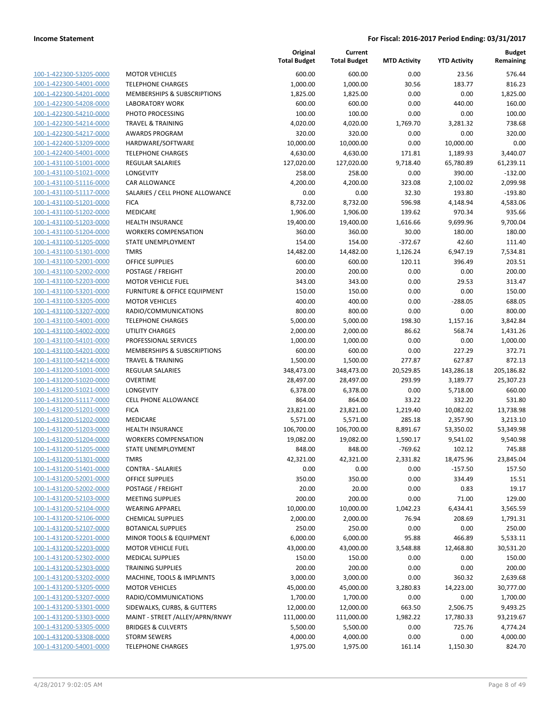|                         |                                        | Original<br><b>Total Budget</b> | Current<br><b>Total Budget</b> | <b>MTD Activity</b> | <b>YTD Activity</b> | Budget<br>Remaining |
|-------------------------|----------------------------------------|---------------------------------|--------------------------------|---------------------|---------------------|---------------------|
| 100-1-422300-53205-0000 | <b>MOTOR VEHICLES</b>                  | 600.00                          | 600.00                         | 0.00                | 23.56               | 576.44              |
| 100-1-422300-54001-0000 | <b>TELEPHONE CHARGES</b>               | 1,000.00                        | 1,000.00                       | 30.56               | 183.77              | 816.23              |
| 100-1-422300-54201-0000 | <b>MEMBERSHIPS &amp; SUBSCRIPTIONS</b> | 1,825.00                        | 1,825.00                       | 0.00                | 0.00                | 1,825.00            |
| 100-1-422300-54208-0000 | <b>LABORATORY WORK</b>                 | 600.00                          | 600.00                         | 0.00                | 440.00              | 160.00              |
| 100-1-422300-54210-0000 | PHOTO PROCESSING                       | 100.00                          | 100.00                         | 0.00                | 0.00                | 100.00              |
| 100-1-422300-54214-0000 | <b>TRAVEL &amp; TRAINING</b>           | 4,020.00                        | 4,020.00                       | 1,769.70            | 3,281.32            | 738.68              |
| 100-1-422300-54217-0000 | <b>AWARDS PROGRAM</b>                  | 320.00                          | 320.00                         | 0.00                | 0.00                | 320.00              |
| 100-1-422400-53209-0000 | HARDWARE/SOFTWARE                      | 10,000.00                       | 10,000.00                      | 0.00                | 10,000.00           | 0.00                |
| 100-1-422400-54001-0000 | <b>TELEPHONE CHARGES</b>               | 4,630.00                        | 4,630.00                       | 171.81              | 1,189.93            | 3,440.07            |
| 100-1-431100-51001-0000 | <b>REGULAR SALARIES</b>                | 127,020.00                      | 127,020.00                     | 9,718.40            | 65,780.89           | 61,239.11           |
| 100-1-431100-51021-0000 | LONGEVITY                              | 258.00                          | 258.00                         | 0.00                | 390.00              | $-132.00$           |
| 100-1-431100-51116-0000 | CAR ALLOWANCE                          | 4,200.00                        | 4,200.00                       | 323.08              | 2,100.02            | 2,099.98            |
| 100-1-431100-51117-0000 | SALARIES / CELL PHONE ALLOWANCE        | 0.00                            | 0.00                           | 32.30               | 193.80              | $-193.80$           |
| 100-1-431100-51201-0000 | <b>FICA</b>                            | 8,732.00                        | 8,732.00                       | 596.98              | 4,148.94            | 4,583.06            |
| 100-1-431100-51202-0000 | MEDICARE                               | 1,906.00                        | 1,906.00                       | 139.62              | 970.34              | 935.66              |
| 100-1-431100-51203-0000 | <b>HEALTH INSURANCE</b>                | 19,400.00                       | 19,400.00                      | 1,616.66            | 9,699.96            | 9,700.04            |
| 100-1-431100-51204-0000 | <b>WORKERS COMPENSATION</b>            | 360.00                          | 360.00                         | 30.00               | 180.00              | 180.00              |
| 100-1-431100-51205-0000 | STATE UNEMPLOYMENT                     | 154.00                          | 154.00                         | $-372.67$           | 42.60               | 111.40              |
| 100-1-431100-51301-0000 | <b>TMRS</b>                            | 14,482.00                       | 14,482.00                      | 1,126.24            | 6,947.19            | 7,534.81            |
| 100-1-431100-52001-0000 | OFFICE SUPPLIES                        | 600.00                          | 600.00                         | 120.11              | 396.49              | 203.51              |
| 100-1-431100-52002-0000 | POSTAGE / FREIGHT                      | 200.00                          | 200.00                         | 0.00                | 0.00                | 200.00              |
| 100-1-431100-52203-0000 | <b>MOTOR VEHICLE FUEL</b>              | 343.00                          | 343.00                         | 0.00                | 29.53               | 313.47              |
| 100-1-431100-53201-0000 | FURNITURE & OFFICE EQUIPMENT           | 150.00                          | 150.00                         | 0.00                | 0.00                | 150.00              |
| 100-1-431100-53205-0000 | <b>MOTOR VEHICLES</b>                  | 400.00                          | 400.00                         | 0.00                | $-288.05$           | 688.05              |
| 100-1-431100-53207-0000 | RADIO/COMMUNICATIONS                   | 800.00                          | 800.00                         | 0.00                | 0.00                | 800.00              |
| 100-1-431100-54001-0000 | <b>TELEPHONE CHARGES</b>               | 5,000.00                        | 5,000.00                       | 198.30              | 1,157.16            | 3,842.84            |
| 100-1-431100-54002-0000 | <b>UTILITY CHARGES</b>                 | 2,000.00                        | 2,000.00                       | 86.62               | 568.74              | 1,431.26            |
| 100-1-431100-54101-0000 | PROFESSIONAL SERVICES                  | 1,000.00                        | 1,000.00                       | 0.00                | 0.00                | 1,000.00            |
| 100-1-431100-54201-0000 | MEMBERSHIPS & SUBSCRIPTIONS            | 600.00                          | 600.00                         | 0.00                | 227.29              | 372.71              |
| 100-1-431100-54214-0000 | <b>TRAVEL &amp; TRAINING</b>           | 1,500.00                        | 1,500.00                       | 277.87              | 627.87              | 872.13              |
| 100-1-431200-51001-0000 | <b>REGULAR SALARIES</b>                | 348,473.00                      | 348,473.00                     | 20,529.85           | 143,286.18          | 205,186.82          |
| 100-1-431200-51020-0000 | <b>OVERTIME</b>                        | 28,497.00                       | 28,497.00                      | 293.99              | 3,189.77            | 25,307.23           |
| 100-1-431200-51021-0000 | LONGEVITY                              | 6,378.00                        | 6,378.00                       | 0.00                | 5,718.00            | 660.00              |
| 100-1-431200-51117-0000 | <b>CELL PHONE ALLOWANCE</b>            | 864.00                          | 864.00                         | 33.22               | 332.20              | 531.80              |
| 100-1-431200-51201-0000 | <b>FICA</b>                            | 23,821.00                       | 23,821.00                      | 1,219.40            | 10,082.02           | 13,738.98           |
| 100-1-431200-51202-0000 | <b>MEDICARE</b>                        | 5,571.00                        | 5,571.00                       | 285.18              | 2,357.90            | 3,213.10            |
| 100-1-431200-51203-0000 | <b>HEALTH INSURANCE</b>                | 106,700.00                      | 106,700.00                     | 8,891.67            | 53,350.02           | 53,349.98           |
| 100-1-431200-51204-0000 | <b>WORKERS COMPENSATION</b>            | 19,082.00                       | 19,082.00                      | 1,590.17            | 9,541.02            | 9,540.98            |
| 100-1-431200-51205-0000 | STATE UNEMPLOYMENT                     | 848.00                          | 848.00                         | $-769.62$           | 102.12              | 745.88              |
| 100-1-431200-51301-0000 | <b>TMRS</b>                            | 42,321.00                       | 42,321.00                      | 2,331.82            | 18,475.96           | 23,845.04           |
| 100-1-431200-51401-0000 | <b>CONTRA - SALARIES</b>               | 0.00                            | 0.00                           | 0.00                | $-157.50$           | 157.50              |
| 100-1-431200-52001-0000 | <b>OFFICE SUPPLIES</b>                 | 350.00                          | 350.00                         | 0.00                | 334.49              | 15.51               |
| 100-1-431200-52002-0000 | POSTAGE / FREIGHT                      | 20.00                           | 20.00                          | 0.00                | 0.83                | 19.17               |
| 100-1-431200-52103-0000 | <b>MEETING SUPPLIES</b>                | 200.00                          | 200.00                         | 0.00                | 71.00               | 129.00              |
| 100-1-431200-52104-0000 | <b>WEARING APPAREL</b>                 | 10,000.00                       | 10,000.00                      | 1,042.23            | 6,434.41            | 3,565.59            |
| 100-1-431200-52106-0000 | <b>CHEMICAL SUPPLIES</b>               | 2,000.00                        | 2,000.00                       | 76.94               | 208.69              | 1,791.31            |
| 100-1-431200-52107-0000 | <b>BOTANICAL SUPPLIES</b>              | 250.00                          | 250.00                         | 0.00                | 0.00                | 250.00              |
| 100-1-431200-52201-0000 | MINOR TOOLS & EQUIPMENT                | 6,000.00                        | 6,000.00                       | 95.88               | 466.89              | 5,533.11            |
| 100-1-431200-52203-0000 | <b>MOTOR VEHICLE FUEL</b>              | 43,000.00                       | 43,000.00                      | 3,548.88            | 12,468.80           | 30,531.20           |
| 100-1-431200-52302-0000 | <b>MEDICAL SUPPLIES</b>                | 150.00                          | 150.00                         | 0.00                | 0.00                | 150.00              |
| 100-1-431200-52303-0000 | <b>TRAINING SUPPLIES</b>               | 200.00                          | 200.00                         | 0.00                | 0.00                | 200.00              |
| 100-1-431200-53202-0000 | MACHINE, TOOLS & IMPLMNTS              | 3,000.00                        | 3,000.00                       | 0.00                | 360.32              | 2,639.68            |
| 100-1-431200-53205-0000 | <b>MOTOR VEHICLES</b>                  | 45,000.00                       | 45,000.00                      | 3,280.83            | 14,223.00           | 30,777.00           |
| 100-1-431200-53207-0000 | RADIO/COMMUNICATIONS                   | 1,700.00                        | 1,700.00                       | 0.00                | 0.00                | 1,700.00            |
| 100-1-431200-53301-0000 | SIDEWALKS, CURBS, & GUTTERS            | 12,000.00                       | 12,000.00                      | 663.50              | 2,506.75            | 9,493.25            |
| 100-1-431200-53303-0000 | MAINT - STREET /ALLEY/APRN/RNWY        | 111,000.00                      | 111,000.00                     | 1,982.22            | 17,780.33           | 93,219.67           |
| 100-1-431200-53305-0000 | <b>BRIDGES &amp; CULVERTS</b>          | 5,500.00                        | 5,500.00                       | 0.00                | 725.76              | 4,774.24            |
| 100-1-431200-53308-0000 | <b>STORM SEWERS</b>                    | 4,000.00                        | 4,000.00                       | 0.00                | 0.00                | 4,000.00            |
| 100-1-431200-54001-0000 | <b>TELEPHONE CHARGES</b>               | 1,975.00                        | 1,975.00                       | 161.14              | 1,150.30            | 824.70              |
|                         |                                        |                                 |                                |                     |                     |                     |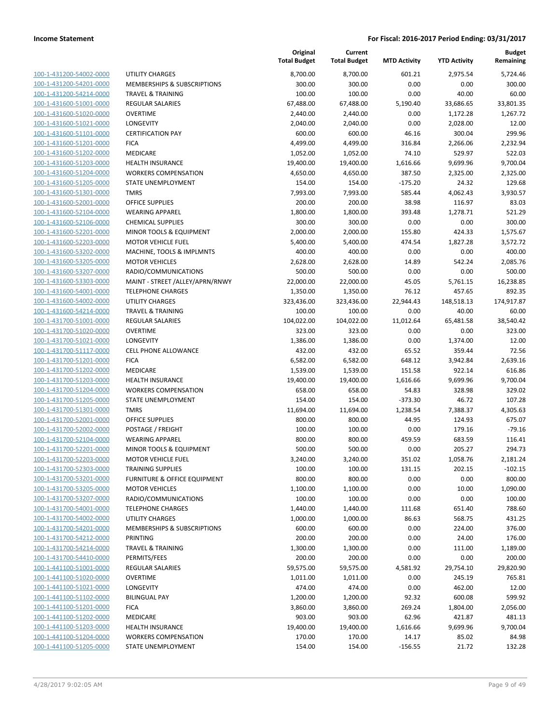| 100-1-431200-54002-0000        |
|--------------------------------|
| 100-1-431200-54201-0000        |
| 100-1-431200-54214-0000        |
| 100-1-431600-51001-0000        |
| 100-1-431600-51020-0000        |
| 100-1-431600-51021-0000        |
| 100-1-431600-51101-0000        |
| 100-1-431600-51201-0000        |
| 100-1-431600-51202-0000        |
| 100-1-431600-51203-0000        |
| 100-1-431600-51204-0000        |
| 100-1-431600-51205-0000        |
| 100-1-431600-51301-0000        |
| 100-1-431600-52001-0000        |
| <u>100-1-431600-52104-0000</u> |
| 100-1-431600-52106-0000        |
|                                |
| 100-1-431600-52201-0000        |
| 100-1-431600-52203-0000        |
| 100-1-431600-53202-0000        |
| 100-1-431600-53205-0000        |
| 100-1-431600-53207-0000        |
| 100-1-431600-53303-0000        |
| 100-1-431600-54001-0000        |
| 100-1-431600-54002-0000        |
| <u>100-1-431600-54214-0000</u> |
| 100-1-431700-51001-0000        |
| 100-1-431700-51020-0000        |
| 100-1-431700-51021-0000        |
| 100-1-431700-51117-0000        |
| 100-1-431700-51201-0000        |
| 100-1-431700-51202-0000        |
| 100-1-431700-51203-0000        |
|                                |
| 100-1-431700-51204-0000        |
| 100-1-431700-51205-0000        |
| <u>100-1-431700-51301-0000</u> |
| 100-1-431700-52001-0000        |
| 100-1-431700-52002-0000        |
| 100-1-431700-52104-0000        |
| 100-1-431700-52201-0000        |
| 100-1-431700-52203-0000        |
| 100-1-431700-52303-0000        |
| 100-1-431700-53201-0000        |
| 100-1-431700-53205-0000        |
| 100-1-431700-53207-0000        |
| 100-1-431700-54001-0000        |
| 100-1-431700-54002-0000        |
| 100-1-431700-54201-0000        |
|                                |
| 100-1-431700-54212-0000        |
| 100-1-431700-54214-0000        |
| <u>100-1-431700-54410-0000</u> |
| 100-1-441100-51001-0000        |
| 100-1-441100-51020-0000        |
| 100-1-441100-51021-0000        |
| <u>100-1-441100-51102-0000</u> |
| <u>100-1-441100-51201-0000</u> |
| 100-1-441100-51202-0000        |
| 100-1-441100-51203-0000        |
| 100-1-441100-51204-0000        |
| <u>100-1-441100-51205-0000</u> |
|                                |

|                         |                                        | Original<br><b>Total Budget</b> | Current<br><b>Total Budget</b> | <b>MTD Activity</b> | <b>YTD Activity</b> | <b>Budget</b><br>Remaining |
|-------------------------|----------------------------------------|---------------------------------|--------------------------------|---------------------|---------------------|----------------------------|
| 100-1-431200-54002-0000 | <b>UTILITY CHARGES</b>                 | 8,700.00                        | 8,700.00                       | 601.21              | 2,975.54            | 5,724.46                   |
| 100-1-431200-54201-0000 | <b>MEMBERSHIPS &amp; SUBSCRIPTIONS</b> | 300.00                          | 300.00                         | 0.00                | 0.00                | 300.00                     |
| 100-1-431200-54214-0000 | <b>TRAVEL &amp; TRAINING</b>           | 100.00                          | 100.00                         | 0.00                | 40.00               | 60.00                      |
| 100-1-431600-51001-0000 | <b>REGULAR SALARIES</b>                | 67,488.00                       | 67,488.00                      | 5,190.40            | 33,686.65           | 33,801.35                  |
| 100-1-431600-51020-0000 | <b>OVERTIME</b>                        | 2,440.00                        | 2,440.00                       | 0.00                | 1,172.28            | 1,267.72                   |
| 100-1-431600-51021-0000 | LONGEVITY                              | 2,040.00                        | 2,040.00                       | 0.00                | 2,028.00            | 12.00                      |
| 100-1-431600-51101-0000 | <b>CERTIFICATION PAY</b>               | 600.00                          | 600.00                         | 46.16               | 300.04              | 299.96                     |
| 100-1-431600-51201-0000 | <b>FICA</b>                            | 4,499.00                        | 4,499.00                       | 316.84              | 2,266.06            | 2,232.94                   |
| 100-1-431600-51202-0000 | <b>MEDICARE</b>                        | 1,052.00                        | 1,052.00                       | 74.10               | 529.97              | 522.03                     |
| 100-1-431600-51203-0000 | <b>HEALTH INSURANCE</b>                | 19,400.00                       | 19,400.00                      | 1,616.66            | 9,699.96            | 9,700.04                   |
| 100-1-431600-51204-0000 | <b>WORKERS COMPENSATION</b>            | 4,650.00                        | 4,650.00                       | 387.50              | 2,325.00            | 2,325.00                   |
| 100-1-431600-51205-0000 | <b>STATE UNEMPLOYMENT</b>              | 154.00                          | 154.00                         | $-175.20$           | 24.32               | 129.68                     |
| 100-1-431600-51301-0000 | <b>TMRS</b>                            | 7,993.00                        | 7,993.00                       | 585.44              | 4,062.43            | 3,930.57                   |
| 100-1-431600-52001-0000 | <b>OFFICE SUPPLIES</b>                 | 200.00                          | 200.00                         | 38.98               | 116.97              | 83.03                      |
| 100-1-431600-52104-0000 | <b>WEARING APPAREL</b>                 | 1,800.00                        | 1,800.00                       | 393.48              | 1,278.71            | 521.29                     |
| 100-1-431600-52106-0000 | <b>CHEMICAL SUPPLIES</b>               | 300.00                          | 300.00                         | 0.00                | 0.00                | 300.00                     |
| 100-1-431600-52201-0000 | MINOR TOOLS & EQUIPMENT                | 2,000.00                        | 2,000.00                       | 155.80              | 424.33              | 1,575.67                   |
| 100-1-431600-52203-0000 | <b>MOTOR VEHICLE FUEL</b>              | 5,400.00                        | 5,400.00                       | 474.54              | 1,827.28            | 3,572.72                   |
| 100-1-431600-53202-0000 | MACHINE, TOOLS & IMPLMNTS              | 400.00                          | 400.00                         | 0.00                | 0.00                | 400.00                     |
| 100-1-431600-53205-0000 | <b>MOTOR VEHICLES</b>                  | 2,628.00                        | 2,628.00                       | 14.89               | 542.24              | 2,085.76                   |
| 100-1-431600-53207-0000 | RADIO/COMMUNICATIONS                   | 500.00                          | 500.00                         | 0.00                | 0.00                | 500.00                     |
| 100-1-431600-53303-0000 | MAINT - STREET /ALLEY/APRN/RNWY        | 22,000.00                       | 22,000.00                      | 45.05               | 5,761.15            | 16,238.85                  |
| 100-1-431600-54001-0000 | <b>TELEPHONE CHARGES</b>               | 1,350.00                        | 1,350.00                       | 76.12               | 457.65              | 892.35                     |
| 100-1-431600-54002-0000 | <b>UTILITY CHARGES</b>                 | 323,436.00                      | 323,436.00                     | 22,944.43           | 148,518.13          | 174,917.87                 |
| 100-1-431600-54214-0000 | <b>TRAVEL &amp; TRAINING</b>           | 100.00                          | 100.00                         | 0.00                | 40.00               | 60.00                      |
| 100-1-431700-51001-0000 | REGULAR SALARIES                       | 104,022.00                      | 104,022.00                     | 11,012.64           | 65,481.58           | 38,540.42                  |
| 100-1-431700-51020-0000 | <b>OVERTIME</b>                        | 323.00                          | 323.00                         | 0.00                | 0.00                | 323.00                     |
| 100-1-431700-51021-0000 | LONGEVITY                              | 1,386.00                        | 1,386.00                       | 0.00                | 1,374.00            | 12.00                      |
| 100-1-431700-51117-0000 | CELL PHONE ALLOWANCE                   | 432.00                          | 432.00                         | 65.52               | 359.44              | 72.56                      |
| 100-1-431700-51201-0000 | <b>FICA</b>                            | 6,582.00                        | 6,582.00                       | 648.12              | 3,942.84            | 2,639.16                   |
| 100-1-431700-51202-0000 | <b>MEDICARE</b>                        | 1,539.00                        | 1,539.00                       | 151.58              | 922.14              | 616.86                     |
| 100-1-431700-51203-0000 | <b>HEALTH INSURANCE</b>                | 19,400.00                       | 19,400.00                      | 1,616.66            | 9,699.96            | 9,700.04                   |
| 100-1-431700-51204-0000 | <b>WORKERS COMPENSATION</b>            | 658.00                          | 658.00                         | 54.83               | 328.98              | 329.02                     |
| 100-1-431700-51205-0000 | STATE UNEMPLOYMENT                     | 154.00                          | 154.00                         | $-373.30$           | 46.72               | 107.28                     |
| 100-1-431700-51301-0000 | <b>TMRS</b>                            | 11,694.00                       | 11,694.00                      | 1,238.54            | 7,388.37            | 4,305.63                   |
| 100-1-431700-52001-0000 | <b>OFFICE SUPPLIES</b>                 | 800.00                          | 800.00                         | 44.95               | 124.93              | 675.07                     |
| 100-1-431700-52002-0000 | POSTAGE / FREIGHT                      | 100.00                          | 100.00                         | 0.00                | 179.16              | $-79.16$                   |
| 100-1-431700-52104-0000 | <b>WEARING APPAREL</b>                 | 800.00                          | 800.00                         | 459.59              | 683.59              | 116.41                     |
| 100-1-431700-52201-0000 | <b>MINOR TOOLS &amp; EQUIPMENT</b>     | 500.00                          | 500.00                         | 0.00                | 205.27              | 294.73                     |
| 100-1-431700-52203-0000 | <b>MOTOR VEHICLE FUEL</b>              | 3,240.00                        | 3,240.00                       | 351.02              | 1,058.76            | 2,181.24                   |
| 100-1-431700-52303-0000 | <b>TRAINING SUPPLIES</b>               | 100.00                          | 100.00                         | 131.15              | 202.15              | $-102.15$                  |
| 100-1-431700-53201-0000 | FURNITURE & OFFICE EQUIPMENT           | 800.00                          | 800.00                         | 0.00                | 0.00                | 800.00                     |
| 100-1-431700-53205-0000 | <b>MOTOR VEHICLES</b>                  | 1,100.00                        | 1,100.00                       | 0.00                | 10.00               | 1,090.00                   |
| 100-1-431700-53207-0000 | RADIO/COMMUNICATIONS                   | 100.00                          | 100.00                         | 0.00                | 0.00                | 100.00                     |
| 100-1-431700-54001-0000 | <b>TELEPHONE CHARGES</b>               | 1,440.00                        | 1,440.00                       | 111.68              | 651.40              | 788.60                     |
| 100-1-431700-54002-0000 | UTILITY CHARGES                        | 1,000.00                        | 1,000.00                       | 86.63               | 568.75              | 431.25                     |
| 100-1-431700-54201-0000 | <b>MEMBERSHIPS &amp; SUBSCRIPTIONS</b> | 600.00                          | 600.00                         | 0.00                | 224.00              | 376.00                     |
| 100-1-431700-54212-0000 | PRINTING                               | 200.00                          | 200.00                         | 0.00                | 24.00               | 176.00                     |
| 100-1-431700-54214-0000 | <b>TRAVEL &amp; TRAINING</b>           | 1,300.00                        | 1,300.00                       | 0.00                | 111.00              | 1,189.00                   |
| 100-1-431700-54410-0000 | PERMITS/FEES                           | 200.00                          | 200.00                         | 0.00                | 0.00                | 200.00                     |
| 100-1-441100-51001-0000 | REGULAR SALARIES                       | 59,575.00                       | 59,575.00                      | 4,581.92            | 29,754.10           | 29,820.90                  |
| 100-1-441100-51020-0000 | OVERTIME                               | 1,011.00                        | 1,011.00                       | 0.00                | 245.19              | 765.81                     |
| 100-1-441100-51021-0000 | LONGEVITY                              | 474.00                          | 474.00                         | 0.00                | 462.00              | 12.00                      |
| 100-1-441100-51102-0000 | <b>BILINGUAL PAY</b>                   | 1,200.00                        | 1,200.00                       | 92.32               | 600.08              | 599.92                     |
| 100-1-441100-51201-0000 | <b>FICA</b>                            | 3,860.00                        | 3,860.00                       | 269.24              | 1,804.00            | 2,056.00                   |
| 100-1-441100-51202-0000 | MEDICARE                               | 903.00                          | 903.00                         | 62.96               | 421.87              | 481.13                     |
| 100-1-441100-51203-0000 | HEALTH INSURANCE                       | 19,400.00                       | 19,400.00                      | 1,616.66            | 9,699.96            | 9,700.04                   |
| 100-1-441100-51204-0000 | <b>WORKERS COMPENSATION</b>            | 170.00                          | 170.00                         | 14.17               | 85.02               | 84.98                      |
| 100-1-441100-51205-0000 | STATE UNEMPLOYMENT                     | 154.00                          | 154.00                         | $-156.55$           | 21.72               | 132.28                     |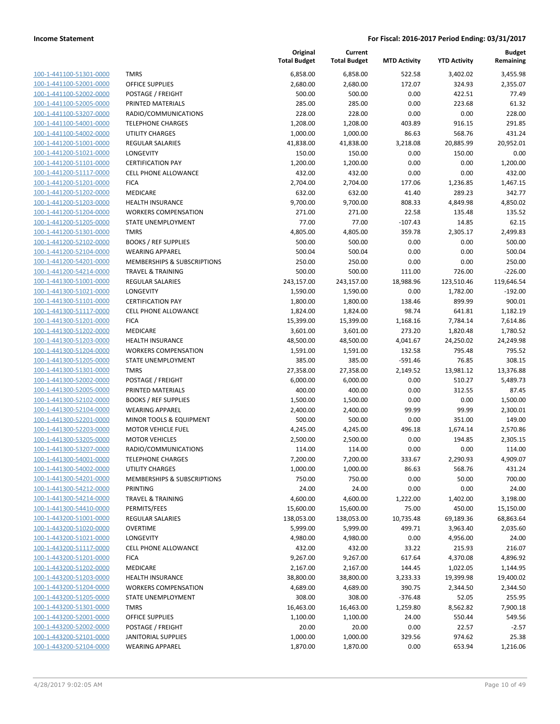| 100-1-441100-51301-0000                 |
|-----------------------------------------|
| 100-1-441100-52001-0000                 |
| 100-1-441100-52002-0000                 |
| 100-1-441100-52005-0000                 |
| 100-1-441100-53207-0000                 |
| <u>100-1-441100-54001-0000</u>          |
| 100-1-441100-54002-0000                 |
| 100-1-441200-51001-0000                 |
| 100-1-441200-51021-0000                 |
| 100-1-441200-51101-0000                 |
| 100-1-441200-51117-0000                 |
| 100-1-441200-51201-0000                 |
| -441200-51202-0000<br>$100 - 1$         |
| 100-1-441200-51203-0000                 |
| 100-1-441200-51204-0000                 |
| 100-1-441200-51205-0000                 |
| 100-1-441200-51301-0000                 |
| 100-1-441200-52102-0000                 |
| 100-1-441200-52104-0000                 |
|                                         |
| 100-1-441200-54201-0000                 |
| 100-1-441200-54214-0000                 |
| 100-1-441300-51001-0000                 |
| $-441300 - 51021$<br>$100 - 1$<br>-0000 |
| 100-1-441300-51101-0000                 |
| 100-1-441300-51117-0000                 |
| 100-1-441300-51201-0000                 |
| 100-1-441300-51202-0000                 |
| 100-1-441300-51203-0000                 |
| 100-1-441300-51204-0000                 |
| 100-1-441300-51205-0000                 |
| <u>100-1-441300-51301-0000</u>          |
| 100-1-441300-52002-0000                 |
| 100-1-441300-52005-0000                 |
| 100-1-441300-52102-0000                 |
| 100-1-441300-52104-0000                 |
| <u>100-1-441300-52201-0000</u>          |
| 100-1-441300-52203-0000                 |
| 100-1-441300-53205-0000                 |
| 100-1-441300-53207-0000                 |
| 100-1-441300-54001-0000                 |
| 100-1-441300-54002-0000                 |
| <u>100-1-441300-54201-0000</u>          |
| 100-1-441300-54212-0000                 |
| 100-1-441300-54214-0000                 |
| <u>100-1-441300-54410-0000</u>          |
| <u>100-1-443200-51001-0000</u>          |
| 100-1-443200-51020-0000                 |
| 100-1-443200-51021<br>$-0000$           |
| 100-1-443200-51117-0000                 |
|                                         |
| <u>100-1-443200-51201-0000</u>          |
| <u>100-1-443200-51202-0000</u>          |
| <u>100-1-443200-51203-0000</u>          |
| 100-1-443200-51204-0000                 |
| 100-1-443200-51205-0000                 |
| <u>100-1-443200-51301-0000</u>          |
| <u>100-1-443200-52001-0000</u>          |
| <u>100-1-443200-52002-0000</u>          |
| 100-1-443200-52101-<br><u>-0000</u>     |
| 100-1-443200-52104-0000                 |

|                                                    |                                                   | Original<br><b>Total Budget</b> | Current<br><b>Total Budget</b> | <b>MTD Activity</b> | <b>YTD Activity</b> | <b>Budget</b><br>Remaining |
|----------------------------------------------------|---------------------------------------------------|---------------------------------|--------------------------------|---------------------|---------------------|----------------------------|
| 100-1-441100-51301-0000                            | <b>TMRS</b>                                       | 6,858.00                        | 6,858.00                       | 522.58              | 3,402.02            | 3,455.98                   |
| 100-1-441100-52001-0000                            | <b>OFFICE SUPPLIES</b>                            | 2,680.00                        | 2,680.00                       | 172.07              | 324.93              | 2,355.07                   |
| 100-1-441100-52002-0000                            | POSTAGE / FREIGHT                                 | 500.00                          | 500.00                         | 0.00                | 422.51              | 77.49                      |
| 100-1-441100-52005-0000                            | PRINTED MATERIALS                                 | 285.00                          | 285.00                         | 0.00                | 223.68              | 61.32                      |
| 100-1-441100-53207-0000                            | RADIO/COMMUNICATIONS                              | 228.00                          | 228.00                         | 0.00                | 0.00                | 228.00                     |
| 100-1-441100-54001-0000                            | <b>TELEPHONE CHARGES</b>                          | 1,208.00                        | 1,208.00                       | 403.89              | 916.15              | 291.85                     |
| 100-1-441100-54002-0000                            | <b>UTILITY CHARGES</b>                            | 1,000.00                        | 1,000.00                       | 86.63               | 568.76              | 431.24                     |
| 100-1-441200-51001-0000                            | <b>REGULAR SALARIES</b>                           | 41,838.00                       | 41,838.00                      | 3,218.08            | 20,885.99           | 20,952.01                  |
| 100-1-441200-51021-0000                            | LONGEVITY                                         | 150.00                          | 150.00                         | 0.00                | 150.00              | 0.00                       |
| 100-1-441200-51101-0000                            | <b>CERTIFICATION PAY</b>                          | 1,200.00                        | 1,200.00                       | 0.00                | 0.00                | 1,200.00                   |
| 100-1-441200-51117-0000                            | CELL PHONE ALLOWANCE                              | 432.00                          | 432.00                         | 0.00                | 0.00                | 432.00                     |
| 100-1-441200-51201-0000                            | <b>FICA</b>                                       | 2,704.00                        | 2,704.00                       | 177.06              | 1,236.85            | 1,467.15                   |
| 100-1-441200-51202-0000                            | MEDICARE                                          | 632.00                          | 632.00                         | 41.40               | 289.23              | 342.77                     |
| 100-1-441200-51203-0000                            | <b>HEALTH INSURANCE</b>                           | 9,700.00                        | 9,700.00                       | 808.33              | 4,849.98            | 4,850.02                   |
| 100-1-441200-51204-0000                            | <b>WORKERS COMPENSATION</b>                       | 271.00                          | 271.00                         | 22.58               | 135.48              | 135.52                     |
| 100-1-441200-51205-0000                            | STATE UNEMPLOYMENT                                | 77.00                           | 77.00                          | $-107.43$           | 14.85               | 62.15                      |
| 100-1-441200-51301-0000                            | <b>TMRS</b>                                       | 4,805.00                        | 4,805.00                       | 359.78              | 2,305.17            | 2,499.83                   |
| 100-1-441200-52102-0000                            | <b>BOOKS / REF SUPPLIES</b>                       | 500.00                          | 500.00                         | 0.00                | 0.00                | 500.00                     |
| 100-1-441200-52104-0000                            | <b>WEARING APPAREL</b>                            | 500.04                          | 500.04                         | 0.00                | 0.00                | 500.04                     |
| 100-1-441200-54201-0000                            | MEMBERSHIPS & SUBSCRIPTIONS                       | 250.00                          | 250.00                         | 0.00                | 0.00                | 250.00                     |
| 100-1-441200-54214-0000                            | <b>TRAVEL &amp; TRAINING</b>                      | 500.00                          | 500.00                         | 111.00              | 726.00              | $-226.00$                  |
| 100-1-441300-51001-0000                            | <b>REGULAR SALARIES</b>                           | 243,157.00                      | 243,157.00                     | 18,988.96           | 123,510.46          | 119,646.54                 |
| 100-1-441300-51021-0000                            | LONGEVITY                                         | 1,590.00                        | 1,590.00                       | 0.00                | 1,782.00            | $-192.00$                  |
| 100-1-441300-51101-0000                            | <b>CERTIFICATION PAY</b>                          | 1,800.00                        | 1,800.00                       | 138.46              | 899.99              | 900.01                     |
| 100-1-441300-51117-0000                            | <b>CELL PHONE ALLOWANCE</b>                       | 1,824.00                        | 1,824.00                       | 98.74               | 641.81              | 1,182.19                   |
| 100-1-441300-51201-0000                            | <b>FICA</b>                                       | 15,399.00                       | 15,399.00                      | 1,168.16            | 7,784.14            | 7,614.86                   |
| 100-1-441300-51202-0000                            | MEDICARE                                          | 3,601.00                        | 3,601.00                       | 273.20              | 1,820.48            | 1,780.52                   |
| 100-1-441300-51203-0000                            | <b>HEALTH INSURANCE</b>                           | 48,500.00                       | 48,500.00                      | 4,041.67            | 24,250.02           | 24,249.98                  |
| 100-1-441300-51204-0000                            | <b>WORKERS COMPENSATION</b>                       | 1,591.00                        | 1,591.00                       | 132.58              | 795.48              | 795.52                     |
| 100-1-441300-51205-0000                            | STATE UNEMPLOYMENT                                | 385.00                          | 385.00                         | $-591.46$           | 76.85               | 308.15                     |
| 100-1-441300-51301-0000                            | <b>TMRS</b>                                       | 27,358.00                       | 27,358.00                      | 2,149.52            | 13,981.12           | 13,376.88                  |
| 100-1-441300-52002-0000                            | POSTAGE / FREIGHT                                 | 6,000.00                        | 6,000.00                       | 0.00                | 510.27              | 5,489.73                   |
| 100-1-441300-52005-0000                            | PRINTED MATERIALS                                 | 400.00                          | 400.00                         | 0.00                | 312.55              | 87.45                      |
| 100-1-441300-52102-0000<br>100-1-441300-52104-0000 | <b>BOOKS / REF SUPPLIES</b>                       | 1,500.00                        | 1,500.00                       | 0.00<br>99.99       | 0.00<br>99.99       | 1,500.00<br>2,300.01       |
| 100-1-441300-52201-0000                            | <b>WEARING APPAREL</b><br>MINOR TOOLS & EQUIPMENT | 2,400.00<br>500.00              | 2,400.00<br>500.00             | 0.00                | 351.00              | 149.00                     |
| 100-1-441300-52203-0000                            | <b>MOTOR VEHICLE FUEL</b>                         | 4,245.00                        | 4,245.00                       | 496.18              | 1,674.14            | 2,570.86                   |
| 100-1-441300-53205-0000                            | <b>MOTOR VEHICLES</b>                             | 2,500.00                        | 2,500.00                       | 0.00                | 194.85              | 2,305.15                   |
| 100-1-441300-53207-0000                            | RADIO/COMMUNICATIONS                              | 114.00                          | 114.00                         | 0.00                | 0.00                | 114.00                     |
| 100-1-441300-54001-0000                            | <b>TELEPHONE CHARGES</b>                          | 7,200.00                        | 7,200.00                       | 333.67              | 2,290.93            | 4,909.07                   |
| 100-1-441300-54002-0000                            | <b>UTILITY CHARGES</b>                            | 1,000.00                        | 1,000.00                       | 86.63               | 568.76              | 431.24                     |
| 100-1-441300-54201-0000                            | MEMBERSHIPS & SUBSCRIPTIONS                       | 750.00                          | 750.00                         | 0.00                | 50.00               | 700.00                     |
| 100-1-441300-54212-0000                            | PRINTING                                          | 24.00                           | 24.00                          | 0.00                | 0.00                | 24.00                      |
| 100-1-441300-54214-0000                            | <b>TRAVEL &amp; TRAINING</b>                      | 4,600.00                        | 4,600.00                       | 1,222.00            | 1,402.00            | 3,198.00                   |
| 100-1-441300-54410-0000                            | PERMITS/FEES                                      | 15,600.00                       | 15,600.00                      | 75.00               | 450.00              | 15,150.00                  |
| 100-1-443200-51001-0000                            | <b>REGULAR SALARIES</b>                           | 138,053.00                      | 138,053.00                     | 10,735.48           | 69,189.36           | 68,863.64                  |
| 100-1-443200-51020-0000                            | <b>OVERTIME</b>                                   | 5,999.00                        | 5,999.00                       | 499.71              | 3,963.40            | 2,035.60                   |
| 100-1-443200-51021-0000                            | LONGEVITY                                         | 4,980.00                        | 4,980.00                       | 0.00                | 4,956.00            | 24.00                      |
| 100-1-443200-51117-0000                            | <b>CELL PHONE ALLOWANCE</b>                       | 432.00                          | 432.00                         | 33.22               | 215.93              | 216.07                     |
| 100-1-443200-51201-0000                            | <b>FICA</b>                                       | 9,267.00                        | 9,267.00                       | 617.64              | 4,370.08            | 4,896.92                   |
| 100-1-443200-51202-0000                            | MEDICARE                                          | 2,167.00                        | 2,167.00                       | 144.45              | 1,022.05            | 1,144.95                   |
| 100-1-443200-51203-0000                            | <b>HEALTH INSURANCE</b>                           | 38,800.00                       | 38,800.00                      | 3,233.33            | 19,399.98           | 19,400.02                  |
| 100-1-443200-51204-0000                            | <b>WORKERS COMPENSATION</b>                       | 4,689.00                        | 4,689.00                       | 390.75              | 2,344.50            | 2,344.50                   |
| 100-1-443200-51205-0000                            | STATE UNEMPLOYMENT                                | 308.00                          | 308.00                         | $-376.48$           | 52.05               | 255.95                     |
| 100-1-443200-51301-0000                            | <b>TMRS</b>                                       | 16,463.00                       | 16,463.00                      | 1,259.80            | 8,562.82            | 7,900.18                   |
| 100-1-443200-52001-0000                            | <b>OFFICE SUPPLIES</b>                            | 1,100.00                        | 1,100.00                       | 24.00               | 550.44              | 549.56                     |
| 100-1-443200-52002-0000                            | POSTAGE / FREIGHT                                 | 20.00                           | 20.00                          | 0.00                | 22.57               | $-2.57$                    |
| 100-1-443200-52101-0000                            | JANITORIAL SUPPLIES                               | 1,000.00                        | 1,000.00                       | 329.56              | 974.62              | 25.38                      |
| 100-1-443200-52104-0000                            | <b>WEARING APPAREL</b>                            | 1,870.00                        | 1,870.00                       | 0.00                | 653.94              | 1,216.06                   |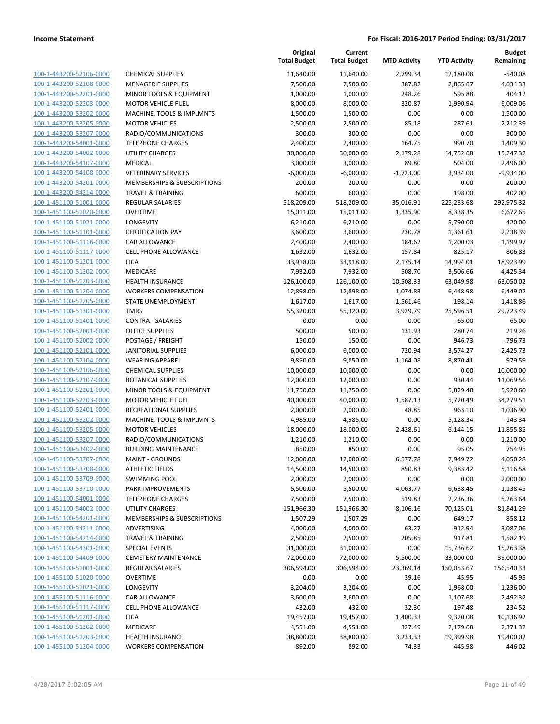| 100-1-443200-52106-0000        |
|--------------------------------|
| 100-1-443200-52108-0000        |
| 100-1-443200-52201-0000        |
| 100-1-443200-52203-0000        |
| 100-1-443200-53202-0000        |
| 100-1-443200-53205-0000        |
| 100-1-443200-53207-0000        |
| 100-1-443200-54001-0000        |
| 100-1-443200-54002-0000        |
| 100-1-443200-54107-0000        |
|                                |
| 100-1-443200-54108-0000        |
| 100-1-443200-54201-0000        |
| 100-1-443200-54214-0000        |
| 100-1-451100-51001-0000        |
| 100-1-451100-51020-0000        |
| 100-1-451100-51021-0000        |
| 100-1-451100-51101-0000        |
| 100-1-451100-51116-0000        |
| 100-1-451100-51117-0000        |
| 100-1-451100-51201-0000        |
| 100-1-451100-51202-0000        |
| 100-1-451100-51203-0000        |
|                                |
| 100-1-451100-51204-0000        |
| 100-1-451100-51205-0000        |
| 100-1-451100-51301-0000        |
| 100-1-451100-51401-0000        |
| 100-1-451100-52001-0000        |
| 100-1-451100-52002-0000        |
| 100-1-451100-52101-0000        |
| 100-1-451100-52104-0000        |
| 100-1-451100-52106-0000        |
| 100-1-451100-52107-0000        |
| 100-1-451100-52201-0000        |
| <u>100-1-451100-52203-0000</u> |
| 100-1-451100-52401-0000        |
| 100-1-451100-53202-0000        |
| 100-1-451100-53205-0000        |
|                                |
| 100-1-451100-53207-0000        |
| 100-1-451100-53402-0000        |
| 100-1-451100-53707-0000        |
| 100-1-451100-53708-0000        |
| 100-1-451100-53709-0000        |
| 100-1-451100-53710-0000        |
| <u>100-1-451100-54001-0000</u> |
| 100-1-451100-54002-0000        |
| <u>100-1-451100-54201-0000</u> |
| <u>100-1-451100-54211-0000</u> |
| 100-1-451100-54214-0000        |
| 100-1-451100-54301-0000        |
| 100-1-451100-54409-0000        |
| 100-1-455100-51001-0000        |
|                                |
| 100-1-455100-51020-0000        |
| 100-1-455100-51021-0000        |
| 100-1-455100-51116-0000        |
| 100-1-455100-51117-0000        |
| 100-1-455100-51201-0000        |
| 100-1-455100-51202-0000        |
| <u>100-1-455100-51203-0000</u> |
| <u>100-1-455100-51204-0000</u> |
|                                |

|                                                    |                                                 | Original<br><b>Total Budget</b> | Current<br><b>Total Budget</b> | <b>MTD Activity</b> | <b>YTD Activity</b> | <b>Budget</b><br>Remaining |
|----------------------------------------------------|-------------------------------------------------|---------------------------------|--------------------------------|---------------------|---------------------|----------------------------|
| 100-1-443200-52106-0000                            | <b>CHEMICAL SUPPLIES</b>                        | 11,640.00                       | 11,640.00                      | 2,799.34            | 12,180.08           | $-540.08$                  |
| 100-1-443200-52108-0000                            | <b>MENAGERIE SUPPLIES</b>                       | 7,500.00                        | 7,500.00                       | 387.82              | 2,865.67            | 4,634.33                   |
| 100-1-443200-52201-0000                            | MINOR TOOLS & EQUIPMENT                         | 1,000.00                        | 1,000.00                       | 248.26              | 595.88              | 404.12                     |
| 100-1-443200-52203-0000                            | <b>MOTOR VEHICLE FUEL</b>                       | 8,000.00                        | 8,000.00                       | 320.87              | 1,990.94            | 6,009.06                   |
| 100-1-443200-53202-0000                            | MACHINE, TOOLS & IMPLMNTS                       | 1,500.00                        | 1,500.00                       | 0.00                | 0.00                | 1,500.00                   |
| 100-1-443200-53205-0000                            | <b>MOTOR VEHICLES</b>                           | 2,500.00                        | 2,500.00                       | 85.18               | 287.61              | 2,212.39                   |
| 100-1-443200-53207-0000                            | RADIO/COMMUNICATIONS                            | 300.00                          | 300.00                         | 0.00                | 0.00                | 300.00                     |
| 100-1-443200-54001-0000                            | <b>TELEPHONE CHARGES</b>                        | 2,400.00                        | 2,400.00                       | 164.75              | 990.70              | 1,409.30                   |
| 100-1-443200-54002-0000                            | <b>UTILITY CHARGES</b>                          | 30,000.00                       | 30,000.00                      | 2,179.28            | 14,752.68           | 15,247.32                  |
| 100-1-443200-54107-0000                            | <b>MEDICAL</b>                                  | 3,000.00                        | 3,000.00                       | 89.80               | 504.00              | 2,496.00                   |
| 100-1-443200-54108-0000                            | <b>VETERINARY SERVICES</b>                      | $-6,000.00$                     | $-6,000.00$                    | $-1,723.00$         | 3,934.00            | $-9,934.00$                |
| 100-1-443200-54201-0000                            | MEMBERSHIPS & SUBSCRIPTIONS                     | 200.00                          | 200.00                         | 0.00                | 0.00                | 200.00                     |
| 100-1-443200-54214-0000                            | <b>TRAVEL &amp; TRAINING</b>                    | 600.00                          | 600.00                         | 0.00                | 198.00              | 402.00                     |
| 100-1-451100-51001-0000                            | <b>REGULAR SALARIES</b>                         | 518,209.00                      | 518,209.00                     | 35,016.91           | 225,233.68          | 292,975.32                 |
| 100-1-451100-51020-0000                            | <b>OVERTIME</b>                                 | 15,011.00                       | 15,011.00                      | 1,335.90            | 8,338.35            | 6,672.65                   |
| 100-1-451100-51021-0000                            | LONGEVITY                                       | 6,210.00                        | 6,210.00                       | 0.00                | 5,790.00            | 420.00                     |
| 100-1-451100-51101-0000                            | <b>CERTIFICATION PAY</b>                        | 3,600.00                        | 3,600.00                       | 230.78              | 1,361.61            | 2,238.39                   |
| 100-1-451100-51116-0000                            | CAR ALLOWANCE                                   | 2,400.00                        | 2,400.00                       | 184.62              | 1,200.03            | 1,199.97                   |
| 100-1-451100-51117-0000                            | <b>CELL PHONE ALLOWANCE</b>                     | 1,632.00                        | 1,632.00                       | 157.84              | 825.17              | 806.83                     |
| 100-1-451100-51201-0000                            | <b>FICA</b>                                     | 33,918.00                       | 33,918.00                      | 2,175.14            | 14,994.01           | 18,923.99                  |
| 100-1-451100-51202-0000                            | MEDICARE                                        | 7,932.00                        | 7,932.00                       | 508.70              | 3,506.66            | 4,425.34                   |
| 100-1-451100-51203-0000                            | <b>HEALTH INSURANCE</b>                         | 126,100.00                      | 126,100.00                     | 10,508.33           | 63,049.98           | 63,050.02                  |
| 100-1-451100-51204-0000                            | <b>WORKERS COMPENSATION</b>                     | 12,898.00                       | 12,898.00                      | 1,074.83            | 6,448.98            | 6,449.02                   |
| 100-1-451100-51205-0000                            | STATE UNEMPLOYMENT                              | 1,617.00                        | 1,617.00                       | $-1,561.46$         | 198.14              | 1,418.86                   |
| 100-1-451100-51301-0000                            | <b>TMRS</b>                                     | 55,320.00                       | 55,320.00                      | 3,929.79            | 25,596.51           | 29,723.49                  |
| 100-1-451100-51401-0000                            | <b>CONTRA - SALARIES</b>                        | 0.00                            | 0.00                           | 0.00                | $-65.00$            | 65.00                      |
| 100-1-451100-52001-0000                            | <b>OFFICE SUPPLIES</b>                          | 500.00                          | 500.00                         | 131.93<br>0.00      | 280.74<br>946.73    | 219.26<br>$-796.73$        |
| 100-1-451100-52002-0000<br>100-1-451100-52101-0000 | POSTAGE / FREIGHT<br><b>JANITORIAL SUPPLIES</b> | 150.00<br>6,000.00              | 150.00<br>6,000.00             | 720.94              | 3,574.27            | 2,425.73                   |
| 100-1-451100-52104-0000                            | <b>WEARING APPAREL</b>                          | 9,850.00                        | 9,850.00                       | 1,164.08            | 8,870.41            | 979.59                     |
| 100-1-451100-52106-0000                            | <b>CHEMICAL SUPPLIES</b>                        | 10,000.00                       | 10,000.00                      | 0.00                | 0.00                | 10,000.00                  |
| 100-1-451100-52107-0000                            | <b>BOTANICAL SUPPLIES</b>                       | 12,000.00                       | 12,000.00                      | 0.00                | 930.44              | 11,069.56                  |
| 100-1-451100-52201-0000                            | MINOR TOOLS & EQUIPMENT                         | 11,750.00                       | 11,750.00                      | 0.00                | 5,829.40            | 5,920.60                   |
| 100-1-451100-52203-0000                            | <b>MOTOR VEHICLE FUEL</b>                       | 40,000.00                       | 40,000.00                      | 1,587.13            | 5,720.49            | 34,279.51                  |
| 100-1-451100-52401-0000                            | RECREATIONAL SUPPLIES                           | 2,000.00                        | 2,000.00                       | 48.85               | 963.10              | 1,036.90                   |
| 100-1-451100-53202-0000                            | MACHINE, TOOLS & IMPLMNTS                       | 4,985.00                        | 4,985.00                       | 0.00                | 5,128.34            | $-143.34$                  |
| 100-1-451100-53205-0000                            | <b>MOTOR VEHICLES</b>                           | 18,000.00                       | 18,000.00                      | 2,428.61            | 6,144.15            | 11,855.85                  |
| 100-1-451100-53207-0000                            | RADIO/COMMUNICATIONS                            | 1,210.00                        | 1,210.00                       | 0.00                | 0.00                | 1,210.00                   |
| 100-1-451100-53402-0000                            | <b>BUILDING MAINTENANCE</b>                     | 850.00                          | 850.00                         | 0.00                | 95.05               | 754.95                     |
| 100-1-451100-53707-0000                            | <b>MAINT - GROUNDS</b>                          | 12,000.00                       | 12,000.00                      | 6,577.78            | 7,949.72            | 4,050.28                   |
| 100-1-451100-53708-0000                            | <b>ATHLETIC FIELDS</b>                          | 14,500.00                       | 14,500.00                      | 850.83              | 9,383.42            | 5,116.58                   |
| 100-1-451100-53709-0000                            | <b>SWIMMING POOL</b>                            | 2,000.00                        | 2,000.00                       | 0.00                | 0.00                | 2,000.00                   |
| 100-1-451100-53710-0000                            | PARK IMPROVEMENTS                               | 5,500.00                        | 5,500.00                       | 4,063.77            | 6,638.45            | $-1,138.45$                |
| 100-1-451100-54001-0000                            | <b>TELEPHONE CHARGES</b>                        | 7,500.00                        | 7,500.00                       | 519.83              | 2,236.36            | 5,263.64                   |
| 100-1-451100-54002-0000                            | <b>UTILITY CHARGES</b>                          | 151,966.30                      | 151,966.30                     | 8,106.16            | 70,125.01           | 81,841.29                  |
| 100-1-451100-54201-0000                            | MEMBERSHIPS & SUBSCRIPTIONS                     | 1,507.29                        | 1,507.29                       | 0.00                | 649.17              | 858.12                     |
| 100-1-451100-54211-0000                            | ADVERTISING                                     | 4,000.00                        | 4,000.00                       | 63.27               | 912.94              | 3,087.06                   |
| 100-1-451100-54214-0000                            | <b>TRAVEL &amp; TRAINING</b>                    | 2,500.00                        | 2,500.00                       | 205.85              | 917.81              | 1,582.19                   |
| 100-1-451100-54301-0000                            | <b>SPECIAL EVENTS</b>                           | 31,000.00                       | 31,000.00                      | 0.00                | 15,736.62           | 15,263.38                  |
| 100-1-451100-54409-0000                            | <b>CEMETERY MAINTENANCE</b>                     | 72,000.00                       | 72,000.00                      | 5,500.00            | 33,000.00           | 39,000.00                  |
| 100-1-455100-51001-0000                            | <b>REGULAR SALARIES</b>                         | 306,594.00                      | 306,594.00                     | 23,369.14           | 150,053.67          | 156,540.33                 |
| 100-1-455100-51020-0000                            | <b>OVERTIME</b>                                 | 0.00                            | 0.00                           | 39.16               | 45.95               | $-45.95$                   |
| 100-1-455100-51021-0000                            | LONGEVITY                                       | 3,204.00                        | 3,204.00                       | 0.00                | 1,968.00            | 1,236.00                   |
| 100-1-455100-51116-0000                            | <b>CAR ALLOWANCE</b>                            | 3,600.00                        | 3,600.00                       | 0.00                | 1,107.68            | 2,492.32                   |
| 100-1-455100-51117-0000                            | <b>CELL PHONE ALLOWANCE</b>                     | 432.00                          | 432.00                         | 32.30               | 197.48              | 234.52                     |
| 100-1-455100-51201-0000                            | <b>FICA</b>                                     | 19,457.00                       | 19,457.00                      | 1,400.33            | 9,320.08            | 10,136.92                  |
| 100-1-455100-51202-0000                            | MEDICARE                                        | 4,551.00                        | 4,551.00                       | 327.49              | 2,179.68            | 2,371.32                   |
| 100-1-455100-51203-0000                            | <b>HEALTH INSURANCE</b>                         | 38,800.00                       | 38,800.00                      | 3,233.33            | 19,399.98           | 19,400.02                  |
| 100-1-455100-51204-0000                            | <b>WORKERS COMPENSATION</b>                     | 892.00                          | 892.00                         | 74.33               | 445.98              | 446.02                     |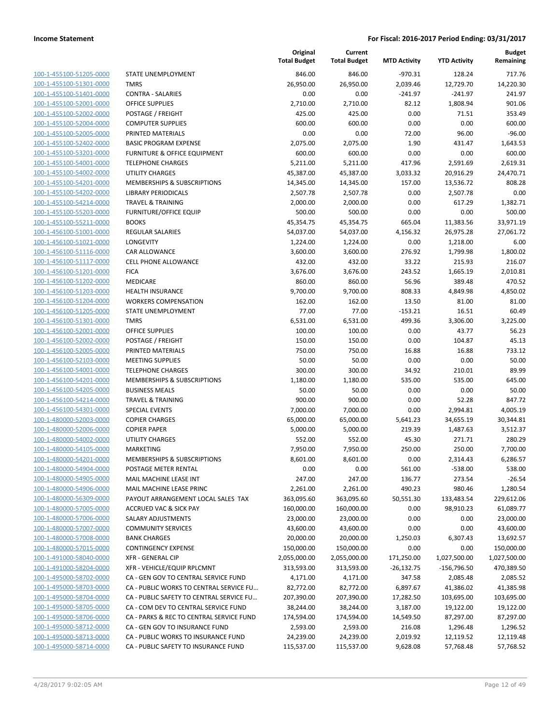| 100-1-455100-51205-0000                                   |
|-----------------------------------------------------------|
| 100-1-455100-51301-0000                                   |
| 100-1-455100-51401-0000                                   |
| <u>100-1-455100-52001-0000</u>                            |
| 100-1-455100-52002-0000                                   |
| 100-1-455100-52004-0000                                   |
| 100-1-455100-52005-0000                                   |
| 100-1-455100-52402-0000                                   |
| <u>100-1-455100-53201-0000</u>                            |
| 100-1-455100-54001-0000                                   |
| 100-1-455100-54002-0000                                   |
| 100-1-455100-54201-0000                                   |
| 100-1-455100-54202-0000                                   |
| <u>100-1-455100-54214-0000</u>                            |
| 100-1-455100-55203-0000                                   |
| 100-1-455100-55211-0000                                   |
| 100-1-456100-51001-0000                                   |
| <u>100-1-456100-51021-0000</u>                            |
| 100-1-456100-51116-0000                                   |
| 100-1-456100-51117-0000                                   |
| 100-1-456100-51201-0000                                   |
| 100-1-456100-51202-0000                                   |
| <u>100-1-456100-51203-0000</u>                            |
| <u>100-1-456100-51204-0000</u>                            |
| 100-1-456100-51205-0000                                   |
| 100-1-456100-51301-0000                                   |
| 100-1-456100-52001-0000                                   |
| <u>100-1-456100-52002-0000</u>                            |
| 100-1-456100-52005-0000                                   |
| 100-1-456100-52103-0000                                   |
| 100-1-456100-54001-0000                                   |
| 100-1-456100-54201-0000                                   |
| <u>100-1-456100-54205-0000</u>                            |
| <u>100-1-456100-54214-0000</u>                            |
| 100-1-456100-54301-0000                                   |
| 100-1-480000-52003-0000                                   |
| 100-1-480000-52006-0000                                   |
| 100-1-480000-54002-0000                                   |
| <u>100-1-480000-54105-0000</u>                            |
| 100-1-480000-54201-0000                                   |
| 100-1-480000-54904-0000                                   |
| 100-1-480000-54905-0000                                   |
| 100-1-480000-54906-0000                                   |
| <u>100-1-480000-56309-0000</u>                            |
| 100-1-480000-57005-0000                                   |
| 100-1-480000-57006-0000                                   |
| 100-1-480000-57007-0000                                   |
| 100-1-480000-57008-0000                                   |
| <u>100-1-480000-57015-0000</u>                            |
| 100-1-491000-58040-0000<br>100-1-491000-58204-0000        |
| 100-1-495000-58702-0000                                   |
| 100-1-495000-58703-0000                                   |
|                                                           |
| <u>100-1-495000-58704-0000</u><br>100-1-495000-58705-0000 |
| 100-1-495000-58706-0000                                   |
| 100-1-495000-58712-0000                                   |
| 100-1-495000-58713-0000                                   |
| <u>100-1-495000-58714-0000</u>                            |
|                                                           |

|                                                    |                                              | Original<br><b>Total Budget</b> | Current<br><b>Total Budget</b> | <b>MTD Activity</b> | <b>YTD Activity</b> | <b>Budget</b><br>Remaining |
|----------------------------------------------------|----------------------------------------------|---------------------------------|--------------------------------|---------------------|---------------------|----------------------------|
| 100-1-455100-51205-0000                            | STATE UNEMPLOYMENT                           | 846.00                          | 846.00                         | $-970.31$           | 128.24              | 717.76                     |
| 100-1-455100-51301-0000                            | <b>TMRS</b>                                  | 26,950.00                       | 26,950.00                      | 2,039.46            | 12,729.70           | 14,220.30                  |
| 100-1-455100-51401-0000                            | CONTRA - SALARIES                            | 0.00                            | 0.00                           | $-241.97$           | $-241.97$           | 241.97                     |
| 100-1-455100-52001-0000                            | <b>OFFICE SUPPLIES</b>                       | 2,710.00                        | 2,710.00                       | 82.12               | 1,808.94            | 901.06                     |
| 100-1-455100-52002-0000                            | POSTAGE / FREIGHT                            | 425.00                          | 425.00                         | 0.00                | 71.51               | 353.49                     |
| 100-1-455100-52004-0000                            | <b>COMPUTER SUPPLIES</b>                     | 600.00                          | 600.00                         | 0.00                | 0.00                | 600.00                     |
| 100-1-455100-52005-0000                            | PRINTED MATERIALS                            | 0.00                            | 0.00                           | 72.00               | 96.00               | $-96.00$                   |
| 100-1-455100-52402-0000                            | <b>BASIC PROGRAM EXPENSE</b>                 | 2,075.00                        | 2,075.00                       | 1.90                | 431.47              | 1,643.53                   |
| 100-1-455100-53201-0000                            | <b>FURNITURE &amp; OFFICE EQUIPMENT</b>      | 600.00                          | 600.00                         | 0.00                | 0.00                | 600.00                     |
| 100-1-455100-54001-0000                            | <b>TELEPHONE CHARGES</b>                     | 5,211.00                        | 5,211.00                       | 417.96              | 2,591.69            | 2,619.31                   |
| 100-1-455100-54002-0000                            | <b>UTILITY CHARGES</b>                       | 45,387.00                       | 45,387.00                      | 3,033.32            | 20,916.29           | 24,470.71                  |
| 100-1-455100-54201-0000                            | MEMBERSHIPS & SUBSCRIPTIONS                  | 14,345.00                       | 14,345.00                      | 157.00              | 13,536.72           | 808.28                     |
| 100-1-455100-54202-0000                            | <b>LIBRARY PERIODICALS</b>                   | 2,507.78                        | 2,507.78                       | 0.00                | 2,507.78            | 0.00                       |
| 100-1-455100-54214-0000                            | <b>TRAVEL &amp; TRAINING</b>                 | 2,000.00                        | 2,000.00                       | 0.00                | 617.29              | 1,382.71                   |
| 100-1-455100-55203-0000                            | <b>FURNITURE/OFFICE EQUIP</b>                | 500.00                          | 500.00                         | 0.00                | 0.00                | 500.00                     |
| 100-1-455100-55211-0000                            | <b>BOOKS</b>                                 | 45,354.75                       | 45,354.75                      | 665.04              | 11,383.56           | 33,971.19                  |
| 100-1-456100-51001-0000                            | REGULAR SALARIES                             | 54,037.00                       | 54,037.00                      | 4,156.32            | 26,975.28           | 27,061.72                  |
| 100-1-456100-51021-0000                            | LONGEVITY                                    | 1,224.00                        | 1,224.00                       | 0.00                | 1,218.00            | 6.00                       |
| 100-1-456100-51116-0000                            | <b>CAR ALLOWANCE</b>                         | 3,600.00                        | 3,600.00                       | 276.92              | 1,799.98            | 1,800.02                   |
| 100-1-456100-51117-0000                            | <b>CELL PHONE ALLOWANCE</b>                  | 432.00                          | 432.00                         | 33.22               | 215.93              | 216.07                     |
| 100-1-456100-51201-0000                            | <b>FICA</b>                                  | 3,676.00                        | 3,676.00                       | 243.52              | 1,665.19            | 2,010.81                   |
| 100-1-456100-51202-0000                            | <b>MEDICARE</b>                              | 860.00                          | 860.00                         | 56.96               | 389.48              | 470.52                     |
| 100-1-456100-51203-0000                            | <b>HEALTH INSURANCE</b>                      | 9,700.00                        | 9,700.00                       | 808.33              | 4,849.98            | 4,850.02                   |
| 100-1-456100-51204-0000                            | <b>WORKERS COMPENSATION</b>                  | 162.00                          | 162.00                         | 13.50               | 81.00               | 81.00                      |
| 100-1-456100-51205-0000                            | <b>STATE UNEMPLOYMENT</b>                    | 77.00                           | 77.00                          | $-153.21$           | 16.51               | 60.49                      |
| 100-1-456100-51301-0000                            | <b>TMRS</b>                                  | 6,531.00                        | 6,531.00                       | 499.36              | 3,306.00            | 3,225.00                   |
| 100-1-456100-52001-0000                            | OFFICE SUPPLIES                              | 100.00                          | 100.00                         | 0.00                | 43.77               | 56.23                      |
| 100-1-456100-52002-0000                            | POSTAGE / FREIGHT                            | 150.00                          | 150.00                         | 0.00                | 104.87              | 45.13                      |
| 100-1-456100-52005-0000                            | PRINTED MATERIALS<br><b>MEETING SUPPLIES</b> | 750.00<br>50.00                 | 750.00<br>50.00                | 16.88<br>0.00       | 16.88<br>0.00       | 733.12<br>50.00            |
| 100-1-456100-52103-0000<br>100-1-456100-54001-0000 | <b>TELEPHONE CHARGES</b>                     | 300.00                          | 300.00                         | 34.92               | 210.01              | 89.99                      |
| 100-1-456100-54201-0000                            | MEMBERSHIPS & SUBSCRIPTIONS                  | 1,180.00                        | 1,180.00                       | 535.00              | 535.00              | 645.00                     |
| 100-1-456100-54205-0000                            | <b>BUSINESS MEALS</b>                        | 50.00                           | 50.00                          | 0.00                | 0.00                | 50.00                      |
| 100-1-456100-54214-0000                            | <b>TRAVEL &amp; TRAINING</b>                 | 900.00                          | 900.00                         | 0.00                | 52.28               | 847.72                     |
| 100-1-456100-54301-0000                            | <b>SPECIAL EVENTS</b>                        | 7,000.00                        | 7,000.00                       | 0.00                | 2,994.81            | 4,005.19                   |
| 100-1-480000-52003-0000                            | <b>COPIER CHARGES</b>                        | 65,000.00                       | 65,000.00                      | 5,641.23            | 34,655.19           | 30,344.81                  |
| 100-1-480000-52006-0000                            | <b>COPIER PAPER</b>                          | 5,000.00                        | 5,000.00                       | 219.39              | 1,487.63            | 3,512.37                   |
| 100-1-480000-54002-0000                            | <b>UTILITY CHARGES</b>                       | 552.00                          | 552.00                         | 45.30               | 271.71              | 280.29                     |
| 100-1-480000-54105-0000                            | <b>MARKETING</b>                             | 7,950.00                        | 7,950.00                       | 250.00              | 250.00              | 7,700.00                   |
| 100-1-480000-54201-0000                            | <b>MEMBERSHIPS &amp; SUBSCRIPTIONS</b>       | 8,601.00                        | 8,601.00                       | 0.00                | 2,314.43            | 6,286.57                   |
| 100-1-480000-54904-0000                            | POSTAGE METER RENTAL                         | 0.00                            | 0.00                           | 561.00              | $-538.00$           | 538.00                     |
| 100-1-480000-54905-0000                            | MAIL MACHINE LEASE INT                       | 247.00                          | 247.00                         | 136.77              | 273.54              | $-26.54$                   |
| 100-1-480000-54906-0000                            | MAIL MACHINE LEASE PRINC                     | 2,261.00                        | 2,261.00                       | 490.23              | 980.46              | 1,280.54                   |
| 100-1-480000-56309-0000                            | PAYOUT ARRANGEMENT LOCAL SALES TAX           | 363,095.60                      | 363,095.60                     | 50,551.30           | 133,483.54          | 229,612.06                 |
| 100-1-480000-57005-0000                            | <b>ACCRUED VAC &amp; SICK PAY</b>            | 160,000.00                      | 160,000.00                     | 0.00                | 98,910.23           | 61,089.77                  |
| 100-1-480000-57006-0000                            | SALARY ADJUSTMENTS                           | 23,000.00                       | 23,000.00                      | 0.00                | 0.00                | 23,000.00                  |
| 100-1-480000-57007-0000                            | <b>COMMUNITY SERVICES</b>                    | 43,600.00                       | 43,600.00                      | 0.00                | 0.00                | 43,600.00                  |
| 100-1-480000-57008-0000                            | <b>BANK CHARGES</b>                          | 20,000.00                       | 20,000.00                      | 1,250.03            | 6,307.43            | 13,692.57                  |
| 100-1-480000-57015-0000                            | <b>CONTINGENCY EXPENSE</b>                   | 150,000.00                      | 150,000.00                     | 0.00                | 0.00                | 150,000.00                 |
| 100-1-491000-58040-0000                            | <b>XFR - GENERAL CIP</b>                     | 2,055,000.00                    | 2,055,000.00                   | 171,250.00          | 1,027,500.00        | 1,027,500.00               |
| 100-1-491000-58204-0000                            | XFR - VEHICLE/EQUIP RPLCMNT                  | 313,593.00                      | 313,593.00                     | $-26,132.75$        | $-156,796.50$       | 470,389.50                 |
| 100-1-495000-58702-0000                            | CA - GEN GOV TO CENTRAL SERVICE FUND         | 4,171.00                        | 4,171.00                       | 347.58              | 2,085.48            | 2,085.52                   |
| 100-1-495000-58703-0000                            | CA - PUBLIC WORKS TO CENTRAL SERVICE FU      | 82,772.00                       | 82,772.00                      | 6,897.67            | 41,386.02           | 41,385.98                  |
| 100-1-495000-58704-0000                            | CA - PUBLIC SAFETY TO CENTRAL SERVICE FU     | 207,390.00                      | 207,390.00                     | 17,282.50           | 103,695.00          | 103,695.00                 |
| 100-1-495000-58705-0000                            | CA - COM DEV TO CENTRAL SERVICE FUND         | 38,244.00                       | 38,244.00                      | 3,187.00            | 19,122.00           | 19,122.00                  |
| 100-1-495000-58706-0000                            | CA - PARKS & REC TO CENTRAL SERVICE FUND     | 174,594.00                      | 174,594.00                     | 14,549.50           | 87,297.00           | 87,297.00                  |
| 100-1-495000-58712-0000                            | CA - GEN GOV TO INSURANCE FUND               | 2,593.00                        | 2,593.00                       | 216.08              | 1,296.48            | 1,296.52                   |
| 100-1-495000-58713-0000                            | CA - PUBLIC WORKS TO INSURANCE FUND          | 24,239.00                       | 24,239.00                      | 2,019.92            | 12,119.52           | 12,119.48                  |
| 100-1-495000-58714-0000                            | CA - PUBLIC SAFETY TO INSURANCE FUND         | 115,537.00                      | 115,537.00                     | 9,628.08            | 57,768.48           | 57,768.52                  |
|                                                    |                                              |                                 |                                |                     |                     |                            |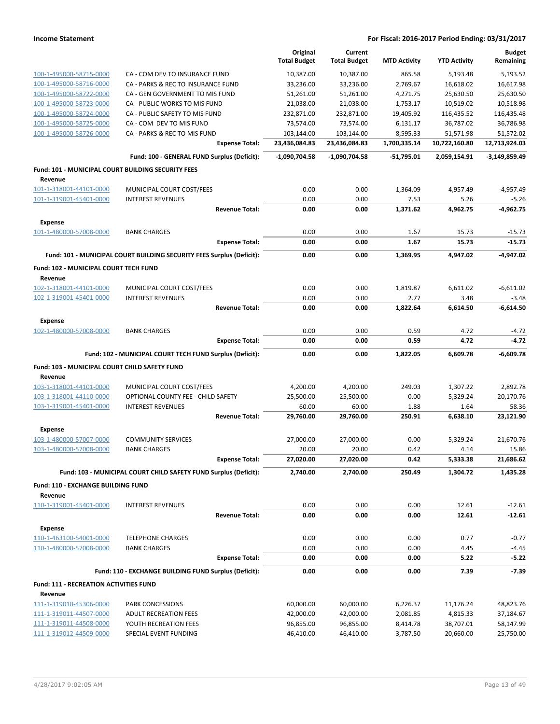|                                                                      |                                                                       | Original<br><b>Total Budget</b> | Current<br><b>Total Budget</b> | <b>MTD Activity</b> | <b>YTD Activity</b> | <b>Budget</b><br>Remaining |
|----------------------------------------------------------------------|-----------------------------------------------------------------------|---------------------------------|--------------------------------|---------------------|---------------------|----------------------------|
| 100-1-495000-58715-0000                                              | CA - COM DEV TO INSURANCE FUND                                        | 10,387.00                       | 10,387.00                      | 865.58              | 5,193.48            | 5.193.52                   |
| 100-1-495000-58716-0000                                              | CA - PARKS & REC TO INSURANCE FUND                                    | 33,236.00                       | 33,236.00                      | 2,769.67            | 16,618.02           | 16,617.98                  |
| 100-1-495000-58722-0000                                              | CA - GEN GOVERNMENT TO MIS FUND                                       | 51,261.00                       | 51,261.00                      | 4,271.75            | 25,630.50           | 25,630.50                  |
| 100-1-495000-58723-0000                                              | CA - PUBLIC WORKS TO MIS FUND                                         | 21,038.00                       | 21,038.00                      | 1,753.17            | 10,519.02           | 10,518.98                  |
| 100-1-495000-58724-0000                                              | CA - PUBLIC SAFETY TO MIS FUND                                        | 232,871.00                      | 232,871.00                     | 19,405.92           | 116,435.52          | 116,435.48                 |
| 100-1-495000-58725-0000                                              | CA - COM DEV TO MIS FUND                                              | 73,574.00                       | 73,574.00                      | 6,131.17            | 36,787.02           | 36,786.98                  |
| 100-1-495000-58726-0000                                              | CA - PARKS & REC TO MIS FUND                                          | 103,144.00                      | 103,144.00                     | 8,595.33            | 51,571.98           | 51,572.02                  |
|                                                                      | <b>Expense Total:</b>                                                 | 23,436,084.83                   | 23,436,084.83                  | 1,700,335.14        | 10,722,160.80       | 12,713,924.03              |
|                                                                      | Fund: 100 - GENERAL FUND Surplus (Deficit):                           | $-1,090,704.58$                 | $-1.090.704.58$                | $-51,795.01$        | 2,059,154.91        | -3,149,859.49              |
| <b>Fund: 101 - MUNICIPAL COURT BUILDING SECURITY FEES</b><br>Revenue |                                                                       |                                 |                                |                     |                     |                            |
| 101-1-318001-44101-0000                                              | MUNICIPAL COURT COST/FEES                                             | 0.00                            | 0.00                           | 1,364.09            | 4,957.49            | $-4,957.49$                |
| 101-1-319001-45401-0000                                              | <b>INTEREST REVENUES</b>                                              | 0.00                            | 0.00                           | 7.53                | 5.26                | $-5.26$                    |
|                                                                      | <b>Revenue Total:</b>                                                 | 0.00                            | 0.00                           | 1,371.62            | 4,962.75            | $-4,962.75$                |
| <b>Expense</b>                                                       |                                                                       |                                 |                                |                     |                     |                            |
| 101-1-480000-57008-0000                                              | <b>BANK CHARGES</b>                                                   | 0.00                            | 0.00                           | 1.67                | 15.73               | -15.73                     |
|                                                                      | <b>Expense Total:</b>                                                 | 0.00                            | 0.00                           | 1.67                | 15.73               | $-15.73$                   |
|                                                                      | Fund: 101 - MUNICIPAL COURT BUILDING SECURITY FEES Surplus (Deficit): | 0.00                            | 0.00                           | 1,369.95            | 4.947.02            | $-4.947.02$                |
| Fund: 102 - MUNICIPAL COURT TECH FUND<br>Revenue                     |                                                                       |                                 |                                |                     |                     |                            |
| 102-1-318001-44101-0000                                              | MUNICIPAL COURT COST/FEES                                             | 0.00                            | 0.00                           | 1,819.87            | 6,611.02            | $-6,611.02$                |
| 102-1-319001-45401-0000                                              | <b>INTEREST REVENUES</b>                                              | 0.00                            | 0.00                           | 2.77                | 3.48                | $-3.48$                    |
|                                                                      | <b>Revenue Total:</b>                                                 | 0.00                            | 0.00                           | 1,822.64            | 6,614.50            | $-6,614.50$                |
| <b>Expense</b>                                                       |                                                                       |                                 |                                |                     |                     |                            |
| 102-1-480000-57008-0000                                              | <b>BANK CHARGES</b>                                                   | 0.00                            | 0.00                           | 0.59                | 4.72                | -4.72                      |
|                                                                      | <b>Expense Total:</b>                                                 | 0.00                            | 0.00                           | 0.59                | 4.72                | $-4.72$                    |
|                                                                      | Fund: 102 - MUNICIPAL COURT TECH FUND Surplus (Deficit):              | 0.00                            | 0.00                           | 1,822.05            | 6,609.78            | $-6,609.78$                |
| Fund: 103 - MUNICIPAL COURT CHILD SAFETY FUND<br>Revenue             |                                                                       |                                 |                                |                     |                     |                            |
| 103-1-318001-44101-0000                                              | MUNICIPAL COURT COST/FEES                                             | 4,200.00                        | 4,200.00                       | 249.03              | 1,307.22            | 2,892.78                   |
| 103-1-318001-44110-0000                                              | OPTIONAL COUNTY FEE - CHILD SAFETY                                    | 25,500.00                       | 25,500.00                      | 0.00                | 5,329.24            | 20,170.76                  |
| 103-1-319001-45401-0000                                              | <b>INTEREST REVENUES</b>                                              | 60.00                           | 60.00                          | 1.88                | 1.64                | 58.36                      |
|                                                                      | <b>Revenue Total:</b>                                                 | 29,760.00                       | 29,760.00                      | 250.91              | 6,638.10            | 23,121.90                  |
| <b>Expense</b>                                                       |                                                                       |                                 |                                |                     |                     |                            |
| 103-1-480000-57007-0000<br>103-1-480000-57008-0000                   | <b>COMMUNITY SERVICES</b><br><b>BANK CHARGES</b>                      | 27,000.00<br>20.00              | 27,000.00<br>20.00             | 0.00<br>0.42        | 5,329.24<br>4.14    | 21,670.76<br>15.86         |
|                                                                      | Expense Total:                                                        | 27,020.00                       | 27,020.00                      | 0.42                | 5,333.38            | 21,686.62                  |
|                                                                      | Fund: 103 - MUNICIPAL COURT CHILD SAFETY FUND Surplus (Deficit):      | 2,740.00                        | 2.740.00                       | 250.49              | 1,304.72            | 1,435.28                   |
| Fund: 110 - EXCHANGE BUILDING FUND                                   |                                                                       |                                 |                                |                     |                     |                            |
| Revenue                                                              |                                                                       |                                 |                                |                     |                     |                            |
| 110-1-319001-45401-0000                                              | <b>INTEREST REVENUES</b>                                              | 0.00                            | 0.00                           | 0.00                | 12.61               | $-12.61$                   |
|                                                                      | <b>Revenue Total:</b>                                                 | 0.00                            | 0.00                           | 0.00                | 12.61               | $-12.61$                   |
| <b>Expense</b>                                                       |                                                                       |                                 |                                |                     |                     |                            |
| 110-1-463100-54001-0000                                              | <b>TELEPHONE CHARGES</b>                                              | 0.00                            | 0.00                           | 0.00                | 0.77                | $-0.77$                    |
| 110-1-480000-57008-0000                                              | <b>BANK CHARGES</b>                                                   | 0.00                            | 0.00                           | 0.00                | 4.45                | $-4.45$                    |
|                                                                      | <b>Expense Total:</b>                                                 | 0.00                            | 0.00                           | 0.00                | 5.22                | $-5.22$                    |
|                                                                      | Fund: 110 - EXCHANGE BUILDING FUND Surplus (Deficit):                 | 0.00                            | 0.00                           | 0.00                | 7.39                | $-7.39$                    |
| <b>Fund: 111 - RECREATION ACTIVITIES FUND</b><br>Revenue             |                                                                       |                                 |                                |                     |                     |                            |
| 111-1-319010-45306-0000                                              | PARK CONCESSIONS                                                      | 60,000.00                       | 60,000.00                      | 6,226.37            | 11,176.24           | 48,823.76                  |
| 111-1-319011-44507-0000                                              | <b>ADULT RECREATION FEES</b>                                          | 42,000.00                       | 42,000.00                      | 2,081.85            | 4,815.33            | 37,184.67                  |
| 111-1-319011-44508-0000                                              | YOUTH RECREATION FEES                                                 | 96,855.00                       | 96,855.00                      | 8,414.78            | 38,707.01           | 58,147.99                  |
| 111-1-319012-44509-0000                                              | SPECIAL EVENT FUNDING                                                 | 46,410.00                       | 46,410.00                      | 3,787.50            | 20,660.00           | 25,750.00                  |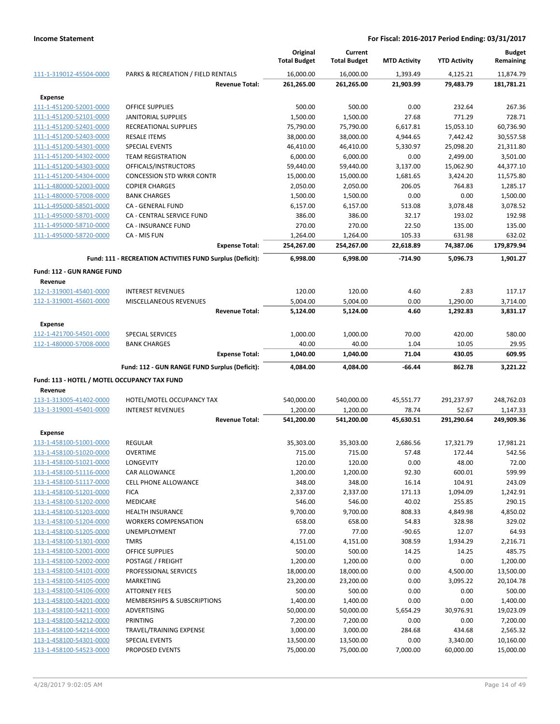|                                                    |                                                           | Original<br><b>Total Budget</b> | Current<br><b>Total Budget</b> | <b>MTD Activity</b> | <b>YTD Activity</b> | <b>Budget</b><br>Remaining |
|----------------------------------------------------|-----------------------------------------------------------|---------------------------------|--------------------------------|---------------------|---------------------|----------------------------|
| 111-1-319012-45504-0000                            | PARKS & RECREATION / FIELD RENTALS                        | 16,000.00                       | 16,000.00                      | 1,393.49            | 4,125.21            | 11,874.79                  |
|                                                    | <b>Revenue Total:</b>                                     | 261,265.00                      | 261,265.00                     | 21,903.99           | 79,483.79           | 181,781.21                 |
|                                                    |                                                           |                                 |                                |                     |                     |                            |
| <b>Expense</b><br>111-1-451200-52001-0000          | <b>OFFICE SUPPLIES</b>                                    | 500.00                          | 500.00                         | 0.00                | 232.64              | 267.36                     |
| 111-1-451200-52101-0000                            | <b>JANITORIAL SUPPLIES</b>                                | 1,500.00                        | 1,500.00                       | 27.68               | 771.29              | 728.71                     |
| 111-1-451200-52401-0000                            | RECREATIONAL SUPPLIES                                     | 75,790.00                       | 75,790.00                      | 6,617.81            | 15,053.10           | 60,736.90                  |
| 111-1-451200-52403-0000                            | <b>RESALE ITEMS</b>                                       | 38,000.00                       | 38,000.00                      | 4,944.65            | 7,442.42            | 30,557.58                  |
| 111-1-451200-54301-0000                            | <b>SPECIAL EVENTS</b>                                     | 46,410.00                       | 46,410.00                      | 5,330.97            | 25,098.20           | 21,311.80                  |
| 111-1-451200-54302-0000                            | <b>TEAM REGISTRATION</b>                                  | 6,000.00                        | 6,000.00                       | 0.00                | 2,499.00            | 3,501.00                   |
| 111-1-451200-54303-0000                            | OFFICALS/INSTRUCTORS                                      | 59,440.00                       | 59,440.00                      | 3,137.00            | 15,062.90           | 44,377.10                  |
| 111-1-451200-54304-0000                            | <b>CONCESSION STD WRKR CONTR</b>                          | 15,000.00                       | 15,000.00                      | 1,681.65            | 3,424.20            | 11,575.80                  |
| 111-1-480000-52003-0000                            | <b>COPIER CHARGES</b>                                     | 2,050.00                        | 2,050.00                       | 206.05              | 764.83              | 1,285.17                   |
| 111-1-480000-57008-0000                            | <b>BANK CHARGES</b>                                       | 1,500.00                        | 1,500.00                       | 0.00                | 0.00                | 1,500.00                   |
| 111-1-495000-58501-0000                            | <b>CA - GENERAL FUND</b>                                  | 6,157.00                        | 6,157.00                       | 513.08              | 3,078.48            | 3,078.52                   |
| 111-1-495000-58701-0000                            | CA - CENTRAL SERVICE FUND                                 | 386.00                          | 386.00                         | 32.17               | 193.02              | 192.98                     |
| 111-1-495000-58710-0000                            | <b>CA - INSURANCE FUND</b>                                | 270.00                          | 270.00                         | 22.50               | 135.00              | 135.00                     |
| 111-1-495000-58720-0000                            | CA - MIS FUN                                              | 1,264.00                        | 1,264.00                       | 105.33              | 631.98              | 632.02                     |
|                                                    | <b>Expense Total:</b>                                     | 254,267.00                      | 254,267.00                     | 22,618.89           | 74,387.06           | 179,879.94                 |
|                                                    | Fund: 111 - RECREATION ACTIVITIES FUND Surplus (Deficit): | 6,998.00                        | 6,998.00                       | $-714.90$           | 5,096.73            | 1,901.27                   |
| <b>Fund: 112 - GUN RANGE FUND</b>                  |                                                           |                                 |                                |                     |                     |                            |
| Revenue                                            |                                                           |                                 |                                |                     |                     |                            |
| 112-1-319001-45401-0000                            | <b>INTEREST REVENUES</b>                                  | 120.00                          | 120.00                         | 4.60                | 2.83                | 117.17                     |
| 112-1-319001-45601-0000                            | MISCELLANEOUS REVENUES                                    | 5,004.00                        | 5,004.00                       | 0.00                | 1,290.00            | 3,714.00                   |
|                                                    | <b>Revenue Total:</b>                                     | 5,124.00                        | 5,124.00                       | 4.60                | 1,292.83            | 3,831.17                   |
| <b>Expense</b>                                     |                                                           |                                 |                                |                     |                     |                            |
| 112-1-421700-54501-0000                            | SPECIAL SERVICES                                          | 1,000.00                        | 1,000.00                       | 70.00               | 420.00              | 580.00                     |
| 112-1-480000-57008-0000                            | <b>BANK CHARGES</b>                                       | 40.00                           | 40.00                          | 1.04                | 10.05               | 29.95                      |
|                                                    | <b>Expense Total:</b>                                     | 1,040.00                        | 1,040.00                       | 71.04               | 430.05              | 609.95                     |
|                                                    | Fund: 112 - GUN RANGE FUND Surplus (Deficit):             | 4,084.00                        | 4,084.00                       | $-66.44$            | 862.78              | 3,221.22                   |
| Fund: 113 - HOTEL / MOTEL OCCUPANCY TAX FUND       |                                                           |                                 |                                |                     |                     |                            |
| Revenue                                            |                                                           |                                 |                                |                     |                     |                            |
| 113-1-313005-41402-0000                            | HOTEL/MOTEL OCCUPANCY TAX                                 | 540,000.00                      | 540,000.00                     | 45,551.77           | 291,237.97          | 248,762.03                 |
| 113-1-319001-45401-0000                            | <b>INTEREST REVENUES</b>                                  | 1,200.00                        | 1,200.00                       | 78.74               | 52.67               | 1,147.33                   |
|                                                    | <b>Revenue Total:</b>                                     | 541,200.00                      | 541,200.00                     | 45,630.51           | 291,290.64          | 249,909.36                 |
| <b>Expense</b>                                     |                                                           |                                 |                                |                     |                     |                            |
| 113-1-458100-51001-0000                            | <b>REGULAR</b>                                            | 35,303.00                       | 35,303.00                      | 2,686.56            | 17,321.79           | 17,981.21                  |
| 113-1-458100-51020-0000                            | <b>OVERTIME</b>                                           | 715.00                          | 715.00                         | 57.48               | 172.44              | 542.56                     |
| 113-1-458100-51021-0000                            | LONGEVITY                                                 | 120.00                          | 120.00                         | 0.00                | 48.00               | 72.00                      |
| 113-1-458100-51116-0000                            | <b>CAR ALLOWANCE</b>                                      | 1,200.00                        | 1,200.00                       | 92.30               | 600.01              | 599.99                     |
| 113-1-458100-51117-0000                            | <b>CELL PHONE ALLOWANCE</b>                               | 348.00                          | 348.00                         | 16.14               | 104.91              | 243.09                     |
| 113-1-458100-51201-0000                            | <b>FICA</b>                                               | 2,337.00                        | 2,337.00                       | 171.13              | 1,094.09            | 1,242.91                   |
| 113-1-458100-51202-0000                            | MEDICARE                                                  | 546.00                          | 546.00                         | 40.02               | 255.85              | 290.15                     |
| 113-1-458100-51203-0000                            | <b>HEALTH INSURANCE</b>                                   | 9,700.00                        | 9,700.00                       | 808.33              | 4,849.98            | 4,850.02                   |
| 113-1-458100-51204-0000<br>113-1-458100-51205-0000 | <b>WORKERS COMPENSATION</b><br>UNEMPLOYMENT               | 658.00<br>77.00                 | 658.00<br>77.00                | 54.83<br>$-90.65$   | 328.98<br>12.07     | 329.02<br>64.93            |
| 113-1-458100-51301-0000                            | <b>TMRS</b>                                               | 4,151.00                        | 4,151.00                       | 308.59              | 1,934.29            | 2,216.71                   |
| 113-1-458100-52001-0000                            | OFFICE SUPPLIES                                           | 500.00                          | 500.00                         | 14.25               | 14.25               | 485.75                     |
| 113-1-458100-52002-0000                            | POSTAGE / FREIGHT                                         | 1,200.00                        | 1,200.00                       | 0.00                | 0.00                | 1,200.00                   |
| 113-1-458100-54101-0000                            | PROFESSIONAL SERVICES                                     | 18,000.00                       | 18,000.00                      | 0.00                | 4,500.00            | 13,500.00                  |
| 113-1-458100-54105-0000                            | <b>MARKETING</b>                                          | 23,200.00                       | 23,200.00                      | 0.00                | 3,095.22            | 20,104.78                  |
| 113-1-458100-54106-0000                            | <b>ATTORNEY FEES</b>                                      | 500.00                          | 500.00                         | 0.00                | 0.00                | 500.00                     |
| 113-1-458100-54201-0000                            | MEMBERSHIPS & SUBSCRIPTIONS                               | 1,400.00                        | 1,400.00                       | 0.00                | 0.00                | 1,400.00                   |
| 113-1-458100-54211-0000                            | ADVERTISING                                               | 50,000.00                       | 50,000.00                      | 5,654.29            | 30,976.91           | 19,023.09                  |
| 113-1-458100-54212-0000                            | <b>PRINTING</b>                                           | 7,200.00                        | 7,200.00                       | 0.00                | 0.00                | 7,200.00                   |
| 113-1-458100-54214-0000                            | TRAVEL/TRAINING EXPENSE                                   | 3,000.00                        | 3,000.00                       | 284.68              | 434.68              | 2,565.32                   |
| 113-1-458100-54301-0000                            | <b>SPECIAL EVENTS</b>                                     | 13,500.00                       | 13,500.00                      | 0.00                | 3,340.00            | 10,160.00                  |
| 113-1-458100-54523-0000                            | PROPOSED EVENTS                                           | 75,000.00                       | 75,000.00                      | 7,000.00            | 60,000.00           | 15,000.00                  |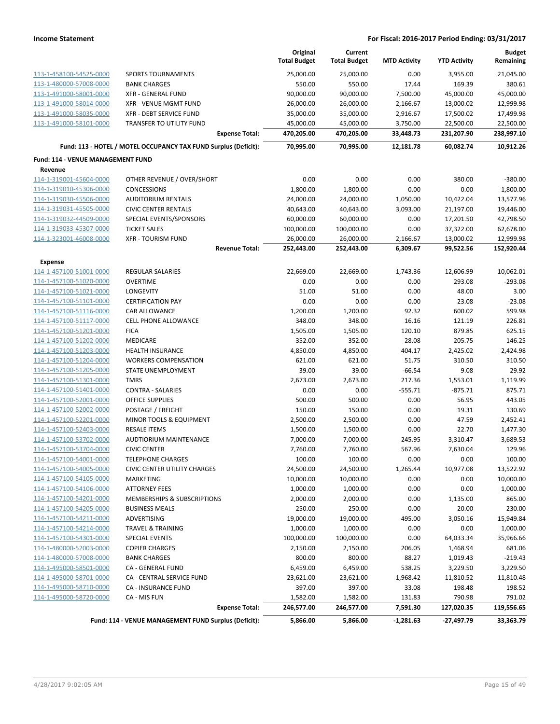|                                          |                                                                 | Original<br><b>Total Budget</b> | Current<br><b>Total Budget</b> | <b>MTD Activity</b> | <b>YTD Activity</b> | <b>Budget</b><br>Remaining |
|------------------------------------------|-----------------------------------------------------------------|---------------------------------|--------------------------------|---------------------|---------------------|----------------------------|
| 113-1-458100-54525-0000                  | <b>SPORTS TOURNAMENTS</b>                                       | 25,000.00                       | 25,000.00                      | 0.00                | 3,955.00            | 21,045.00                  |
| 113-1-480000-57008-0000                  | <b>BANK CHARGES</b>                                             | 550.00                          | 550.00                         | 17.44               | 169.39              | 380.61                     |
| 113-1-491000-58001-0000                  | <b>XFR - GENERAL FUND</b>                                       | 90,000.00                       | 90,000.00                      | 7,500.00            | 45,000.00           | 45,000.00                  |
| 113-1-491000-58014-0000                  | <b>XFR - VENUE MGMT FUND</b>                                    | 26,000.00                       | 26,000.00                      | 2,166.67            | 13,000.02           | 12,999.98                  |
| 113-1-491000-58035-0000                  | XFR - DEBT SERVICE FUND                                         | 35,000.00                       | 35,000.00                      | 2,916.67            | 17,500.02           | 17,499.98                  |
| 113-1-491000-58101-0000                  | TRANSFER TO UTILITY FUND                                        | 45,000.00                       | 45,000.00                      | 3,750.00            | 22,500.00           | 22,500.00                  |
|                                          | <b>Expense Total:</b>                                           | 470,205.00                      | 470,205.00                     | 33,448.73           | 231,207.90          | 238,997.10                 |
|                                          | Fund: 113 - HOTEL / MOTEL OCCUPANCY TAX FUND Surplus (Deficit): | 70,995.00                       | 70,995.00                      | 12,181.78           | 60,082.74           | 10,912.26                  |
| <b>Fund: 114 - VENUE MANAGEMENT FUND</b> |                                                                 |                                 |                                |                     |                     |                            |
| Revenue                                  |                                                                 |                                 |                                |                     |                     |                            |
| 114-1-319001-45604-0000                  | OTHER REVENUE / OVER/SHORT                                      | 0.00                            | 0.00                           | 0.00                | 380.00              | $-380.00$                  |
| 114-1-319010-45306-0000                  | <b>CONCESSIONS</b>                                              | 1,800.00                        | 1,800.00                       | 0.00                | 0.00                | 1,800.00                   |
| 114-1-319030-45506-0000                  | <b>AUDITORIUM RENTALS</b>                                       | 24,000.00                       | 24,000.00                      | 1,050.00            | 10,422.04           | 13,577.96                  |
| 114-1-319031-45505-0000                  | <b>CIVIC CENTER RENTALS</b>                                     | 40,643.00                       | 40,643.00                      | 3,093.00            | 21,197.00           | 19,446.00                  |
| 114-1-319032-44509-0000                  | SPECIAL EVENTS/SPONSORS                                         | 60,000.00                       | 60,000.00                      | 0.00                | 17,201.50           | 42,798.50                  |
| 114-1-319033-45307-0000                  | <b>TICKET SALES</b>                                             | 100,000.00                      | 100,000.00                     | 0.00                | 37,322.00           | 62,678.00                  |
| 114-1-323001-46008-0000                  | <b>XFR - TOURISM FUND</b>                                       | 26,000.00                       | 26,000.00                      | 2,166.67            | 13,000.02           | 12,999.98                  |
|                                          | <b>Revenue Total:</b>                                           | 252,443.00                      | 252,443.00                     | 6,309.67            | 99,522.56           | 152,920.44                 |
| <b>Expense</b>                           |                                                                 |                                 |                                |                     |                     |                            |
| 114-1-457100-51001-0000                  | <b>REGULAR SALARIES</b>                                         | 22,669.00                       | 22,669.00                      | 1,743.36            | 12,606.99           | 10,062.01                  |
| 114-1-457100-51020-0000                  | <b>OVERTIME</b>                                                 | 0.00                            | 0.00                           | 0.00                | 293.08              | $-293.08$                  |
| 114-1-457100-51021-0000                  | LONGEVITY                                                       | 51.00                           | 51.00                          | 0.00                | 48.00               | 3.00                       |
| 114-1-457100-51101-0000                  | <b>CERTIFICATION PAY</b>                                        | 0.00                            | 0.00                           | 0.00                | 23.08               | $-23.08$                   |
| 114-1-457100-51116-0000                  | CAR ALLOWANCE                                                   | 1,200.00                        | 1,200.00                       | 92.32               | 600.02              | 599.98                     |
| 114-1-457100-51117-0000                  | <b>CELL PHONE ALLOWANCE</b>                                     | 348.00                          | 348.00                         | 16.16               | 121.19              | 226.81                     |
| 114-1-457100-51201-0000                  | <b>FICA</b>                                                     | 1,505.00                        | 1,505.00                       | 120.10              | 879.85              | 625.15                     |
| 114-1-457100-51202-0000                  | <b>MEDICARE</b>                                                 | 352.00                          | 352.00                         | 28.08               | 205.75              | 146.25                     |
| 114-1-457100-51203-0000                  | <b>HEALTH INSURANCE</b>                                         | 4,850.00                        | 4,850.00                       | 404.17              | 2,425.02            | 2,424.98                   |
| 114-1-457100-51204-0000                  | <b>WORKERS COMPENSATION</b>                                     | 621.00                          | 621.00                         | 51.75               | 310.50              | 310.50                     |
| 114-1-457100-51205-0000                  | STATE UNEMPLOYMENT                                              | 39.00                           | 39.00                          | $-66.54$            | 9.08                | 29.92                      |
| 114-1-457100-51301-0000                  | <b>TMRS</b>                                                     | 2,673.00                        | 2,673.00                       | 217.36              | 1,553.01            | 1,119.99                   |
| 114-1-457100-51401-0000                  | <b>CONTRA - SALARIES</b>                                        | 0.00                            | 0.00                           | $-555.71$           | $-875.71$           | 875.71                     |
| 114-1-457100-52001-0000                  | <b>OFFICE SUPPLIES</b>                                          | 500.00                          | 500.00                         | 0.00                | 56.95               | 443.05                     |
| 114-1-457100-52002-0000                  | POSTAGE / FREIGHT                                               | 150.00                          | 150.00                         | 0.00                | 19.31               | 130.69                     |
| 114-1-457100-52201-0000                  | MINOR TOOLS & EQUIPMENT                                         | 2,500.00                        | 2,500.00                       | 0.00                | 47.59               | 2,452.41                   |
| 114-1-457100-52403-0000                  | <b>RESALE ITEMS</b>                                             | 1,500.00                        | 1,500.00                       | 0.00                | 22.70               | 1,477.30                   |
| 114-1-457100-53702-0000                  | <b>AUDTIORIUM MAINTENANCE</b>                                   | 7,000.00                        | 7,000.00                       | 245.95              | 3,310.47            | 3,689.53                   |
| 114-1-457100-53704-0000                  | <b>CIVIC CENTER</b>                                             | 7,760.00                        | 7,760.00                       | 567.96              | 7,630.04            | 129.96                     |
| 114-1-457100-54001-0000                  | TELEPHONE CHARGES                                               | 100.00                          | 100.00                         | 0.00                | 0.00                | 100.00                     |
| 114-1-457100-54005-0000                  | <b>CIVIC CENTER UTILITY CHARGES</b>                             | 24,500.00                       | 24,500.00                      | 1,265.44            | 10,977.08           | 13,522.92                  |
| 114-1-457100-54105-0000                  | MARKETING                                                       | 10,000.00                       | 10,000.00                      | 0.00                | 0.00                | 10,000.00                  |
| 114-1-457100-54106-0000                  | <b>ATTORNEY FEES</b>                                            | 1,000.00                        | 1,000.00                       | 0.00                | 0.00                | 1,000.00                   |
| 114-1-457100-54201-0000                  | MEMBERSHIPS & SUBSCRIPTIONS                                     | 2,000.00                        | 2,000.00                       | 0.00                | 1,135.00            | 865.00                     |
| 114-1-457100-54205-0000                  | <b>BUSINESS MEALS</b>                                           | 250.00                          | 250.00                         | 0.00                | 20.00               | 230.00                     |
| 114-1-457100-54211-0000                  | ADVERTISING                                                     | 19,000.00                       | 19,000.00                      | 495.00              | 3,050.16            | 15,949.84                  |
| 114-1-457100-54214-0000                  | <b>TRAVEL &amp; TRAINING</b>                                    | 1,000.00                        | 1,000.00                       | 0.00                | 0.00                | 1,000.00                   |
| 114-1-457100-54301-0000                  | <b>SPECIAL EVENTS</b>                                           | 100,000.00                      | 100,000.00                     | 0.00                | 64,033.34           | 35,966.66                  |
| 114-1-480000-52003-0000                  | <b>COPIER CHARGES</b>                                           | 2,150.00                        | 2,150.00                       | 206.05              | 1,468.94            | 681.06                     |
| 114-1-480000-57008-0000                  | <b>BANK CHARGES</b>                                             | 800.00                          | 800.00                         | 88.27               | 1,019.43            | $-219.43$                  |
| 114-1-495000-58501-0000                  | CA - GENERAL FUND                                               | 6,459.00                        | 6,459.00                       | 538.25              | 3,229.50            | 3,229.50                   |
| 114-1-495000-58701-0000                  | CA - CENTRAL SERVICE FUND                                       | 23,621.00                       | 23,621.00                      | 1,968.42            | 11,810.52           | 11,810.48                  |
| 114-1-495000-58710-0000                  | CA - INSURANCE FUND                                             | 397.00                          | 397.00                         | 33.08               | 198.48              | 198.52                     |
| 114-1-495000-58720-0000                  | CA - MIS FUN                                                    | 1,582.00                        | 1,582.00                       | 131.83              | 790.98              | 791.02                     |
|                                          | <b>Expense Total:</b>                                           | 246,577.00                      | 246,577.00                     | 7,591.30            | 127,020.35          | 119,556.65                 |
|                                          | Fund: 114 - VENUE MANAGEMENT FUND Surplus (Deficit):            | 5,866.00                        | 5,866.00                       | $-1,281.63$         | $-27,497.79$        | 33,363.79                  |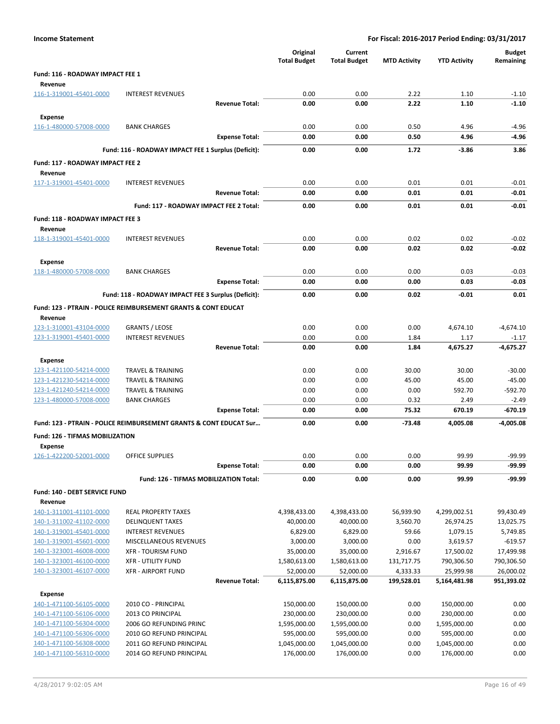| <b>Income Statement</b>                            |                                                                           |                       | For Fiscal: 2016-2017 Period Ending: 03/31/2017 |                                |                        |                           |                            |
|----------------------------------------------------|---------------------------------------------------------------------------|-----------------------|-------------------------------------------------|--------------------------------|------------------------|---------------------------|----------------------------|
|                                                    |                                                                           |                       | Original<br><b>Total Budget</b>                 | Current<br><b>Total Budget</b> | <b>MTD Activity</b>    | <b>YTD Activity</b>       | <b>Budget</b><br>Remaining |
| Fund: 116 - ROADWAY IMPACT FEE 1<br>Revenue        |                                                                           |                       |                                                 |                                |                        |                           |                            |
| 116-1-319001-45401-0000                            | <b>INTEREST REVENUES</b>                                                  |                       | 0.00                                            | 0.00                           | 2.22                   | 1.10                      | $-1.10$                    |
|                                                    |                                                                           | <b>Revenue Total:</b> | 0.00                                            | 0.00                           | 2.22                   | 1.10                      | $-1.10$                    |
| <b>Expense</b>                                     |                                                                           |                       |                                                 |                                |                        |                           |                            |
| 116-1-480000-57008-0000                            | <b>BANK CHARGES</b>                                                       |                       | 0.00                                            | 0.00                           | 0.50                   | 4.96                      | $-4.96$                    |
|                                                    |                                                                           | <b>Expense Total:</b> | 0.00                                            | 0.00                           | 0.50                   | 4.96                      | $-4.96$                    |
|                                                    | Fund: 116 - ROADWAY IMPACT FEE 1 Surplus (Deficit):                       |                       | 0.00                                            | 0.00                           | 1.72                   | $-3.86$                   | 3.86                       |
| Fund: 117 - ROADWAY IMPACT FEE 2<br>Revenue        |                                                                           |                       |                                                 |                                |                        |                           |                            |
| 117-1-319001-45401-0000                            | <b>INTEREST REVENUES</b>                                                  |                       | 0.00                                            | 0.00                           | 0.01                   | 0.01                      | $-0.01$                    |
|                                                    |                                                                           | <b>Revenue Total:</b> | 0.00                                            | 0.00                           | 0.01                   | 0.01                      | $-0.01$                    |
|                                                    | Fund: 117 - ROADWAY IMPACT FEE 2 Total:                                   |                       | 0.00                                            | 0.00                           | 0.01                   | 0.01                      | $-0.01$                    |
| Fund: 118 - ROADWAY IMPACT FEE 3<br>Revenue        |                                                                           |                       |                                                 |                                |                        |                           |                            |
| 118-1-319001-45401-0000                            | <b>INTEREST REVENUES</b>                                                  |                       | 0.00                                            | 0.00                           | 0.02                   | 0.02                      | $-0.02$                    |
|                                                    |                                                                           | <b>Revenue Total:</b> | 0.00                                            | 0.00                           | 0.02                   | 0.02                      | $-0.02$                    |
| <b>Expense</b>                                     |                                                                           |                       |                                                 |                                |                        |                           |                            |
| 118-1-480000-57008-0000                            | <b>BANK CHARGES</b>                                                       |                       | 0.00                                            | 0.00                           | 0.00                   | 0.03                      | $-0.03$                    |
|                                                    |                                                                           | <b>Expense Total:</b> | 0.00                                            | 0.00                           | 0.00                   | 0.03                      | $-0.03$                    |
|                                                    | Fund: 118 - ROADWAY IMPACT FEE 3 Surplus (Deficit):                       |                       | 0.00                                            | 0.00                           | 0.02                   | $-0.01$                   | 0.01                       |
|                                                    | <b>Fund: 123 - PTRAIN - POLICE REIMBURSEMENT GRANTS &amp; CONT EDUCAT</b> |                       |                                                 |                                |                        |                           |                            |
| Revenue                                            |                                                                           |                       |                                                 |                                |                        |                           |                            |
| 123-1-310001-43104-0000                            | <b>GRANTS / LEOSE</b>                                                     |                       | 0.00                                            | 0.00                           | 0.00                   | 4,674.10                  | $-4,674.10$                |
| 123-1-319001-45401-0000                            | <b>INTEREST REVENUES</b>                                                  |                       | 0.00                                            | 0.00                           | 1.84                   | 1.17                      | $-1.17$                    |
|                                                    |                                                                           | <b>Revenue Total:</b> | 0.00                                            | 0.00                           | 1.84                   | 4,675.27                  | -4,675.27                  |
| Expense                                            |                                                                           |                       |                                                 |                                |                        |                           |                            |
| 123-1-421100-54214-0000                            | <b>TRAVEL &amp; TRAINING</b>                                              |                       | 0.00                                            | 0.00                           | 30.00                  | 30.00                     | $-30.00$                   |
| 123-1-421230-54214-0000                            | <b>TRAVEL &amp; TRAINING</b>                                              |                       | 0.00                                            | 0.00                           | 45.00                  | 45.00                     | $-45.00$                   |
| 123-1-421240-54214-0000<br>123-1-480000-57008-0000 | <b>TRAVEL &amp; TRAINING</b><br><b>BANK CHARGES</b>                       |                       | 0.00                                            | 0.00                           | 0.00                   | 592.70<br>2.49            | -592.70                    |
|                                                    |                                                                           | <b>Expense Total:</b> | 0.00<br>0.00                                    | 0.00<br>0.00                   | 0.32<br>75.32          | 670.19                    | $-2.49$<br>$-670.19$       |
|                                                    |                                                                           |                       |                                                 |                                |                        |                           |                            |
|                                                    | Fund: 123 - PTRAIN - POLICE REIMBURSEMENT GRANTS & CONT EDUCAT Sur        |                       | 0.00                                            | 0.00                           | $-73.48$               | 4,005.08                  | -4,005.08                  |
| <b>Fund: 126 - TIFMAS MOBILIZATION</b>             |                                                                           |                       |                                                 |                                |                        |                           |                            |
| Expense<br>126-1-422200-52001-0000                 | <b>OFFICE SUPPLIES</b>                                                    |                       | 0.00                                            | 0.00                           | 0.00                   | 99.99                     | -99.99                     |
|                                                    |                                                                           | <b>Expense Total:</b> | 0.00                                            | 0.00                           | 0.00                   | 99.99                     | $-99.99$                   |
|                                                    | Fund: 126 - TIFMAS MOBILIZATION Total:                                    |                       | 0.00                                            | 0.00                           | 0.00                   | 99.99                     | $-99.99$                   |
| Fund: 140 - DEBT SERVICE FUND                      |                                                                           |                       |                                                 |                                |                        |                           |                            |
| Revenue                                            |                                                                           |                       |                                                 |                                |                        |                           |                            |
| 140-1-311001-41101-0000                            | <b>REAL PROPERTY TAXES</b>                                                |                       | 4,398,433.00                                    | 4,398,433.00                   | 56,939.90              | 4,299,002.51              | 99,430.49                  |
| 140-1-311002-41102-0000                            | <b>DELINQUENT TAXES</b>                                                   |                       | 40,000.00                                       | 40,000.00                      | 3,560.70               | 26,974.25                 | 13,025.75                  |
| 140-1-319001-45401-0000                            | <b>INTEREST REVENUES</b>                                                  |                       | 6,829.00                                        | 6,829.00                       | 59.66                  | 1,079.15                  | 5,749.85                   |
| 140-1-319001-45601-0000                            | MISCELLANEOUS REVENUES                                                    |                       | 3,000.00                                        | 3,000.00                       | 0.00                   | 3,619.57                  | $-619.57$                  |
| 140-1-323001-46008-0000                            | <b>XFR - TOURISM FUND</b>                                                 |                       | 35,000.00                                       | 35,000.00                      | 2,916.67               | 17,500.02                 | 17,499.98                  |
| 140-1-323001-46100-0000                            | <b>XFR - UTILITY FUND</b>                                                 |                       | 1,580,613.00                                    | 1,580,613.00                   | 131,717.75             | 790,306.50                | 790,306.50                 |
| 140-1-323001-46107-0000                            | <b>XFR - AIRPORT FUND</b>                                                 | <b>Revenue Total:</b> | 52,000.00<br>6,115,875.00                       | 52,000.00<br>6,115,875.00      | 4,333.33<br>199,528.01 | 25,999.98<br>5,164,481.98 | 26,000.02<br>951,393.02    |
|                                                    |                                                                           |                       |                                                 |                                |                        |                           |                            |
| <b>Expense</b>                                     |                                                                           |                       |                                                 |                                |                        |                           |                            |
| 140-1-471100-56105-0000<br>140-1-471100-56106-0000 | 2010 CO - PRINCIPAL<br>2013 CO PRINCIPAL                                  |                       | 150,000.00<br>230,000.00                        | 150,000.00<br>230,000.00       | 0.00<br>0.00           | 150,000.00<br>230,000.00  | 0.00<br>0.00               |
| 140-1-471100-56304-0000                            | 2006 GO REFUNDING PRINC                                                   |                       | 1,595,000.00                                    | 1,595,000.00                   | 0.00                   | 1,595,000.00              | 0.00                       |
| 140-1-471100-56306-0000                            | 2010 GO REFUND PRINCIPAL                                                  |                       | 595,000.00                                      | 595,000.00                     | 0.00                   | 595,000.00                | 0.00                       |
| 140-1-471100-56308-0000                            | 2011 GO REFUND PRINCIPAL                                                  |                       | 1,045,000.00                                    | 1,045,000.00                   | 0.00                   | 1,045,000.00              | 0.00                       |
| 140-1-471100-56310-0000                            | 2014 GO REFUND PRINCIPAL                                                  |                       | 176,000.00                                      | 176,000.00                     | 0.00                   | 176,000.00                | 0.00                       |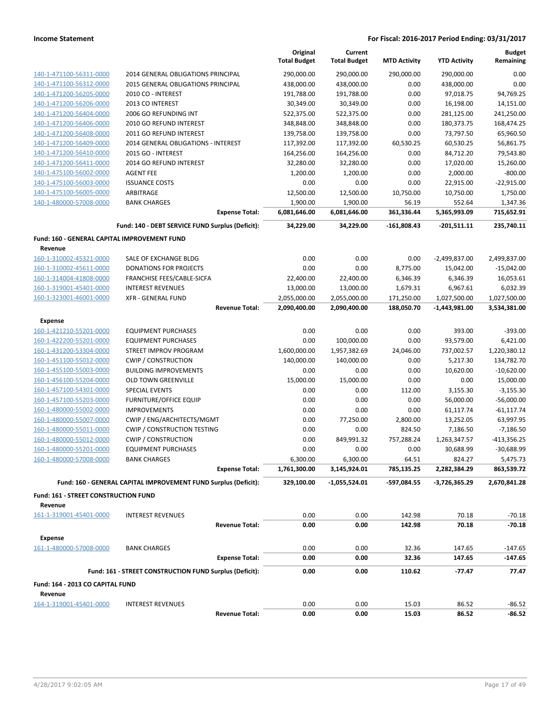|                                                    |                                                                 | Original<br><b>Total Budget</b> | Current<br><b>Total Budget</b> | <b>MTD Activity</b> | <b>YTD Activity</b>     | <b>Budget</b><br>Remaining |
|----------------------------------------------------|-----------------------------------------------------------------|---------------------------------|--------------------------------|---------------------|-------------------------|----------------------------|
|                                                    | 2014 GENERAL OBLIGATIONS PRINCIPAL                              | 290,000.00                      | 290,000.00                     | 290,000.00          | 290.000.00              | 0.00                       |
| 140-1-471100-56311-0000                            |                                                                 |                                 |                                | 0.00                |                         | 0.00                       |
| 140-1-471100-56312-0000<br>140-1-471200-56205-0000 | 2015 GENERAL OBLIGATIONS PRINCIPAL                              | 438,000.00                      | 438,000.00                     | 0.00                | 438,000.00              | 94,769.25                  |
| 140-1-471200-56206-0000                            | 2010 CO - INTEREST                                              | 191,788.00                      | 191,788.00                     |                     | 97,018.75               |                            |
|                                                    | 2013 CO INTEREST<br>2006 GO REFUNDING INT                       | 30,349.00                       | 30,349.00                      | 0.00                | 16,198.00<br>281,125.00 | 14,151.00                  |
| 140-1-471200-56404-0000                            |                                                                 | 522,375.00                      | 522,375.00                     | 0.00                |                         | 241,250.00                 |
| 140-1-471200-56406-0000                            | 2010 GO REFUND INTEREST                                         | 348,848.00                      | 348,848.00                     | 0.00                | 180,373.75              | 168,474.25                 |
| 140-1-471200-56408-0000                            | 2011 GO REFUND INTEREST                                         | 139,758.00                      | 139,758.00                     | 0.00                | 73,797.50               | 65,960.50                  |
| 140-1-471200-56409-0000                            | 2014 GENERAL OBLIGATIONS - INTEREST                             | 117,392.00                      | 117,392.00                     | 60,530.25           | 60,530.25               | 56,861.75                  |
| 140-1-471200-56410-0000                            | 2015 GO - INTEREST                                              | 164,256.00                      | 164,256.00                     | 0.00                | 84,712.20               | 79,543.80                  |
| 140-1-471200-56411-0000                            | 2014 GO REFUND INTEREST                                         | 32,280.00                       | 32,280.00                      | 0.00                | 17,020.00               | 15,260.00                  |
| 140-1-475100-56002-0000                            | <b>AGENT FEE</b>                                                | 1,200.00                        | 1,200.00                       | 0.00                | 2,000.00                | $-800.00$                  |
| 140-1-475100-56003-0000                            | <b>ISSUANCE COSTS</b>                                           | 0.00                            | 0.00                           | 0.00                | 22,915.00               | $-22,915.00$               |
| 140-1-475100-56005-0000                            | ARBITRAGE                                                       | 12,500.00                       | 12,500.00                      | 10,750.00           | 10,750.00               | 1,750.00                   |
| 140-1-480000-57008-0000                            | <b>BANK CHARGES</b>                                             | 1,900.00                        | 1,900.00                       | 56.19               | 552.64                  | 1,347.36                   |
|                                                    | <b>Expense Total:</b>                                           | 6,081,646.00                    | 6,081,646.00                   | 361,336.44          | 5,365,993.09            | 715,652.91                 |
|                                                    | Fund: 140 - DEBT SERVICE FUND Surplus (Deficit):                | 34,229.00                       | 34,229.00                      | $-161,808.43$       | $-201,511.11$           | 235,740.11                 |
| Fund: 160 - GENERAL CAPITAL IMPROVEMENT FUND       |                                                                 |                                 |                                |                     |                         |                            |
| Revenue                                            | SALE OF EXCHANGE BLDG                                           |                                 | 0.00                           |                     |                         |                            |
| 160-1-310002-45321-0000                            |                                                                 | 0.00<br>0.00                    |                                | 0.00                | -2,499,837.00           | 2,499,837.00               |
| 160-1-310002-45611-0000                            | <b>DONATIONS FOR PROJECTS</b>                                   |                                 | 0.00                           | 8,775.00            | 15,042.00               | $-15,042.00$               |
| 160-1-314004-41808-0000                            | FRANCHISE FEES/CABLE-SICFA                                      | 22,400.00                       | 22,400.00                      | 6,346.39            | 6,346.39                | 16,053.61                  |
| 160-1-319001-45401-0000                            | <b>INTEREST REVENUES</b>                                        | 13,000.00                       | 13,000.00                      | 1,679.31            | 6,967.61                | 6,032.39                   |
| 160-1-323001-46001-0000                            | <b>XFR - GENERAL FUND</b>                                       | 2,055,000.00                    | 2,055,000.00                   | 171,250.00          | 1,027,500.00            | 1,027,500.00               |
|                                                    | <b>Revenue Total:</b>                                           | 2,090,400.00                    | 2,090,400.00                   | 188,050.70          | $-1,443,981.00$         | 3,534,381.00               |
| <b>Expense</b>                                     |                                                                 |                                 |                                |                     |                         |                            |
| 160-1-421210-55201-0000                            | <b>EQUIPMENT PURCHASES</b>                                      | 0.00                            | 0.00                           | 0.00                | 393.00                  | $-393.00$                  |
| 160-1-422200-55201-0000                            | <b>EQUIPMENT PURCHASES</b>                                      | 0.00                            | 100,000.00                     | 0.00                | 93,579.00               | 6,421.00                   |
| 160-1-431200-53304-0000                            | STREET IMPROV PROGRAM                                           | 1,600,000.00                    | 1,957,382.69                   | 24,046.00           | 737,002.57              | 1,220,380.12               |
| 160-1-451100-55012-0000                            | <b>CWIP / CONSTRUCTION</b>                                      | 140,000.00                      | 140,000.00                     | 0.00                | 5,217.30                | 134,782.70                 |
| 160-1-455100-55003-0000                            | <b>BUILDING IMPROVEMENTS</b>                                    | 0.00                            | 0.00                           | 0.00                | 10,620.00               | $-10,620.00$               |
| 160-1-456100-55204-0000                            | <b>OLD TOWN GREENVILLE</b>                                      | 15,000.00                       | 15,000.00                      | 0.00                | 0.00                    | 15,000.00                  |
| 160-1-457100-54301-0000                            | <b>SPECIAL EVENTS</b>                                           | 0.00                            | 0.00                           | 112.00              | 3,155.30                | $-3,155.30$                |
| 160-1-457100-55203-0000                            | <b>FURNITURE/OFFICE EQUIP</b>                                   | 0.00                            | 0.00                           | 0.00                | 56,000.00               | $-56,000.00$               |
| 160-1-480000-55002-0000                            | <b>IMPROVEMENTS</b>                                             | 0.00                            | 0.00                           | 0.00                | 61,117.74               | $-61, 117.74$              |
| 160-1-480000-55007-0000                            | CWIP / ENG/ARCHITECTS/MGMT                                      | 0.00                            | 77,250.00                      | 2,800.00            | 13,252.05               | 63,997.95                  |
| 160-1-480000-55011-0000                            | <b>CWIP / CONSTRUCTION TESTING</b>                              | 0.00                            | 0.00                           | 824.50              | 7,186.50                | $-7,186.50$                |
| 160-1-480000-55012-0000                            | <b>CWIP / CONSTRUCTION</b>                                      | 0.00                            | 849,991.32                     | 757,288.24          | 1,263,347.57            | -413,356.25                |
| 160-1-480000-55201-0000                            | <b>EQUIPMENT PURCHASES</b>                                      | 0.00                            | 0.00                           | 0.00                | 30,688.99               | $-30,688.99$               |
| 160-1-480000-57008-0000                            | <b>BANK CHARGES</b>                                             | 6,300.00                        | 6,300.00                       | 64.51               | 824.27                  | 5,475.73                   |
|                                                    | <b>Expense Total:</b>                                           | 1,761,300.00                    | 3,145,924.01                   | 785,135.25          | 2,282,384.29            | 863,539.72                 |
|                                                    | Fund: 160 - GENERAL CAPITAL IMPROVEMENT FUND Surplus (Deficit): | 329,100.00                      | -1,055,524.01                  | -597,084.55         | -3,726,365.29           | 2,670,841.28               |
| <b>Fund: 161 - STREET CONSTRUCTION FUND</b>        |                                                                 |                                 |                                |                     |                         |                            |
| Revenue                                            |                                                                 |                                 |                                |                     |                         |                            |
| 161-1-319001-45401-0000                            | <b>INTEREST REVENUES</b>                                        | 0.00                            | 0.00                           | 142.98              | 70.18                   | $-70.18$                   |
|                                                    | <b>Revenue Total:</b>                                           | 0.00                            | 0.00                           | 142.98              | 70.18                   | $-70.18$                   |
| <b>Expense</b>                                     |                                                                 |                                 |                                |                     |                         |                            |
| 161-1-480000-57008-0000                            | <b>BANK CHARGES</b>                                             | 0.00                            | 0.00                           | 32.36               | 147.65                  | $-147.65$                  |
|                                                    | <b>Expense Total:</b>                                           | 0.00                            | 0.00                           | 32.36               | 147.65                  | $-147.65$                  |
|                                                    | Fund: 161 - STREET CONSTRUCTION FUND Surplus (Deficit):         | 0.00                            | 0.00                           | 110.62              | $-77.47$                | 77.47                      |
| Fund: 164 - 2013 CO CAPITAL FUND                   |                                                                 |                                 |                                |                     |                         |                            |
| Revenue                                            |                                                                 |                                 |                                |                     |                         |                            |
| 164-1-319001-45401-0000                            | <b>INTEREST REVENUES</b>                                        | 0.00                            | 0.00                           | 15.03               | 86.52                   | $-86.52$                   |
|                                                    | <b>Revenue Total:</b>                                           | 0.00                            | 0.00                           | 15.03               | 86.52                   | $-86.52$                   |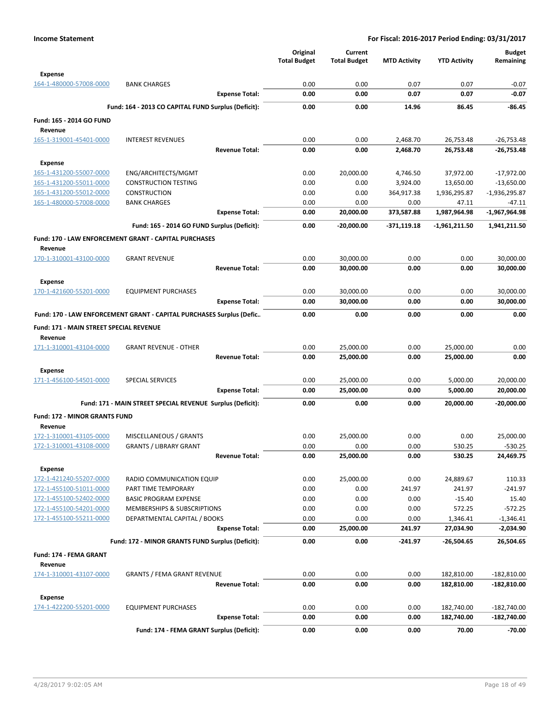|                                                    |                                                                      | Original<br><b>Total Budget</b> | Current<br><b>Total Budget</b> | <b>MTD Activity</b> | <b>YTD Activity</b>      | <b>Budget</b><br>Remaining   |
|----------------------------------------------------|----------------------------------------------------------------------|---------------------------------|--------------------------------|---------------------|--------------------------|------------------------------|
| Expense                                            |                                                                      |                                 |                                |                     |                          |                              |
| 164-1-480000-57008-0000                            | <b>BANK CHARGES</b>                                                  | 0.00                            | 0.00                           | 0.07                | 0.07                     | $-0.07$                      |
|                                                    | <b>Expense Total:</b>                                                | 0.00                            | 0.00                           | 0.07                | 0.07                     | $-0.07$                      |
|                                                    | Fund: 164 - 2013 CO CAPITAL FUND Surplus (Deficit):                  | 0.00                            | 0.00                           | 14.96               | 86.45                    | -86.45                       |
| Fund: 165 - 2014 GO FUND                           |                                                                      |                                 |                                |                     |                          |                              |
| Revenue<br>165-1-319001-45401-0000                 | <b>INTEREST REVENUES</b>                                             | 0.00                            | 0.00                           | 2,468.70            | 26,753.48                | $-26,753.48$                 |
|                                                    | <b>Revenue Total:</b>                                                | 0.00                            | 0.00                           | 2,468.70            | 26,753.48                | $-26.753.48$                 |
| Expense                                            |                                                                      |                                 |                                |                     |                          |                              |
| 165-1-431200-55007-0000                            | ENG/ARCHITECTS/MGMT                                                  | 0.00                            | 20,000.00                      | 4,746.50            | 37,972.00                | $-17,972.00$                 |
| 165-1-431200-55011-0000                            | <b>CONSTRUCTION TESTING</b>                                          | 0.00                            | 0.00                           | 3,924.00            | 13,650.00                | $-13,650.00$                 |
| 165-1-431200-55012-0000                            | <b>CONSTRUCTION</b>                                                  | 0.00                            | 0.00                           | 364,917.38          | 1,936,295.87             | -1,936,295.87                |
| 165-1-480000-57008-0000                            | <b>BANK CHARGES</b>                                                  | 0.00                            | 0.00                           | 0.00                | 47.11                    | $-47.11$                     |
|                                                    | <b>Expense Total:</b>                                                | 0.00                            | 20,000.00                      | 373,587.88          | 1,987,964.98             | $-1,967,964.98$              |
|                                                    | Fund: 165 - 2014 GO FUND Surplus (Deficit):                          | 0.00                            | -20,000.00                     | -371,119.18         | -1,961,211.50            | 1,941,211.50                 |
|                                                    | Fund: 170 - LAW ENFORCEMENT GRANT - CAPITAL PURCHASES                |                                 |                                |                     |                          |                              |
| Revenue                                            |                                                                      |                                 |                                |                     |                          |                              |
| 170-1-310001-43100-0000                            | <b>GRANT REVENUE</b>                                                 | 0.00                            | 30,000.00                      | 0.00                | 0.00                     | 30,000.00                    |
|                                                    | <b>Revenue Total:</b>                                                | 0.00                            | 30,000.00                      | 0.00                | 0.00                     | 30,000.00                    |
| Expense                                            |                                                                      |                                 |                                |                     |                          |                              |
| 170-1-421600-55201-0000                            | <b>EQUIPMENT PURCHASES</b>                                           | 0.00                            | 30,000.00                      | 0.00                | 0.00                     | 30,000.00                    |
|                                                    | <b>Expense Total:</b>                                                | 0.00                            | 30,000.00                      | 0.00                | 0.00                     | 30,000.00                    |
|                                                    | Fund: 170 - LAW ENFORCEMENT GRANT - CAPITAL PURCHASES Surplus (Defic | 0.00                            | 0.00                           | 0.00                | 0.00                     | 0.00                         |
| Fund: 171 - MAIN STREET SPECIAL REVENUE            |                                                                      |                                 |                                |                     |                          |                              |
| Revenue                                            |                                                                      |                                 |                                |                     |                          |                              |
| 171-1-310001-43104-0000                            | <b>GRANT REVENUE - OTHER</b>                                         | 0.00                            | 25,000.00                      | 0.00                | 25,000.00                | 0.00                         |
|                                                    | <b>Revenue Total:</b>                                                | 0.00                            | 25,000.00                      | 0.00                | 25,000.00                | 0.00                         |
| Expense                                            |                                                                      |                                 |                                |                     |                          |                              |
| 171-1-456100-54501-0000                            | <b>SPECIAL SERVICES</b>                                              | 0.00                            | 25,000.00                      | 0.00                | 5,000.00                 | 20,000.00                    |
|                                                    | <b>Expense Total:</b>                                                | 0.00                            | 25,000.00                      | 0.00                | 5,000.00                 | 20,000.00                    |
|                                                    | Fund: 171 - MAIN STREET SPECIAL REVENUE Surplus (Deficit):           | 0.00                            | 0.00                           | 0.00                | 20,000.00                | $-20,000.00$                 |
| Fund: 172 - MINOR GRANTS FUND                      |                                                                      |                                 |                                |                     |                          |                              |
| Revenue                                            |                                                                      |                                 |                                |                     |                          |                              |
| 172-1-310001-43105-0000                            | MISCELLANEOUS / GRANTS                                               | 0.00                            | 25,000.00                      | 0.00                | 0.00                     | 25,000.00                    |
| 172-1-310001-43108-0000                            | <b>GRANTS / LIBRARY GRANT</b>                                        | 0.00                            | 0.00                           | 0.00                | 530.25                   | $-530.25$                    |
|                                                    | <b>Revenue Total:</b>                                                | 0.00                            | 25,000.00                      | 0.00                | 530.25                   | 24,469.75                    |
| <b>Expense</b>                                     |                                                                      |                                 |                                |                     |                          |                              |
| 172-1-421240-55207-0000                            | RADIO COMMUNICATION EQUIP                                            | 0.00                            | 25,000.00                      | 0.00                | 24,889.67                | 110.33                       |
| 172-1-455100-51011-0000                            | PART TIME TEMPORARY                                                  | 0.00                            | 0.00                           | 241.97              | 241.97                   | $-241.97$                    |
| 172-1-455100-52402-0000                            | <b>BASIC PROGRAM EXPENSE</b>                                         | 0.00                            | 0.00                           | 0.00                | $-15.40$                 | 15.40                        |
| 172-1-455100-54201-0000<br>172-1-455100-55211-0000 | MEMBERSHIPS & SUBSCRIPTIONS<br>DEPARTMENTAL CAPITAL / BOOKS          | 0.00<br>0.00                    | 0.00<br>0.00                   | 0.00<br>0.00        | 572.25                   | $-572.25$<br>$-1,346.41$     |
|                                                    | <b>Expense Total:</b>                                                | 0.00                            | 25,000.00                      | 241.97              | 1,346.41<br>27,034.90    | $-2,034.90$                  |
|                                                    |                                                                      |                                 |                                |                     |                          |                              |
|                                                    | Fund: 172 - MINOR GRANTS FUND Surplus (Deficit):                     | 0.00                            | 0.00                           | $-241.97$           | $-26,504.65$             | 26,504.65                    |
| Fund: 174 - FEMA GRANT                             |                                                                      |                                 |                                |                     |                          |                              |
| Revenue<br>174-1-310001-43107-0000                 | <b>GRANTS / FEMA GRANT REVENUE</b>                                   |                                 |                                |                     |                          |                              |
|                                                    | <b>Revenue Total:</b>                                                | 0.00<br>0.00                    | 0.00<br>0.00                   | 0.00<br>0.00        | 182,810.00<br>182,810.00 | $-182,810.00$<br>-182,810.00 |
|                                                    |                                                                      |                                 |                                |                     |                          |                              |
| Expense<br>174-1-422200-55201-0000                 | <b>EQUIPMENT PURCHASES</b>                                           | 0.00                            | 0.00                           | 0.00                | 182,740.00               | $-182,740.00$                |
|                                                    | <b>Expense Total:</b>                                                | 0.00                            | 0.00                           | 0.00                | 182,740.00               | $-182,740.00$                |
|                                                    |                                                                      |                                 |                                |                     |                          |                              |
|                                                    | Fund: 174 - FEMA GRANT Surplus (Deficit):                            | 0.00                            | 0.00                           | 0.00                | 70.00                    | $-70.00$                     |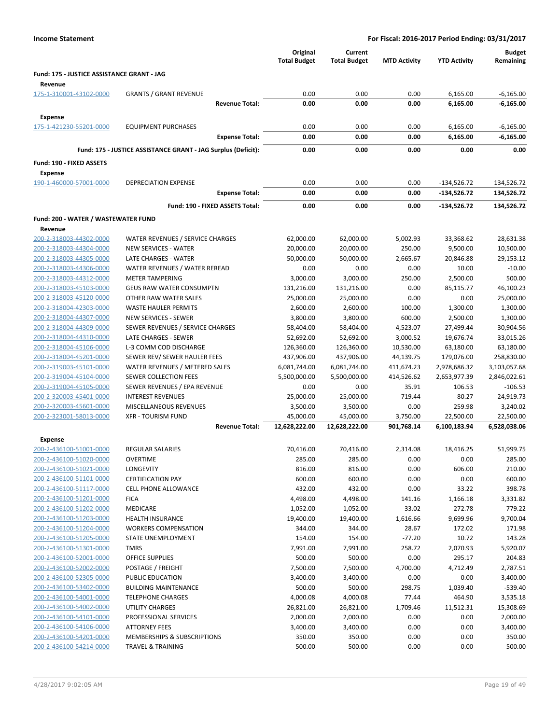|                                                       |                                                               |                                 | Original<br><b>Total Budget</b> | Current<br><b>Total Budget</b> | <b>MTD Activity</b> | <b>YTD Activity</b> | <b>Budget</b><br>Remaining |
|-------------------------------------------------------|---------------------------------------------------------------|---------------------------------|---------------------------------|--------------------------------|---------------------|---------------------|----------------------------|
| Fund: 175 - JUSTICE ASSISTANCE GRANT - JAG<br>Revenue |                                                               |                                 |                                 |                                |                     |                     |                            |
| 175-1-310001-43102-0000                               | <b>GRANTS / GRANT REVENUE</b>                                 |                                 | 0.00                            | 0.00                           | 0.00                | 6,165.00            | $-6,165.00$                |
|                                                       |                                                               | <b>Revenue Total:</b>           | 0.00                            | 0.00                           | 0.00                | 6,165.00            | $-6,165.00$                |
| <b>Expense</b>                                        |                                                               |                                 |                                 |                                |                     |                     |                            |
| 175-1-421230-55201-0000                               | <b>EQUIPMENT PURCHASES</b>                                    |                                 | 0.00                            | 0.00                           | 0.00                | 6,165.00            | $-6,165.00$                |
|                                                       |                                                               | <b>Expense Total:</b>           | 0.00                            | 0.00                           | 0.00                | 6,165.00            | $-6,165.00$                |
|                                                       | Fund: 175 - JUSTICE ASSISTANCE GRANT - JAG Surplus (Deficit): |                                 | 0.00                            | 0.00                           | 0.00                | 0.00                | 0.00                       |
|                                                       |                                                               |                                 |                                 |                                |                     |                     |                            |
| Fund: 190 - FIXED ASSETS<br><b>Expense</b>            |                                                               |                                 |                                 |                                |                     |                     |                            |
| 190-1-460000-57001-0000                               | <b>DEPRECIATION EXPENSE</b>                                   |                                 | 0.00                            | 0.00                           | 0.00                | $-134,526.72$       | 134,526.72                 |
|                                                       |                                                               | <b>Expense Total:</b>           | 0.00                            | 0.00                           | 0.00                | $-134,526.72$       | 134,526.72                 |
|                                                       |                                                               | Fund: 190 - FIXED ASSETS Total: | 0.00                            | 0.00                           | 0.00                | $-134,526.72$       | 134,526.72                 |
| Fund: 200 - WATER / WASTEWATER FUND                   |                                                               |                                 |                                 |                                |                     |                     |                            |
| Revenue                                               |                                                               |                                 |                                 |                                |                     |                     |                            |
| 200-2-318003-44302-0000                               | WATER REVENUES / SERVICE CHARGES                              |                                 | 62,000.00                       | 62,000.00                      | 5,002.93            | 33,368.62           | 28,631.38                  |
| 200-2-318003-44304-0000                               | <b>NEW SERVICES - WATER</b>                                   |                                 | 20,000.00                       | 20,000.00                      | 250.00              | 9,500.00            | 10,500.00                  |
| 200-2-318003-44305-0000<br>200-2-318003-44306-0000    | LATE CHARGES - WATER<br>WATER REVENUES / WATER REREAD         |                                 | 50,000.00<br>0.00               | 50,000.00<br>0.00              | 2,665.67<br>0.00    | 20,846.88<br>10.00  | 29,153.12<br>$-10.00$      |
| 200-2-318003-44312-0000                               | <b>METER TAMPERING</b>                                        |                                 | 3,000.00                        | 3,000.00                       | 250.00              | 2,500.00            | 500.00                     |
| 200-2-318003-45103-0000                               | <b>GEUS RAW WATER CONSUMPTN</b>                               |                                 | 131,216.00                      | 131,216.00                     | 0.00                | 85,115.77           | 46,100.23                  |
| 200-2-318003-45120-0000                               | OTHER RAW WATER SALES                                         |                                 | 25,000.00                       | 25,000.00                      | 0.00                | 0.00                | 25,000.00                  |
| 200-2-318004-42303-0000                               | <b>WASTE HAULER PERMITS</b>                                   |                                 | 2,600.00                        | 2,600.00                       | 100.00              | 1,300.00            | 1,300.00                   |
| 200-2-318004-44307-0000                               | <b>NEW SERVICES - SEWER</b>                                   |                                 | 3,800.00                        | 3,800.00                       | 600.00              | 2,500.00            | 1,300.00                   |
| 200-2-318004-44309-0000                               | SEWER REVENUES / SERVICE CHARGES                              |                                 | 58,404.00                       | 58,404.00                      | 4,523.07            | 27,499.44           | 30,904.56                  |
| 200-2-318004-44310-0000                               | LATE CHARGES - SEWER                                          |                                 | 52,692.00                       | 52,692.00                      | 3,000.52            | 19,676.74           | 33,015.26                  |
| 200-2-318004-45106-0000                               | L-3 COMM COD DISCHARGE                                        |                                 | 126,360.00                      | 126,360.00                     | 10,530.00           | 63,180.00           | 63,180.00                  |
| 200-2-318004-45201-0000                               | SEWER REV/ SEWER HAULER FEES                                  |                                 | 437,906.00                      | 437,906.00                     | 44,139.75           | 179,076.00          | 258,830.00                 |
| 200-2-319003-45101-0000                               | WATER REVENUES / METERED SALES                                |                                 | 6,081,744.00                    | 6,081,744.00                   | 411,674.23          | 2,978,686.32        | 3,103,057.68               |
| 200-2-319004-45104-0000                               | SEWER COLLECTION FEES                                         |                                 | 5,500,000.00                    | 5,500,000.00                   | 414,526.62          | 2,653,977.39        | 2,846,022.61               |
| 200-2-319004-45105-0000                               | SEWER REVENUES / EPA REVENUE                                  |                                 | 0.00                            | 0.00                           | 35.91               | 106.53              | $-106.53$                  |
| 200-2-320003-45401-0000                               | <b>INTEREST REVENUES</b>                                      |                                 | 25,000.00                       | 25,000.00                      | 719.44              | 80.27               | 24,919.73                  |
| 200-2-320003-45601-0000                               | <b>MISCELLANEOUS REVENUES</b>                                 |                                 | 3,500.00                        | 3,500.00                       | 0.00                | 259.98              | 3,240.02                   |
| 200-2-323001-58013-0000                               | <b>XFR - TOURISM FUND</b>                                     |                                 | 45,000.00                       | 45,000.00                      | 3,750.00            | 22,500.00           | 22,500.00                  |
|                                                       |                                                               | <b>Revenue Total:</b>           | 12,628,222.00                   | 12,628,222.00                  | 901,768.14          | 6,100,183.94        | 6,528,038.06               |
| <b>Expense</b>                                        |                                                               |                                 |                                 |                                |                     |                     |                            |
| 200-2-436100-51001-0000                               | <b>REGULAR SALARIES</b>                                       |                                 | 70,416.00                       | 70,416.00                      | 2,314.08            | 18,416.25           | 51,999.75                  |
| 200-2-436100-51020-0000                               | <b>OVERTIME</b>                                               |                                 | 285.00                          | 285.00                         | 0.00                | 0.00                | 285.00                     |
| 200-2-436100-51021-0000                               | LONGEVITY                                                     |                                 | 816.00                          | 816.00                         | 0.00                | 606.00              | 210.00                     |
| 200-2-436100-51101-0000                               | <b>CERTIFICATION PAY</b>                                      |                                 | 600.00                          | 600.00                         | 0.00                | 0.00                | 600.00                     |
| 200-2-436100-51117-0000                               | <b>CELL PHONE ALLOWANCE</b>                                   |                                 | 432.00                          | 432.00                         | 0.00                | 33.22               | 398.78                     |
| 200-2-436100-51201-0000                               | <b>FICA</b>                                                   |                                 | 4,498.00                        | 4,498.00                       | 141.16              | 1,166.18            | 3,331.82                   |
| 200-2-436100-51202-0000                               | MEDICARE                                                      |                                 | 1,052.00                        | 1,052.00                       | 33.02               | 272.78              | 779.22                     |
| 200-2-436100-51203-0000                               | HEALTH INSURANCE                                              |                                 | 19,400.00                       | 19,400.00                      | 1,616.66            | 9,699.96            | 9,700.04                   |
| 200-2-436100-51204-0000                               | <b>WORKERS COMPENSATION</b>                                   |                                 | 344.00                          | 344.00                         | 28.67               | 172.02              | 171.98                     |
| 200-2-436100-51205-0000<br>200-2-436100-51301-0000    | STATE UNEMPLOYMENT                                            |                                 | 154.00                          | 154.00                         | $-77.20$            | 10.72               | 143.28                     |
| 200-2-436100-52001-0000                               | <b>TMRS</b><br>OFFICE SUPPLIES                                |                                 | 7,991.00<br>500.00              | 7,991.00<br>500.00             | 258.72<br>0.00      | 2,070.93<br>295.17  | 5,920.07<br>204.83         |
| 200-2-436100-52002-0000                               | POSTAGE / FREIGHT                                             |                                 |                                 |                                | 4,700.00            | 4,712.49            | 2,787.51                   |
| 200-2-436100-52305-0000                               | PUBLIC EDUCATION                                              |                                 | 7,500.00<br>3,400.00            | 7,500.00<br>3,400.00           | 0.00                | 0.00                | 3,400.00                   |
| 200-2-436100-53402-0000                               | <b>BUILDING MAINTENANCE</b>                                   |                                 | 500.00                          | 500.00                         | 298.75              | 1,039.40            | $-539.40$                  |
| 200-2-436100-54001-0000                               | <b>TELEPHONE CHARGES</b>                                      |                                 | 4,000.08                        | 4,000.08                       | 77.44               | 464.90              | 3,535.18                   |
| 200-2-436100-54002-0000                               | UTILITY CHARGES                                               |                                 | 26,821.00                       | 26,821.00                      | 1,709.46            | 11,512.31           | 15,308.69                  |
| 200-2-436100-54101-0000                               | PROFESSIONAL SERVICES                                         |                                 | 2,000.00                        | 2,000.00                       | 0.00                | 0.00                | 2,000.00                   |
| 200-2-436100-54106-0000                               | <b>ATTORNEY FEES</b>                                          |                                 | 3,400.00                        | 3,400.00                       | 0.00                | 0.00                | 3,400.00                   |
| 200-2-436100-54201-0000                               | MEMBERSHIPS & SUBSCRIPTIONS                                   |                                 | 350.00                          | 350.00                         | 0.00                | 0.00                | 350.00                     |
| 200-2-436100-54214-0000                               | <b>TRAVEL &amp; TRAINING</b>                                  |                                 | 500.00                          | 500.00                         | 0.00                | 0.00                | 500.00                     |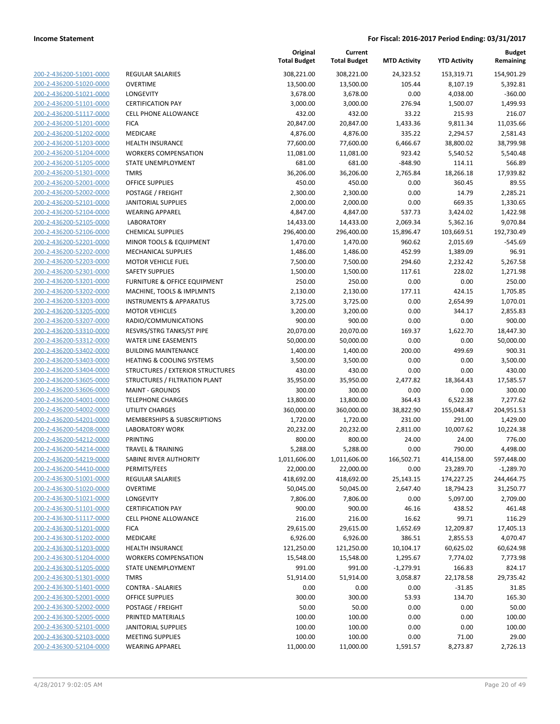| 200-2-436200-51001-0000        |
|--------------------------------|
| 200-2-436200-51020-0000        |
| 200-2-436200-51021-0000        |
| <u>200-2-436200-51101-0000</u> |
| 200-2-436200-51117-0000        |
| 200-2-436200-51201-0000        |
| 200-2-436200-51202-0000        |
| <u>200-2-436200-51203-0000</u> |
| <u>200-2-436200-51204-0000</u> |
| 200-2-436200-51205-0000        |
| 200-2-436200-51301-0000        |
| 200-2-436200-52001-0000        |
| <u>200-2-436200-52002-0000</u> |
| <u>200-2-436200-52101-0000</u> |
| 200-2-436200-52104-0000        |
|                                |
| 200-2-436200-52105-0000        |
| 200-2-436200-52106-0000        |
| 200-2-436200-52201-0000        |
| <u>200-2-436200-52202-0000</u> |
| 200-2-436200-52203-0000        |
| 200-2-436200-52301-0000        |
| 200-2-436200-53201-0000        |
| <u>200-2-436200-53202-0000</u> |
| <u>200-2-436200-53203-0000</u> |
| 200-2-436200-53205-0000        |
| 200-2-436200-53207-0000        |
| 200-2-436200-53310-0000        |
| <u>200-2-436200-53312-0000</u> |
| <u>200-2-436200-53402-0000</u> |
| 200-2-436200-53403-0000        |
| 200-2-436200-53404-0000        |
| 200-2-436200-53605-0000        |
| <u>200-2-436200-53606-0000</u> |
| <u>200-2-436200-54001-0000</u> |
| 200-2-436200-54002-0000        |
| 200-2-436200-54201-0000        |
| 200-2-436200-54208-0000        |
| 200-2-436200-54212-0000        |
| <u>200-2-436200-54214-0000</u> |
|                                |
| 200-2-436200-54219-0000        |
| 200-2-436200-54410-0000        |
| 200-2-436300-51001-0000        |
| 200-2-436300-51020-0000        |
| 200-2-436300-51021-0000        |
| 200-2-436300-51101-0000        |
| 200-2-436300-51117-0000        |
| 200-2-436300-51201-0000        |
| 200-2-436300-51202-0000        |
| <u>200-2-436300-51203-0000</u> |
| <u>200-2-436300-51204-0000</u> |
| 200-2-436300-51205-0000        |
| 200-2-436300-51301-0000        |
| 200-2-436300-51401-0000        |
| <u>200-2-436300-52001-0000</u> |
| <u>200-2-436300-52002-0000</u> |
| 200-2-436300-52005-0000        |
| 200-2-436300-52101-0000        |
| <u>200-2-436300-52103-0000</u> |
| <u>200-2-436300-52104-0000</u> |
|                                |

|                         |                                    | Original<br><b>Total Budget</b> | Current<br><b>Total Budget</b> | <b>MTD Activity</b> | <b>YTD Activity</b> | Budget<br>Remaining |
|-------------------------|------------------------------------|---------------------------------|--------------------------------|---------------------|---------------------|---------------------|
| 200-2-436200-51001-0000 | <b>REGULAR SALARIES</b>            | 308,221.00                      | 308,221.00                     | 24,323.52           | 153,319.71          | 154,901.29          |
| 200-2-436200-51020-0000 | <b>OVERTIME</b>                    | 13,500.00                       | 13,500.00                      | 105.44              | 8,107.19            | 5,392.81            |
| 200-2-436200-51021-0000 | LONGEVITY                          | 3,678.00                        | 3,678.00                       | 0.00                | 4,038.00            | $-360.00$           |
| 200-2-436200-51101-0000 | <b>CERTIFICATION PAY</b>           | 3,000.00                        | 3,000.00                       | 276.94              | 1,500.07            | 1,499.93            |
| 200-2-436200-51117-0000 | <b>CELL PHONE ALLOWANCE</b>        | 432.00                          | 432.00                         | 33.22               | 215.93              | 216.07              |
| 200-2-436200-51201-0000 | <b>FICA</b>                        | 20,847.00                       | 20,847.00                      | 1,433.36            | 9,811.34            | 11,035.66           |
| 200-2-436200-51202-0000 | MEDICARE                           | 4,876.00                        | 4,876.00                       | 335.22              | 2,294.57            | 2,581.43            |
| 200-2-436200-51203-0000 | <b>HEALTH INSURANCE</b>            | 77,600.00                       | 77,600.00                      | 6,466.67            | 38,800.02           | 38,799.98           |
| 200-2-436200-51204-0000 | <b>WORKERS COMPENSATION</b>        | 11,081.00                       | 11,081.00                      | 923.42              | 5,540.52            | 5,540.48            |
| 200-2-436200-51205-0000 | STATE UNEMPLOYMENT                 | 681.00                          | 681.00                         | $-848.90$           | 114.11              | 566.89              |
| 200-2-436200-51301-0000 | <b>TMRS</b>                        | 36,206.00                       | 36,206.00                      | 2,765.84            | 18,266.18           | 17,939.82           |
| 200-2-436200-52001-0000 | OFFICE SUPPLIES                    | 450.00                          | 450.00                         | 0.00                | 360.45              | 89.55               |
| 200-2-436200-52002-0000 | POSTAGE / FREIGHT                  | 2,300.00                        | 2,300.00                       | 0.00                | 14.79               | 2,285.21            |
| 200-2-436200-52101-0000 | <b>JANITORIAL SUPPLIES</b>         | 2,000.00                        | 2,000.00                       | 0.00                | 669.35              | 1,330.65            |
| 200-2-436200-52104-0000 | <b>WEARING APPAREL</b>             | 4,847.00                        | 4,847.00                       | 537.73              | 3,424.02            | 1,422.98            |
| 200-2-436200-52105-0000 | <b>LABORATORY</b>                  | 14,433.00                       | 14,433.00                      | 2,069.34            | 5,362.16            | 9,070.84            |
| 200-2-436200-52106-0000 | <b>CHEMICAL SUPPLIES</b>           | 296,400.00                      | 296,400.00                     | 15,896.47           | 103,669.51          | 192,730.49          |
| 200-2-436200-52201-0000 | MINOR TOOLS & EQUIPMENT            | 1,470.00                        | 1,470.00                       | 960.62              | 2,015.69            | $-545.69$           |
| 200-2-436200-52202-0000 | <b>MECHANICAL SUPPLIES</b>         | 1,486.00                        | 1,486.00                       | 452.99              | 1,389.09            | 96.91               |
| 200-2-436200-52203-0000 | <b>MOTOR VEHICLE FUEL</b>          | 7,500.00                        | 7,500.00                       | 294.60              | 2,232.42            | 5,267.58            |
| 200-2-436200-52301-0000 | <b>SAFETY SUPPLIES</b>             | 1,500.00                        | 1,500.00                       | 117.61              | 228.02              | 1,271.98            |
| 200-2-436200-53201-0000 | FURNITURE & OFFICE EQUIPMENT       | 250.00                          | 250.00                         | 0.00                | 0.00                | 250.00              |
| 200-2-436200-53202-0000 | MACHINE, TOOLS & IMPLMNTS          | 2,130.00                        | 2,130.00                       | 177.11              | 424.15              | 1,705.85            |
| 200-2-436200-53203-0000 | <b>INSTRUMENTS &amp; APPARATUS</b> | 3,725.00                        | 3,725.00                       | 0.00                | 2,654.99            | 1,070.01            |
| 200-2-436200-53205-0000 | <b>MOTOR VEHICLES</b>              | 3,200.00                        | 3,200.00                       | 0.00                | 344.17              | 2,855.83            |
| 200-2-436200-53207-0000 | RADIO/COMMUNICATIONS               | 900.00                          | 900.00                         | 0.00                | 0.00                | 900.00              |
| 200-2-436200-53310-0000 | RESVRS/STRG TANKS/ST PIPE          | 20,070.00                       | 20,070.00                      | 169.37              | 1,622.70            | 18,447.30           |
| 200-2-436200-53312-0000 | <b>WATER LINE EASEMENTS</b>        | 50,000.00                       | 50,000.00                      | 0.00                | 0.00                | 50,000.00           |
| 200-2-436200-53402-0000 | <b>BUILDING MAINTENANCE</b>        | 1,400.00                        | 1,400.00                       | 200.00              | 499.69              | 900.31              |
| 200-2-436200-53403-0000 | HEATING & COOLING SYSTEMS          | 3,500.00                        | 3,500.00                       | 0.00                | 0.00                | 3,500.00            |
| 200-2-436200-53404-0000 | STRUCTURES / EXTERIOR STRUCTURES   | 430.00                          | 430.00                         | 0.00                | 0.00                | 430.00              |
| 200-2-436200-53605-0000 | STRUCTURES / FILTRATION PLANT      | 35,950.00                       | 35,950.00                      | 2,477.82            | 18,364.43           | 17,585.57           |
| 200-2-436200-53606-0000 | <b>MAINT - GROUNDS</b>             | 300.00                          | 300.00                         | 0.00                | 0.00                | 300.00              |
| 200-2-436200-54001-0000 | <b>TELEPHONE CHARGES</b>           | 13,800.00                       | 13,800.00                      | 364.43              | 6,522.38            | 7,277.62            |
| 200-2-436200-54002-0000 | <b>UTILITY CHARGES</b>             | 360,000.00                      | 360,000.00                     | 38,822.90           | 155,048.47          | 204,951.53          |
| 200-2-436200-54201-0000 | MEMBERSHIPS & SUBSCRIPTIONS        | 1,720.00                        | 1,720.00                       | 231.00              | 291.00              | 1,429.00            |
| 200-2-436200-54208-0000 | LABORATORY WORK                    | 20,232.00                       | 20,232.00                      | 2,811.00            | 10,007.62           | 10,224.38           |
| 200-2-436200-54212-0000 | <b>PRINTING</b>                    | 800.00                          | 800.00                         | 24.00               | 24.00               | 776.00              |
| 200-2-436200-54214-0000 | <b>TRAVEL &amp; TRAINING</b>       | 5,288.00                        | 5,288.00                       | 0.00                | 790.00              | 4,498.00            |
| 200-2-436200-54219-0000 | SABINE RIVER AUTHORITY             | 1,011,606.00                    | 1,011,606.00                   | 166,502.71          | 414,158.00          | 597,448.00          |
| 200-2-436200-54410-0000 | PERMITS/FEES                       | 22,000.00                       | 22,000.00                      | 0.00                | 23,289.70           | $-1,289.70$         |
| 200-2-436300-51001-0000 | REGULAR SALARIES                   | 418,692.00                      | 418,692.00                     | 25,143.15           | 174,227.25          | 244,464.75          |
| 200-2-436300-51020-0000 | <b>OVERTIME</b>                    | 50,045.00                       | 50,045.00                      | 2,647.40            | 18,794.23           | 31,250.77           |
| 200-2-436300-51021-0000 | LONGEVITY                          | 7,806.00                        | 7,806.00                       | 0.00                | 5,097.00            | 2,709.00            |
| 200-2-436300-51101-0000 | <b>CERTIFICATION PAY</b>           | 900.00                          | 900.00                         | 46.16               | 438.52              | 461.48              |
| 200-2-436300-51117-0000 | CELL PHONE ALLOWANCE               | 216.00                          | 216.00                         | 16.62               | 99.71               | 116.29              |
| 200-2-436300-51201-0000 | <b>FICA</b>                        | 29,615.00                       | 29,615.00                      | 1,652.69            | 12,209.87           | 17,405.13           |
| 200-2-436300-51202-0000 | MEDICARE                           | 6,926.00                        | 6,926.00                       | 386.51              | 2,855.53            | 4,070.47            |
| 200-2-436300-51203-0000 | <b>HEALTH INSURANCE</b>            | 121,250.00                      | 121,250.00                     | 10,104.17           | 60,625.02           | 60,624.98           |
| 200-2-436300-51204-0000 | <b>WORKERS COMPENSATION</b>        | 15,548.00                       | 15,548.00                      | 1,295.67            | 7,774.02            | 7,773.98            |
| 200-2-436300-51205-0000 | STATE UNEMPLOYMENT                 | 991.00                          | 991.00                         | $-1,279.91$         | 166.83              | 824.17              |
| 200-2-436300-51301-0000 | <b>TMRS</b>                        | 51,914.00                       | 51,914.00                      | 3,058.87            | 22,178.58           | 29,735.42           |
| 200-2-436300-51401-0000 | <b>CONTRA - SALARIES</b>           | 0.00                            | 0.00                           | 0.00                | $-31.85$            | 31.85               |
| 200-2-436300-52001-0000 | OFFICE SUPPLIES                    | 300.00                          | 300.00                         | 53.93               | 134.70              | 165.30              |
| 200-2-436300-52002-0000 | POSTAGE / FREIGHT                  | 50.00                           | 50.00                          | 0.00                | 0.00                | 50.00               |
| 200-2-436300-52005-0000 | PRINTED MATERIALS                  | 100.00                          | 100.00                         | 0.00                | 0.00                | 100.00              |
| 200-2-436300-52101-0000 | <b>JANITORIAL SUPPLIES</b>         | 100.00                          | 100.00                         | 0.00                | 0.00                | 100.00              |
| 200-2-436300-52103-0000 | <b>MEETING SUPPLIES</b>            | 100.00                          | 100.00                         | 0.00                | 71.00               | 29.00               |
| 200-2-436300-52104-0000 | <b>WEARING APPAREL</b>             | 11,000.00                       | 11,000.00                      | 1,591.57            | 8,273.87            | 2,726.13            |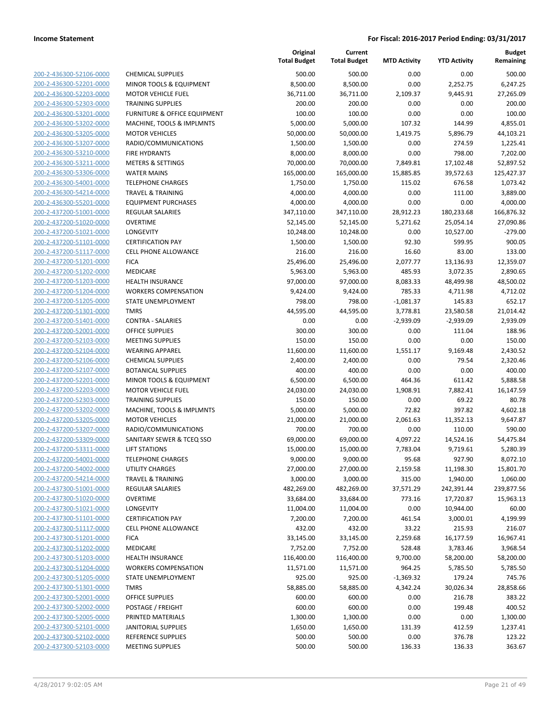| 200-2-436300-52106-0000                                          |
|------------------------------------------------------------------|
| 200-2-436300-52201-0000                                          |
| 200-2-436300-52203-0000                                          |
| <u>200-2-436300-52303-0000</u>                                   |
| <u>200-2-436300-53201-0000</u>                                   |
| 200-2-436300-53202-0000                                          |
| 200-2-436300-53205-0000                                          |
|                                                                  |
| 200-2-436300-53207-0000                                          |
| 200-2-436300-53210-0000                                          |
| <u>200-2-436300-53211-0000</u>                                   |
| 200-2-436300-53306-0000                                          |
| 200-2-436300-54001-0000                                          |
| 200-2-436300-54214-0000                                          |
| 200-2-436300-55201-0000                                          |
| 200-2-437200-51001-0000                                          |
| 200-2-437200-51020-0000                                          |
| 200-2-437200-51021-0000                                          |
|                                                                  |
| 200-2-437200-51101-0000                                          |
| 200-2-437200-51117-0000                                          |
| 200-2-437200-51201-0000                                          |
| 200-2-437200-51202-0000                                          |
| 200-2-437200-51203-0000                                          |
| 200-2-437200-51204-0000                                          |
| 200-2-437200-51205-0000                                          |
| 200-2-437200-51301-0000                                          |
| 200-2-437200-51401-0000                                          |
| 200-2-437200-52001-0000                                          |
|                                                                  |
| 200-2-437200-52103-0000                                          |
| 200-2-437200-52104-0000                                          |
| 200-2-437200-52106-0000                                          |
| 200-2-437200-52107-0000                                          |
| 200-2-437200-52201-0000                                          |
| 200-2-437200-52203-0000                                          |
| <u>200-2-437200-52303-0000</u>                                   |
| 200-2-437200-53202-0000                                          |
| 200-2-437200-53205-0000                                          |
| 200-2-437200-53207-0000                                          |
|                                                                  |
| 200-2-437200-53309-0000                                          |
| 200-2-437200-53311-0000                                          |
| 200-2-437200-54001-0000                                          |
| 200-2-437200-54002-0000                                          |
| <u>200-2-437200-54214-0000</u>                                   |
| 200-2-437300-51001-0000                                          |
| 200-2-437300-51020-0000                                          |
| 200-2-437300-51021-0000                                          |
| 200-2-437300-51101-0000                                          |
| 200-2-437300-51117-0000                                          |
|                                                                  |
| <u>200-2-437300-51201-0000</u>                                   |
| <u>200-2-437300-51202-0000</u>                                   |
| <u>200-2-437300-51203-0000</u>                                   |
| 200-2-437300-51204-0000                                          |
| 200-2-437300-51205-0000                                          |
| 200-2-437300-51301-0000                                          |
| <u>200-2-437300-52001-0000</u>                                   |
| <u>200-2-437300-52002-0000</u>                                   |
| 200-2-437300-52005-0000                                          |
| 200-2-437300-52101-0000                                          |
|                                                                  |
|                                                                  |
| <u>200-2-437300-52102-0000</u><br><u>200-2-437300-52103-0000</u> |

|                                                    |                                                   | Original<br><b>Total Budget</b> | Current<br><b>Total Budget</b> | <b>MTD Activity</b>  | <b>YTD Activity</b>   | <b>Budget</b><br>Remaining |
|----------------------------------------------------|---------------------------------------------------|---------------------------------|--------------------------------|----------------------|-----------------------|----------------------------|
| 200-2-436300-52106-0000                            | <b>CHEMICAL SUPPLIES</b>                          | 500.00                          | 500.00                         | 0.00                 | 0.00                  | 500.00                     |
| 200-2-436300-52201-0000                            | MINOR TOOLS & EQUIPMENT                           | 8,500.00                        | 8,500.00                       | 0.00                 | 2,252.75              | 6,247.25                   |
| 200-2-436300-52203-0000                            | <b>MOTOR VEHICLE FUEL</b>                         | 36,711.00                       | 36,711.00                      | 2,109.37             | 9,445.91              | 27,265.09                  |
| 200-2-436300-52303-0000                            | <b>TRAINING SUPPLIES</b>                          | 200.00                          | 200.00                         | 0.00                 | 0.00                  | 200.00                     |
| 200-2-436300-53201-0000                            | <b>FURNITURE &amp; OFFICE EQUIPMENT</b>           | 100.00                          | 100.00                         | 0.00                 | 0.00                  | 100.00                     |
| 200-2-436300-53202-0000                            | MACHINE, TOOLS & IMPLMNTS                         | 5,000.00                        | 5,000.00                       | 107.32               | 144.99                | 4,855.01                   |
| 200-2-436300-53205-0000                            | <b>MOTOR VEHICLES</b>                             | 50,000.00                       | 50,000.00                      | 1,419.75             | 5,896.79              | 44,103.21                  |
| 200-2-436300-53207-0000                            | RADIO/COMMUNICATIONS                              | 1,500.00                        | 1,500.00                       | 0.00                 | 274.59                | 1,225.41                   |
| 200-2-436300-53210-0000                            | <b>FIRE HYDRANTS</b>                              | 8,000.00                        | 8,000.00                       | 0.00                 | 798.00                | 7,202.00                   |
| 200-2-436300-53211-0000                            | <b>METERS &amp; SETTINGS</b>                      | 70,000.00                       | 70,000.00                      | 7,849.81             | 17,102.48             | 52,897.52                  |
| 200-2-436300-53306-0000                            | <b>WATER MAINS</b>                                | 165,000.00                      | 165,000.00                     | 15,885.85            | 39,572.63             | 125,427.37                 |
| 200-2-436300-54001-0000                            | <b>TELEPHONE CHARGES</b>                          | 1,750.00                        | 1,750.00                       | 115.02               | 676.58                | 1,073.42                   |
| 200-2-436300-54214-0000                            | <b>TRAVEL &amp; TRAINING</b>                      | 4,000.00                        | 4,000.00                       | 0.00                 | 111.00                | 3,889.00                   |
| 200-2-436300-55201-0000                            | <b>EQUIPMENT PURCHASES</b>                        | 4,000.00                        | 4,000.00                       | 0.00                 | 0.00                  | 4,000.00                   |
| 200-2-437200-51001-0000                            | REGULAR SALARIES                                  | 347,110.00                      | 347,110.00                     | 28,912.23            | 180,233.68            | 166,876.32                 |
| 200-2-437200-51020-0000                            | <b>OVERTIME</b>                                   | 52,145.00                       | 52,145.00                      | 5,271.62             | 25,054.14             | 27,090.86                  |
| 200-2-437200-51021-0000                            | <b>LONGEVITY</b>                                  | 10,248.00                       | 10,248.00                      | 0.00                 | 10,527.00             | $-279.00$                  |
| 200-2-437200-51101-0000                            | <b>CERTIFICATION PAY</b>                          | 1,500.00                        | 1,500.00                       | 92.30                | 599.95                | 900.05                     |
| 200-2-437200-51117-0000                            | <b>CELL PHONE ALLOWANCE</b>                       | 216.00                          | 216.00                         | 16.60                | 83.00                 | 133.00                     |
| 200-2-437200-51201-0000                            | <b>FICA</b>                                       | 25,496.00                       | 25,496.00                      | 2,077.77             | 13,136.93             | 12,359.07                  |
| 200-2-437200-51202-0000                            | <b>MEDICARE</b>                                   | 5,963.00                        | 5,963.00                       | 485.93               | 3,072.35              | 2,890.65                   |
| 200-2-437200-51203-0000                            | HEALTH INSURANCE                                  | 97,000.00                       | 97,000.00                      | 8,083.33             | 48,499.98             | 48,500.02                  |
| 200-2-437200-51204-0000                            | <b>WORKERS COMPENSATION</b>                       | 9,424.00                        | 9,424.00                       | 785.33               | 4,711.98              | 4,712.02                   |
| 200-2-437200-51205-0000                            | <b>STATE UNEMPLOYMENT</b>                         | 798.00                          | 798.00                         | $-1,081.37$          | 145.83                | 652.17                     |
| 200-2-437200-51301-0000                            | <b>TMRS</b>                                       | 44,595.00                       | 44,595.00                      | 3,778.81             | 23,580.58             | 21,014.42                  |
| 200-2-437200-51401-0000                            | <b>CONTRA - SALARIES</b>                          | 0.00                            | 0.00                           | $-2,939.09$          | $-2,939.09$           | 2,939.09                   |
| 200-2-437200-52001-0000                            | <b>OFFICE SUPPLIES</b>                            | 300.00                          | 300.00                         | 0.00                 | 111.04                | 188.96                     |
| 200-2-437200-52103-0000                            | <b>MEETING SUPPLIES</b>                           | 150.00                          | 150.00                         | 0.00                 | 0.00                  | 150.00                     |
| 200-2-437200-52104-0000                            | <b>WEARING APPAREL</b>                            | 11,600.00                       | 11,600.00                      | 1,551.17             | 9,169.48              | 2,430.52                   |
| 200-2-437200-52106-0000                            | <b>CHEMICAL SUPPLIES</b>                          | 2,400.00                        | 2,400.00                       | 0.00                 | 79.54                 | 2,320.46                   |
| 200-2-437200-52107-0000                            | <b>BOTANICAL SUPPLIES</b>                         | 400.00                          | 400.00                         | 0.00                 | 0.00                  | 400.00                     |
| 200-2-437200-52201-0000                            | MINOR TOOLS & EQUIPMENT                           | 6,500.00                        | 6,500.00                       | 464.36               | 611.42                | 5,888.58                   |
| 200-2-437200-52203-0000                            | <b>MOTOR VEHICLE FUEL</b>                         | 24,030.00                       | 24,030.00                      | 1,908.91             | 7,882.41              | 16,147.59                  |
| 200-2-437200-52303-0000                            | <b>TRAINING SUPPLIES</b>                          | 150.00                          | 150.00                         | 0.00                 | 69.22                 | 80.78                      |
| 200-2-437200-53202-0000                            | MACHINE, TOOLS & IMPLMNTS                         | 5,000.00                        | 5,000.00                       | 72.82                | 397.82                | 4,602.18                   |
| 200-2-437200-53205-0000<br>200-2-437200-53207-0000 | <b>MOTOR VEHICLES</b>                             | 21,000.00                       | 21,000.00                      | 2,061.63             | 11,352.13             | 9,647.87                   |
| 200-2-437200-53309-0000                            | RADIO/COMMUNICATIONS                              | 700.00                          | 700.00                         | 0.00                 | 110.00                | 590.00                     |
| 200-2-437200-53311-0000                            | SANITARY SEWER & TCEQ SSO<br><b>LIFT STATIONS</b> | 69,000.00<br>15,000.00          | 69,000.00<br>15,000.00         | 4,097.22<br>7,783.04 | 14,524.16<br>9,719.61 | 54,475.84<br>5,280.39      |
| 200-2-437200-54001-0000                            | <b>TELEPHONE CHARGES</b>                          | 9,000.00                        | 9,000.00                       | 95.68                | 927.90                | 8,072.10                   |
| 200-2-437200-54002-0000                            | UTILITY CHARGES                                   | 27,000.00                       | 27,000.00                      | 2,159.58             | 11,198.30             | 15,801.70                  |
| 200-2-437200-54214-0000                            | <b>TRAVEL &amp; TRAINING</b>                      | 3,000.00                        | 3,000.00                       | 315.00               | 1,940.00              | 1,060.00                   |
| 200-2-437300-51001-0000                            | REGULAR SALARIES                                  | 482,269.00                      | 482,269.00                     | 37,571.29            | 242,391.44            | 239,877.56                 |
| 200-2-437300-51020-0000                            | <b>OVERTIME</b>                                   | 33,684.00                       | 33,684.00                      | 773.16               | 17,720.87             | 15,963.13                  |
| 200-2-437300-51021-0000                            | LONGEVITY                                         | 11,004.00                       | 11,004.00                      | 0.00                 | 10,944.00             | 60.00                      |
| 200-2-437300-51101-0000                            | <b>CERTIFICATION PAY</b>                          | 7,200.00                        | 7,200.00                       | 461.54               | 3,000.01              | 4,199.99                   |
| 200-2-437300-51117-0000                            | CELL PHONE ALLOWANCE                              | 432.00                          | 432.00                         | 33.22                | 215.93                | 216.07                     |
| 200-2-437300-51201-0000                            | <b>FICA</b>                                       | 33,145.00                       | 33,145.00                      | 2,259.68             | 16,177.59             | 16,967.41                  |
| 200-2-437300-51202-0000                            | <b>MEDICARE</b>                                   | 7,752.00                        | 7,752.00                       | 528.48               | 3,783.46              | 3,968.54                   |
| 200-2-437300-51203-0000                            | <b>HEALTH INSURANCE</b>                           | 116,400.00                      | 116,400.00                     | 9,700.00             | 58,200.00             | 58,200.00                  |
| 200-2-437300-51204-0000                            | <b>WORKERS COMPENSATION</b>                       | 11,571.00                       | 11,571.00                      | 964.25               | 5,785.50              | 5,785.50                   |
| 200-2-437300-51205-0000                            | STATE UNEMPLOYMENT                                | 925.00                          | 925.00                         | $-1,369.32$          | 179.24                | 745.76                     |
| 200-2-437300-51301-0000                            | <b>TMRS</b>                                       | 58,885.00                       | 58,885.00                      | 4,342.24             | 30,026.34             | 28,858.66                  |
| 200-2-437300-52001-0000                            | <b>OFFICE SUPPLIES</b>                            | 600.00                          | 600.00                         | 0.00                 | 216.78                | 383.22                     |
| 200-2-437300-52002-0000                            | POSTAGE / FREIGHT                                 | 600.00                          | 600.00                         | 0.00                 | 199.48                | 400.52                     |
| 200-2-437300-52005-0000                            | PRINTED MATERIALS                                 | 1,300.00                        | 1,300.00                       | 0.00                 | 0.00                  | 1,300.00                   |
| 200-2-437300-52101-0000                            | <b>JANITORIAL SUPPLIES</b>                        | 1,650.00                        | 1,650.00                       | 131.39               | 412.59                | 1,237.41                   |
| 200-2-437300-52102-0000                            | REFERENCE SUPPLIES                                | 500.00                          | 500.00                         | 0.00                 | 376.78                | 123.22                     |
| 200-2-437300-52103-0000                            | <b>MEETING SUPPLIES</b>                           | 500.00                          | 500.00                         | 136.33               | 136.33                | 363.67                     |
|                                                    |                                                   |                                 |                                |                      |                       |                            |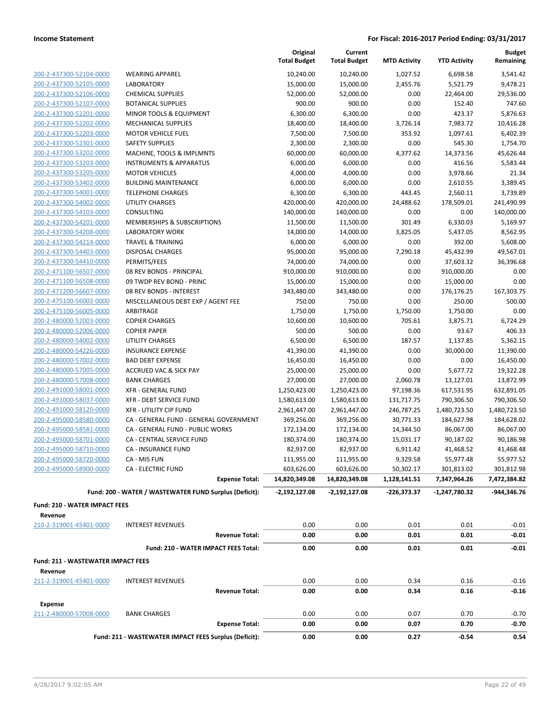|                                           |                                                        | Original<br><b>Total Budget</b> | Current<br><b>Total Budget</b> | <b>MTD Activity</b> | <b>YTD Activity</b> | <b>Budget</b><br>Remaining |
|-------------------------------------------|--------------------------------------------------------|---------------------------------|--------------------------------|---------------------|---------------------|----------------------------|
| 200-2-437300-52104-0000                   | <b>WEARING APPAREL</b>                                 | 10,240.00                       | 10,240.00                      | 1,027.52            | 6,698.58            | 3,541.42                   |
| 200-2-437300-52105-0000                   | <b>LABORATORY</b>                                      | 15,000.00                       | 15,000.00                      | 2,455.76            | 5,521.79            | 9,478.21                   |
| 200-2-437300-52106-0000                   | <b>CHEMICAL SUPPLIES</b>                               | 52,000.00                       | 52,000.00                      | 0.00                | 22,464.00           | 29,536.00                  |
| 200-2-437300-52107-0000                   | <b>BOTANICAL SUPPLIES</b>                              | 900.00                          | 900.00                         | 0.00                | 152.40              | 747.60                     |
| 200-2-437300-52201-0000                   | MINOR TOOLS & EQUIPMENT                                | 6,300.00                        | 6,300.00                       | 0.00                | 423.37              | 5,876.63                   |
| 200-2-437300-52202-0000                   | <b>MECHANICAL SUPPLIES</b>                             | 18,400.00                       | 18,400.00                      | 3,726.14            | 7,983.72            | 10,416.28                  |
| 200-2-437300-52203-0000                   | <b>MOTOR VEHICLE FUEL</b>                              | 7,500.00                        | 7,500.00                       | 353.92              | 1,097.61            | 6,402.39                   |
| 200-2-437300-52301-0000                   | <b>SAFETY SUPPLIES</b>                                 | 2,300.00                        | 2,300.00                       | 0.00                | 545.30              | 1,754.70                   |
| 200-2-437300-53202-0000                   | MACHINE, TOOLS & IMPLMNTS                              | 60,000.00                       | 60,000.00                      | 4,377.62            | 14,373.56           | 45,626.44                  |
| 200-2-437300-53203-0000                   | <b>INSTRUMENTS &amp; APPARATUS</b>                     | 6,000.00                        | 6,000.00                       | 0.00                | 416.56              | 5,583.44                   |
| 200-2-437300-53205-0000                   | <b>MOTOR VEHICLES</b>                                  | 4,000.00                        | 4,000.00                       | 0.00                | 3,978.66            | 21.34                      |
| 200-2-437300-53402-0000                   | <b>BUILDING MAINTENANCE</b>                            | 6,000.00                        | 6,000.00                       | 0.00                | 2,610.55            | 3,389.45                   |
| 200-2-437300-54001-0000                   | <b>TELEPHONE CHARGES</b>                               | 6,300.00                        | 6,300.00                       | 443.45              | 2,560.11            | 3,739.89                   |
| 200-2-437300-54002-0000                   | UTILITY CHARGES                                        | 420,000.00                      | 420,000.00                     | 24,488.62           | 178,509.01          | 241,490.99                 |
| 200-2-437300-54103-0000                   | CONSULTING                                             | 140,000.00                      | 140,000.00                     | 0.00                | 0.00                | 140,000.00                 |
| 200-2-437300-54201-0000                   | MEMBERSHIPS & SUBSCRIPTIONS                            | 11,500.00                       | 11,500.00                      | 301.49              | 6,330.03            | 5,169.97                   |
| 200-2-437300-54208-0000                   | <b>LABORATORY WORK</b>                                 | 14,000.00                       | 14,000.00                      | 3,825.05            | 5,437.05            | 8,562.95                   |
| 200-2-437300-54214-0000                   | <b>TRAVEL &amp; TRAINING</b>                           | 6,000.00                        | 6,000.00                       | 0.00                | 392.00              | 5,608.00                   |
| 200-2-437300-54403-0000                   | <b>DISPOSAL CHARGES</b>                                | 95,000.00                       | 95,000.00                      | 7,290.18            | 45,432.99           | 49,567.01                  |
| 200-2-437300-54410-0000                   | PERMITS/FEES                                           | 74,000.00                       | 74,000.00                      | 0.00                | 37,603.32           | 36,396.68                  |
| 200-2-471100-56507-0000                   | 08 REV BONDS - PRINCIPAL                               | 910,000.00                      | 910,000.00                     | 0.00                | 910,000.00          | 0.00                       |
| 200-2-471100-56508-0000                   | 09 TWDP REV BOND - PRINC                               | 15,000.00                       | 15,000.00                      | 0.00                | 15,000.00           | 0.00                       |
| 200-2-471200-56607-0000                   | 08 REV BONDS - INTEREST                                | 343,480.00                      | 343,480.00                     | 0.00                | 176,176.25          | 167,303.75                 |
| 200-2-475100-56002-0000                   | MISCELLANEOUS DEBT EXP / AGENT FEE                     | 750.00                          | 750.00                         | 0.00                | 250.00              | 500.00                     |
| 200-2-475100-56005-0000                   | ARBITRAGE                                              | 1,750.00                        | 1,750.00                       | 1,750.00            | 1,750.00            | 0.00                       |
| 200-2-480000-52003-0000                   | <b>COPIER CHARGES</b>                                  | 10,600.00                       | 10,600.00                      | 705.61              | 3,875.71            | 6,724.29                   |
| 200-2-480000-52006-0000                   | <b>COPIER PAPER</b>                                    | 500.00                          | 500.00                         | 0.00                | 93.67               | 406.33                     |
| 200-2-480000-54002-0000                   | UTILITY CHARGES                                        | 6,500.00                        | 6,500.00                       | 187.57              | 1,137.85            | 5,362.15                   |
| 200-2-480000-54226-0000                   | <b>INSURANCE EXPENSE</b>                               | 41,390.00                       | 41,390.00                      | 0.00                | 30,000.00           | 11,390.00                  |
| 200-2-480000-57002-0000                   | <b>BAD DEBT EXPENSE</b>                                | 16,450.00                       | 16,450.00                      | 0.00                | 0.00                | 16,450.00                  |
| 200-2-480000-57005-0000                   | <b>ACCRUED VAC &amp; SICK PAY</b>                      | 25,000.00                       | 25,000.00                      | 0.00                | 5,677.72            | 19,322.28                  |
| 200-2-480000-57008-0000                   | <b>BANK CHARGES</b>                                    | 27,000.00                       | 27,000.00                      | 2,060.78            | 13,127.01           | 13,872.99                  |
| 200-2-491000-58001-0000                   | <b>XFR - GENERAL FUND</b>                              | 1,250,423.00                    | 1,250,423.00                   | 97,198.36           | 617,531.95          | 632,891.05                 |
| 200-2-491000-58037-0000                   | <b>XFR - DEBT SERVICE FUND</b>                         | 1,580,613.00                    | 1,580,613.00                   | 131,717.75          | 790,306.50          | 790,306.50                 |
| 200-2-491000-58120-0000                   | <b>XFR - UTILITY CIP FUND</b>                          | 2,961,447.00                    | 2,961,447.00                   | 246,787.25          | 1,480,723.50        | 1,480,723.50               |
| 200-2-495000-58580-0000                   | CA - GENERAL FUND - GENERAL GOVERNMENT                 | 369,256.00                      | 369,256.00                     | 30,771.33           | 184,627.98          | 184,628.02                 |
| 200-2-495000-58581-0000                   | CA - GENERAL FUND - PUBLIC WORKS                       | 172,134.00                      | 172,134.00                     | 14,344.50           | 86,067.00           | 86,067.00                  |
| 200-2-495000-58701-0000                   | CA - CENTRAL SERVICE FUND                              | 180,374.00                      | 180,374.00                     | 15,031.17           | 90,187.02           | 90,186.98                  |
| 200-2-495000-58710-0000                   | CA - INSURANCE FUND                                    | 82,937.00                       | 82,937.00                      | 6,911.42            | 41,468.52           | 41,468.48                  |
| 200-2-495000-58720-0000                   | CA - MIS FUN                                           | 111,955.00                      | 111,955.00                     | 9,329.58            | 55,977.48           | 55,977.52                  |
| 200-2-495000-58900-0000                   | <b>CA - ELECTRIC FUND</b>                              | 603,626.00                      | 603,626.00                     | 50,302.17           | 301,813.02          | 301,812.98                 |
|                                           | <b>Expense Total:</b>                                  | 14,820,349.08                   | 14,820,349.08                  | 1,128,141.51        | 7,347,964.26        | 7,472,384.82               |
|                                           | Fund: 200 - WATER / WASTEWATER FUND Surplus (Deficit): | $-2,192,127.08$                 | -2,192,127.08                  | $-226,373.37$       | -1,247,780.32       | -944,346.76                |
| <b>Fund: 210 - WATER IMPACT FEES</b>      |                                                        |                                 |                                |                     |                     |                            |
| Revenue                                   |                                                        |                                 |                                |                     |                     |                            |
| 210-2-319001-45401-0000                   | <b>INTEREST REVENUES</b>                               | 0.00                            | 0.00                           | 0.01                | 0.01                | $-0.01$                    |
|                                           | <b>Revenue Total:</b>                                  | 0.00                            | 0.00                           | 0.01                | 0.01                | $-0.01$                    |
|                                           | Fund: 210 - WATER IMPACT FEES Total:                   | 0.00                            | 0.00                           | 0.01                | 0.01                | $-0.01$                    |
| <b>Fund: 211 - WASTEWATER IMPACT FEES</b> |                                                        |                                 |                                |                     |                     |                            |
| Revenue                                   |                                                        |                                 |                                |                     |                     |                            |
| 211-2-319001-45401-0000                   | <b>INTEREST REVENUES</b>                               | 0.00                            | 0.00                           | 0.34                | 0.16                | $-0.16$                    |
|                                           | <b>Revenue Total:</b>                                  | 0.00                            | 0.00                           | 0.34                | 0.16                | $-0.16$                    |
| <b>Expense</b>                            |                                                        |                                 |                                |                     |                     |                            |
| 211-2-480000-57008-0000                   | <b>BANK CHARGES</b>                                    | 0.00                            | 0.00                           | 0.07                | 0.70                | $-0.70$                    |
|                                           | <b>Expense Total:</b>                                  | 0.00                            | 0.00                           | 0.07                | 0.70                | -0.70                      |
|                                           | Fund: 211 - WASTEWATER IMPACT FEES Surplus (Deficit):  | 0.00                            | 0.00                           | 0.27                | -0.54               | 0.54                       |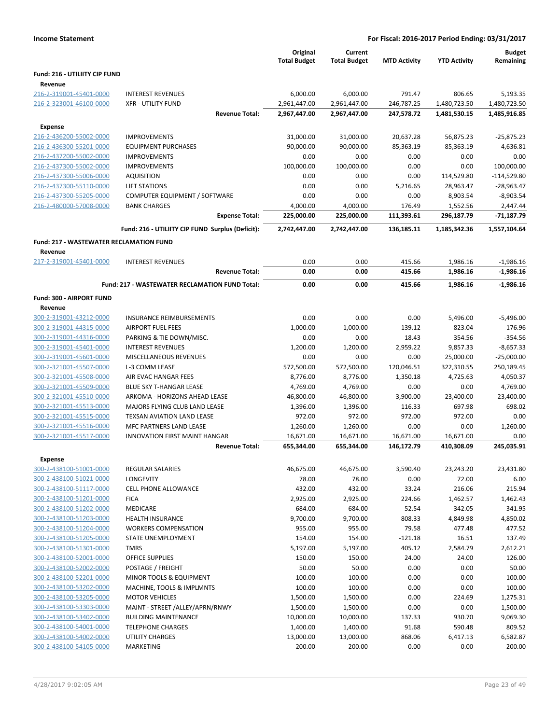| <b>Income Statement</b>                            | For Fiscal: 2016-2017 Period Ending: 03/31/2017                 |                                 |                                |                     |                     |                            |  |  |
|----------------------------------------------------|-----------------------------------------------------------------|---------------------------------|--------------------------------|---------------------|---------------------|----------------------------|--|--|
|                                                    |                                                                 | Original<br><b>Total Budget</b> | Current<br><b>Total Budget</b> | <b>MTD Activity</b> | <b>YTD Activity</b> | <b>Budget</b><br>Remaining |  |  |
| Fund: 216 - UTILIITY CIP FUND                      |                                                                 |                                 |                                |                     |                     |                            |  |  |
| Revenue                                            |                                                                 |                                 |                                |                     |                     |                            |  |  |
| 216-2-319001-45401-0000                            | <b>INTEREST REVENUES</b>                                        | 6,000.00                        | 6,000.00                       | 791.47              | 806.65              | 5,193.35                   |  |  |
| 216-2-323001-46100-0000                            | <b>XFR - UTILITY FUND</b>                                       | 2,961,447.00                    | 2,961,447.00                   | 246,787.25          | 1,480,723.50        | 1,480,723.50               |  |  |
|                                                    | <b>Revenue Total:</b>                                           | 2,967,447.00                    | 2,967,447.00                   | 247,578.72          | 1,481,530.15        | 1,485,916.85               |  |  |
| <b>Expense</b>                                     |                                                                 |                                 |                                |                     |                     |                            |  |  |
| 216-2-436200-55002-0000                            | <b>IMPROVEMENTS</b>                                             | 31,000.00                       | 31,000.00                      | 20,637.28           | 56,875.23           | $-25,875.23$               |  |  |
| 216-2-436300-55201-0000                            | <b>EQUIPMENT PURCHASES</b>                                      | 90,000.00                       | 90,000.00                      | 85,363.19           | 85,363.19           | 4,636.81                   |  |  |
| 216-2-437200-55002-0000                            | <b>IMPROVEMENTS</b>                                             | 0.00                            | 0.00                           | 0.00                | 0.00                | 0.00                       |  |  |
| 216-2-437300-55002-0000                            | <b>IMPROVEMENTS</b>                                             | 100,000.00                      | 100,000.00                     | 0.00                | 0.00                | 100,000.00                 |  |  |
| 216-2-437300-55006-0000                            | <b>AQUISITION</b>                                               | 0.00                            | 0.00                           | 0.00                | 114,529.80          | $-114,529.80$              |  |  |
| 216-2-437300-55110-0000                            | <b>LIFT STATIONS</b>                                            | 0.00                            | 0.00                           | 5,216.65            | 28,963.47           | $-28,963.47$               |  |  |
| 216-2-437300-55205-0000                            | COMPUTER EQUIPMENT / SOFTWARE                                   | 0.00                            | 0.00                           | 0.00                | 8,903.54            | $-8,903.54$                |  |  |
| 216-2-480000-57008-0000                            | <b>BANK CHARGES</b>                                             | 4,000.00                        | 4,000.00                       | 176.49              | 1,552.56            | 2,447.44                   |  |  |
|                                                    | <b>Expense Total:</b>                                           | 225,000.00                      | 225,000.00                     | 111,393.61          | 296,187.79          | -71,187.79                 |  |  |
|                                                    | Fund: 216 - UTILIITY CIP FUND Surplus (Deficit):                | 2,742,447.00                    | 2,742,447.00                   | 136,185.11          | 1,185,342.36        | 1,557,104.64               |  |  |
| <b>Fund: 217 - WASTEWATER RECLAMATION FUND</b>     |                                                                 |                                 |                                |                     |                     |                            |  |  |
| Revenue<br>217-2-319001-45401-0000                 | <b>INTEREST REVENUES</b>                                        | 0.00                            | 0.00                           | 415.66              | 1,986.16            | $-1,986.16$                |  |  |
|                                                    | <b>Revenue Total:</b>                                           | 0.00                            | 0.00                           | 415.66              | 1,986.16            | $-1,986.16$                |  |  |
|                                                    | Fund: 217 - WASTEWATER RECLAMATION FUND Total:                  | 0.00                            | 0.00                           | 415.66              | 1,986.16            | $-1,986.16$                |  |  |
| Fund: 300 - AIRPORT FUND                           |                                                                 |                                 |                                |                     |                     |                            |  |  |
| Revenue                                            |                                                                 |                                 |                                |                     |                     |                            |  |  |
| 300-2-319001-43212-0000                            | INSURANCE REIMBURSEMENTS                                        | 0.00                            | 0.00                           | 0.00                | 5,496.00            | $-5,496.00$                |  |  |
| 300-2-319001-44315-0000                            | <b>AIRPORT FUEL FEES</b>                                        | 1,000.00                        | 1,000.00                       | 139.12              | 823.04              | 176.96                     |  |  |
| 300-2-319001-44316-0000                            | PARKING & TIE DOWN/MISC.                                        | 0.00                            | 0.00                           | 18.43               | 354.56              | $-354.56$                  |  |  |
| 300-2-319001-45401-0000                            | <b>INTEREST REVENUES</b>                                        | 1,200.00                        | 1,200.00                       | 2,959.22            | 9,857.33            | $-8,657.33$                |  |  |
| 300-2-319001-45601-0000                            | MISCELLANEOUS REVENUES                                          | 0.00                            | 0.00                           | 0.00                | 25,000.00           | $-25,000.00$               |  |  |
| 300-2-321001-45507-0000                            | L-3 COMM LEASE                                                  | 572,500.00                      | 572,500.00                     | 120,046.51          | 322,310.55          | 250,189.45                 |  |  |
| 300-2-321001-45508-0000                            | AIR EVAC HANGAR FEES                                            | 8,776.00                        | 8,776.00                       | 1,350.18            | 4,725.63            | 4,050.37                   |  |  |
| 300-2-321001-45509-0000                            | <b>BLUE SKY T-HANGAR LEASE</b>                                  | 4,769.00                        | 4,769.00                       | 0.00                | 0.00                | 4,769.00                   |  |  |
| 300-2-321001-45510-0000                            | ARKOMA - HORIZONS AHEAD LEASE                                   | 46,800.00                       | 46,800.00                      | 3,900.00            | 23,400.00           | 23,400.00                  |  |  |
| 300-2-321001-45513-0000                            | MAJORS FLYING CLUB LAND LEASE                                   | 1,396.00                        | 1,396.00                       | 116.33              | 697.98              | 698.02                     |  |  |
| 300-2-321001-45515-0000                            | TEXSAN AVIATION LAND LEASE                                      | 972.00                          | 972.00                         | 972.00              | 972.00              | 0.00                       |  |  |
| 300-2-321001-45516-0000                            | <b>MFC PARTNERS LAND LEASE</b>                                  | 1,260.00                        | 1,260.00                       | 0.00                | 0.00                | 1,260.00                   |  |  |
| 300-2-321001-45517-0000                            | <b>INNOVATION FIRST MAINT HANGAR</b>                            | 16,671.00                       | 16,671.00                      | 16,671.00           | 16,671.00           | 0.00                       |  |  |
|                                                    | Revenue Total:                                                  | 655,344.00                      | 655,344.00                     | 146,172.79          | 410,308.09          | 245,035.91                 |  |  |
| <b>Expense</b>                                     |                                                                 |                                 |                                |                     |                     |                            |  |  |
| 300-2-438100-51001-0000                            | REGULAR SALARIES                                                | 46,675.00                       | 46,675.00                      | 3,590.40            | 23,243.20           | 23,431.80                  |  |  |
| 300-2-438100-51021-0000                            | LONGEVITY                                                       | 78.00                           | 78.00                          | 0.00                | 72.00               | 6.00                       |  |  |
| 300-2-438100-51117-0000                            | <b>CELL PHONE ALLOWANCE</b>                                     | 432.00                          | 432.00                         | 33.24               | 216.06              | 215.94                     |  |  |
| 300-2-438100-51201-0000                            | <b>FICA</b>                                                     | 2,925.00                        | 2,925.00                       | 224.66              | 1,462.57            | 1,462.43                   |  |  |
| 300-2-438100-51202-0000                            | MEDICARE                                                        | 684.00                          | 684.00                         | 52.54               | 342.05              | 341.95                     |  |  |
| 300-2-438100-51203-0000                            | HEALTH INSURANCE                                                | 9,700.00                        | 9,700.00                       | 808.33              | 4,849.98            | 4,850.02                   |  |  |
| 300-2-438100-51204-0000                            | <b>WORKERS COMPENSATION</b>                                     | 955.00                          | 955.00                         | 79.58               | 477.48              | 477.52                     |  |  |
| 300-2-438100-51205-0000                            | <b>STATE UNEMPLOYMENT</b>                                       | 154.00                          | 154.00                         | $-121.18$           | 16.51               | 137.49                     |  |  |
| 300-2-438100-51301-0000                            | <b>TMRS</b>                                                     | 5,197.00                        | 5,197.00                       | 405.12              | 2,584.79            | 2,612.21                   |  |  |
| 300-2-438100-52001-0000                            | <b>OFFICE SUPPLIES</b>                                          | 150.00                          | 150.00                         | 24.00               | 24.00               | 126.00                     |  |  |
| 300-2-438100-52002-0000                            | POSTAGE / FREIGHT                                               | 50.00                           | 50.00                          | 0.00                | 0.00                | 50.00                      |  |  |
| 300-2-438100-52201-0000                            | MINOR TOOLS & EQUIPMENT                                         | 100.00                          | 100.00                         | 0.00                | 0.00                | 100.00                     |  |  |
| 300-2-438100-53202-0000                            | MACHINE, TOOLS & IMPLMNTS                                       | 100.00                          | 100.00                         | 0.00                | 0.00                | 100.00                     |  |  |
| 300-2-438100-53205-0000                            | <b>MOTOR VEHICLES</b>                                           | 1,500.00                        | 1,500.00                       | 0.00                | 224.69              | 1,275.31                   |  |  |
| 300-2-438100-53303-0000                            | MAINT - STREET / ALLEY/APRN/RNWY<br><b>BUILDING MAINTENANCE</b> | 1,500.00                        | 1,500.00                       | 0.00                | 0.00                | 1,500.00                   |  |  |
| 300-2-438100-53402-0000<br>300-2-438100-54001-0000 | <b>TELEPHONE CHARGES</b>                                        | 10,000.00<br>1,400.00           | 10,000.00<br>1,400.00          | 137.33<br>91.68     | 930.70<br>590.48    | 9,069.30<br>809.52         |  |  |
| 300-2-438100-54002-0000                            | UTILITY CHARGES                                                 | 13,000.00                       | 13,000.00                      | 868.06              | 6,417.13            | 6,582.87                   |  |  |
|                                                    |                                                                 |                                 |                                |                     |                     |                            |  |  |

300-2-438100-54105-0000 MARKETING 200.00 200.00 0.00 0.00 200.00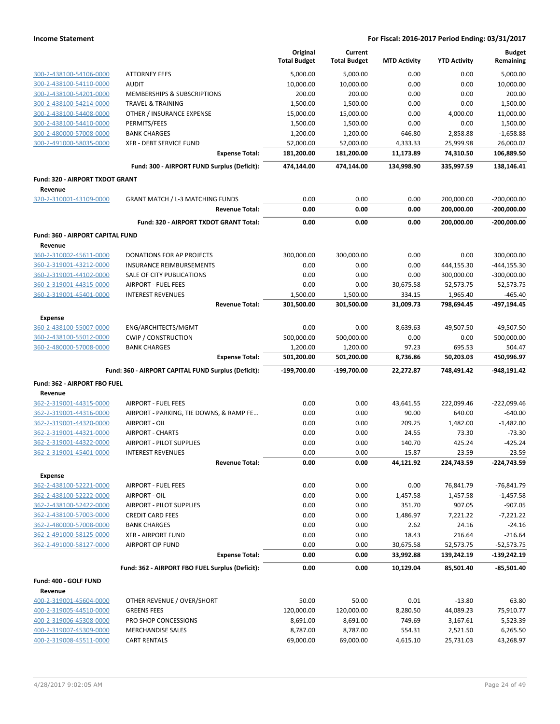|                                             |                                                     | Original<br><b>Total Budget</b> | Current<br><b>Total Budget</b> | <b>MTD Activity</b> | <b>YTD Activity</b> | <b>Budget</b><br>Remaining |
|---------------------------------------------|-----------------------------------------------------|---------------------------------|--------------------------------|---------------------|---------------------|----------------------------|
| 300-2-438100-54106-0000                     | <b>ATTORNEY FEES</b>                                | 5,000.00                        | 5,000.00                       | 0.00                | 0.00                | 5,000.00                   |
| 300-2-438100-54110-0000                     | <b>AUDIT</b>                                        | 10,000.00                       | 10,000.00                      | 0.00                | 0.00                | 10,000.00                  |
| 300-2-438100-54201-0000                     | MEMBERSHIPS & SUBSCRIPTIONS                         | 200.00                          | 200.00                         | 0.00                | 0.00                | 200.00                     |
| 300-2-438100-54214-0000                     | <b>TRAVEL &amp; TRAINING</b>                        | 1,500.00                        | 1,500.00                       | 0.00                | 0.00                | 1,500.00                   |
| 300-2-438100-54408-0000                     | OTHER / INSURANCE EXPENSE                           | 15,000.00                       | 15,000.00                      | 0.00                | 4,000.00            | 11,000.00                  |
| 300-2-438100-54410-0000                     | PERMITS/FEES                                        | 1,500.00                        | 1,500.00                       | 0.00                | 0.00                | 1,500.00                   |
| 300-2-480000-57008-0000                     | <b>BANK CHARGES</b>                                 | 1,200.00                        | 1,200.00                       | 646.80              | 2,858.88            | $-1,658.88$                |
| 300-2-491000-58035-0000                     | XFR - DEBT SERVICE FUND                             | 52,000.00                       | 52,000.00                      | 4,333.33            | 25,999.98           | 26,000.02                  |
|                                             | <b>Expense Total:</b>                               | 181,200.00                      | 181,200.00                     | 11,173.89           | 74,310.50           | 106,889.50                 |
|                                             | Fund: 300 - AIRPORT FUND Surplus (Deficit):         | 474,144.00                      | 474,144.00                     | 134,998.90          | 335,997.59          | 138,146.41                 |
| Fund: 320 - AIRPORT TXDOT GRANT             |                                                     |                                 |                                |                     |                     |                            |
| Revenue<br>320-2-310001-43109-0000          | <b>GRANT MATCH / L-3 MATCHING FUNDS</b>             | 0.00                            | 0.00                           | 0.00                | 200,000.00          | $-200,000.00$              |
|                                             | <b>Revenue Total:</b>                               | 0.00                            | 0.00                           | 0.00                | 200,000.00          | $-200,000.00$              |
|                                             | Fund: 320 - AIRPORT TXDOT GRANT Total:              | 0.00                            | 0.00                           | 0.00                | 200,000.00          | $-200,000.00$              |
|                                             |                                                     |                                 |                                |                     |                     |                            |
| Fund: 360 - AIRPORT CAPITAL FUND<br>Revenue |                                                     |                                 |                                |                     |                     |                            |
| 360-2-310002-45611-0000                     | <b>DONATIONS FOR AP PROJECTS</b>                    | 300,000.00                      | 300,000.00                     | 0.00                | 0.00                | 300,000.00                 |
| 360-2-319001-43212-0000                     | INSURANCE REIMBURSEMENTS                            | 0.00                            | 0.00                           | 0.00                | 444,155.30          | $-444, 155.30$             |
| 360-2-319001-44102-0000                     | SALE OF CITY PUBLICATIONS                           | 0.00                            | 0.00                           | 0.00                | 300,000.00          | $-300,000.00$              |
| 360-2-319001-44315-0000                     | <b>AIRPORT - FUEL FEES</b>                          | 0.00                            | 0.00                           | 30,675.58           | 52,573.75           | $-52,573.75$               |
| 360-2-319001-45401-0000                     | <b>INTEREST REVENUES</b>                            | 1,500.00                        | 1,500.00                       | 334.15              | 1,965.40            | $-465.40$                  |
|                                             | <b>Revenue Total:</b>                               | 301,500.00                      | 301,500.00                     | 31,009.73           | 798,694.45          | -497,194.45                |
| <b>Expense</b>                              |                                                     |                                 |                                |                     |                     |                            |
| 360-2-438100-55007-0000                     | ENG/ARCHITECTS/MGMT                                 | 0.00                            | 0.00                           | 8,639.63            | 49,507.50           | $-49,507.50$               |
| 360-2-438100-55012-0000                     | <b>CWIP / CONSTRUCTION</b>                          | 500,000.00                      | 500,000.00                     | 0.00                | 0.00                | 500,000.00                 |
| 360-2-480000-57008-0000                     | <b>BANK CHARGES</b>                                 | 1,200.00                        | 1,200.00                       | 97.23               | 695.53              | 504.47                     |
|                                             | <b>Expense Total:</b>                               | 501,200.00                      | 501,200.00                     | 8,736.86            | 50,203.03           | 450,996.97                 |
|                                             | Fund: 360 - AIRPORT CAPITAL FUND Surplus (Deficit): | -199,700.00                     | $-199,700.00$                  | 22,272.87           | 748,491.42          | -948,191.42                |
| Fund: 362 - AIRPORT FBO FUEL                |                                                     |                                 |                                |                     |                     |                            |
| Revenue<br>362-2-319001-44315-0000          | <b>AIRPORT - FUEL FEES</b>                          | 0.00                            | 0.00                           | 43,641.55           | 222,099.46          | $-222,099.46$              |
| 362-2-319001-44316-0000                     | AIRPORT - PARKING, TIE DOWNS, & RAMP FE             | 0.00                            | 0.00                           | 90.00               | 640.00              | $-640.00$                  |
| 362-2-319001-44320-0000                     | AIRPORT - OIL                                       | 0.00                            | 0.00                           | 209.25              | 1,482.00            | $-1,482.00$                |
| 362-2-319001-44321-0000                     | <b>AIRPORT - CHARTS</b>                             | 0.00                            | 0.00                           | 24.55               | 73.30               | $-73.30$                   |
| 362-2-319001-44322-0000                     | AIRPORT - PILOT SUPPLIES                            | 0.00                            | 0.00                           | 140.70              | 425.24              | $-425.24$                  |
| 362-2-319001-45401-0000                     | <b>INTEREST REVENUES</b>                            | 0.00                            | 0.00                           | 15.87               | 23.59               | $-23.59$                   |
|                                             | <b>Revenue Total:</b>                               | 0.00                            | 0.00                           | 44,121.92           | 224,743.59          | $-224,743.59$              |
| <b>Expense</b>                              |                                                     |                                 |                                |                     |                     |                            |
| 362-2-438100-52221-0000                     | <b>AIRPORT - FUEL FEES</b>                          | 0.00                            | 0.00                           | 0.00                | 76,841.79           | $-76,841.79$               |
| 362-2-438100-52222-0000                     | AIRPORT - OIL                                       | 0.00                            | 0.00                           | 1,457.58            | 1,457.58            | $-1,457.58$                |
| 362-2-438100-52422-0000                     | <b>AIRPORT - PILOT SUPPLIES</b>                     | 0.00                            | 0.00                           | 351.70              | 907.05              | $-907.05$                  |
| 362-2-438100-57003-0000                     | <b>CREDIT CARD FEES</b>                             | 0.00                            | 0.00                           | 1,486.97            | 7,221.22            | $-7,221.22$                |
| 362-2-480000-57008-0000                     | <b>BANK CHARGES</b>                                 | 0.00                            | 0.00                           | 2.62                | 24.16               | $-24.16$                   |
| 362-2-491000-58125-0000                     | <b>XFR - AIRPORT FUND</b>                           | 0.00                            | 0.00                           | 18.43               | 216.64              | $-216.64$                  |
| 362-2-491000-58127-0000                     | <b>AIRPORT CIP FUND</b>                             | 0.00                            | 0.00                           | 30,675.58           | 52,573.75           | $-52,573.75$               |
|                                             | <b>Expense Total:</b>                               | 0.00                            | 0.00                           | 33,992.88           | 139,242.19          | $-139,242.19$              |
|                                             | Fund: 362 - AIRPORT FBO FUEL Surplus (Deficit):     | 0.00                            | 0.00                           | 10,129.04           | 85,501.40           | $-85,501.40$               |
| Fund: 400 - GOLF FUND                       |                                                     |                                 |                                |                     |                     |                            |
| Revenue<br>400-2-319001-45604-0000          | OTHER REVENUE / OVER/SHORT                          | 50.00                           | 50.00                          | 0.01                | $-13.80$            | 63.80                      |
| 400-2-319005-44510-0000                     | <b>GREENS FEES</b>                                  | 120,000.00                      | 120,000.00                     | 8,280.50            | 44,089.23           | 75,910.77                  |
| 400-2-319006-45308-0000                     | PRO SHOP CONCESSIONS                                | 8,691.00                        | 8,691.00                       | 749.69              | 3,167.61            | 5,523.39                   |
| 400-2-319007-45309-0000                     | <b>MERCHANDISE SALES</b>                            | 8,787.00                        | 8,787.00                       | 554.31              | 2,521.50            | 6,265.50                   |
| 400-2-319008-45511-0000                     | <b>CART RENTALS</b>                                 | 69,000.00                       | 69,000.00                      | 4,615.10            | 25,731.03           | 43,268.97                  |
|                                             |                                                     |                                 |                                |                     |                     |                            |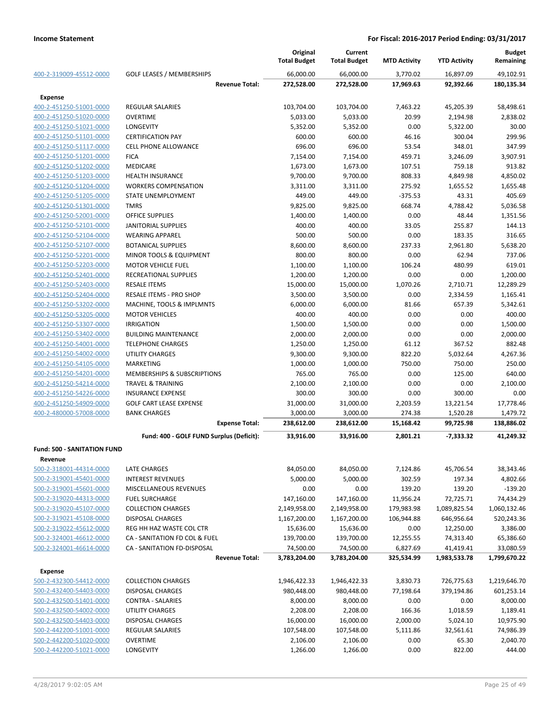|                                    |                                          | Original<br><b>Total Budget</b> | Current<br><b>Total Budget</b> | <b>MTD Activity</b> | <b>YTD Activity</b> | <b>Budget</b><br>Remaining |
|------------------------------------|------------------------------------------|---------------------------------|--------------------------------|---------------------|---------------------|----------------------------|
| 400-2-319009-45512-0000            | <b>GOLF LEASES / MEMBERSHIPS</b>         | 66.000.00                       | 66,000.00                      | 3,770.02            | 16,897.09           | 49,102.91                  |
|                                    | <b>Revenue Total:</b>                    | 272,528.00                      | 272,528.00                     | 17,969.63           | 92,392.66           | 180,135.34                 |
| Expense                            |                                          |                                 |                                |                     |                     |                            |
| 400-2-451250-51001-0000            | <b>REGULAR SALARIES</b>                  | 103,704.00                      | 103,704.00                     | 7,463.22            | 45,205.39           | 58,498.61                  |
| 400-2-451250-51020-0000            | <b>OVERTIME</b>                          | 5,033.00                        | 5,033.00                       | 20.99               | 2,194.98            | 2,838.02                   |
| 400-2-451250-51021-0000            | LONGEVITY                                | 5,352.00                        | 5,352.00                       | 0.00                | 5,322.00            | 30.00                      |
| 400-2-451250-51101-0000            | <b>CERTIFICATION PAY</b>                 | 600.00                          | 600.00                         | 46.16               | 300.04              | 299.96                     |
| 400-2-451250-51117-0000            | <b>CELL PHONE ALLOWANCE</b>              | 696.00                          | 696.00                         | 53.54               | 348.01              | 347.99                     |
| 400-2-451250-51201-0000            | <b>FICA</b>                              | 7,154.00                        | 7,154.00                       | 459.71              | 3,246.09            | 3,907.91                   |
| 400-2-451250-51202-0000            | <b>MEDICARE</b>                          | 1,673.00                        | 1,673.00                       | 107.51              | 759.18              | 913.82                     |
| 400-2-451250-51203-0000            | <b>HEALTH INSURANCE</b>                  | 9,700.00                        | 9,700.00                       | 808.33              | 4,849.98            | 4,850.02                   |
| 400-2-451250-51204-0000            | <b>WORKERS COMPENSATION</b>              | 3,311.00                        | 3,311.00                       | 275.92              | 1,655.52            | 1,655.48                   |
| 400-2-451250-51205-0000            | STATE UNEMPLOYMENT                       | 449.00                          | 449.00                         | $-375.53$           | 43.31               | 405.69                     |
| 400-2-451250-51301-0000            | <b>TMRS</b>                              | 9,825.00                        | 9,825.00                       | 668.74              | 4,788.42            | 5,036.58                   |
| 400-2-451250-52001-0000            | <b>OFFICE SUPPLIES</b>                   | 1,400.00                        | 1,400.00                       | 0.00                | 48.44               | 1,351.56                   |
| 400-2-451250-52101-0000            | <b>JANITORIAL SUPPLIES</b>               | 400.00                          | 400.00                         | 33.05               | 255.87              | 144.13                     |
| 400-2-451250-52104-0000            | <b>WEARING APPAREL</b>                   | 500.00                          | 500.00                         | 0.00                | 183.35              | 316.65                     |
| 400-2-451250-52107-0000            | <b>BOTANICAL SUPPLIES</b>                | 8,600.00                        | 8,600.00                       | 237.33              | 2,961.80            | 5,638.20                   |
| 400-2-451250-52201-0000            | MINOR TOOLS & EQUIPMENT                  | 800.00                          | 800.00                         | 0.00                | 62.94               | 737.06                     |
| 400-2-451250-52203-0000            | <b>MOTOR VEHICLE FUEL</b>                | 1,100.00                        | 1,100.00                       | 106.24              | 480.99              | 619.01                     |
| 400-2-451250-52401-0000            | RECREATIONAL SUPPLIES                    | 1,200.00                        | 1,200.00                       | 0.00                | 0.00                | 1,200.00                   |
| 400-2-451250-52403-0000            | <b>RESALE ITEMS</b>                      | 15,000.00                       | 15,000.00                      | 1,070.26            | 2,710.71            | 12,289.29                  |
| 400-2-451250-52404-0000            | <b>RESALE ITEMS - PRO SHOP</b>           | 3,500.00                        | 3,500.00                       | 0.00                | 2,334.59            | 1,165.41                   |
| 400-2-451250-53202-0000            | MACHINE, TOOLS & IMPLMNTS                | 6,000.00                        | 6,000.00                       | 81.66               | 657.39              | 5,342.61                   |
| 400-2-451250-53205-0000            | <b>MOTOR VEHICLES</b>                    | 400.00                          | 400.00                         | 0.00                | 0.00                | 400.00                     |
| 400-2-451250-53307-0000            | <b>IRRIGATION</b>                        | 1,500.00                        | 1,500.00                       | 0.00                | 0.00                | 1,500.00                   |
| 400-2-451250-53402-0000            | <b>BUILDING MAINTENANCE</b>              | 2,000.00                        | 2,000.00                       | 0.00                | 0.00                | 2,000.00                   |
| 400-2-451250-54001-0000            | <b>TELEPHONE CHARGES</b>                 | 1,250.00                        | 1,250.00                       | 61.12               | 367.52              | 882.48                     |
| 400-2-451250-54002-0000            | <b>UTILITY CHARGES</b>                   | 9,300.00                        | 9,300.00                       | 822.20              | 5,032.64            | 4,267.36                   |
| 400-2-451250-54105-0000            | <b>MARKETING</b>                         | 1,000.00                        | 1,000.00                       | 750.00              | 750.00              | 250.00                     |
| 400-2-451250-54201-0000            | MEMBERSHIPS & SUBSCRIPTIONS              | 765.00                          | 765.00                         | 0.00                | 125.00              | 640.00                     |
| 400-2-451250-54214-0000            | <b>TRAVEL &amp; TRAINING</b>             | 2,100.00                        | 2,100.00                       | 0.00                | 0.00                | 2,100.00                   |
| 400-2-451250-54226-0000            | <b>INSURANCE EXPENSE</b>                 | 300.00                          | 300.00                         | 0.00                | 300.00              | 0.00                       |
| 400-2-451250-54909-0000            | <b>GOLF CART LEASE EXPENSE</b>           | 31,000.00                       | 31,000.00                      | 2,203.59            | 13,221.54           | 17,778.46                  |
| 400-2-480000-57008-0000            | <b>BANK CHARGES</b>                      | 3,000.00                        | 3,000.00                       | 274.38              | 1,520.28            | 1,479.72                   |
|                                    | <b>Expense Total:</b>                    | 238,612.00                      | 238,612.00                     | 15,168.42           | 99,725.98           | 138,886.02                 |
|                                    | Fund: 400 - GOLF FUND Surplus (Deficit): | 33,916.00                       | 33,916.00                      | 2,801.21            | $-7,333.32$         | 41,249.32                  |
| <b>Fund: 500 - SANITATION FUND</b> |                                          |                                 |                                |                     |                     |                            |
| <b>Revenue</b>                     |                                          |                                 |                                |                     |                     |                            |
| 500-2-318001-44314-0000            | LATE CHARGES                             | 84,050.00                       | 84,050.00                      | 7,124.86            | 45,706.54           | 38,343.46                  |
| 500-2-319001-45401-0000            | <b>INTEREST REVENUES</b>                 | 5,000.00                        | 5,000.00                       | 302.59              | 197.34              | 4,802.66                   |
| 500-2-319001-45601-0000            | MISCELLANEOUS REVENUES                   | 0.00                            | 0.00                           | 139.20              | 139.20              | $-139.20$                  |
| 500-2-319020-44313-0000            | <b>FUEL SURCHARGE</b>                    | 147,160.00                      | 147,160.00                     | 11,956.24           | 72,725.71           | 74,434.29                  |
| 500-2-319020-45107-0000            | <b>COLLECTION CHARGES</b>                | 2,149,958.00                    | 2,149,958.00                   | 179,983.98          | 1,089,825.54        | 1,060,132.46               |
| 500-2-319021-45108-0000            | <b>DISPOSAL CHARGES</b>                  | 1,167,200.00                    | 1,167,200.00                   | 106,944.88          | 646,956.64          | 520,243.36                 |
| 500-2-319022-45612-0000            | REG HH HAZ WASTE COL CTR                 | 15,636.00                       | 15,636.00                      | 0.00                | 12,250.00           | 3,386.00                   |
| 500-2-324001-46612-0000            | CA - SANITATION FD COL & FUEL            | 139,700.00                      | 139,700.00                     | 12,255.55           | 74,313.40           | 65,386.60                  |
| 500-2-324001-46614-0000            | CA - SANITATION FD-DISPOSAL              | 74,500.00                       | 74,500.00                      | 6,827.69            | 41,419.41           | 33,080.59                  |
|                                    | <b>Revenue Total:</b>                    | 3,783,204.00                    | 3,783,204.00                   | 325,534.99          | 1,983,533.78        | 1,799,670.22               |
| <b>Expense</b>                     |                                          |                                 |                                |                     |                     |                            |
| 500-2-432300-54412-0000            | <b>COLLECTION CHARGES</b>                | 1,946,422.33                    | 1,946,422.33                   | 3,830.73            | 726,775.63          | 1,219,646.70               |
| 500-2-432400-54403-0000            | <b>DISPOSAL CHARGES</b>                  | 980,448.00                      | 980,448.00                     | 77,198.64           | 379,194.86          | 601,253.14                 |
| 500-2-432500-51401-0000            | CONTRA - SALARIES                        | 8,000.00                        | 8,000.00                       | 0.00                | 0.00                | 8,000.00                   |
| 500-2-432500-54002-0000            | UTILITY CHARGES                          | 2,208.00                        | 2,208.00                       | 166.36              | 1,018.59            | 1,189.41                   |
| 500-2-432500-54403-0000            | <b>DISPOSAL CHARGES</b>                  | 16,000.00                       | 16,000.00                      | 2,000.00            | 5,024.10            | 10,975.90                  |
| 500-2-442200-51001-0000            | <b>REGULAR SALARIES</b>                  | 107,548.00                      | 107,548.00                     | 5,111.86            | 32,561.61           | 74,986.39                  |
| 500-2-442200-51020-0000            | <b>OVERTIME</b>                          | 2,106.00                        | 2,106.00                       | 0.00                | 65.30               | 2,040.70                   |
| 500-2-442200-51021-0000            | LONGEVITY                                | 1,266.00                        | 1,266.00                       | 0.00                | 822.00              | 444.00                     |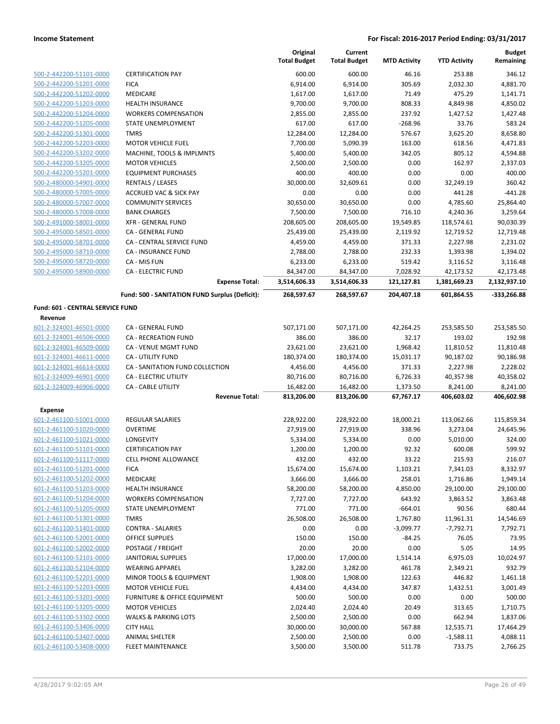|                                                    |                                                    | Original<br><b>Total Budget</b> | Current<br><b>Total Budget</b> | <b>MTD Activity</b>   | <b>YTD Activity</b>      | <b>Budget</b><br>Remaining |
|----------------------------------------------------|----------------------------------------------------|---------------------------------|--------------------------------|-----------------------|--------------------------|----------------------------|
| 500-2-442200-51101-0000                            | <b>CERTIFICATION PAY</b>                           | 600.00                          | 600.00                         | 46.16                 | 253.88                   | 346.12                     |
| 500-2-442200-51201-0000                            | <b>FICA</b>                                        | 6,914.00                        | 6,914.00                       | 305.69                | 2,032.30                 | 4,881.70                   |
| 500-2-442200-51202-0000                            | MEDICARE                                           | 1,617.00                        | 1,617.00                       | 71.49                 | 475.29                   | 1,141.71                   |
| 500-2-442200-51203-0000                            | <b>HEALTH INSURANCE</b>                            | 9,700.00                        | 9,700.00                       | 808.33                | 4,849.98                 | 4,850.02                   |
| 500-2-442200-51204-0000                            | <b>WORKERS COMPENSATION</b>                        | 2,855.00                        | 2,855.00                       | 237.92                | 1,427.52                 | 1,427.48                   |
| 500-2-442200-51205-0000                            | STATE UNEMPLOYMENT                                 | 617.00                          | 617.00                         | $-268.96$             | 33.76                    | 583.24                     |
| 500-2-442200-51301-0000                            | <b>TMRS</b>                                        | 12,284.00                       | 12,284.00                      | 576.67                | 3,625.20                 | 8,658.80                   |
| 500-2-442200-52203-0000                            | <b>MOTOR VEHICLE FUEL</b>                          | 7,700.00                        | 5,090.39                       | 163.00                | 618.56                   | 4,471.83                   |
| 500-2-442200-53202-0000                            | MACHINE, TOOLS & IMPLMNTS                          | 5,400.00                        | 5,400.00                       | 342.05                | 805.12                   | 4,594.88                   |
| 500-2-442200-53205-0000                            | <b>MOTOR VEHICLES</b>                              | 2,500.00                        | 2,500.00                       | 0.00                  | 162.97                   | 2,337.03                   |
| 500-2-442200-55201-0000                            | <b>EQUIPMENT PURCHASES</b>                         | 400.00                          | 400.00                         | 0.00                  | 0.00                     | 400.00                     |
| 500-2-480000-54901-0000                            | <b>RENTALS / LEASES</b>                            | 30,000.00                       | 32,609.61                      | 0.00                  | 32,249.19                | 360.42                     |
| 500-2-480000-57005-0000                            | <b>ACCRUED VAC &amp; SICK PAY</b>                  | 0.00                            | 0.00                           | 0.00                  | 441.28                   | $-441.28$                  |
| 500-2-480000-57007-0000                            | <b>COMMUNITY SERVICES</b>                          | 30,650.00                       | 30,650.00                      | 0.00                  | 4,785.60                 | 25,864.40                  |
| 500-2-480000-57008-0000                            | <b>BANK CHARGES</b>                                | 7,500.00                        | 7,500.00                       | 716.10                | 4,240.36                 | 3,259.64                   |
| 500-2-491000-58001-0000                            | <b>XFR - GENERAL FUND</b>                          | 208,605.00                      | 208,605.00                     | 19,549.85             | 118,574.61               | 90,030.39                  |
| 500-2-495000-58501-0000                            | CA - GENERAL FUND                                  | 25,439.00                       | 25,439.00                      | 2,119.92              | 12,719.52                | 12,719.48                  |
| 500-2-495000-58701-0000                            | CA - CENTRAL SERVICE FUND                          | 4,459.00                        | 4,459.00                       | 371.33                | 2,227.98                 | 2,231.02                   |
| 500-2-495000-58710-0000                            | <b>CA - INSURANCE FUND</b>                         | 2,788.00                        | 2,788.00                       | 232.33                | 1,393.98                 | 1,394.02                   |
| 500-2-495000-58720-0000                            | CA - MIS FUN                                       | 6,233.00                        | 6,233.00                       | 519.42                | 3,116.52                 | 3,116.48                   |
| 500-2-495000-58900-0000                            | <b>CA - ELECTRIC FUND</b>                          | 84,347.00                       | 84,347.00                      | 7,028.92              | 42,173.52                | 42,173.48                  |
|                                                    | <b>Expense Total:</b>                              | 3,514,606.33                    | 3,514,606.33                   | 121,127.81            | 1,381,669.23             | 2,132,937.10               |
|                                                    | Fund: 500 - SANITATION FUND Surplus (Deficit):     | 268,597.67                      | 268,597.67                     | 204,407.18            | 601,864.55               | -333,266.88                |
| Fund: 601 - CENTRAL SERVICE FUND                   |                                                    |                                 |                                |                       |                          |                            |
| Revenue                                            |                                                    |                                 |                                |                       |                          |                            |
| 601-2-324001-46501-0000                            | CA - GENERAL FUND                                  | 507,171.00                      | 507,171.00                     | 42,264.25             | 253,585.50               | 253,585.50                 |
| 601-2-324001-46506-0000                            | <b>CA - RECREATION FUND</b>                        | 386.00                          | 386.00                         | 32.17                 | 193.02                   | 192.98                     |
| 601-2-324001-46509-0000                            | CA - VENUE MGMT FUND                               | 23,621.00                       | 23,621.00                      | 1,968.42              | 11,810.52                | 11,810.48                  |
| 601-2-324001-46611-0000                            | CA - UTILITY FUND                                  | 180,374.00                      | 180,374.00                     | 15,031.17             | 90,187.02                | 90,186.98                  |
| 601-2-324001-46614-0000                            | CA - SANITATION FUND COLLECTION                    | 4,456.00                        | 4,456.00                       | 371.33                | 2,227.98                 | 2,228.02                   |
| 601-2-324009-46901-0000                            | CA - ELECTRIC UTILITY                              | 80,716.00                       | 80,716.00                      | 6,726.33              | 40,357.98                | 40,358.02                  |
| 601-2-324009-46906-0000                            | <b>CA - CABLE UTILITY</b><br><b>Revenue Total:</b> | 16,482.00<br>813,206.00         | 16,482.00<br>813,206.00        | 1,373.50<br>67,767.17 | 8,241.00<br>406,603.02   | 8,241.00<br>406,602.98     |
|                                                    |                                                    |                                 |                                |                       |                          |                            |
| <b>Expense</b>                                     |                                                    |                                 |                                |                       |                          |                            |
| 601-2-461100-51001-0000                            | REGULAR SALARIES                                   | 228,922.00                      | 228,922.00                     | 18,000.21             | 113,062.66               | 115,859.34                 |
| 601-2-461100-51020-0000                            | <b>OVERTIME</b>                                    | 27,919.00                       | 27,919.00                      | 338.96                | 3,273.04                 | 24,645.96                  |
| 601-2-461100-51021-0000                            | LONGEVITY                                          | 5,334.00                        | 5,334.00                       | 0.00                  | 5,010.00                 | 324.00                     |
| 601-2-461100-51101-0000                            | <b>CERTIFICATION PAY</b>                           | 1,200.00                        | 1,200.00                       | 92.32                 | 600.08                   | 599.92                     |
| 601-2-461100-51117-0000                            | <b>CELL PHONE ALLOWANCE</b>                        | 432.00                          | 432.00                         | 33.22                 | 215.93                   | 216.07                     |
| 601-2-461100-51201-0000<br>601-2-461100-51202-0000 | <b>FICA</b><br><b>MEDICARE</b>                     | 15,674.00                       | 15,674.00                      | 1,103.21              | 7,341.03                 | 8,332.97                   |
| 601-2-461100-51203-0000                            | <b>HEALTH INSURANCE</b>                            | 3,666.00                        | 3,666.00                       | 258.01<br>4,850.00    | 1,716.86<br>29,100.00    | 1,949.14                   |
| 601-2-461100-51204-0000                            | <b>WORKERS COMPENSATION</b>                        | 58,200.00<br>7,727.00           | 58,200.00<br>7,727.00          | 643.92                | 3,863.52                 | 29,100.00<br>3,863.48      |
| 601-2-461100-51205-0000                            | STATE UNEMPLOYMENT                                 | 771.00                          | 771.00                         | $-664.01$             | 90.56                    | 680.44                     |
| 601-2-461100-51301-0000                            | <b>TMRS</b>                                        | 26,508.00                       | 26,508.00                      | 1,767.80              |                          | 14,546.69                  |
| 601-2-461100-51401-0000                            | <b>CONTRA - SALARIES</b>                           | 0.00                            | 0.00                           | $-3,099.77$           | 11,961.31<br>$-7,792.71$ | 7,792.71                   |
| 601-2-461100-52001-0000                            | <b>OFFICE SUPPLIES</b>                             | 150.00                          | 150.00                         | $-84.25$              | 76.05                    | 73.95                      |
| 601-2-461100-52002-0000                            | POSTAGE / FREIGHT                                  | 20.00                           | 20.00                          | 0.00                  | 5.05                     | 14.95                      |
| 601-2-461100-52101-0000                            | <b>JANITORIAL SUPPLIES</b>                         | 17,000.00                       | 17,000.00                      | 1,514.14              | 6,975.03                 | 10,024.97                  |
| 601-2-461100-52104-0000                            | <b>WEARING APPAREL</b>                             | 3,282.00                        | 3,282.00                       | 461.78                | 2,349.21                 | 932.79                     |
| 601-2-461100-52201-0000                            | MINOR TOOLS & EQUIPMENT                            | 1,908.00                        | 1,908.00                       | 122.63                | 446.82                   | 1,461.18                   |
| 601-2-461100-52203-0000                            | <b>MOTOR VEHICLE FUEL</b>                          | 4,434.00                        | 4,434.00                       | 347.87                | 1,432.51                 | 3,001.49                   |
| 601-2-461100-53201-0000                            | FURNITURE & OFFICE EQUIPMENT                       | 500.00                          | 500.00                         | 0.00                  | 0.00                     | 500.00                     |
| 601-2-461100-53205-0000                            | <b>MOTOR VEHICLES</b>                              | 2,024.40                        | 2,024.40                       | 20.49                 | 313.65                   | 1,710.75                   |
| 601-2-461100-53302-0000                            | <b>WALKS &amp; PARKING LOTS</b>                    | 2,500.00                        | 2,500.00                       | 0.00                  | 662.94                   | 1,837.06                   |
| 601-2-461100-53406-0000                            | <b>CITY HALL</b>                                   | 30,000.00                       | 30,000.00                      | 567.88                | 12,535.71                | 17,464.29                  |
| 601-2-461100-53407-0000                            | <b>ANIMAL SHELTER</b>                              | 2,500.00                        | 2,500.00                       | 0.00                  | $-1,588.11$              | 4,088.11                   |
| 601-2-461100-53408-0000                            | <b>FLEET MAINTENANCE</b>                           | 3,500.00                        | 3,500.00                       | 511.78                | 733.75                   | 2,766.25                   |
|                                                    |                                                    |                                 |                                |                       |                          |                            |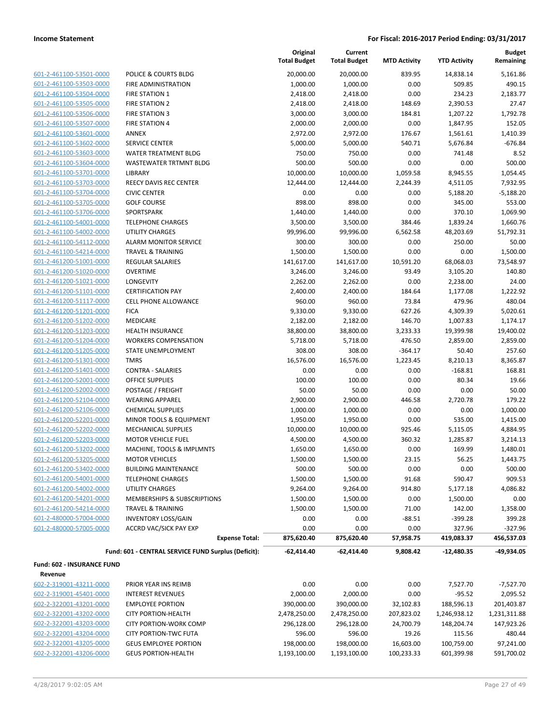| 601-2-461100-53501-0000 |
|-------------------------|
| 601-2-461100-53503-0000 |
| 601-2-461100-53504-0000 |
| 601-2-461100-53505-0000 |
| 601-2-461100-53506-0000 |
| 601-2-461100-53507-0000 |
| 601-2-461100-53601-0000 |
| 601-2-461100-53602-0000 |
| 601-2-461100-53603-0000 |
| 601-2-461100-53604-0000 |
| 601-2-461100-53701-0000 |
| 601-2-461100-53703-0000 |
|                         |
| 601-2-461100-53704-0000 |
| 601-2-461100-53705-0000 |
| 601-2-461100-53706-0000 |
| 601-2-461100-54001-0000 |
| 601-2-461100-54002-0000 |
| 601-2-461100-54112-0000 |
| 601-2-461100-54214-0000 |
| 601-2-461200-51001-0000 |
| 601-2-461200-51020-0000 |
| 601-2-461200-51021-0000 |
| 601-2-461200-51101-0000 |
| 601-2-461200-51117-0000 |
| 601-2-461200-51201-0000 |
| 601-2-461200-51202-0000 |
| 601-2-461200-51203-0000 |
| 601-2-461200-51204-0000 |
| 601-2-461200-51205-0000 |
| 601-2-461200-51301-0000 |
| 601-2-461200-51401-0000 |
| 601-2-461200-52001-0000 |
| 601-2-461200-52002-0000 |
| 601-2-461200-52104-0000 |
| 601-2-461200-52106-0000 |
|                         |
| 601-2-461200-52201-0000 |
| 601-2-461200-52202-0000 |
| 601-2-461200-52203-0000 |
| 601-2-461200-53202-0000 |
| 601-2-461200-53205-0000 |
| 601-2-461200-53402-0000 |
| 601-2-461200-54001-0000 |
| 601-2-461200-54002-0000 |
| 601-2-461200-54201-0000 |
| 601-2-461200-54214-0000 |
| 601-2-480000-57004-0000 |
| 601-2-480000-57005-0000 |
|                         |

|                                                    |                                                     | Original<br><b>Total Budget</b> | Current<br><b>Total Budget</b> | <b>MTD Activity</b> | <b>YTD Activity</b> | <b>Budget</b><br>Remaining |
|----------------------------------------------------|-----------------------------------------------------|---------------------------------|--------------------------------|---------------------|---------------------|----------------------------|
| 601-2-461100-53501-0000                            | <b>POLICE &amp; COURTS BLDG</b>                     | 20,000.00                       | 20,000.00                      | 839.95              | 14,838.14           | 5,161.86                   |
| 601-2-461100-53503-0000                            | FIRE ADMINISTRATION                                 | 1,000.00                        | 1,000.00                       | 0.00                | 509.85              | 490.15                     |
| 601-2-461100-53504-0000                            | <b>FIRE STATION 1</b>                               | 2,418.00                        | 2,418.00                       | 0.00                | 234.23              | 2,183.77                   |
| 601-2-461100-53505-0000                            | <b>FIRE STATION 2</b>                               | 2,418.00                        | 2,418.00                       | 148.69              | 2,390.53            | 27.47                      |
| 601-2-461100-53506-0000                            | <b>FIRE STATION 3</b>                               | 3,000.00                        | 3,000.00                       | 184.81              | 1,207.22            | 1,792.78                   |
| 601-2-461100-53507-0000                            | <b>FIRE STATION 4</b>                               | 2,000.00                        | 2,000.00                       | 0.00                | 1,847.95            | 152.05                     |
| 601-2-461100-53601-0000                            | ANNEX                                               | 2,972.00                        | 2,972.00                       | 176.67              | 1,561.61            | 1,410.39                   |
| 601-2-461100-53602-0000                            | <b>SERVICE CENTER</b>                               | 5,000.00                        | 5,000.00                       | 540.71              | 5,676.84            | $-676.84$                  |
| 601-2-461100-53603-0000                            | WATER TREATMENT BLDG                                | 750.00                          | 750.00                         | 0.00                | 741.48              | 8.52                       |
| 601-2-461100-53604-0000                            | <b>WASTEWATER TRTMNT BLDG</b>                       | 500.00                          | 500.00                         | 0.00                | 0.00                | 500.00                     |
| 601-2-461100-53701-0000                            | LIBRARY                                             | 10,000.00                       | 10,000.00                      | 1,059.58            | 8,945.55            | 1,054.45                   |
| 601-2-461100-53703-0000                            | <b>REECY DAVIS REC CENTER</b>                       | 12,444.00                       | 12,444.00                      | 2,244.39            | 4,511.05            | 7,932.95                   |
| 601-2-461100-53704-0000                            | <b>CIVIC CENTER</b>                                 | 0.00                            | 0.00                           | 0.00                | 5,188.20            | $-5,188.20$                |
| 601-2-461100-53705-0000                            | <b>GOLF COURSE</b>                                  | 898.00                          | 898.00                         | 0.00                | 345.00              | 553.00                     |
| 601-2-461100-53706-0000                            | SPORTSPARK                                          | 1,440.00                        | 1,440.00                       | 0.00                | 370.10              | 1,069.90                   |
| 601-2-461100-54001-0000                            | <b>TELEPHONE CHARGES</b>                            | 3,500.00                        | 3,500.00                       | 384.46              | 1,839.24            | 1,660.76                   |
| 601-2-461100-54002-0000                            | <b>UTILITY CHARGES</b>                              | 99,996.00                       | 99,996.00                      | 6,562.58            | 48,203.69           | 51,792.31                  |
| 601-2-461100-54112-0000                            | <b>ALARM MONITOR SERVICE</b>                        | 300.00                          | 300.00                         | 0.00                | 250.00              | 50.00                      |
| 601-2-461100-54214-0000                            | <b>TRAVEL &amp; TRAINING</b>                        | 1,500.00                        | 1,500.00                       | 0.00                | 0.00                | 1,500.00                   |
| 601-2-461200-51001-0000                            | REGULAR SALARIES                                    | 141,617.00                      | 141,617.00                     | 10,591.20           | 68,068.03           | 73,548.97                  |
| 601-2-461200-51020-0000                            | <b>OVERTIME</b>                                     | 3,246.00                        | 3,246.00                       | 93.49               | 3,105.20            | 140.80                     |
| 601-2-461200-51021-0000                            | LONGEVITY                                           | 2,262.00                        | 2,262.00                       | 0.00                | 2,238.00            | 24.00                      |
| 601-2-461200-51101-0000                            | <b>CERTIFICATION PAY</b>                            | 2,400.00                        | 2,400.00                       | 184.64              | 1,177.08            | 1,222.92                   |
| 601-2-461200-51117-0000                            | <b>CELL PHONE ALLOWANCE</b>                         | 960.00                          | 960.00                         | 73.84               | 479.96              | 480.04                     |
| 601-2-461200-51201-0000                            | <b>FICA</b>                                         | 9,330.00                        | 9,330.00                       | 627.26              | 4,309.39            | 5,020.61                   |
| 601-2-461200-51202-0000                            | MEDICARE                                            | 2,182.00                        | 2,182.00                       | 146.70              | 1,007.83            | 1,174.17                   |
| 601-2-461200-51203-0000                            | <b>HEALTH INSURANCE</b>                             | 38,800.00                       | 38,800.00                      | 3,233.33            | 19,399.98           | 19,400.02                  |
| 601-2-461200-51204-0000                            | <b>WORKERS COMPENSATION</b>                         | 5,718.00                        | 5,718.00                       | 476.50              | 2,859.00            | 2,859.00                   |
| 601-2-461200-51205-0000                            | STATE UNEMPLOYMENT                                  | 308.00                          | 308.00                         | $-364.17$           | 50.40               | 257.60                     |
| 601-2-461200-51301-0000                            | <b>TMRS</b>                                         | 16,576.00                       | 16,576.00                      | 1,223.45            | 8,210.13            | 8,365.87                   |
| 601-2-461200-51401-0000                            | <b>CONTRA - SALARIES</b>                            | 0.00                            | 0.00                           | 0.00                | $-168.81$           | 168.81                     |
| 601-2-461200-52001-0000                            | <b>OFFICE SUPPLIES</b>                              | 100.00                          | 100.00                         | 0.00                | 80.34               | 19.66                      |
| 601-2-461200-52002-0000<br>601-2-461200-52104-0000 | POSTAGE / FREIGHT<br><b>WEARING APPAREL</b>         | 50.00                           | 50.00                          | 0.00                | 0.00                | 50.00                      |
| 601-2-461200-52106-0000                            | <b>CHEMICAL SUPPLIES</b>                            | 2,900.00<br>1,000.00            | 2,900.00<br>1,000.00           | 446.58<br>0.00      | 2,720.78<br>0.00    | 179.22<br>1,000.00         |
| 601-2-461200-52201-0000                            | MINOR TOOLS & EQUIPMENT                             | 1,950.00                        | 1,950.00                       | 0.00                | 535.00              | 1,415.00                   |
| 601-2-461200-52202-0000                            | <b>MECHANICAL SUPPLIES</b>                          | 10,000.00                       | 10,000.00                      | 925.46              | 5,115.05            | 4,884.95                   |
| 601-2-461200-52203-0000                            | <b>MOTOR VEHICLE FUEL</b>                           | 4,500.00                        | 4,500.00                       | 360.32              | 1,285.87            | 3,214.13                   |
| 601-2-461200-53202-0000                            | MACHINE, TOOLS & IMPLMNTS                           | 1,650.00                        | 1,650.00                       | 0.00                | 169.99              | 1,480.01                   |
| 601-2-461200-53205-0000                            | <b>MOTOR VEHICLES</b>                               | 1,500.00                        | 1,500.00                       | 23.15               | 56.25               | 1,443.75                   |
| 601-2-461200-53402-0000                            | <b>BUILDING MAINTENANCE</b>                         | 500.00                          | 500.00                         | 0.00                | 0.00                | 500.00                     |
| 601-2-461200-54001-0000                            | <b>TELEPHONE CHARGES</b>                            | 1,500.00                        | 1,500.00                       | 91.68               | 590.47              | 909.53                     |
| 601-2-461200-54002-0000                            | UTILITY CHARGES                                     | 9,264.00                        | 9,264.00                       | 914.80              | 5,177.18            | 4,086.82                   |
| 601-2-461200-54201-0000                            | MEMBERSHIPS & SUBSCRIPTIONS                         | 1,500.00                        | 1,500.00                       | 0.00                | 1,500.00            | 0.00                       |
| 601-2-461200-54214-0000                            | <b>TRAVEL &amp; TRAINING</b>                        | 1,500.00                        | 1,500.00                       | 71.00               | 142.00              | 1,358.00                   |
| 601-2-480000-57004-0000                            | <b>INVENTORY LOSS/GAIN</b>                          | 0.00                            | 0.00                           | $-88.51$            | $-399.28$           | 399.28                     |
| 601-2-480000-57005-0000                            | ACCRD VAC/SICK PAY EXP                              | 0.00                            | 0.00                           | 0.00                | 327.96              | $-327.96$                  |
|                                                    | <b>Expense Total:</b>                               | 875,620.40                      | 875,620.40                     | 57,958.75           | 419,083.37          | 456,537.03                 |
|                                                    | Fund: 601 - CENTRAL SERVICE FUND Surplus (Deficit): | $-62,414.40$                    | $-62,414.40$                   | 9,808.42            | $-12,480.35$        | -49,934.05                 |
| Fund: 602 - INSURANCE FUND                         |                                                     |                                 |                                |                     |                     |                            |
| Revenue                                            |                                                     |                                 |                                |                     |                     |                            |
| 602-2-319001-43211-0000                            | PRIOR YEAR INS REIMB                                | 0.00                            | 0.00                           | 0.00                | 7,527.70            | $-7,527.70$                |
| 602-2-319001-45401-0000                            | <b>INTEREST REVENUES</b>                            | 2,000.00                        | 2,000.00                       | 0.00                | $-95.52$            | 2,095.52                   |
| 602-2-322001-43201-0000                            | <b>EMPLOYEE PORTION</b>                             | 390,000.00                      | 390,000.00                     | 32,102.83           | 188,596.13          | 201,403.87                 |
| 602-2-322001-43202-0000                            | <b>CITY PORTION-HEALTH</b>                          | 2,478,250.00                    | 2,478,250.00                   | 207,823.02          | 1,246,938.12        | 1,231,311.88               |
| 602-2-322001-43203-0000                            | <b>CITY PORTION-WORK COMP</b>                       | 296,128.00                      | 296,128.00                     | 24,700.79           | 148,204.74          | 147,923.26                 |
| 602-2-322001-43204-0000                            | <b>CITY PORTION-TWC FUTA</b>                        | 596.00                          | 596.00                         | 19.26               | 115.56              | 480.44                     |
| 602-2-322001-43205-0000                            | <b>GEUS EMPLOYEE PORTION</b>                        | 198,000.00                      | 198,000.00                     | 16,603.00           | 100,759.00          | 97,241.00                  |

602-2-322001-43206-0000 GEUS PORTION-HEALTH 1,193,100.00 1,193,100.00 100,233.33 601,399.98 591,700.02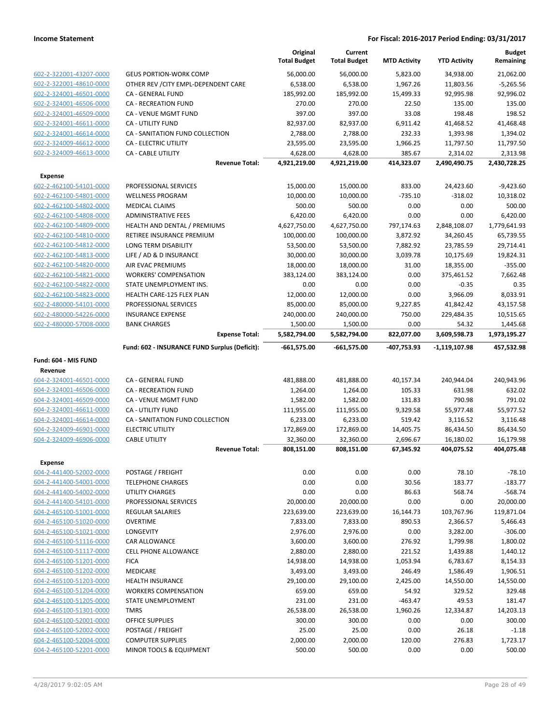|                                                    |                                                      | Original<br><b>Total Budget</b> | Current<br><b>Total Budget</b> | <b>MTD Activity</b> | <b>YTD Activity</b> | <b>Budget</b><br>Remaining |
|----------------------------------------------------|------------------------------------------------------|---------------------------------|--------------------------------|---------------------|---------------------|----------------------------|
| 602-2-322001-43207-0000                            | <b>GEUS PORTION-WORK COMP</b>                        | 56,000.00                       | 56,000.00                      | 5,823.00            | 34,938.00           | 21,062.00                  |
| 602-2-322001-48610-0000                            | OTHER REV / CITY EMPL-DEPENDENT CARE                 | 6,538.00                        | 6,538.00                       | 1,967.26            | 11,803.56           | $-5,265.56$                |
| 602-2-324001-46501-0000                            | CA - GENERAL FUND                                    | 185,992.00                      | 185,992.00                     | 15,499.33           | 92,995.98           | 92,996.02                  |
| 602-2-324001-46506-0000                            | <b>CA - RECREATION FUND</b>                          | 270.00                          | 270.00                         | 22.50               | 135.00              | 135.00                     |
| 602-2-324001-46509-0000                            | CA - VENUE MGMT FUND                                 | 397.00                          | 397.00                         | 33.08               | 198.48              | 198.52                     |
| 602-2-324001-46611-0000                            | CA - UTILITY FUND                                    | 82,937.00                       | 82,937.00                      | 6,911.42            | 41,468.52           | 41,468.48                  |
| 602-2-324001-46614-0000                            | CA - SANITATION FUND COLLECTION                      | 2,788.00                        | 2,788.00                       | 232.33              | 1,393.98            | 1,394.02                   |
| 602-2-324009-46612-0000                            | CA - ELECTRIC UTILITY                                | 23,595.00                       | 23,595.00                      | 1,966.25            | 11,797.50           | 11,797.50                  |
| 602-2-324009-46613-0000                            | CA - CABLE UTILITY                                   | 4,628.00                        | 4,628.00                       | 385.67              | 2,314.02            | 2,313.98                   |
|                                                    | <b>Revenue Total:</b>                                | 4,921,219.00                    | 4,921,219.00                   | 414,323.07          | 2,490,490.75        | 2,430,728.25               |
| <b>Expense</b>                                     |                                                      |                                 |                                |                     |                     |                            |
| 602-2-462100-54101-0000                            | PROFESSIONAL SERVICES                                | 15,000.00                       | 15,000.00                      | 833.00              | 24,423.60           | $-9,423.60$                |
| 602-2-462100-54801-0000                            | <b>WELLNESS PROGRAM</b>                              | 10,000.00                       | 10,000.00                      | $-735.10$           | $-318.02$           | 10,318.02                  |
| 602-2-462100-54802-0000                            | <b>MEDICAL CLAIMS</b>                                | 500.00                          | 500.00                         | 0.00                | 0.00                | 500.00                     |
| 602-2-462100-54808-0000                            | <b>ADMINISTRATIVE FEES</b>                           | 6,420.00                        | 6,420.00                       | 0.00                | 0.00                | 6,420.00                   |
| 602-2-462100-54809-0000                            | HEALTH AND DENTAL / PREMIUMS                         | 4,627,750.00                    | 4,627,750.00                   | 797,174.63          | 2,848,108.07        | 1,779,641.93               |
| 602-2-462100-54810-0000                            | RETIREE INSURANCE PREMIUM                            | 100,000.00                      | 100,000.00                     | 3,872.92            | 34,260.45           | 65,739.55                  |
| 602-2-462100-54812-0000                            | LONG TERM DISABILITY                                 | 53,500.00                       | 53,500.00                      | 7,882.92            | 23,785.59           | 29,714.41                  |
| 602-2-462100-54813-0000                            | LIFE / AD & D INSURANCE                              | 30,000.00                       | 30,000.00                      | 3,039.78            | 10,175.69           | 19,824.31                  |
| 602-2-462100-54820-0000                            | AIR EVAC PREMIUMS                                    | 18,000.00                       | 18,000.00                      | 31.00               | 18,355.00           | $-355.00$                  |
| 602-2-462100-54821-0000<br>602-2-462100-54822-0000 | <b>WORKERS' COMPENSATION</b>                         | 383,124.00                      | 383,124.00                     | 0.00                | 375,461.52          | 7,662.48                   |
| 602-2-462100-54823-0000                            | STATE UNEMPLOYMENT INS.<br>HEALTH CARE-125 FLEX PLAN | 0.00<br>12,000.00               | 0.00<br>12,000.00              | 0.00<br>0.00        | $-0.35$<br>3,966.09 | 0.35<br>8,033.91           |
| 602-2-480000-54101-0000                            | PROFESSIONAL SERVICES                                | 85,000.00                       | 85,000.00                      | 9,227.85            | 41,842.42           | 43,157.58                  |
| 602-2-480000-54226-0000                            | <b>INSURANCE EXPENSE</b>                             | 240,000.00                      | 240,000.00                     | 750.00              | 229,484.35          | 10,515.65                  |
| 602-2-480000-57008-0000                            | <b>BANK CHARGES</b>                                  | 1,500.00                        | 1,500.00                       | 0.00                | 54.32               | 1,445.68                   |
|                                                    | <b>Expense Total:</b>                                | 5,582,794.00                    | 5,582,794.00                   | 822,077.00          | 3,609,598.73        | 1,973,195.27               |
|                                                    | Fund: 602 - INSURANCE FUND Surplus (Deficit):        | $-661,575.00$                   | $-661,575.00$                  | -407,753.93         | -1,119,107.98       | 457,532.98                 |
| Fund: 604 - MIS FUND                               |                                                      |                                 |                                |                     |                     |                            |
| Revenue                                            |                                                      |                                 |                                |                     |                     |                            |
| 604-2-324001-46501-0000                            | CA - GENERAL FUND                                    | 481,888.00                      | 481,888.00                     | 40,157.34           | 240,944.04          | 240,943.96                 |
| 604-2-324001-46506-0000                            | <b>CA - RECREATION FUND</b>                          | 1,264.00                        | 1,264.00                       | 105.33              | 631.98              | 632.02                     |
| 604-2-324001-46509-0000                            | CA - VENUE MGMT FUND                                 | 1,582.00                        | 1,582.00                       | 131.83              | 790.98              | 791.02                     |
| 604-2-324001-46611-0000                            | CA - UTILITY FUND                                    | 111,955.00                      | 111,955.00                     | 9,329.58            | 55,977.48           | 55,977.52                  |
| 604-2-324001-46614-0000                            | CA - SANITATION FUND COLLECTION                      | 6,233.00                        | 6,233.00                       | 519.42              | 3,116.52            | 3,116.48                   |
| 604-2-324009-46901-0000                            | <b>ELECTRIC UTILITY</b>                              | 172,869.00                      | 172,869.00                     | 14,405.75           | 86,434.50           | 86,434.50                  |
| 604-2-324009-46906-0000                            | <b>CABLE UTILITY</b>                                 | 32,360.00                       | 32,360.00                      | 2,696.67            | 16,180.02           | 16,179.98                  |
|                                                    | <b>Revenue Total:</b>                                | 808,151.00                      | 808,151.00                     | 67,345.92           | 404,075.52          | 404,075.48                 |
| Expense                                            |                                                      |                                 |                                |                     |                     |                            |
| 604-2-441400-52002-0000                            | POSTAGE / FREIGHT                                    | 0.00                            | 0.00                           | 0.00                | 78.10               | $-78.10$                   |
| 604-2-441400-54001-0000                            | <b>TELEPHONE CHARGES</b>                             | 0.00                            | 0.00                           | 30.56               | 183.77              | $-183.77$                  |
| 604-2-441400-54002-0000                            | UTILITY CHARGES                                      | 0.00                            | 0.00                           | 86.63               | 568.74              | $-568.74$                  |
| 604-2-441400-54101-0000                            | PROFESSIONAL SERVICES                                | 20,000.00                       | 20,000.00                      | 0.00                | 0.00                | 20,000.00                  |
| 604-2-465100-51001-0000                            | <b>REGULAR SALARIES</b>                              | 223,639.00                      | 223,639.00                     | 16,144.73           | 103,767.96          | 119,871.04                 |
| 604-2-465100-51020-0000                            | <b>OVERTIME</b>                                      | 7,833.00                        | 7,833.00                       | 890.53              | 2,366.57            | 5,466.43                   |
| 604-2-465100-51021-0000                            | LONGEVITY                                            | 2,976.00                        | 2,976.00                       | 0.00                | 3,282.00            | $-306.00$                  |
| 604-2-465100-51116-0000                            | CAR ALLOWANCE                                        | 3,600.00                        | 3,600.00                       | 276.92              | 1,799.98            | 1,800.02                   |
| 604-2-465100-51117-0000                            | CELL PHONE ALLOWANCE                                 | 2,880.00                        | 2,880.00                       | 221.52              | 1,439.88            | 1,440.12                   |
| 604-2-465100-51201-0000                            | <b>FICA</b>                                          | 14,938.00                       | 14,938.00                      | 1,053.94            | 6,783.67            | 8,154.33                   |
| 604-2-465100-51202-0000                            | <b>MEDICARE</b>                                      | 3,493.00                        | 3,493.00                       | 246.49              | 1,586.49            | 1,906.51                   |
| 604-2-465100-51203-0000                            | <b>HEALTH INSURANCE</b>                              | 29,100.00                       | 29,100.00                      | 2,425.00            | 14,550.00           | 14,550.00                  |
| 604-2-465100-51204-0000                            | <b>WORKERS COMPENSATION</b>                          | 659.00                          | 659.00                         | 54.92               | 329.52              | 329.48                     |
| 604-2-465100-51205-0000                            | STATE UNEMPLOYMENT                                   | 231.00                          | 231.00                         | $-463.47$           | 49.53               | 181.47                     |
| 604-2-465100-51301-0000                            | <b>TMRS</b>                                          | 26,538.00                       | 26,538.00                      | 1,960.26            | 12,334.87           | 14,203.13                  |
| 604-2-465100-52001-0000                            |                                                      |                                 |                                |                     |                     |                            |
|                                                    | <b>OFFICE SUPPLIES</b>                               | 300.00                          | 300.00                         | 0.00                | 0.00                | 300.00                     |
| 604-2-465100-52002-0000                            | POSTAGE / FREIGHT                                    | 25.00                           | 25.00                          | 0.00                | 26.18               | $-1.18$                    |
| 604-2-465100-52004-0000<br>604-2-465100-52201-0000 | <b>COMPUTER SUPPLIES</b><br>MINOR TOOLS & EQUIPMENT  | 2,000.00<br>500.00              | 2,000.00<br>500.00             | 120.00<br>0.00      | 276.83<br>0.00      | 1,723.17<br>500.00         |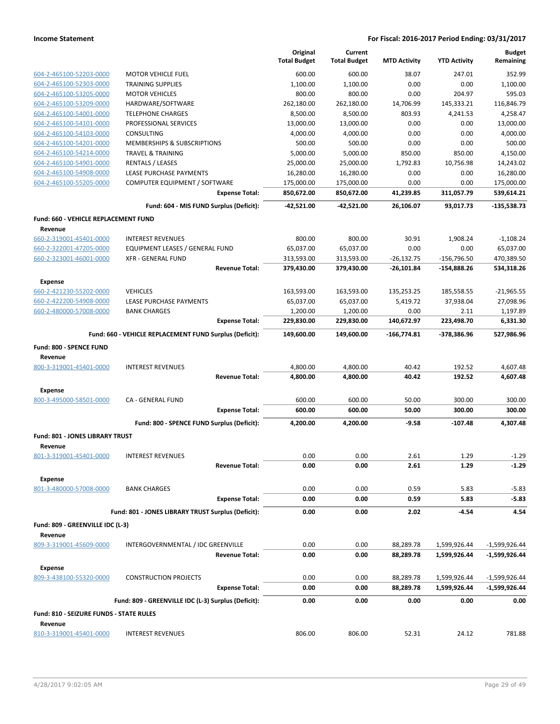|                                                    |                                                         | Original<br><b>Total Budget</b> | Current<br><b>Total Budget</b> | <b>MTD Activity</b> | <b>YTD Activity</b> | <b>Budget</b><br>Remaining |
|----------------------------------------------------|---------------------------------------------------------|---------------------------------|--------------------------------|---------------------|---------------------|----------------------------|
|                                                    |                                                         |                                 |                                |                     |                     |                            |
| 604-2-465100-52203-0000                            | <b>MOTOR VEHICLE FUEL</b>                               | 600.00                          | 600.00                         | 38.07               | 247.01              | 352.99                     |
| 604-2-465100-52303-0000<br>604-2-465100-53205-0000 | <b>TRAINING SUPPLIES</b><br><b>MOTOR VEHICLES</b>       | 1,100.00<br>800.00              | 1,100.00<br>800.00             | 0.00<br>0.00        | 0.00<br>204.97      | 1,100.00<br>595.03         |
| 604-2-465100-53209-0000                            | HARDWARE/SOFTWARE                                       | 262,180.00                      | 262,180.00                     | 14,706.99           | 145,333.21          | 116,846.79                 |
| 604-2-465100-54001-0000                            | <b>TELEPHONE CHARGES</b>                                | 8,500.00                        | 8,500.00                       | 803.93              | 4,241.53            | 4,258.47                   |
| 604-2-465100-54101-0000                            | PROFESSIONAL SERVICES                                   | 13,000.00                       | 13,000.00                      | 0.00                | 0.00                | 13,000.00                  |
| 604-2-465100-54103-0000                            | CONSULTING                                              | 4,000.00                        | 4,000.00                       | 0.00                | 0.00                | 4,000.00                   |
| 604-2-465100-54201-0000                            | <b>MEMBERSHIPS &amp; SUBSCRIPTIONS</b>                  | 500.00                          | 500.00                         | 0.00                | 0.00                | 500.00                     |
| 604-2-465100-54214-0000                            | <b>TRAVEL &amp; TRAINING</b>                            | 5,000.00                        | 5,000.00                       | 850.00              | 850.00              | 4,150.00                   |
| 604-2-465100-54901-0000                            | <b>RENTALS / LEASES</b>                                 | 25,000.00                       | 25,000.00                      | 1,792.83            | 10,756.98           | 14,243.02                  |
| 604-2-465100-54908-0000                            | LEASE PURCHASE PAYMENTS                                 | 16,280.00                       | 16,280.00                      | 0.00                | 0.00                | 16,280.00                  |
| 604-2-465100-55205-0000                            | COMPUTER EQUIPMENT / SOFTWARE                           | 175,000.00                      | 175,000.00                     | 0.00                | 0.00                | 175,000.00                 |
|                                                    | <b>Expense Total:</b>                                   | 850,672.00                      | 850,672.00                     | 41,239.85           | 311,057.79          | 539,614.21                 |
|                                                    | Fund: 604 - MIS FUND Surplus (Deficit):                 | $-42,521.00$                    | -42,521.00                     | 26,106.07           | 93,017.73           | $-135,538.73$              |
| <b>Fund: 660 - VEHICLE REPLACEMENT FUND</b>        |                                                         |                                 |                                |                     |                     |                            |
| Revenue                                            |                                                         |                                 |                                |                     |                     |                            |
| 660-2-319001-45401-0000                            | <b>INTEREST REVENUES</b>                                | 800.00                          | 800.00                         | 30.91               | 1,908.24            | $-1,108.24$                |
| 660-2-322001-47205-0000                            | <b>EQUIPMENT LEASES / GENERAL FUND</b>                  | 65,037.00                       | 65,037.00                      | 0.00                | 0.00                | 65,037.00                  |
| 660-2-323001-46001-0000                            | <b>XFR - GENERAL FUND</b>                               | 313,593.00                      | 313,593.00                     | $-26,132.75$        | $-156,796.50$       | 470,389.50                 |
|                                                    | <b>Revenue Total:</b>                                   | 379,430.00                      | 379,430.00                     | -26,101.84          | $-154,888.26$       | 534,318.26                 |
| Expense                                            |                                                         |                                 |                                |                     |                     |                            |
| 660-2-421230-55202-0000                            | <b>VEHICLES</b>                                         | 163,593.00                      | 163,593.00                     | 135,253.25          | 185,558.55          | $-21,965.55$               |
| 660-2-422200-54908-0000                            | LEASE PURCHASE PAYMENTS                                 | 65,037.00                       | 65,037.00                      | 5,419.72            | 37,938.04           | 27,098.96                  |
| 660-2-480000-57008-0000                            | <b>BANK CHARGES</b>                                     | 1,200.00                        | 1,200.00                       | 0.00                | 2.11                | 1,197.89                   |
|                                                    | <b>Expense Total:</b>                                   | 229,830.00                      | 229,830.00                     | 140,672.97          | 223,498.70          | 6,331.30                   |
|                                                    | Fund: 660 - VEHICLE REPLACEMENT FUND Surplus (Deficit): | 149,600.00                      | 149,600.00                     | -166,774.81         | -378,386.96         | 527,986.96                 |
| Fund: 800 - SPENCE FUND                            |                                                         |                                 |                                |                     |                     |                            |
| Revenue                                            |                                                         |                                 |                                |                     |                     |                            |
| 800-3-319001-45401-0000                            | <b>INTEREST REVENUES</b>                                | 4,800.00                        | 4,800.00                       | 40.42               | 192.52              | 4,607.48                   |
|                                                    | <b>Revenue Total:</b>                                   | 4,800.00                        | 4,800.00                       | 40.42               | 192.52              | 4,607.48                   |
| <b>Expense</b>                                     |                                                         |                                 |                                |                     |                     |                            |
| 800-3-495000-58501-0000                            | CA - GENERAL FUND                                       | 600.00                          | 600.00                         | 50.00               | 300.00              | 300.00                     |
|                                                    | <b>Expense Total:</b>                                   | 600.00                          | 600.00                         | 50.00               | 300.00              | 300.00                     |
|                                                    | Fund: 800 - SPENCE FUND Surplus (Deficit):              | 4,200.00                        | 4,200.00                       | $-9.58$             | -107.48             | 4,307.48                   |
| Fund: 801 - JONES LIBRARY TRUST                    |                                                         |                                 |                                |                     |                     |                            |
| Revenue                                            |                                                         |                                 |                                |                     |                     |                            |
| 801-3-319001-45401-0000                            | <b>INTEREST REVENUES</b>                                | 0.00                            | 0.00                           | 2.61                | 1.29                | $-1.29$                    |
|                                                    | <b>Revenue Total:</b>                                   | 0.00                            | 0.00                           | 2.61                | 1.29                | $-1.29$                    |
| <b>Expense</b>                                     |                                                         |                                 |                                |                     |                     |                            |
| 801-3-480000-57008-0000                            | <b>BANK CHARGES</b>                                     | 0.00                            | 0.00                           | 0.59                | 5.83                | $-5.83$                    |
|                                                    | <b>Expense Total:</b>                                   | 0.00                            | 0.00                           | 0.59                | 5.83                | $-5.83$                    |
|                                                    | Fund: 801 - JONES LIBRARY TRUST Surplus (Deficit):      | 0.00                            | 0.00                           | 2.02                | $-4.54$             | 4.54                       |
| Fund: 809 - GREENVILLE IDC (L-3)                   |                                                         |                                 |                                |                     |                     |                            |
| Revenue                                            |                                                         |                                 |                                |                     |                     |                            |
| 809-3-319001-45609-0000                            | INTERGOVERNMENTAL / IDC GREENVILLE                      | 0.00                            | 0.00                           | 88,289.78           | 1,599,926.44        | -1,599,926.44              |
|                                                    | <b>Revenue Total:</b>                                   | 0.00                            | 0.00                           | 88,289.78           | 1,599,926.44        | -1,599,926.44              |
| <b>Expense</b>                                     |                                                         |                                 |                                |                     |                     |                            |
| 809-3-438100-55320-0000                            | <b>CONSTRUCTION PROJECTS</b>                            | 0.00                            | 0.00                           | 88,289.78           | 1,599,926.44        | $-1,599,926.44$            |
|                                                    | <b>Expense Total:</b>                                   | 0.00                            | 0.00                           | 88,289.78           | 1,599,926.44        | -1,599,926.44              |
|                                                    | Fund: 809 - GREENVILLE IDC (L-3) Surplus (Deficit):     | 0.00                            | 0.00                           | 0.00                | 0.00                | 0.00                       |
| Fund: 810 - SEIZURE FUNDS - STATE RULES            |                                                         |                                 |                                |                     |                     |                            |
| Revenue                                            |                                                         |                                 |                                |                     |                     |                            |
| 810-3-319001-45401-0000                            | <b>INTEREST REVENUES</b>                                | 806.00                          | 806.00                         | 52.31               | 24.12               | 781.88                     |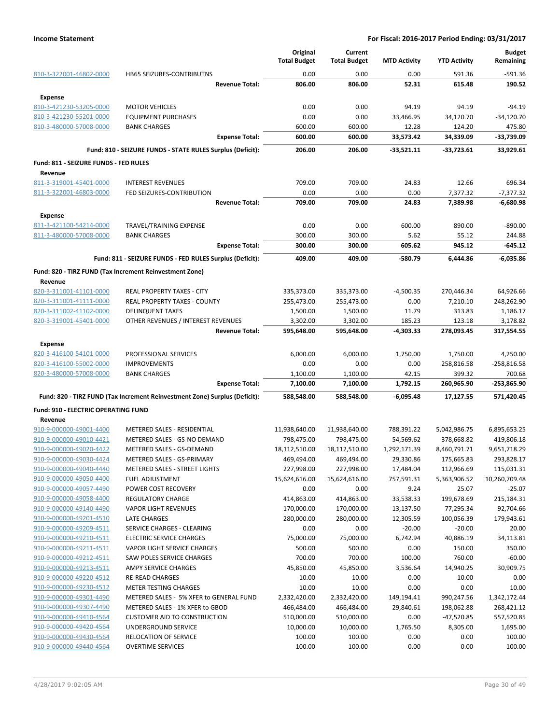|                                                    |                                                                            | Original<br><b>Total Budget</b> | Current<br><b>Total Budget</b> | <b>MTD Activity</b> | <b>YTD Activity</b>  | <b>Budget</b><br>Remaining |
|----------------------------------------------------|----------------------------------------------------------------------------|---------------------------------|--------------------------------|---------------------|----------------------|----------------------------|
| 810-3-322001-46802-0000                            | HB65 SEIZURES-CONTRIBUTNS                                                  | 0.00                            | 0.00                           | 0.00                | 591.36               | $-591.36$                  |
|                                                    | <b>Revenue Total:</b>                                                      | 806.00                          | 806.00                         | 52.31               | 615.48               | 190.52                     |
| <b>Expense</b>                                     |                                                                            |                                 |                                |                     |                      |                            |
| 810-3-421230-53205-0000                            | <b>MOTOR VEHICLES</b>                                                      | 0.00                            | 0.00                           | 94.19               | 94.19                | $-94.19$                   |
| 810-3-421230-55201-0000                            | <b>EQUIPMENT PURCHASES</b>                                                 | 0.00                            | 0.00                           | 33,466.95           | 34,120.70            | $-34,120.70$               |
| 810-3-480000-57008-0000                            | <b>BANK CHARGES</b>                                                        | 600.00                          | 600.00                         | 12.28               | 124.20               | 475.80                     |
|                                                    | <b>Expense Total:</b>                                                      | 600.00                          | 600.00                         | 33,573.42           | 34,339.09            | -33,739.09                 |
|                                                    | Fund: 810 - SEIZURE FUNDS - STATE RULES Surplus (Deficit):                 | 206.00                          | 206.00                         | $-33,521.11$        | $-33,723.61$         | 33,929.61                  |
| Fund: 811 - SEIZURE FUNDS - FED RULES              |                                                                            |                                 |                                |                     |                      |                            |
| Revenue                                            |                                                                            |                                 |                                |                     |                      |                            |
| 811-3-319001-45401-0000                            | <b>INTEREST REVENUES</b>                                                   | 709.00                          | 709.00                         | 24.83               | 12.66                | 696.34                     |
| 811-3-322001-46803-0000                            | FED SEIZURES-CONTRIBUTION                                                  | 0.00                            | 0.00                           | 0.00                | 7,377.32             | $-7,377.32$                |
|                                                    | <b>Revenue Total:</b>                                                      | 709.00                          | 709.00                         | 24.83               | 7,389.98             | $-6,680.98$                |
| <b>Expense</b>                                     |                                                                            |                                 |                                |                     |                      |                            |
| 811-3-421100-54214-0000                            | <b>TRAVEL/TRAINING EXPENSE</b>                                             | 0.00                            | 0.00                           | 600.00              | 890.00               | -890.00                    |
| 811-3-480000-57008-0000                            | <b>BANK CHARGES</b>                                                        | 300.00                          | 300.00                         | 5.62                | 55.12                | 244.88                     |
|                                                    | <b>Expense Total:</b>                                                      | 300.00                          | 300.00                         | 605.62              | 945.12               | $-645.12$                  |
|                                                    | Fund: 811 - SEIZURE FUNDS - FED RULES Surplus (Deficit):                   | 409.00                          | 409.00                         | -580.79             | 6,444.86             | $-6,035.86$                |
|                                                    | Fund: 820 - TIRZ FUND (Tax Increment Reinvestment Zone)                    |                                 |                                |                     |                      |                            |
| Revenue                                            |                                                                            |                                 |                                |                     |                      |                            |
| 820-3-311001-41101-0000                            | <b>REAL PROPERTY TAXES - CITY</b>                                          | 335,373.00                      | 335,373.00                     | $-4,500.35$         | 270,446.34           | 64,926.66                  |
| 820-3-311001-41111-0000                            | REAL PROPERTY TAXES - COUNTY                                               | 255,473.00                      | 255,473.00                     | 0.00                | 7,210.10             | 248,262.90                 |
| 820-3-311002-41102-0000                            | <b>DELINQUENT TAXES</b>                                                    | 1,500.00                        | 1,500.00                       | 11.79               | 313.83               | 1,186.17                   |
| 820-3-319001-45401-0000                            | OTHER REVENUES / INTEREST REVENUES                                         | 3,302.00                        | 3,302.00                       | 185.23              | 123.18               | 3,178.82                   |
|                                                    | <b>Revenue Total:</b>                                                      | 595,648.00                      | 595,648.00                     | -4,303.33           | 278,093.45           | 317,554.55                 |
|                                                    |                                                                            |                                 |                                |                     |                      |                            |
| <b>Expense</b><br>820-3-416100-54101-0000          | PROFESSIONAL SERVICES                                                      | 6,000.00                        | 6,000.00                       | 1,750.00            | 1,750.00             | 4,250.00                   |
|                                                    | <b>IMPROVEMENTS</b>                                                        | 0.00                            | 0.00                           | 0.00                |                      |                            |
| 820-3-416100-55002-0000<br>820-3-480000-57008-0000 |                                                                            |                                 |                                |                     | 258,816.58           | $-258,816.58$<br>700.68    |
|                                                    | <b>BANK CHARGES</b><br><b>Expense Total:</b>                               | 1,100.00<br>7,100.00            | 1,100.00<br>7,100.00           | 42.15<br>1,792.15   | 399.32<br>260,965.90 | -253,865.90                |
|                                                    |                                                                            |                                 |                                | $-6,095.48$         |                      | 571,420.45                 |
|                                                    | Fund: 820 - TIRZ FUND (Tax Increment Reinvestment Zone) Surplus (Deficit): | 588,548.00                      | 588,548.00                     |                     | 17,127.55            |                            |
| Fund: 910 - ELECTRIC OPERATING FUND                |                                                                            |                                 |                                |                     |                      |                            |
| Revenue                                            |                                                                            |                                 |                                |                     |                      |                            |
| 910-9-000000-49001-4400                            | METERED SALES - RESIDENTIAL                                                | 11,938,640.00                   | 11,938,640.00                  | 788,391.22          | 5,042,986.75         | 6,895,653.25               |
| 910-9-000000-49010-4421                            | METERED SALES - GS-NO DEMAND                                               | 798,475.00                      | 798,475.00                     | 54,569.62           | 378,668.82           | 419,806.18                 |
| 910-9-000000-49020-4422                            | METERED SALES - GS-DEMAND                                                  | 18,112,510.00                   | 18,112,510.00                  | 1,292,171.39        | 8,460,791.71         | 9,651,718.29               |
| 910-9-000000-49030-4424                            | METERED SALES - GS-PRIMARY                                                 | 469,494.00                      | 469,494.00                     | 29,330.86           | 175,665.83           | 293,828.17                 |
| 910-9-000000-49040-4440                            | <b>METERED SALES - STREET LIGHTS</b>                                       | 227,998.00                      | 227,998.00                     | 17,484.04           | 112,966.69           | 115,031.31                 |
| 910-9-000000-49050-4400                            | <b>FUEL ADJUSTMENT</b>                                                     | 15,624,616.00                   | 15,624,616.00                  | 757,591.31          | 5,363,906.52         | 10,260,709.48              |
| 910-9-000000-49057-4490                            | POWER COST RECOVERY                                                        | 0.00                            | 0.00                           | 9.24                | 25.07                | $-25.07$                   |
| 910-9-000000-49058-4400                            | <b>REGULATORY CHARGE</b>                                                   | 414,863.00                      | 414,863.00                     | 33,538.33           | 199,678.69           | 215,184.31                 |
| 910-9-000000-49140-4490                            | <b>VAPOR LIGHT REVENUES</b>                                                | 170,000.00                      | 170,000.00                     | 13,137.50           | 77,295.34            | 92,704.66                  |
| 910-9-000000-49201-4510                            | LATE CHARGES                                                               | 280,000.00                      | 280,000.00                     | 12,305.59           | 100,056.39           | 179,943.61                 |
| 910-9-000000-49209-4511                            | SERVICE CHARGES - CLEARING                                                 | 0.00                            | 0.00                           | $-20.00$            | $-20.00$             | 20.00                      |
| 910-9-000000-49210-4511                            | <b>ELECTRIC SERVICE CHARGES</b>                                            | 75,000.00                       | 75,000.00                      | 6,742.94            | 40,886.19            | 34,113.81                  |
| 910-9-000000-49211-4511                            | <b>VAPOR LIGHT SERVICE CHARGES</b>                                         | 500.00                          | 500.00                         | 0.00                | 150.00               | 350.00                     |
| 910-9-000000-49212-4511                            | SAW POLES SERVICE CHARGES                                                  | 700.00                          | 700.00                         | 100.00              | 760.00               | $-60.00$                   |
| 910-9-000000-49213-4511                            | AMPY SERVICE CHARGES                                                       | 45,850.00                       | 45,850.00                      | 3,536.64            | 14,940.25            | 30,909.75                  |
| 910-9-000000-49220-4512                            | <b>RE-READ CHARGES</b>                                                     | 10.00                           | 10.00                          | 0.00                | 10.00                | 0.00                       |
| 910-9-000000-49230-4512                            | METER TESTING CHARGES                                                      | 10.00                           | 10.00                          | 0.00                | 0.00                 | 10.00                      |
| 910-9-000000-49301-4490                            | METERED SALES - 5% XFER to GENERAL FUND                                    | 2,332,420.00                    | 2,332,420.00                   | 149,194.41          | 990,247.56           | 1,342,172.44               |
| 910-9-000000-49307-4490                            | METERED SALES - 1% XFER to GBOD                                            | 466,484.00                      | 466,484.00                     | 29,840.61           | 198,062.88           | 268,421.12                 |
| 910-9-000000-49410-4564                            | <b>CUSTOMER AID TO CONSTRUCTION</b>                                        | 510,000.00                      | 510,000.00                     | 0.00                | $-47,520.85$         | 557,520.85                 |
| 910-9-000000-49420-4564                            | UNDERGROUND SERVICE                                                        | 10,000.00                       | 10,000.00                      | 1,765.50            | 8,305.00             | 1,695.00                   |
| 910-9-000000-49430-4564                            | <b>RELOCATION OF SERVICE</b>                                               | 100.00                          | 100.00                         | 0.00                | 0.00                 | 100.00                     |
| 910-9-000000-49440-4564                            | <b>OVERTIME SERVICES</b>                                                   | 100.00                          | 100.00                         | 0.00                | 0.00                 | 100.00                     |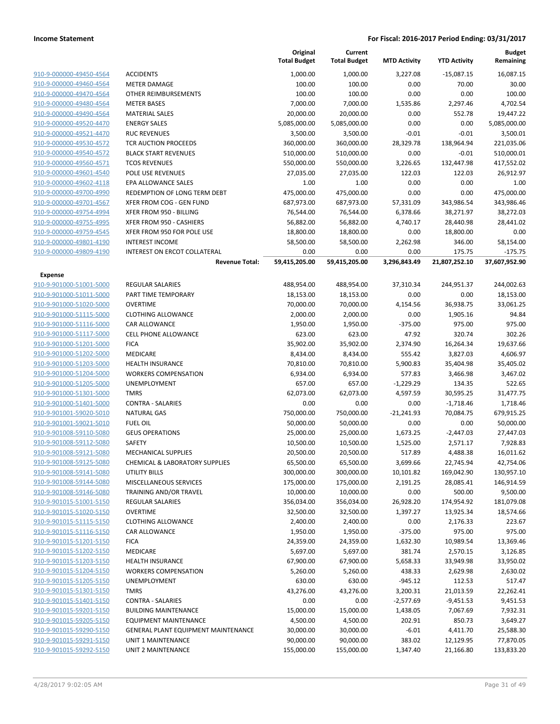|                         |                                     | Original<br><b>Total Budget</b> | Current<br><b>Total Budget</b> | <b>MTD Activity</b> | <b>YTD Activity</b> | <b>Budget</b><br>Remaining |
|-------------------------|-------------------------------------|---------------------------------|--------------------------------|---------------------|---------------------|----------------------------|
| 910-9-000000-49450-4564 | <b>ACCIDENTS</b>                    | 1,000.00                        | 1,000.00                       | 3,227.08            | $-15,087.15$        | 16,087.15                  |
| 910-9-000000-49460-4564 | <b>METER DAMAGE</b>                 | 100.00                          | 100.00                         | 0.00                | 70.00               | 30.00                      |
| 910-9-000000-49470-4564 | <b>OTHER REIMBURSEMENTS</b>         | 100.00                          | 100.00                         | 0.00                | 0.00                | 100.00                     |
| 910-9-000000-49480-4564 | <b>METER BASES</b>                  | 7,000.00                        | 7,000.00                       | 1,535.86            | 2,297.46            | 4,702.54                   |
| 910-9-000000-49490-4564 | <b>MATERIAL SALES</b>               | 20,000.00                       | 20,000.00                      | 0.00                | 552.78              | 19,447.22                  |
| 910-9-000000-49520-4470 | <b>ENERGY SALES</b>                 | 5,085,000.00                    | 5,085,000.00                   | 0.00                | 0.00                | 5,085,000.00               |
| 910-9-000000-49521-4470 | <b>RUC REVENUES</b>                 | 3,500.00                        | 3,500.00                       | $-0.01$             | $-0.01$             | 3,500.01                   |
| 910-9-000000-49530-4572 | TCR AUCTION PROCEEDS                | 360,000.00                      | 360,000.00                     | 28,329.78           | 138,964.94          | 221,035.06                 |
| 910-9-000000-49540-4572 | <b>BLACK START REVENUES</b>         | 510,000.00                      | 510,000.00                     | 0.00                | $-0.01$             | 510,000.01                 |
| 910-9-000000-49560-4571 | <b>TCOS REVENUES</b>                | 550,000.00                      | 550,000.00                     | 3,226.65            | 132,447.98          | 417,552.02                 |
| 910-9-000000-49601-4540 | POLE USE REVENUES                   | 27,035.00                       | 27,035.00                      | 122.03              | 122.03              | 26,912.97                  |
| 910-9-000000-49602-4118 | EPA ALLOWANCE SALES                 | 1.00                            | 1.00                           | 0.00                | 0.00                | 1.00                       |
| 910-9-000000-49700-4990 | REDEMPTION OF LONG TERM DEBT        | 475,000.00                      | 475,000.00                     | 0.00                | 0.00                | 475,000.00                 |
| 910-9-000000-49701-4567 | XFER FROM COG - GEN FUND            | 687,973.00                      | 687,973.00                     | 57,331.09           | 343,986.54          | 343,986.46                 |
| 910-9-000000-49754-4994 | XFER FROM 950 - BILLING             | 76,544.00                       | 76,544.00                      | 6,378.66            | 38,271.97           | 38,272.03                  |
| 910-9-000000-49755-4995 | XFER FROM 950 - CASHIERS            | 56,882.00                       | 56,882.00                      | 4,740.17            | 28,440.98           | 28,441.02                  |
| 910-9-000000-49759-4545 | XFER FROM 950 FOR POLE USE          | 18,800.00                       | 18,800.00                      | 0.00                | 18,800.00           | 0.00                       |
| 910-9-000000-49801-4190 | <b>INTEREST INCOME</b>              | 58,500.00                       | 58,500.00                      | 2,262.98            | 346.00              | 58,154.00                  |
| 910-9-000000-49809-4190 | INTEREST ON ERCOT COLLATERAL        | 0.00                            | 0.00                           | 0.00                | 175.75              | $-175.75$                  |
|                         | <b>Revenue Total:</b>               | 59,415,205.00                   | 59,415,205.00                  | 3,296,843.49        | 21,807,252.10       | 37,607,952.90              |
| Expense                 |                                     |                                 |                                |                     |                     |                            |
| 910-9-901000-51001-5000 | <b>REGULAR SALARIES</b>             | 488,954.00                      | 488,954.00                     | 37,310.34           | 244,951.37          | 244,002.63                 |
| 910-9-901000-51011-5000 | PART TIME TEMPORARY                 | 18,153.00                       | 18,153.00                      | 0.00                | 0.00                | 18,153.00                  |
| 910-9-901000-51020-5000 | <b>OVERTIME</b>                     | 70,000.00                       | 70,000.00                      | 4,154.56            | 36,938.75           | 33,061.25                  |
| 910-9-901000-51115-5000 | <b>CLOTHING ALLOWANCE</b>           | 2,000.00                        | 2,000.00                       | 0.00                | 1,905.16            | 94.84                      |
| 910-9-901000-51116-5000 | <b>CAR ALLOWANCE</b>                | 1,950.00                        | 1,950.00                       | $-375.00$           | 975.00              | 975.00                     |
| 910-9-901000-51117-5000 | <b>CELL PHONE ALLOWANCE</b>         | 623.00                          | 623.00                         | 47.92               | 320.74              | 302.26                     |
| 910-9-901000-51201-5000 | <b>FICA</b>                         | 35,902.00                       | 35,902.00                      | 2,374.90            | 16,264.34           | 19,637.66                  |
| 910-9-901000-51202-5000 | MEDICARE                            | 8,434.00                        | 8,434.00                       | 555.42              | 3,827.03            | 4,606.97                   |
| 910-9-901000-51203-5000 | <b>HEALTH INSURANCE</b>             | 70,810.00                       | 70,810.00                      | 5,900.83            | 35,404.98           | 35,405.02                  |
| 910-9-901000-51204-5000 | <b>WORKERS COMPENSATION</b>         | 6,934.00                        | 6,934.00                       | 577.83              | 3,466.98            | 3,467.02                   |
| 910-9-901000-51205-5000 | UNEMPLOYMENT                        | 657.00                          | 657.00                         | $-1,229.29$         | 134.35              | 522.65                     |
| 910-9-901000-51301-5000 | <b>TMRS</b>                         | 62,073.00                       | 62,073.00                      | 4,597.59            | 30,595.25           | 31,477.75                  |
| 910-9-901000-51401-5000 | <b>CONTRA - SALARIES</b>            | 0.00                            | 0.00                           | 0.00                | $-1,718.46$         | 1,718.46                   |
| 910-9-901001-59020-5010 | <b>NATURAL GAS</b>                  | 750,000.00                      | 750,000.00                     | $-21,241.93$        | 70,084.75           | 679,915.25                 |
| 910-9-901001-59021-5010 | <b>FUEL OIL</b>                     | 50,000.00                       | 50,000.00                      | 0.00                | 0.00                | 50,000.00                  |
| 910-9-901008-59110-5080 | <b>GEUS OPERATIONS</b>              | 25,000.00                       | 25,000.00                      | 1,673.25            | $-2,447.03$         | 27,447.03                  |
| 910-9-901008-59112-5080 | SAFETY                              | 10,500.00                       | 10,500.00                      | 1,525.00            | 2,571.17            | 7,928.83                   |
| 910-9-901008-59121-5080 | <b>MECHANICAL SUPPLIES</b>          | 20,500.00                       | 20,500.00                      | 517.89              | 4,488.38            | 16,011.62                  |
| 910-9-901008-59125-5080 | CHEMICAL & LABORATORY SUPPLIES      | 65,500.00                       | 65,500.00                      | 3,699.66            | 22,745.94           | 42,754.06                  |
| 910-9-901008-59141-5080 | <b>UTILITY BILLS</b>                | 300,000.00                      | 300,000.00                     | 10,101.82           | 169,042.90          | 130,957.10                 |
| 910-9-901008-59144-5080 | MISCELLANEOUS SERVICES              | 175,000.00                      | 175,000.00                     | 2,191.25            | 28,085.41           | 146,914.59                 |
| 910-9-901008-59146-5080 | <b>TRAINING AND/OR TRAVEL</b>       | 10,000.00                       | 10,000.00                      | 0.00                | 500.00              | 9,500.00                   |
| 910-9-901015-51001-5150 | REGULAR SALARIES                    | 356,034.00                      | 356,034.00                     | 26,928.20           | 174,954.92          | 181,079.08                 |
| 910-9-901015-51020-5150 | <b>OVERTIME</b>                     | 32,500.00                       | 32,500.00                      | 1,397.27            | 13,925.34           | 18,574.66                  |
| 910-9-901015-51115-5150 | <b>CLOTHING ALLOWANCE</b>           | 2,400.00                        | 2,400.00                       | 0.00                | 2,176.33            | 223.67                     |
| 910-9-901015-51116-5150 | CAR ALLOWANCE                       | 1,950.00                        | 1,950.00                       | $-375.00$           | 975.00              | 975.00                     |
| 910-9-901015-51201-5150 | <b>FICA</b>                         | 24,359.00                       | 24,359.00                      | 1,632.30            | 10,989.54           | 13,369.46                  |
| 910-9-901015-51202-5150 | MEDICARE                            | 5,697.00                        | 5,697.00                       | 381.74              | 2,570.15            | 3,126.85                   |
| 910-9-901015-51203-5150 | <b>HEALTH INSURANCE</b>             | 67,900.00                       | 67,900.00                      | 5,658.33            | 33,949.98           | 33,950.02                  |
| 910-9-901015-51204-5150 | <b>WORKERS COMPENSATION</b>         | 5,260.00                        | 5,260.00                       | 438.33              | 2,629.98            | 2,630.02                   |
| 910-9-901015-51205-5150 | UNEMPLOYMENT                        | 630.00                          | 630.00                         | $-945.12$           | 112.53              | 517.47                     |
| 910-9-901015-51301-5150 | <b>TMRS</b>                         | 43,276.00                       | 43,276.00                      | 3,200.31            | 21,013.59           | 22,262.41                  |
| 910-9-901015-51401-5150 | <b>CONTRA - SALARIES</b>            | 0.00                            | 0.00                           | $-2,577.69$         | $-9,451.53$         | 9,451.53                   |
| 910-9-901015-59201-5150 | <b>BUILDING MAINTENANCE</b>         | 15,000.00                       | 15,000.00                      | 1,438.05            | 7,067.69            | 7,932.31                   |
| 910-9-901015-59205-5150 | <b>EQUIPMENT MAINTENANCE</b>        | 4,500.00                        | 4,500.00                       | 202.91              | 850.73              | 3,649.27                   |
| 910-9-901015-59290-5150 | GENERAL PLANT EQUIPMENT MAINTENANCE | 30,000.00                       | 30,000.00                      | $-6.01$             | 4,411.70            | 25,588.30                  |
| 910-9-901015-59291-5150 | UNIT 1 MAINTENANCE                  | 90,000.00                       | 90,000.00                      | 383.02              | 12,129.95           | 77,870.05                  |
| 910-9-901015-59292-5150 | UNIT 2 MAINTENANCE                  | 155,000.00                      | 155,000.00                     | 1,347.40            | 21,166.80           | 133,833.20                 |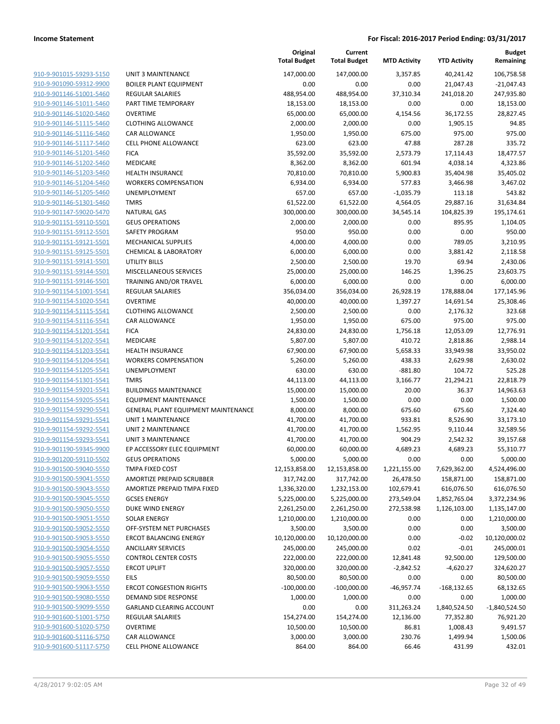|                                                    |                                                          | Original<br><b>Total Budget</b> | Current<br><b>Total Budget</b> | <b>MTD Activity</b> | <b>YTD Activity</b> | <b>Budget</b><br>Remaining |
|----------------------------------------------------|----------------------------------------------------------|---------------------------------|--------------------------------|---------------------|---------------------|----------------------------|
| 910-9-901015-59293-5150                            | <b>UNIT 3 MAINTENANCE</b>                                | 147,000.00                      | 147,000.00                     | 3,357.85            | 40,241.42           | 106,758.58                 |
| 910-9-901090-59312-9900                            | <b>BOILER PLANT EQUIPMENT</b>                            | 0.00                            | 0.00                           | 0.00                | 21,047.43           | $-21,047.43$               |
| 910-9-901146-51001-5460                            | <b>REGULAR SALARIES</b>                                  | 488,954.00                      | 488,954.00                     | 37,310.34           | 241,018.20          | 247,935.80                 |
| 910-9-901146-51011-5460                            | PART TIME TEMPORARY                                      | 18,153.00                       | 18,153.00                      | 0.00                | 0.00                | 18,153.00                  |
| 910-9-901146-51020-5460                            | <b>OVERTIME</b>                                          | 65,000.00                       | 65,000.00                      | 4,154.56            | 36,172.55           | 28,827.45                  |
| 910-9-901146-51115-5460                            | <b>CLOTHING ALLOWANCE</b>                                | 2,000.00                        | 2,000.00                       | 0.00                | 1,905.15            | 94.85                      |
| 910-9-901146-51116-5460                            | CAR ALLOWANCE                                            | 1,950.00                        | 1,950.00                       | 675.00              | 975.00              | 975.00                     |
| 910-9-901146-51117-5460                            | <b>CELL PHONE ALLOWANCE</b>                              | 623.00                          | 623.00                         | 47.88               | 287.28              | 335.72                     |
| 910-9-901146-51201-5460                            | <b>FICA</b>                                              | 35,592.00                       | 35,592.00                      | 2,573.79            | 17,114.43           | 18,477.57                  |
| 910-9-901146-51202-5460                            | <b>MEDICARE</b>                                          | 8,362.00                        | 8,362.00                       | 601.94              | 4,038.14            | 4,323.86                   |
| 910-9-901146-51203-5460                            | <b>HEALTH INSURANCE</b>                                  | 70,810.00                       | 70,810.00                      | 5,900.83            | 35,404.98           | 35,405.02                  |
| 910-9-901146-51204-5460                            | <b>WORKERS COMPENSATION</b>                              | 6,934.00                        | 6,934.00                       | 577.83              | 3,466.98            | 3,467.02                   |
| 910-9-901146-51205-5460                            | UNEMPLOYMENT                                             | 657.00                          | 657.00                         | $-1,035.79$         | 113.18              | 543.82                     |
| 910-9-901146-51301-5460                            | <b>TMRS</b>                                              | 61,522.00                       | 61,522.00                      | 4,564.05            | 29,887.16           | 31,634.84                  |
| 910-9-901147-59020-5470                            | <b>NATURAL GAS</b>                                       | 300,000.00                      | 300,000.00                     | 34,545.14           | 104,825.39          | 195,174.61                 |
| 910-9-901151-59110-5501                            | <b>GEUS OPERATIONS</b>                                   | 2,000.00                        | 2,000.00                       | 0.00                | 895.95              | 1,104.05                   |
| 910-9-901151-59112-5501                            | SAFETY PROGRAM                                           | 950.00                          | 950.00                         | 0.00                | 0.00                | 950.00                     |
| 910-9-901151-59121-5501                            | <b>MECHANICAL SUPPLIES</b>                               | 4,000.00                        | 4,000.00                       | 0.00                | 789.05              | 3,210.95                   |
| 910-9-901151-59125-5501<br>910-9-901151-59141-5501 | <b>CHEMICAL &amp; LABORATORY</b><br><b>UTILITY BILLS</b> | 6,000.00<br>2,500.00            | 6,000.00<br>2,500.00           | 0.00<br>19.70       | 3,881.42<br>69.94   | 2,118.58<br>2,430.06       |
| 910-9-901151-59144-5501                            | MISCELLANEOUS SERVICES                                   | 25,000.00                       | 25,000.00                      | 146.25              | 1,396.25            | 23,603.75                  |
| 910-9-901151-59146-5501                            | TRAINING AND/OR TRAVEL                                   | 6,000.00                        | 6,000.00                       | 0.00                | 0.00                | 6,000.00                   |
| 910-9-901154-51001-5541                            | <b>REGULAR SALARIES</b>                                  | 356,034.00                      | 356,034.00                     | 26,928.19           | 178,888.04          | 177,145.96                 |
| 910-9-901154-51020-5541                            | <b>OVERTIME</b>                                          | 40,000.00                       | 40,000.00                      | 1,397.27            | 14,691.54           | 25,308.46                  |
| 910-9-901154-51115-5541                            | <b>CLOTHING ALLOWANCE</b>                                | 2,500.00                        | 2,500.00                       | 0.00                | 2,176.32            | 323.68                     |
| 910-9-901154-51116-5541                            | CAR ALLOWANCE                                            | 1,950.00                        | 1,950.00                       | 675.00              | 975.00              | 975.00                     |
| 910-9-901154-51201-5541                            | <b>FICA</b>                                              | 24,830.00                       | 24,830.00                      | 1,756.18            | 12,053.09           | 12,776.91                  |
| 910-9-901154-51202-5541                            | MEDICARE                                                 | 5,807.00                        | 5,807.00                       | 410.72              | 2,818.86            | 2,988.14                   |
| 910-9-901154-51203-5541                            | <b>HEALTH INSURANCE</b>                                  | 67,900.00                       | 67,900.00                      | 5,658.33            | 33,949.98           | 33,950.02                  |
| 910-9-901154-51204-5541                            | <b>WORKERS COMPENSATION</b>                              | 5,260.00                        | 5,260.00                       | 438.33              | 2,629.98            | 2,630.02                   |
| 910-9-901154-51205-5541                            | UNEMPLOYMENT                                             | 630.00                          | 630.00                         | $-881.80$           | 104.72              | 525.28                     |
| 910-9-901154-51301-5541                            | <b>TMRS</b>                                              | 44,113.00                       | 44,113.00                      | 3,166.77            | 21,294.21           | 22,818.79                  |
| 910-9-901154-59201-5541                            | <b>BUILDINGS MAINTENANCE</b>                             | 15,000.00                       | 15,000.00                      | 20.00               | 36.37               | 14,963.63                  |
| 910-9-901154-59205-5541                            | <b>EQUIPMENT MAINTENANCE</b>                             | 1,500.00                        | 1,500.00                       | 0.00                | 0.00                | 1,500.00                   |
| 910-9-901154-59290-5541                            | GENERAL PLANT EQUIPMENT MAINTENANCE                      | 8,000.00                        | 8,000.00                       | 675.60              | 675.60              | 7,324.40                   |
| 910-9-901154-59291-5541                            | <b>UNIT 1 MAINTENANCE</b>                                | 41,700.00                       | 41,700.00                      | 933.81              | 8,526.90            | 33,173.10                  |
| 910-9-901154-59292-5541                            | UNIT 2 MAINTENANCE                                       | 41,700.00                       | 41,700.00                      | 1,562.95            | 9,110.44            | 32,589.56                  |
| 910-9-901154-59293-5541                            | <b>UNIT 3 MAINTENANCE</b>                                | 41,700.00                       | 41,700.00                      | 904.29              | 2,542.32            | 39,157.68                  |
| 910-9-901190-59345-9900                            | EP ACCESSORY ELEC EQUIPMENT                              | 60,000.00                       | 60,000.00                      | 4,689.23            | 4,689.23            | 55,310.77                  |
| 910-9-901200-59110-5502                            | <b>GEUS OPERATIONS</b>                                   | 5,000.00                        | 5,000.00                       | 0.00                | 0.00                | 5,000.00                   |
| 910-9-901500-59040-5550                            | TMPA FIXED COST                                          | 12,153,858.00                   | 12,153,858.00                  | 1,221,155.00        | 7,629,362.00        | 4,524,496.00               |
| 910-9-901500-59041-5550                            | AMORTIZE PREPAID SCRUBBER                                | 317,742.00                      | 317,742.00                     | 26,478.50           | 158,871.00          | 158,871.00                 |
| 910-9-901500-59043-5550                            | AMORTIZE PREPAID TMPA FIXED                              | 1,336,320.00                    | 1,232,153.00                   | 102,679.41          | 616,076.50          | 616,076.50                 |
| 910-9-901500-59045-5550                            | <b>GCSES ENERGY</b>                                      | 5,225,000.00                    | 5,225,000.00                   | 273,549.04          | 1,852,765.04        | 3,372,234.96               |
| 910-9-901500-59050-5550                            | DUKE WIND ENERGY                                         | 2,261,250.00                    | 2,261,250.00                   | 272,538.98          | 1,126,103.00        | 1,135,147.00               |
| 910-9-901500-59051-5550                            | <b>SOLAR ENERGY</b>                                      | 1,210,000.00                    | 1,210,000.00                   | 0.00                | 0.00                | 1,210,000.00               |
| 910-9-901500-59052-5550                            | OFF-SYSTEM NET PURCHASES                                 | 3,500.00                        | 3,500.00                       | 0.00                | 0.00                | 3,500.00                   |
| 910-9-901500-59053-5550                            | <b>ERCOT BALANCING ENERGY</b>                            | 10,120,000.00                   | 10,120,000.00                  | 0.00                | $-0.02$             | 10,120,000.02              |
| 910-9-901500-59054-5550                            | <b>ANCILLARY SERVICES</b>                                | 245,000.00                      | 245,000.00                     | 0.02                | $-0.01$             | 245,000.01                 |
| 910-9-901500-59055-5550                            | <b>CONTROL CENTER COSTS</b>                              | 222,000.00                      | 222,000.00                     | 12,841.48           | 92,500.00           | 129,500.00                 |
| 910-9-901500-59057-5550                            | <b>ERCOT UPLIFT</b>                                      | 320,000.00                      | 320,000.00                     | $-2,842.52$         | $-4,620.27$         | 324,620.27                 |
| 910-9-901500-59059-5550                            | EILS                                                     | 80,500.00                       | 80,500.00                      | 0.00                | 0.00                | 80,500.00                  |
| 910-9-901500-59063-5550                            | <b>ERCOT CONGESTION RIGHTS</b>                           | $-100,000.00$                   | $-100,000.00$                  | $-46,957.74$        | $-168, 132.65$      | 68,132.65                  |
| 910-9-901500-59080-5550                            | DEMAND SIDE RESPONSE                                     | 1,000.00                        | 1,000.00                       | 0.00                | 0.00                | 1,000.00                   |
| 910-9-901500-59099-5550                            | <b>GARLAND CLEARING ACCOUNT</b>                          | 0.00                            | 0.00                           | 311,263.24          | 1,840,524.50        | $-1,840,524.50$            |
| 910-9-901600-51001-5750                            | <b>REGULAR SALARIES</b>                                  | 154,274.00                      | 154,274.00                     | 12,136.00           | 77,352.80           | 76,921.20                  |
| 910-9-901600-51020-5750                            | <b>OVERTIME</b>                                          | 10,500.00                       | 10,500.00                      | 86.81               | 1,008.43            | 9,491.57                   |
| 910-9-901600-51116-5750                            | CAR ALLOWANCE                                            | 3,000.00                        | 3,000.00                       | 230.76              | 1,499.94            | 1,500.06                   |
| 910-9-901600-51117-5750                            | <b>CELL PHONE ALLOWANCE</b>                              | 864.00                          | 864.00                         | 66.46               | 431.99              | 432.01                     |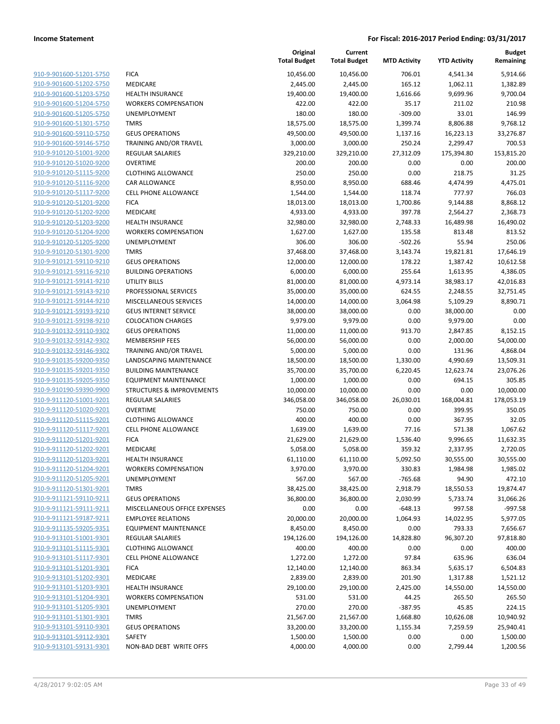|                                                    |                                       | Original<br><b>Total Budget</b> | Current<br><b>Total Budget</b> | <b>MTD Activity</b> | <b>YTD Activity</b>   | <b>Budget</b><br>Remaining |
|----------------------------------------------------|---------------------------------------|---------------------------------|--------------------------------|---------------------|-----------------------|----------------------------|
| 910-9-901600-51201-5750                            | <b>FICA</b>                           | 10,456.00                       | 10,456.00                      | 706.01              | 4,541.34              | 5,914.66                   |
| 910-9-901600-51202-5750                            | MEDICARE                              | 2,445.00                        | 2,445.00                       | 165.12              | 1,062.11              | 1,382.89                   |
| 910-9-901600-51203-5750                            | <b>HEALTH INSURANCE</b>               | 19,400.00                       | 19,400.00                      | 1,616.66            | 9,699.96              | 9,700.04                   |
| 910-9-901600-51204-5750                            | <b>WORKERS COMPENSATION</b>           | 422.00                          | 422.00                         | 35.17               | 211.02                | 210.98                     |
| 910-9-901600-51205-5750                            | UNEMPLOYMENT                          | 180.00                          | 180.00                         | $-309.00$           | 33.01                 | 146.99                     |
| 910-9-901600-51301-5750                            | <b>TMRS</b>                           | 18,575.00                       | 18,575.00                      | 1,399.74            | 8,806.88              | 9,768.12                   |
| 910-9-901600-59110-5750                            | <b>GEUS OPERATIONS</b>                | 49,500.00                       | 49,500.00                      | 1,137.16            | 16,223.13             | 33,276.87                  |
| 910-9-901600-59146-5750                            | TRAINING AND/OR TRAVEL                | 3,000.00                        | 3,000.00                       | 250.24              | 2,299.47              | 700.53                     |
| 910-9-910120-51001-9200                            | REGULAR SALARIES                      | 329,210.00                      | 329,210.00                     | 27,312.09           | 175,394.80            | 153,815.20                 |
| 910-9-910120-51020-9200                            | <b>OVERTIME</b>                       | 200.00                          | 200.00                         | 0.00                | 0.00                  | 200.00                     |
| 910-9-910120-51115-9200                            | <b>CLOTHING ALLOWANCE</b>             | 250.00                          | 250.00                         | 0.00                | 218.75                | 31.25                      |
| 910-9-910120-51116-9200                            | CAR ALLOWANCE                         | 8,950.00                        | 8,950.00                       | 688.46              | 4,474.99              | 4,475.01                   |
| 910-9-910120-51117-9200                            | CELL PHONE ALLOWANCE                  | 1,544.00                        | 1,544.00                       | 118.74              | 777.97                | 766.03                     |
| 910-9-910120-51201-9200                            | <b>FICA</b>                           | 18,013.00                       | 18,013.00                      | 1,700.86            | 9,144.88              | 8,868.12                   |
| 910-9-910120-51202-9200                            | MEDICARE                              | 4,933.00                        | 4,933.00                       | 397.78              | 2,564.27              | 2,368.73                   |
| 910-9-910120-51203-9200                            | HEALTH INSURANCE                      | 32,980.00                       | 32,980.00                      | 2,748.33            | 16,489.98             | 16,490.02                  |
| 910-9-910120-51204-9200<br>910-9-910120-51205-9200 | <b>WORKERS COMPENSATION</b>           | 1,627.00                        | 1,627.00                       | 135.58              | 813.48                | 813.52                     |
| 910-9-910120-51301-9200                            | UNEMPLOYMENT                          | 306.00                          | 306.00                         | $-502.26$           | 55.94                 | 250.06                     |
| 910-9-910121-59110-9210                            | <b>TMRS</b><br><b>GEUS OPERATIONS</b> | 37,468.00<br>12,000.00          | 37,468.00                      | 3,143.74<br>178.22  | 19,821.81             | 17,646.19<br>10,612.58     |
| 910-9-910121-59116-9210                            | <b>BUILDING OPERATIONS</b>            | 6,000.00                        | 12,000.00                      | 255.64              | 1,387.42              |                            |
| 910-9-910121-59141-9210                            | <b>UTILITY BILLS</b>                  | 81,000.00                       | 6,000.00<br>81,000.00          | 4,973.14            | 1,613.95              | 4,386.05<br>42,016.83      |
| 910-9-910121-59143-9210                            | PROFESSIONAL SERVICES                 | 35,000.00                       | 35,000.00                      | 624.55              | 38,983.17<br>2,248.55 | 32,751.45                  |
| 910-9-910121-59144-9210                            | MISCELLANEOUS SERVICES                | 14,000.00                       | 14,000.00                      | 3,064.98            | 5,109.29              | 8,890.71                   |
| 910-9-910121-59193-9210                            | <b>GEUS INTERNET SERVICE</b>          | 38,000.00                       | 38,000.00                      | 0.00                | 38,000.00             | 0.00                       |
| 910-9-910121-59198-9210                            | <b>COLOCATION CHARGES</b>             | 9,979.00                        | 9,979.00                       | 0.00                | 9,979.00              | 0.00                       |
| 910-9-910132-59110-9302                            | <b>GEUS OPERATIONS</b>                | 11,000.00                       | 11,000.00                      | 913.70              | 2,847.85              | 8,152.15                   |
| 910-9-910132-59142-9302                            | <b>MEMBERSHIP FEES</b>                | 56,000.00                       | 56,000.00                      | 0.00                | 2,000.00              | 54,000.00                  |
| 910-9-910132-59146-9302                            | TRAINING AND/OR TRAVEL                | 5,000.00                        | 5,000.00                       | 0.00                | 131.96                | 4,868.04                   |
| 910-9-910135-59200-9350                            | LANDSCAPING MAINTENANCE               | 18,500.00                       | 18,500.00                      | 1,330.00            | 4,990.69              | 13,509.31                  |
| 910-9-910135-59201-9350                            | <b>BUILDING MAINTENANCE</b>           | 35,700.00                       | 35,700.00                      | 6,220.45            | 12,623.74             | 23,076.26                  |
| 910-9-910135-59205-9350                            | <b>EQUIPMENT MAINTENANCE</b>          | 1,000.00                        | 1,000.00                       | 0.00                | 694.15                | 305.85                     |
| 910-9-910190-59390-9900                            | STRUCTURES & IMPROVEMENTS             | 10,000.00                       | 10,000.00                      | 0.00                | 0.00                  | 10,000.00                  |
| 910-9-911120-51001-9201                            | REGULAR SALARIES                      | 346,058.00                      | 346,058.00                     | 26,030.01           | 168,004.81            | 178,053.19                 |
| 910-9-911120-51020-9201                            | <b>OVERTIME</b>                       | 750.00                          | 750.00                         | 0.00                | 399.95                | 350.05                     |
| 910-9-911120-51115-9201                            | <b>CLOTHING ALLOWANCE</b>             | 400.00                          | 400.00                         | 0.00                | 367.95                | 32.05                      |
| 910-9-911120-51117-9201                            | <b>CELL PHONE ALLOWANCE</b>           | 1,639.00                        | 1,639.00                       | 77.16               | 571.38                | 1,067.62                   |
| 910-9-911120-51201-9201                            | <b>FICA</b>                           | 21,629.00                       | 21,629.00                      | 1,536.40            | 9,996.65              | 11,632.35                  |
| 910-9-911120-51202-9201                            | MEDICARE                              | 5,058.00                        | 5,058.00                       | 359.32              | 2,337.95              | 2,720.05                   |
| 910-9-911120-51203-9201                            | <b>HEALTH INSURANCE</b>               | 61,110.00                       | 61,110.00                      | 5,092.50            | 30,555.00             | 30,555.00                  |
| 910-9-911120-51204-9201                            | <b>WORKERS COMPENSATION</b>           | 3,970.00                        | 3,970.00                       | 330.83              | 1,984.98              | 1,985.02                   |
| 910-9-911120-51205-9201                            | UNEMPLOYMENT                          | 567.00                          | 567.00                         | $-765.68$           | 94.90                 | 472.10                     |
| 910-9-911120-51301-9201                            | <b>TMRS</b>                           | 38,425.00                       | 38,425.00                      | 2,918.79            | 18,550.53             | 19,874.47                  |
| 910-9-911121-59110-9211                            | <b>GEUS OPERATIONS</b>                | 36,800.00                       | 36,800.00                      | 2,030.99            | 5,733.74              | 31,066.26                  |
| 910-9-911121-59111-9211                            | MISCELLANEOUS OFFICE EXPENSES         | 0.00                            | 0.00                           | $-648.13$           | 997.58                | $-997.58$                  |
| 910-9-911121-59187-9211                            | <b>EMPLOYEE RELATIONS</b>             | 20,000.00                       | 20,000.00                      | 1,064.93            | 14,022.95             | 5,977.05                   |
| 910-9-911135-59205-9351                            | <b>EQUIPMENT MAINTENANCE</b>          | 8,450.00                        | 8,450.00                       | 0.00                | 793.33                | 7,656.67                   |
| 910-9-913101-51001-9301                            | <b>REGULAR SALARIES</b>               | 194,126.00                      | 194,126.00                     | 14,828.80           | 96,307.20             | 97,818.80                  |
| 910-9-913101-51115-9301                            | <b>CLOTHING ALLOWANCE</b>             | 400.00                          | 400.00                         | 0.00                | 0.00                  | 400.00                     |
| 910-9-913101-51117-9301                            | <b>CELL PHONE ALLOWANCE</b>           | 1,272.00                        | 1,272.00                       | 97.84               | 635.96                | 636.04                     |
| 910-9-913101-51201-9301                            | <b>FICA</b>                           | 12,140.00                       | 12,140.00                      | 863.34              | 5,635.17              | 6,504.83                   |
| 910-9-913101-51202-9301                            | MEDICARE                              | 2,839.00                        | 2,839.00                       | 201.90              | 1,317.88              | 1,521.12                   |
| 910-9-913101-51203-9301                            | <b>HEALTH INSURANCE</b>               | 29,100.00                       | 29,100.00                      | 2,425.00            | 14,550.00             | 14,550.00                  |
| 910-9-913101-51204-9301                            | <b>WORKERS COMPENSATION</b>           | 531.00                          | 531.00                         | 44.25               | 265.50                | 265.50                     |
| 910-9-913101-51205-9301                            | UNEMPLOYMENT                          | 270.00                          | 270.00                         | $-387.95$           | 45.85                 | 224.15                     |
| 910-9-913101-51301-9301                            | <b>TMRS</b>                           | 21,567.00                       | 21,567.00                      | 1,668.80            | 10,626.08             | 10,940.92                  |
| 910-9-913101-59110-9301                            | <b>GEUS OPERATIONS</b>                | 33,200.00                       | 33,200.00                      | 1,155.34            | 7,259.59              | 25,940.41                  |
| 910-9-913101-59112-9301                            | SAFETY                                | 1,500.00                        | 1,500.00                       | 0.00                | 0.00                  | 1,500.00                   |
| 910-9-913101-59131-9301                            | NON-BAD DEBT WRITE OFFS               | 4,000.00                        | 4,000.00                       | 0.00                | 2,799.44              | 1,200.56                   |
|                                                    |                                       |                                 |                                |                     |                       |                            |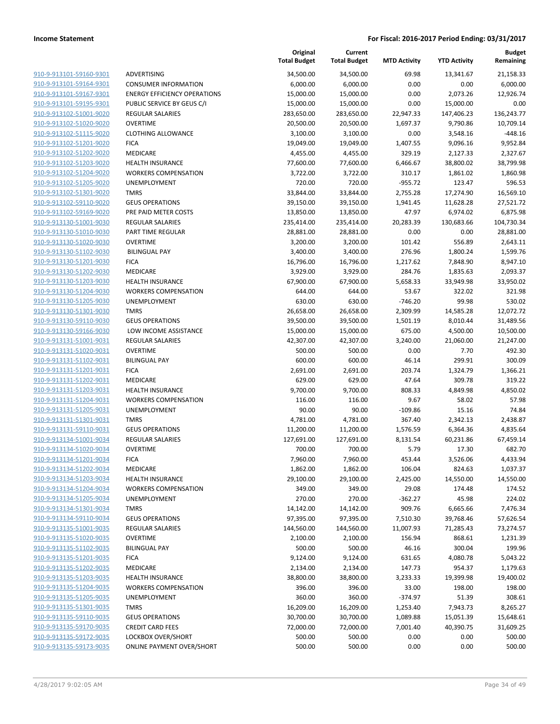**Current**

**Original**

**Budget**

| 910-9-913101-59160-9301                            |
|----------------------------------------------------|
| 910-9-913101-59164-9301                            |
| 910-9-913101-59167-9301                            |
| 910-9-913101-59195-9301                            |
| 910-9-913102-51001-9020                            |
| <u>910-9-913102-51020-9020</u>                     |
| 910-9-913102-51115-9020                            |
| 910-9-913102-51201-9020                            |
| 910-9-913102-51202-9020                            |
| 910-9-913102-51203-9020                            |
| 910-9-913102-51204-9020                            |
| 910-9-913102-51205-9020                            |
| 910-9-913102-51301-9020                            |
| 910-9-913102-59110-9020                            |
| 910-9-913102-59169-9020                            |
| 910-9-913130-51001-9030                            |
| 910-9-913130-51010-9030                            |
| 910-9-913130-51020-9030                            |
| 910-9-913130-51102-9030                            |
| 910-9-913130-51201-9030                            |
| 910-9-913130-51202-9030                            |
| 910-9-913130-51203-9030                            |
| 910-9-913130-51204-9030                            |
| 910-9-913130-51205-9030                            |
| 910-9-913130-51301-9030                            |
| 910-9-913130-59110-9030<br>910-9-913130-59166-9030 |
| 910-9-913131-51001-9031                            |
| 910-9-913131-51020-9031                            |
| 910-9-913131-51102-9031                            |
| 910-9-913131-51201-9031                            |
| 910-9-913131-51202-9031                            |
| 910-9-913131-51203-9031                            |
| 910-9-913131-51204-9031                            |
| 910-9-913131-51205-9031                            |
| 910-9-913131-51301-9031                            |
| <u>910-9-913131-59110-9031</u>                     |
| 910-9-913134-51001-9034                            |
| 910-9-913134-51020-9034                            |
| 910-9-913134-51201-9034                            |
| 910-9-913134-51202-9034                            |
| <u>910-9-913134-51203-9034</u>                     |
| 910-9-913134-51204-9034                            |
| 910-9-913134-51205-9034                            |
| 910-9-913134-51301-9034                            |
| 910-9-913134-59110-9034                            |
| 910-9-913135-51001-9035                            |
| 910-9-913135-51020-9035                            |
| 910-9-913135-51102-9035                            |
| <u>910-9-913135-51201-9035</u>                     |
| <u>910-9-913135-51202-9035</u>                     |
| <u>910-9-913135-51203-9035</u>                     |
| 910-9-913135-51204-9035                            |
| 910-9-913135-51205-9035                            |
| 910-9-913135-51301-9035                            |
| 910-9-913135-59110-9035                            |
| <u>910-9-913135-59170-9035</u>                     |
| <u>910-9-913135-59172-9035</u>                     |
| 910-9-913135-59173-9035                            |

|                         |                                     | <b>Total Budget</b> | <b>Total Budget</b> | <b>MTD Activity</b> | <b>YTD Activity</b> | Remaining  |
|-------------------------|-------------------------------------|---------------------|---------------------|---------------------|---------------------|------------|
| 910-9-913101-59160-9301 | ADVERTISING                         | 34,500.00           | 34,500.00           | 69.98               | 13,341.67           | 21,158.33  |
| 910-9-913101-59164-9301 | <b>CONSUMER INFORMATION</b>         | 6,000.00            | 6,000.00            | 0.00                | 0.00                | 6,000.00   |
| 910-9-913101-59167-9301 | <b>ENERGY EFFICIENCY OPERATIONS</b> | 15,000.00           | 15,000.00           | 0.00                | 2,073.26            | 12,926.74  |
| 910-9-913101-59195-9301 | PUBLIC SERVICE BY GEUS C/I          | 15,000.00           | 15,000.00           | 0.00                | 15,000.00           | 0.00       |
| 910-9-913102-51001-9020 | <b>REGULAR SALARIES</b>             | 283,650.00          | 283,650.00          | 22,947.33           | 147,406.23          | 136,243.77 |
| 910-9-913102-51020-9020 | <b>OVERTIME</b>                     | 20,500.00           | 20,500.00           | 1,697.37            | 9,790.86            | 10,709.14  |
| 910-9-913102-51115-9020 | <b>CLOTHING ALLOWANCE</b>           | 3,100.00            | 3,100.00            | 0.00                | 3,548.16            | $-448.16$  |
| 910-9-913102-51201-9020 | <b>FICA</b>                         | 19,049.00           | 19,049.00           | 1,407.55            | 9,096.16            | 9,952.84   |
| 910-9-913102-51202-9020 | MEDICARE                            | 4,455.00            | 4,455.00            | 329.19              | 2,127.33            | 2,327.67   |
| 910-9-913102-51203-9020 | <b>HEALTH INSURANCE</b>             | 77,600.00           | 77,600.00           | 6,466.67            | 38,800.02           | 38,799.98  |
| 910-9-913102-51204-9020 | <b>WORKERS COMPENSATION</b>         | 3,722.00            | 3,722.00            | 310.17              | 1,861.02            | 1,860.98   |
| 910-9-913102-51205-9020 | <b>UNEMPLOYMENT</b>                 | 720.00              | 720.00              | $-955.72$           | 123.47              | 596.53     |
| 910-9-913102-51301-9020 | <b>TMRS</b>                         | 33,844.00           | 33,844.00           | 2,755.28            | 17,274.90           | 16,569.10  |
| 910-9-913102-59110-9020 | <b>GEUS OPERATIONS</b>              | 39,150.00           | 39,150.00           | 1,941.45            | 11,628.28           | 27,521.72  |
| 910-9-913102-59169-9020 | PRE PAID METER COSTS                | 13,850.00           | 13,850.00           | 47.97               | 6,974.02            | 6,875.98   |
| 910-9-913130-51001-9030 | REGULAR SALARIES                    | 235,414.00          | 235,414.00          | 20,283.39           | 130,683.66          | 104,730.34 |
| 910-9-913130-51010-9030 | PART TIME REGULAR                   | 28,881.00           | 28,881.00           | 0.00                | 0.00                | 28,881.00  |
| 910-9-913130-51020-9030 | <b>OVERTIME</b>                     | 3,200.00            | 3,200.00            | 101.42              | 556.89              | 2,643.11   |
| 910-9-913130-51102-9030 | <b>BILINGUAL PAY</b>                | 3,400.00            | 3,400.00            | 276.96              | 1,800.24            | 1,599.76   |
| 910-9-913130-51201-9030 | <b>FICA</b>                         | 16,796.00           | 16,796.00           | 1,217.62            | 7,848.90            | 8,947.10   |
| 910-9-913130-51202-9030 | MEDICARE                            | 3,929.00            | 3,929.00            | 284.76              | 1,835.63            | 2,093.37   |
| 910-9-913130-51203-9030 | <b>HEALTH INSURANCE</b>             | 67,900.00           | 67,900.00           | 5,658.33            | 33,949.98           | 33,950.02  |
| 910-9-913130-51204-9030 | <b>WORKERS COMPENSATION</b>         | 644.00              | 644.00              | 53.67               | 322.02              | 321.98     |
| 910-9-913130-51205-9030 | UNEMPLOYMENT                        | 630.00              | 630.00              | $-746.20$           | 99.98               | 530.02     |
| 910-9-913130-51301-9030 | <b>TMRS</b>                         | 26,658.00           | 26,658.00           | 2,309.99            | 14,585.28           | 12,072.72  |
| 910-9-913130-59110-9030 | <b>GEUS OPERATIONS</b>              | 39,500.00           | 39,500.00           | 1,501.19            | 8,010.44            | 31,489.56  |
| 910-9-913130-59166-9030 | LOW INCOME ASSISTANCE               | 15,000.00           | 15,000.00           | 675.00              | 4,500.00            | 10,500.00  |
| 910-9-913131-51001-9031 | <b>REGULAR SALARIES</b>             | 42,307.00           | 42,307.00           | 3,240.00            | 21,060.00           | 21,247.00  |
| 910-9-913131-51020-9031 | <b>OVERTIME</b>                     | 500.00              | 500.00              | 0.00                | 7.70                | 492.30     |
| 910-9-913131-51102-9031 | <b>BILINGUAL PAY</b>                | 600.00              | 600.00              | 46.14               | 299.91              | 300.09     |
| 910-9-913131-51201-9031 | <b>FICA</b>                         | 2,691.00            | 2,691.00            | 203.74              | 1,324.79            | 1,366.21   |
| 910-9-913131-51202-9031 | MEDICARE                            | 629.00              | 629.00              | 47.64               | 309.78              | 319.22     |
| 910-9-913131-51203-9031 | <b>HEALTH INSURANCE</b>             | 9,700.00            | 9,700.00            | 808.33              | 4,849.98            | 4,850.02   |
| 910-9-913131-51204-9031 | <b>WORKERS COMPENSATION</b>         | 116.00              | 116.00              | 9.67                | 58.02               | 57.98      |
| 910-9-913131-51205-9031 | UNEMPLOYMENT                        | 90.00               | 90.00               | $-109.86$           | 15.16               | 74.84      |
| 910-9-913131-51301-9031 | <b>TMRS</b>                         | 4,781.00            | 4,781.00            | 367.40              | 2,342.13            | 2,438.87   |
| 910-9-913131-59110-9031 | <b>GEUS OPERATIONS</b>              | 11,200.00           | 11,200.00           | 1,576.59            | 6,364.36            | 4,835.64   |
| 910-9-913134-51001-9034 | REGULAR SALARIES                    | 127,691.00          | 127,691.00          | 8,131.54            | 60,231.86           | 67,459.14  |
| 910-9-913134-51020-9034 | <b>OVERTIME</b>                     | 700.00              | 700.00              | 5.79                | 17.30               | 682.70     |
| 910-9-913134-51201-9034 | <b>FICA</b>                         | 7,960.00            | 7,960.00            | 453.44              | 3,526.06            | 4,433.94   |
| 910-9-913134-51202-9034 | MEDICARE                            | 1,862.00            | 1,862.00            | 106.04              | 824.63              | 1,037.37   |
| 910-9-913134-51203-9034 | <b>HEALTH INSURANCE</b>             | 29,100.00           | 29,100.00           | 2,425.00            | 14,550.00           | 14,550.00  |
| 910-9-913134-51204-9034 | <b>WORKERS COMPENSATION</b>         | 349.00              | 349.00              | 29.08               | 174.48              | 174.52     |
| 910-9-913134-51205-9034 | UNEMPLOYMENT                        | 270.00              | 270.00              | $-362.27$           | 45.98               | 224.02     |
| 910-9-913134-51301-9034 | <b>TMRS</b>                         | 14,142.00           | 14,142.00           | 909.76              | 6,665.66            | 7,476.34   |
| 910-9-913134-59110-9034 | <b>GEUS OPERATIONS</b>              | 97,395.00           | 97,395.00           | 7,510.30            | 39,768.46           | 57,626.54  |
| 910-9-913135-51001-9035 | REGULAR SALARIES                    | 144,560.00          | 144,560.00          | 11,007.93           | 71,285.43           | 73,274.57  |
| 910-9-913135-51020-9035 | <b>OVERTIME</b>                     | 2,100.00            | 2,100.00            | 156.94              | 868.61              | 1,231.39   |
| 910-9-913135-51102-9035 | <b>BILINGUAL PAY</b>                | 500.00              | 500.00              | 46.16               | 300.04              | 199.96     |
| 910-9-913135-51201-9035 | <b>FICA</b>                         | 9,124.00            | 9,124.00            | 631.65              | 4,080.78            | 5,043.22   |
| 910-9-913135-51202-9035 | MEDICARE                            | 2,134.00            | 2,134.00            | 147.73              | 954.37              | 1,179.63   |
| 910-9-913135-51203-9035 | <b>HEALTH INSURANCE</b>             | 38,800.00           | 38,800.00           | 3,233.33            | 19,399.98           | 19,400.02  |
| 910-9-913135-51204-9035 | <b>WORKERS COMPENSATION</b>         | 396.00              | 396.00              | 33.00               | 198.00              | 198.00     |
| 910-9-913135-51205-9035 | UNEMPLOYMENT                        | 360.00              | 360.00              | $-374.97$           | 51.39               | 308.61     |
| 910-9-913135-51301-9035 | <b>TMRS</b>                         | 16,209.00           | 16,209.00           | 1,253.40            | 7,943.73            | 8,265.27   |
| 910-9-913135-59110-9035 | <b>GEUS OPERATIONS</b>              | 30,700.00           | 30,700.00           | 1,089.88            | 15,051.39           | 15,648.61  |
| 910-9-913135-59170-9035 | <b>CREDIT CARD FEES</b>             | 72,000.00           | 72,000.00           | 7,001.40            | 40,390.75           | 31,609.25  |
| 910-9-913135-59172-9035 | LOCKBOX OVER/SHORT                  | 500.00              | 500.00              | 0.00                | 0.00                | 500.00     |
| 910-9-913135-59173-9035 | <b>ONLINE PAYMENT OVER/SHORT</b>    | 500.00              | 500.00              | 0.00                | 0.00                | 500.00     |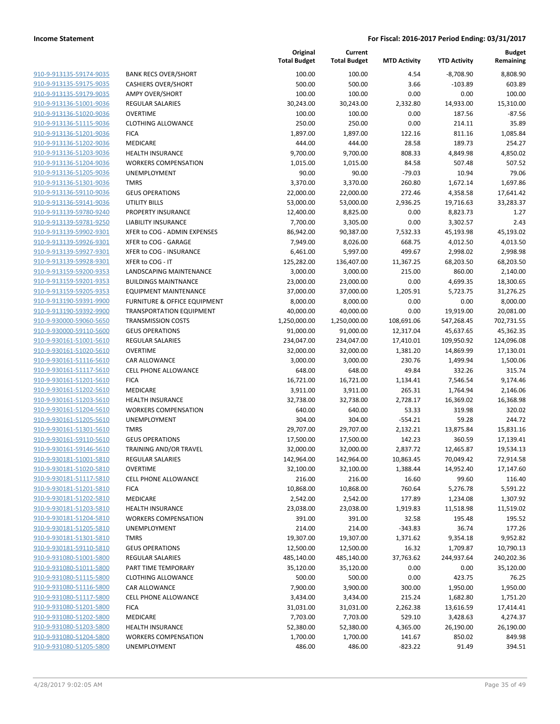|                         |                                         | Original<br><b>Total Budget</b> | Current<br><b>Total Budget</b> | <b>MTD Activity</b> | <b>YTD Activity</b> | <b>Budget</b><br>Remaining |
|-------------------------|-----------------------------------------|---------------------------------|--------------------------------|---------------------|---------------------|----------------------------|
| 910-9-913135-59174-9035 | <b>BANK RECS OVER/SHORT</b>             | 100.00                          | 100.00                         | 4.54                | $-8,708.90$         | 8,808.90                   |
| 910-9-913135-59175-9035 | <b>CASHIERS OVER/SHORT</b>              | 500.00                          | 500.00                         | 3.66                | $-103.89$           | 603.89                     |
| 910-9-913135-59179-9035 | <b>AMPY OVER/SHORT</b>                  | 100.00                          | 100.00                         | 0.00                | 0.00                | 100.00                     |
| 910-9-913136-51001-9036 | <b>REGULAR SALARIES</b>                 | 30,243.00                       | 30,243.00                      | 2,332.80            | 14,933.00           | 15,310.00                  |
| 910-9-913136-51020-9036 | <b>OVERTIME</b>                         | 100.00                          | 100.00                         | 0.00                | 187.56              | $-87.56$                   |
| 910-9-913136-51115-9036 | <b>CLOTHING ALLOWANCE</b>               | 250.00                          | 250.00                         | 0.00                | 214.11              | 35.89                      |
| 910-9-913136-51201-9036 | <b>FICA</b>                             | 1,897.00                        | 1,897.00                       | 122.16              | 811.16              | 1,085.84                   |
| 910-9-913136-51202-9036 | MEDICARE                                | 444.00                          | 444.00                         | 28.58               | 189.73              | 254.27                     |
| 910-9-913136-51203-9036 | <b>HEALTH INSURANCE</b>                 | 9,700.00                        | 9,700.00                       | 808.33              | 4,849.98            | 4,850.02                   |
| 910-9-913136-51204-9036 | <b>WORKERS COMPENSATION</b>             | 1,015.00                        | 1,015.00                       | 84.58               | 507.48              | 507.52                     |
| 910-9-913136-51205-9036 | UNEMPLOYMENT                            | 90.00                           | 90.00                          | $-79.03$            | 10.94               | 79.06                      |
| 910-9-913136-51301-9036 | <b>TMRS</b>                             | 3,370.00                        | 3,370.00                       | 260.80              | 1,672.14            | 1,697.86                   |
| 910-9-913136-59110-9036 | <b>GEUS OPERATIONS</b>                  | 22,000.00                       | 22,000.00                      | 272.46              | 4,358.58            | 17,641.42                  |
| 910-9-913136-59141-9036 | <b>UTILITY BILLS</b>                    | 53,000.00                       | 53,000.00                      | 2,936.25            | 19,716.63           | 33,283.37                  |
| 910-9-913139-59780-9240 | PROPERTY INSURANCE                      | 12,400.00                       | 8,825.00                       | 0.00                | 8,823.73            | 1.27                       |
| 910-9-913139-59781-9250 | <b>LIABILITY INSURANCE</b>              | 7,700.00                        | 3,305.00                       | 0.00                | 3,302.57            | 2.43                       |
| 910-9-913139-59902-9301 | XFER to COG - ADMIN EXPENSES            | 86,942.00                       | 90,387.00                      | 7,532.33            | 45,193.98           | 45,193.02                  |
| 910-9-913139-59926-9301 | XFER to COG - GARAGE                    | 7,949.00                        | 8,026.00                       | 668.75              | 4,012.50            | 4,013.50                   |
| 910-9-913139-59927-9301 | XFER to COG - INSURANCE                 | 6,461.00                        | 5,997.00                       | 499.67              | 2,998.02            | 2,998.98                   |
| 910-9-913139-59928-9301 | XFER to COG - IT                        | 125,282.00                      | 136,407.00                     | 11,367.25           | 68,203.50           | 68,203.50                  |
| 910-9-913159-59200-9353 | LANDSCAPING MAINTENANCE                 | 3,000.00                        | 3,000.00                       | 215.00              | 860.00              | 2,140.00                   |
| 910-9-913159-59201-9353 | <b>BUILDINGS MAINTNANCE</b>             | 23,000.00                       | 23,000.00                      | 0.00                | 4,699.35            | 18,300.65                  |
| 910-9-913159-59205-9353 | <b>EQUIPMENT MAINTENANCE</b>            | 37,000.00                       | 37,000.00                      | 1,205.91            | 5,723.75            | 31,276.25                  |
| 910-9-913190-59391-9900 | <b>FURNITURE &amp; OFFICE EQUIPMENT</b> | 8,000.00                        | 8,000.00                       | 0.00                | 0.00                | 8,000.00                   |
| 910-9-913190-59392-9900 | <b>TRANSPORTATION EQUIPMENT</b>         | 40,000.00                       | 40,000.00                      | 0.00                | 19,919.00           | 20,081.00                  |
| 910-9-930000-59060-5650 | <b>TRANSMISSION COSTS</b>               | 1,250,000.00                    | 1,250,000.00                   | 108,691.06          | 547,268.45          | 702,731.55                 |
| 910-9-930000-59110-5600 | <b>GEUS OPERATIONS</b>                  | 91,000.00                       | 91,000.00                      | 12,317.04           | 45,637.65           | 45,362.35                  |
| 910-9-930161-51001-5610 | <b>REGULAR SALARIES</b>                 | 234,047.00                      | 234,047.00                     | 17,410.01           | 109,950.92          | 124,096.08                 |
| 910-9-930161-51020-5610 | <b>OVERTIME</b>                         | 32,000.00                       | 32,000.00                      | 1,381.20            | 14,869.99           | 17,130.01                  |
| 910-9-930161-51116-5610 | CAR ALLOWANCE                           | 3,000.00                        | 3,000.00                       | 230.76              | 1,499.94            | 1,500.06                   |
| 910-9-930161-51117-5610 | <b>CELL PHONE ALLOWANCE</b>             | 648.00                          | 648.00                         | 49.84               | 332.26              | 315.74                     |
| 910-9-930161-51201-5610 | <b>FICA</b>                             | 16,721.00                       | 16,721.00                      | 1,134.41            | 7,546.54            | 9,174.46                   |
| 910-9-930161-51202-5610 | MEDICARE                                | 3,911.00                        | 3,911.00                       | 265.31              | 1,764.94            | 2,146.06                   |
| 910-9-930161-51203-5610 | <b>HEALTH INSURANCE</b>                 | 32,738.00                       | 32,738.00                      | 2,728.17            | 16,369.02           | 16,368.98                  |
| 910-9-930161-51204-5610 | <b>WORKERS COMPENSATION</b>             | 640.00                          | 640.00                         | 53.33               | 319.98              | 320.02                     |
| 910-9-930161-51205-5610 | UNEMPLOYMENT                            | 304.00                          | 304.00                         | $-554.21$           | 59.28               | 244.72                     |
| 910-9-930161-51301-5610 | <b>TMRS</b>                             | 29,707.00                       | 29,707.00                      | 2,132.21            | 13,875.84           | 15,831.16                  |
| 910-9-930161-59110-5610 | <b>GEUS OPERATIONS</b>                  | 17,500.00                       | 17,500.00                      | 142.23              | 360.59              | 17,139.41                  |
| 910-9-930161-59146-5610 | TRAINING AND/OR TRAVEL                  | 32,000.00                       | 32,000.00                      | 2,837.72            | 12,465.87           | 19,534.13                  |
| 910-9-930181-51001-5810 | <b>REGULAR SALARIES</b>                 | 142,964.00                      | 142,964.00                     | 10,863.45           | 70,049.42           | 72,914.58                  |
| 910-9-930181-51020-5810 | <b>OVERTIME</b>                         | 32,100.00                       | 32,100.00                      | 1,388.44            | 14,952.40           | 17,147.60                  |
| 910-9-930181-51117-5810 | <b>CELL PHONE ALLOWANCE</b>             | 216.00                          | 216.00                         | 16.60               | 99.60               | 116.40                     |
| 910-9-930181-51201-5810 | <b>FICA</b>                             | 10,868.00                       | 10,868.00                      | 760.64              | 5,276.78            | 5,591.22                   |
| 910-9-930181-51202-5810 | MEDICARE                                | 2,542.00                        | 2,542.00                       | 177.89              | 1,234.08            | 1,307.92                   |
| 910-9-930181-51203-5810 | <b>HEALTH INSURANCE</b>                 | 23,038.00                       | 23,038.00                      | 1,919.83            | 11,518.98           | 11,519.02                  |
| 910-9-930181-51204-5810 | <b>WORKERS COMPENSATION</b>             | 391.00                          | 391.00                         | 32.58               | 195.48              | 195.52                     |
| 910-9-930181-51205-5810 | UNEMPLOYMENT                            | 214.00                          | 214.00                         | $-343.83$           | 36.74               | 177.26                     |
| 910-9-930181-51301-5810 | <b>TMRS</b>                             | 19,307.00                       | 19,307.00                      | 1,371.62            | 9,354.18            | 9,952.82                   |
| 910-9-930181-59110-5810 | <b>GEUS OPERATIONS</b>                  | 12,500.00                       | 12,500.00                      | 16.32               | 1,709.87            | 10,790.13                  |
| 910-9-931080-51001-5800 | REGULAR SALARIES                        | 485,140.00                      | 485,140.00                     | 37,763.62           | 244,937.64          | 240,202.36                 |
| 910-9-931080-51011-5800 | PART TIME TEMPORARY                     | 35,120.00                       | 35,120.00                      | 0.00                | 0.00                | 35,120.00                  |
| 910-9-931080-51115-5800 | <b>CLOTHING ALLOWANCE</b>               | 500.00                          | 500.00                         | 0.00                | 423.75              | 76.25                      |
| 910-9-931080-51116-5800 | CAR ALLOWANCE                           | 7,900.00                        | 3,900.00                       | 300.00              | 1,950.00            | 1,950.00                   |
| 910-9-931080-51117-5800 | <b>CELL PHONE ALLOWANCE</b>             | 3,434.00                        | 3,434.00                       | 215.24              | 1,682.80            | 1,751.20                   |
| 910-9-931080-51201-5800 | <b>FICA</b>                             | 31,031.00                       | 31,031.00                      | 2,262.38            | 13,616.59           | 17,414.41                  |
| 910-9-931080-51202-5800 | MEDICARE                                | 7,703.00                        | 7,703.00                       | 529.10              | 3,428.63            | 4,274.37                   |
| 910-9-931080-51203-5800 | <b>HEALTH INSURANCE</b>                 | 52,380.00                       | 52,380.00                      | 4,365.00            | 26,190.00           | 26,190.00                  |
| 910-9-931080-51204-5800 | <b>WORKERS COMPENSATION</b>             | 1,700.00                        | 1,700.00                       | 141.67              | 850.02              | 849.98                     |
| 910-9-931080-51205-5800 | UNEMPLOYMENT                            | 486.00                          | 486.00                         | $-823.22$           | 91.49               | 394.51                     |
|                         |                                         |                                 |                                |                     |                     |                            |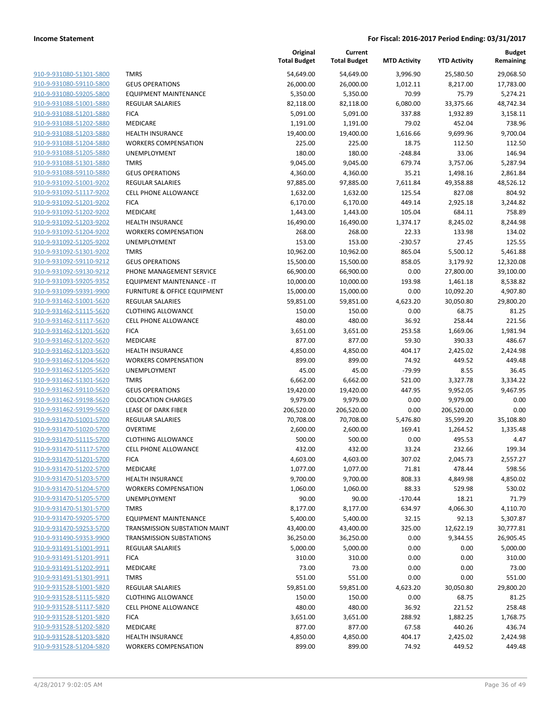|                                                    |                                             | Original<br><b>Total Budget</b> | Current<br><b>Total Budget</b> | <b>MTD Activity</b> | <b>YTD Activity</b>  | Budget<br>Remaining  |
|----------------------------------------------------|---------------------------------------------|---------------------------------|--------------------------------|---------------------|----------------------|----------------------|
| 910-9-931080-51301-5800                            | <b>TMRS</b>                                 | 54,649.00                       | 54,649.00                      | 3,996.90            | 25,580.50            | 29,068.50            |
| 910-9-931080-59110-5800                            | <b>GEUS OPERATIONS</b>                      | 26,000.00                       | 26,000.00                      | 1,012.11            | 8,217.00             | 17,783.00            |
| 910-9-931080-59205-5800                            | <b>EQUIPMENT MAINTENANCE</b>                | 5,350.00                        | 5,350.00                       | 70.99               | 75.79                | 5,274.21             |
| 910-9-931088-51001-5880                            | <b>REGULAR SALARIES</b>                     | 82,118.00                       | 82,118.00                      | 6,080.00            | 33,375.66            | 48,742.34            |
| 910-9-931088-51201-5880                            | <b>FICA</b>                                 | 5,091.00                        | 5,091.00                       | 337.88              | 1,932.89             | 3,158.11             |
| 910-9-931088-51202-5880                            | MEDICARE                                    | 1,191.00                        | 1,191.00                       | 79.02               | 452.04               | 738.96               |
| 910-9-931088-51203-5880                            | <b>HEALTH INSURANCE</b>                     | 19,400.00                       | 19,400.00                      | 1,616.66            | 9,699.96             | 9,700.04             |
| 910-9-931088-51204-5880                            | <b>WORKERS COMPENSATION</b>                 | 225.00                          | 225.00                         | 18.75               | 112.50               | 112.50               |
| 910-9-931088-51205-5880                            | UNEMPLOYMENT                                | 180.00                          | 180.00                         | $-248.84$           | 33.06                | 146.94               |
| 910-9-931088-51301-5880                            | <b>TMRS</b>                                 | 9,045.00                        | 9,045.00                       | 679.74              | 3,757.06             | 5,287.94             |
| 910-9-931088-59110-5880                            | <b>GEUS OPERATIONS</b>                      | 4,360.00                        | 4,360.00                       | 35.21               | 1,498.16             | 2,861.84             |
| 910-9-931092-51001-9202                            | <b>REGULAR SALARIES</b>                     | 97,885.00                       | 97,885.00                      | 7,611.84            | 49,358.88            | 48,526.12            |
| 910-9-931092-51117-9202                            | <b>CELL PHONE ALLOWANCE</b>                 | 1,632.00                        | 1,632.00                       | 125.54              | 827.08               | 804.92               |
| 910-9-931092-51201-9202                            | <b>FICA</b>                                 | 6,170.00                        | 6,170.00                       | 449.14              | 2,925.18             | 3,244.82             |
| 910-9-931092-51202-9202                            | MEDICARE                                    | 1,443.00                        | 1,443.00                       | 105.04              | 684.11               | 758.89               |
| 910-9-931092-51203-9202                            | <b>HEALTH INSURANCE</b>                     | 16,490.00                       | 16,490.00                      | 1,374.17            | 8,245.02             | 8,244.98             |
| 910-9-931092-51204-9202                            | <b>WORKERS COMPENSATION</b>                 | 268.00                          | 268.00                         | 22.33               | 133.98               | 134.02               |
| 910-9-931092-51205-9202                            | UNEMPLOYMENT                                | 153.00                          | 153.00                         | $-230.57$           | 27.45                | 125.55               |
| 910-9-931092-51301-9202                            | <b>TMRS</b>                                 | 10,962.00                       | 10,962.00                      | 865.04              | 5,500.12             | 5,461.88             |
| 910-9-931092-59110-9212                            | <b>GEUS OPERATIONS</b>                      | 15,500.00                       | 15,500.00                      | 858.05              | 3,179.92             | 12,320.08            |
| 910-9-931092-59130-9212                            | PHONE MANAGEMENT SERVICE                    | 66,900.00                       | 66,900.00                      | 0.00                | 27,800.00            | 39,100.00            |
| 910-9-931093-59205-9352                            | EQUIPMENT MAINTENANCE - IT                  | 10,000.00                       | 10,000.00                      | 193.98              | 1,461.18             | 8,538.82             |
| 910-9-931099-59391-9900                            | <b>FURNITURE &amp; OFFICE EQUIPMENT</b>     | 15,000.00                       | 15,000.00                      | 0.00                | 10,092.20            | 4,907.80             |
| 910-9-931462-51001-5620                            | <b>REGULAR SALARIES</b>                     | 59,851.00                       | 59,851.00                      | 4,623.20            | 30,050.80            | 29,800.20            |
| 910-9-931462-51115-5620                            | <b>CLOTHING ALLOWANCE</b>                   | 150.00                          | 150.00                         | 0.00                | 68.75                | 81.25                |
| 910-9-931462-51117-5620                            | <b>CELL PHONE ALLOWANCE</b>                 | 480.00                          | 480.00                         | 36.92               | 258.44               | 221.56               |
| 910-9-931462-51201-5620                            | <b>FICA</b>                                 | 3,651.00                        | 3,651.00                       | 253.58              | 1,669.06             | 1,981.94             |
| 910-9-931462-51202-5620                            | MEDICARE                                    | 877.00                          | 877.00                         | 59.30               | 390.33               | 486.67               |
| 910-9-931462-51203-5620<br>910-9-931462-51204-5620 | <b>HEALTH INSURANCE</b>                     | 4,850.00                        | 4,850.00                       | 404.17              | 2,425.02             | 2,424.98             |
|                                                    | <b>WORKERS COMPENSATION</b><br>UNEMPLOYMENT | 899.00                          | 899.00                         | 74.92               | 449.52               | 449.48<br>36.45      |
| 910-9-931462-51205-5620<br>910-9-931462-51301-5620 | <b>TMRS</b>                                 | 45.00                           | 45.00                          | $-79.99$            | 8.55                 |                      |
| 910-9-931462-59110-5620                            | <b>GEUS OPERATIONS</b>                      | 6,662.00<br>19,420.00           | 6,662.00<br>19,420.00          | 521.00<br>447.95    | 3,327.78<br>9,952.05 | 3,334.22<br>9,467.95 |
| 910-9-931462-59198-5620                            | <b>COLOCATION CHARGES</b>                   | 9,979.00                        | 9,979.00                       | 0.00                | 9,979.00             | 0.00                 |
| 910-9-931462-59199-5620                            | LEASE OF DARK FIBER                         | 206,520.00                      | 206,520.00                     | 0.00                | 206,520.00           | 0.00                 |
| 910-9-931470-51001-5700                            | REGULAR SALARIES                            | 70,708.00                       | 70,708.00                      | 5,476.80            | 35,599.20            | 35,108.80            |
| 910-9-931470-51020-5700                            | <b>OVERTIME</b>                             | 2,600.00                        | 2,600.00                       | 169.41              | 1,264.52             | 1,335.48             |
| 910-9-931470-51115-5700                            | <b>CLOTHING ALLOWANCE</b>                   | 500.00                          | 500.00                         | 0.00                | 495.53               | 4.47                 |
| 910-9-931470-51117-5700                            | <b>CELL PHONE ALLOWANCE</b>                 | 432.00                          | 432.00                         | 33.24               | 232.66               | 199.34               |
| 910-9-931470-51201-5700                            | <b>FICA</b>                                 | 4,603.00                        | 4,603.00                       | 307.02              | 2,045.73             | 2,557.27             |
| 910-9-931470-51202-5700                            | MEDICARE                                    | 1,077.00                        | 1,077.00                       | 71.81               | 478.44               | 598.56               |
| 910-9-931470-51203-5700                            | <b>HEALTH INSURANCE</b>                     | 9,700.00                        | 9,700.00                       | 808.33              | 4,849.98             | 4,850.02             |
| 910-9-931470-51204-5700                            | <b>WORKERS COMPENSATION</b>                 | 1,060.00                        | 1,060.00                       | 88.33               | 529.98               | 530.02               |
| 910-9-931470-51205-5700                            | UNEMPLOYMENT                                | 90.00                           | 90.00                          | $-170.44$           | 18.21                | 71.79                |
| 910-9-931470-51301-5700                            | <b>TMRS</b>                                 | 8,177.00                        | 8,177.00                       | 634.97              | 4,066.30             | 4,110.70             |
| 910-9-931470-59205-5700                            | <b>EQUIPMENT MAINTENANCE</b>                | 5,400.00                        | 5,400.00                       | 32.15               | 92.13                | 5,307.87             |
| 910-9-931470-59253-5700                            | TRANSMISSION SUBSTATION MAINT               | 43,400.00                       | 43,400.00                      | 325.00              | 12,622.19            | 30,777.81            |
| 910-9-931490-59353-9900                            | <b>TRANSMISSION SUBSTATIONS</b>             | 36,250.00                       | 36,250.00                      | 0.00                | 9,344.55             | 26,905.45            |
| 910-9-931491-51001-9911                            | <b>REGULAR SALARIES</b>                     | 5,000.00                        | 5,000.00                       | 0.00                | 0.00                 | 5,000.00             |
| 910-9-931491-51201-9911                            | <b>FICA</b>                                 | 310.00                          | 310.00                         | 0.00                | 0.00                 | 310.00               |
| 910-9-931491-51202-9911                            | MEDICARE                                    | 73.00                           | 73.00                          | 0.00                | 0.00                 | 73.00                |
| 910-9-931491-51301-9911                            | <b>TMRS</b>                                 | 551.00                          | 551.00                         | 0.00                | 0.00                 | 551.00               |
| 910-9-931528-51001-5820                            | <b>REGULAR SALARIES</b>                     | 59,851.00                       | 59,851.00                      | 4,623.20            | 30,050.80            | 29,800.20            |
| 910-9-931528-51115-5820                            | <b>CLOTHING ALLOWANCE</b>                   | 150.00                          | 150.00                         | 0.00                | 68.75                | 81.25                |
| 910-9-931528-51117-5820                            | <b>CELL PHONE ALLOWANCE</b>                 | 480.00                          | 480.00                         | 36.92               | 221.52               | 258.48               |
| 910-9-931528-51201-5820                            | <b>FICA</b>                                 | 3,651.00                        | 3,651.00                       | 288.92              | 1,882.25             | 1,768.75             |
| 910-9-931528-51202-5820                            | MEDICARE                                    | 877.00                          | 877.00                         | 67.58               | 440.26               | 436.74               |
| 910-9-931528-51203-5820                            | <b>HEALTH INSURANCE</b>                     | 4,850.00                        | 4,850.00                       | 404.17              | 2,425.02             | 2,424.98             |
| 910-9-931528-51204-5820                            | <b>WORKERS COMPENSATION</b>                 | 899.00                          | 899.00                         | 74.92               | 449.52               | 449.48               |
|                                                    |                                             |                                 |                                |                     |                      |                      |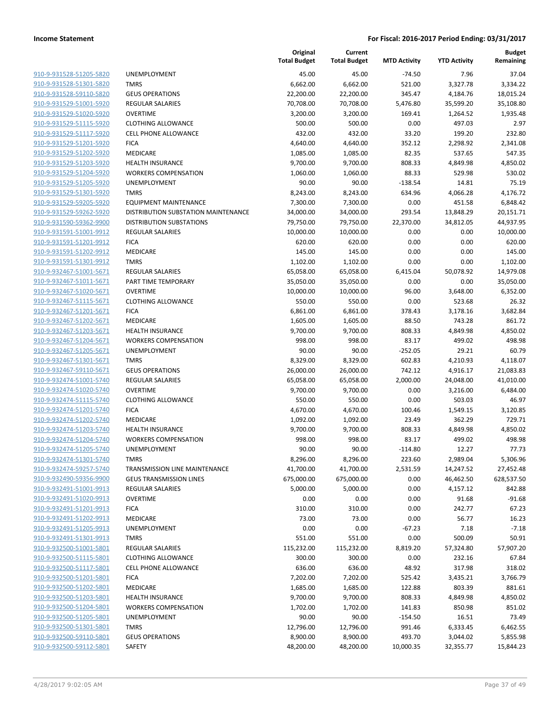| 910-9-931528-51205-5820                                   |
|-----------------------------------------------------------|
| 910-9-931528-51301-5820                                   |
| 910-9-931528-59110-5820                                   |
| 910-9-931529-51001-5920                                   |
| 910-9-931529-51020-5920                                   |
| 910-9-931529-51115-5920                                   |
| 910-9-931529-51117-5920                                   |
| 910-9-931529-51201-5920                                   |
| 910-9-931529-51202-5920                                   |
| 910-9-931529-51203-5920                                   |
| 910-9-931529-51204-5920                                   |
| 910-9-931529-51205-5920                                   |
| 910-9-931529-51301-5920                                   |
| 910-9-931529-59205-5920                                   |
| 910-9-931529-59262-5920                                   |
|                                                           |
| 910-9-931590-59362-9900                                   |
| 910-9-931591-51001-9912                                   |
| 910-9-931591-51201-9912                                   |
| 910-9-931591-51202-9912                                   |
| 910-9-931591-51301-9912                                   |
| 910-9-932467-51001-5671                                   |
| 910-9-932467-51011-5671                                   |
| 910-9-932467-51020-5671                                   |
| 910-9-932467-51115-5671                                   |
| 910-9-932467-51201-5671                                   |
| 910-9-932467-51202-5671                                   |
| 910-9-932467-51203-5671                                   |
| 910-9-932467-51204-5671                                   |
| 910-9-932467-51205-5671                                   |
| 910-9-932467-51301-5671                                   |
| 910-9-932467-59110-5671                                   |
| 910-9-932474-51001-5740                                   |
| 910-9-932474-51020-5740                                   |
| 910-9-932474-51115-5740                                   |
| 910-9-932474-51201-5740                                   |
| 910-9-932474-51202-5740                                   |
| 910-9-932474-51203-5740                                   |
| 910-9-932474-51204-5740                                   |
| 910-9-932474-51205-5740                                   |
| 910-9-932474-51301-5740                                   |
|                                                           |
| <u>910-9-932474-59257-5740</u><br>910-9-932490-59356-9900 |
|                                                           |
| 910-9-932491-51001-9913                                   |
| 910-9-932491-51020-9913                                   |
| 910-9-932491-51201-9913                                   |
| 910-9-932491-51202-9913                                   |
| 910-9-932491-51205-9913                                   |
| 910-9-932491-51301-9913                                   |
| 910-9-932500-51001-5801                                   |
| 910-9-932500-51115-5801                                   |
| 910-9-932500-51117-5801                                   |
| 910-9-932500-51201-5801                                   |
| 910-9-932500-51202-5801                                   |
| 910-9-932500-51203-5801                                   |
| 910-9-932500-51204-5801                                   |
| 910-9-932500-51205-5801                                   |
| 910-9-932500-51301-5801                                   |
| 910-9-932500-59110-5801                                   |
| 910-9-932500-59112-5801                                   |
|                                                           |

|                                                    |                                            | Original<br><b>Total Budget</b> | Current<br><b>Total Budget</b> | <b>MTD Activity</b> | <b>YTD Activity</b>   | <b>Budget</b><br>Remaining |
|----------------------------------------------------|--------------------------------------------|---------------------------------|--------------------------------|---------------------|-----------------------|----------------------------|
| 910-9-931528-51205-5820                            | UNEMPLOYMENT                               | 45.00                           | 45.00                          | $-74.50$            | 7.96                  | 37.04                      |
| 910-9-931528-51301-5820                            | <b>TMRS</b>                                | 6,662.00                        | 6,662.00                       | 521.00              | 3,327.78              | 3,334.22                   |
| 910-9-931528-59110-5820                            | <b>GEUS OPERATIONS</b>                     | 22,200.00                       | 22,200.00                      | 345.47              | 4,184.76              | 18,015.24                  |
| 910-9-931529-51001-5920                            | <b>REGULAR SALARIES</b>                    | 70,708.00                       | 70,708.00                      | 5,476.80            | 35,599.20             | 35,108.80                  |
| 910-9-931529-51020-5920                            | <b>OVERTIME</b>                            | 3,200.00                        | 3,200.00                       | 169.41              | 1,264.52              | 1,935.48                   |
| 910-9-931529-51115-5920                            | <b>CLOTHING ALLOWANCE</b>                  | 500.00                          | 500.00                         | 0.00                | 497.03                | 2.97                       |
| 910-9-931529-51117-5920                            | CELL PHONE ALLOWANCE                       | 432.00                          | 432.00                         | 33.20               | 199.20                | 232.80                     |
| 910-9-931529-51201-5920                            | <b>FICA</b>                                | 4,640.00                        | 4,640.00                       | 352.12              | 2,298.92              | 2,341.08                   |
| 910-9-931529-51202-5920                            | <b>MEDICARE</b>                            | 1,085.00                        | 1,085.00                       | 82.35               | 537.65                | 547.35                     |
| 910-9-931529-51203-5920                            | <b>HEALTH INSURANCE</b>                    | 9,700.00                        | 9,700.00                       | 808.33              | 4,849.98              | 4,850.02                   |
| 910-9-931529-51204-5920                            | <b>WORKERS COMPENSATION</b>                | 1,060.00                        | 1,060.00                       | 88.33               | 529.98                | 530.02                     |
| 910-9-931529-51205-5920                            | UNEMPLOYMENT                               | 90.00                           | 90.00                          | $-138.54$           | 14.81                 | 75.19                      |
| 910-9-931529-51301-5920                            | <b>TMRS</b>                                | 8,243.00                        | 8,243.00                       | 634.96              | 4,066.28              | 4,176.72                   |
| 910-9-931529-59205-5920                            | <b>EQUIPMENT MAINTENANCE</b>               | 7,300.00                        | 7,300.00                       | 0.00                | 451.58                | 6,848.42                   |
| 910-9-931529-59262-5920                            | DISTRIBUTION SUBSTATION MAINTENANCE        | 34,000.00                       | 34,000.00                      | 293.54              | 13,848.29             | 20,151.71                  |
| 910-9-931590-59362-9900                            | <b>DISTRIBUTION SUBSTATIONS</b>            | 79,750.00                       | 79,750.00                      | 22,370.00           | 34,812.05             | 44,937.95                  |
| 910-9-931591-51001-9912                            | <b>REGULAR SALARIES</b>                    | 10,000.00                       | 10,000.00                      | 0.00                | 0.00                  | 10,000.00                  |
| 910-9-931591-51201-9912                            | <b>FICA</b>                                | 620.00                          | 620.00                         | 0.00                | 0.00                  | 620.00                     |
| 910-9-931591-51202-9912                            | MEDICARE                                   | 145.00                          | 145.00                         | 0.00                | 0.00                  | 145.00                     |
| 910-9-931591-51301-9912                            | <b>TMRS</b>                                | 1,102.00                        | 1,102.00                       | 0.00                | 0.00                  | 1,102.00                   |
| 910-9-932467-51001-5671                            | <b>REGULAR SALARIES</b>                    | 65,058.00                       | 65,058.00                      | 6,415.04            | 50,078.92             | 14,979.08                  |
| 910-9-932467-51011-5671                            | PART TIME TEMPORARY                        | 35,050.00                       | 35,050.00                      | 0.00                | 0.00                  | 35,050.00                  |
| 910-9-932467-51020-5671                            | <b>OVERTIME</b>                            | 10,000.00                       | 10,000.00                      | 96.00               | 3,648.00              | 6,352.00                   |
| 910-9-932467-51115-5671                            | <b>CLOTHING ALLOWANCE</b>                  | 550.00                          | 550.00                         | 0.00                | 523.68                | 26.32                      |
| 910-9-932467-51201-5671                            | <b>FICA</b>                                | 6,861.00                        | 6,861.00                       | 378.43              | 3,178.16              | 3,682.84                   |
| 910-9-932467-51202-5671                            | MEDICARE                                   | 1,605.00                        | 1,605.00                       | 88.50               | 743.28                | 861.72                     |
| 910-9-932467-51203-5671                            | <b>HEALTH INSURANCE</b>                    | 9,700.00                        | 9,700.00                       | 808.33              | 4,849.98              | 4,850.02                   |
| 910-9-932467-51204-5671                            | <b>WORKERS COMPENSATION</b>                | 998.00                          | 998.00                         | 83.17               | 499.02                | 498.98                     |
| 910-9-932467-51205-5671                            | <b>UNEMPLOYMENT</b>                        | 90.00                           | 90.00                          | $-252.05$           | 29.21                 | 60.79                      |
| 910-9-932467-51301-5671                            | <b>TMRS</b>                                | 8,329.00                        | 8,329.00                       | 602.83              | 4,210.93              | 4,118.07                   |
| 910-9-932467-59110-5671                            | <b>GEUS OPERATIONS</b>                     | 26,000.00                       | 26,000.00                      | 742.12              | 4,916.17              | 21,083.83                  |
| 910-9-932474-51001-5740<br>910-9-932474-51020-5740 | <b>REGULAR SALARIES</b><br><b>OVERTIME</b> | 65,058.00<br>9,700.00           | 65,058.00<br>9,700.00          | 2,000.00<br>0.00    | 24,048.00<br>3,216.00 | 41,010.00<br>6,484.00      |
| 910-9-932474-51115-5740                            | <b>CLOTHING ALLOWANCE</b>                  | 550.00                          | 550.00                         | 0.00                | 503.03                | 46.97                      |
| 910-9-932474-51201-5740                            | <b>FICA</b>                                | 4,670.00                        | 4,670.00                       | 100.46              | 1,549.15              | 3,120.85                   |
| 910-9-932474-51202-5740                            | MEDICARE                                   | 1,092.00                        | 1,092.00                       | 23.49               | 362.29                | 729.71                     |
| 910-9-932474-51203-5740                            | <b>HEALTH INSURANCE</b>                    | 9,700.00                        | 9,700.00                       | 808.33              | 4,849.98              | 4,850.02                   |
| 910-9-932474-51204-5740                            | <b>WORKERS COMPENSATION</b>                | 998.00                          | 998.00                         | 83.17               | 499.02                | 498.98                     |
| 910-9-932474-51205-5740                            | UNEMPLOYMENT                               | 90.00                           | 90.00                          | $-114.80$           | 12.27                 | 77.73                      |
| 910-9-932474-51301-5740                            | <b>TMRS</b>                                | 8,296.00                        | 8,296.00                       | 223.60              | 2,989.04              | 5,306.96                   |
| 910-9-932474-59257-5740                            | TRANSMISSION LINE MAINTENANCE              | 41,700.00                       | 41,700.00                      | 2,531.59            | 14,247.52             | 27,452.48                  |
| 910-9-932490-59356-9900                            | <b>GEUS TRANSMISSION LINES</b>             | 675,000.00                      | 675,000.00                     | 0.00                | 46,462.50             | 628,537.50                 |
| 910-9-932491-51001-9913                            | <b>REGULAR SALARIES</b>                    | 5,000.00                        | 5,000.00                       | 0.00                | 4,157.12              | 842.88                     |
| 910-9-932491-51020-9913                            | <b>OVERTIME</b>                            | 0.00                            | 0.00                           | 0.00                | 91.68                 | $-91.68$                   |
| 910-9-932491-51201-9913                            | <b>FICA</b>                                | 310.00                          | 310.00                         | 0.00                | 242.77                | 67.23                      |
| 910-9-932491-51202-9913                            | MEDICARE                                   | 73.00                           | 73.00                          | 0.00                | 56.77                 | 16.23                      |
| 910-9-932491-51205-9913                            | UNEMPLOYMENT                               | 0.00                            | 0.00                           | $-67.23$            | 7.18                  | $-7.18$                    |
| 910-9-932491-51301-9913                            | <b>TMRS</b>                                | 551.00                          | 551.00                         | 0.00                | 500.09                | 50.91                      |
| 910-9-932500-51001-5801                            | REGULAR SALARIES                           | 115,232.00                      | 115,232.00                     | 8,819.20            | 57,324.80             | 57,907.20                  |
| 910-9-932500-51115-5801                            | <b>CLOTHING ALLOWANCE</b>                  | 300.00                          | 300.00                         | 0.00                | 232.16                | 67.84                      |
| 910-9-932500-51117-5801                            | CELL PHONE ALLOWANCE                       | 636.00                          | 636.00                         | 48.92               | 317.98                | 318.02                     |
| 910-9-932500-51201-5801                            | <b>FICA</b>                                | 7,202.00                        | 7,202.00                       | 525.42              | 3,435.21              | 3,766.79                   |
| 910-9-932500-51202-5801                            | MEDICARE                                   | 1,685.00                        | 1,685.00                       | 122.88              | 803.39                | 881.61                     |
| 910-9-932500-51203-5801                            | <b>HEALTH INSURANCE</b>                    | 9,700.00                        | 9,700.00                       | 808.33              | 4,849.98              | 4,850.02                   |
| 910-9-932500-51204-5801                            | <b>WORKERS COMPENSATION</b>                | 1,702.00                        | 1,702.00                       | 141.83              | 850.98                | 851.02                     |
| 910-9-932500-51205-5801                            | UNEMPLOYMENT                               | 90.00                           | 90.00                          | $-154.50$           | 16.51                 | 73.49                      |
| 910-9-932500-51301-5801                            | <b>TMRS</b>                                | 12,796.00                       | 12,796.00                      | 991.46              | 6,333.45              | 6,462.55                   |
| 910-9-932500-59110-5801                            | <b>GEUS OPERATIONS</b>                     | 8,900.00                        | 8,900.00                       | 493.70              | 3,044.02              | 5,855.98                   |
| 910-9-932500-59112-5801                            | SAFETY                                     | 48,200.00                       | 48,200.00                      | 10,000.35           | 32,355.77             | 15,844.23                  |
|                                                    |                                            |                                 |                                |                     |                       |                            |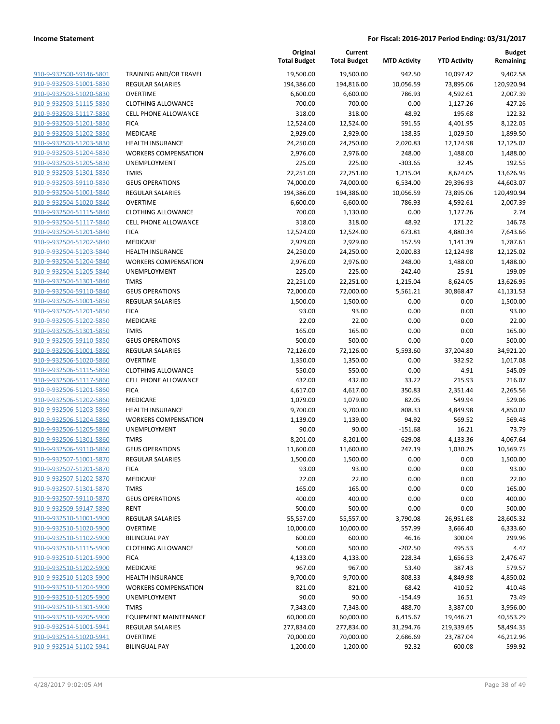| 910-9-932500-59146-5801                            |
|----------------------------------------------------|
| 910-9-932503-51001-5830                            |
| 910-9-932503-51020-5830                            |
| <u>910-9-932503-51115-5830</u>                     |
| 910-9-932503-51117-5830                            |
| 910-9-932503-51201-5830                            |
| 910-9-932503-51202-5830                            |
| 910-9-932503-51203-5830                            |
| <u>910-9-932503-51204-5830</u>                     |
| 910-9-932503-51205-5830                            |
| 910-9-932503-51301-5830                            |
| 910-9-932503-59110-5830                            |
| 910-9-932504-51001-5840                            |
| <u>910-9-932504-51020-5840</u>                     |
| 910-9-932504-51115-5840                            |
| 910-9-932504-51117-5840                            |
| 910-9-932504-51201-5840                            |
| 910-9-932504-51202-5840                            |
| <u>910-9-932504-51203-5840</u>                     |
| 910-9-932504-51204-5840                            |
| 910-9-932504-51205-5840                            |
| 910-9-932504-51301-5840                            |
| 910-9-932504-59110-5840                            |
| <u>910-9-932505-51001-5850</u>                     |
| 910-9-932505-51201-5850                            |
| 910-9-932505-51202-5850                            |
| 910-9-932505-51301-5850                            |
| 910-9-932505-59110-5850                            |
| <u>910-9-932506-51001-5860</u>                     |
|                                                    |
| 910-9-932506-51020-5860                            |
| 910-9-932506-51115-5860<br>910-9-932506-51117-5860 |
|                                                    |
| 910-9-932506-51201-5860                            |
| <u>910-9-932506-51202-5860</u>                     |
| 910-9-932506-51203-5860                            |
| 910-9-932506-51204-5860                            |
| 910-9-932506-51205-5860                            |
| 910-9-932506-51301-5860                            |
| <u>910-9-932506-59110-5860</u>                     |
| <u>910-9-932507-51001-5870</u>                     |
| 910-9-932507-51201-5870                            |
| 910-9-932507-51202-5870                            |
| 910-9-932507-51301-5870                            |
| 910-9-932507-59110-5870                            |
| 910-9-932509-59147-5890                            |
| 910-9-932510-51001-5900                            |
| 910-9-932510-51020-5900                            |
| 910-9-932510-51102-5900                            |
| <u>910-9-932510-51115-5900</u>                     |
| 910-9-932510-51201-5900                            |
| 910-9-932510-51202-5900                            |
| 910-9-932510-51203-5900                            |
| 910-9-932510-51204-5900                            |
| 910-9-932510-51205-5900                            |
| 910-9-932510-51301-5900                            |
|                                                    |
|                                                    |
| 910-9-932510-59205-5900                            |
| 910-9-932514-51001-5941                            |
| 910-9-932514-51020-5941<br>910-9-932514-51102-5941 |

|                         |                              | Original<br><b>Total Budget</b> | Current<br><b>Total Budget</b> | <b>MTD Activity</b> | <b>YTD Activity</b> | <b>Budget</b><br>Remaining |
|-------------------------|------------------------------|---------------------------------|--------------------------------|---------------------|---------------------|----------------------------|
| 910-9-932500-59146-5801 | TRAINING AND/OR TRAVEL       | 19,500.00                       | 19,500.00                      | 942.50              | 10,097.42           | 9,402.58                   |
| 910-9-932503-51001-5830 | <b>REGULAR SALARIES</b>      | 194,386.00                      | 194,816.00                     | 10,056.59           | 73,895.06           | 120,920.94                 |
| 910-9-932503-51020-5830 | <b>OVERTIME</b>              | 6,600.00                        | 6,600.00                       | 786.93              | 4,592.61            | 2,007.39                   |
| 910-9-932503-51115-5830 | <b>CLOTHING ALLOWANCE</b>    | 700.00                          | 700.00                         | 0.00                | 1,127.26            | $-427.26$                  |
| 910-9-932503-51117-5830 | <b>CELL PHONE ALLOWANCE</b>  | 318.00                          | 318.00                         | 48.92               | 195.68              | 122.32                     |
| 910-9-932503-51201-5830 | <b>FICA</b>                  | 12,524.00                       | 12,524.00                      | 591.55              | 4,401.95            | 8,122.05                   |
| 910-9-932503-51202-5830 | MEDICARE                     | 2,929.00                        | 2,929.00                       | 138.35              | 1,029.50            | 1,899.50                   |
| 910-9-932503-51203-5830 | <b>HEALTH INSURANCE</b>      | 24,250.00                       | 24,250.00                      | 2,020.83            | 12,124.98           | 12,125.02                  |
| 910-9-932503-51204-5830 | <b>WORKERS COMPENSATION</b>  | 2,976.00                        | 2,976.00                       | 248.00              | 1,488.00            | 1,488.00                   |
| 910-9-932503-51205-5830 | UNEMPLOYMENT                 | 225.00                          | 225.00                         | $-303.65$           | 32.45               | 192.55                     |
| 910-9-932503-51301-5830 | <b>TMRS</b>                  | 22,251.00                       | 22,251.00                      | 1,215.04            | 8,624.05            | 13,626.95                  |
| 910-9-932503-59110-5830 | <b>GEUS OPERATIONS</b>       | 74,000.00                       | 74,000.00                      | 6,534.00            | 29,396.93           | 44,603.07                  |
| 910-9-932504-51001-5840 | <b>REGULAR SALARIES</b>      | 194,386.00                      | 194,386.00                     | 10,056.59           | 73,895.06           | 120,490.94                 |
| 910-9-932504-51020-5840 | <b>OVERTIME</b>              | 6,600.00                        | 6,600.00                       | 786.93              | 4,592.61            | 2,007.39                   |
| 910-9-932504-51115-5840 | <b>CLOTHING ALLOWANCE</b>    | 700.00                          | 1,130.00                       | 0.00                | 1,127.26            | 2.74                       |
| 910-9-932504-51117-5840 | <b>CELL PHONE ALLOWANCE</b>  | 318.00                          | 318.00                         | 48.92               | 171.22              | 146.78                     |
| 910-9-932504-51201-5840 | <b>FICA</b>                  | 12,524.00                       | 12,524.00                      | 673.81              | 4,880.34            | 7,643.66                   |
| 910-9-932504-51202-5840 | MEDICARE                     | 2,929.00                        | 2,929.00                       | 157.59              | 1,141.39            | 1,787.61                   |
| 910-9-932504-51203-5840 | <b>HEALTH INSURANCE</b>      | 24,250.00                       | 24,250.00                      | 2,020.83            | 12,124.98           | 12,125.02                  |
| 910-9-932504-51204-5840 | <b>WORKERS COMPENSATION</b>  | 2,976.00                        | 2,976.00                       | 248.00              | 1,488.00            | 1,488.00                   |
| 910-9-932504-51205-5840 | UNEMPLOYMENT                 | 225.00                          | 225.00                         | $-242.40$           | 25.91               | 199.09                     |
| 910-9-932504-51301-5840 | <b>TMRS</b>                  | 22,251.00                       | 22,251.00                      | 1,215.04            | 8,624.05            | 13,626.95                  |
| 910-9-932504-59110-5840 | <b>GEUS OPERATIONS</b>       | 72,000.00                       | 72,000.00                      | 5,561.21            | 30,868.47           | 41,131.53                  |
| 910-9-932505-51001-5850 | <b>REGULAR SALARIES</b>      | 1,500.00                        | 1,500.00                       | 0.00                | 0.00                | 1,500.00                   |
| 910-9-932505-51201-5850 | <b>FICA</b>                  | 93.00                           | 93.00                          | 0.00                | 0.00                | 93.00                      |
| 910-9-932505-51202-5850 | MEDICARE                     | 22.00                           | 22.00                          | 0.00                | 0.00                | 22.00                      |
| 910-9-932505-51301-5850 | <b>TMRS</b>                  | 165.00                          | 165.00                         | 0.00                | 0.00                | 165.00                     |
| 910-9-932505-59110-5850 | <b>GEUS OPERATIONS</b>       | 500.00                          | 500.00                         | 0.00                | 0.00                | 500.00                     |
| 910-9-932506-51001-5860 | <b>REGULAR SALARIES</b>      | 72,126.00                       | 72,126.00                      | 5,593.60            | 37,204.80           | 34,921.20                  |
| 910-9-932506-51020-5860 | <b>OVERTIME</b>              | 1,350.00                        | 1,350.00                       | 0.00                | 332.92              | 1,017.08                   |
| 910-9-932506-51115-5860 | <b>CLOTHING ALLOWANCE</b>    | 550.00                          | 550.00                         | 0.00                | 4.91                | 545.09                     |
| 910-9-932506-51117-5860 | <b>CELL PHONE ALLOWANCE</b>  | 432.00                          | 432.00                         | 33.22               | 215.93              | 216.07                     |
| 910-9-932506-51201-5860 | <b>FICA</b>                  | 4,617.00                        | 4,617.00                       | 350.83              | 2,351.44            | 2,265.56                   |
| 910-9-932506-51202-5860 | MEDICARE                     | 1,079.00                        | 1,079.00                       | 82.05               | 549.94              | 529.06                     |
| 910-9-932506-51203-5860 | <b>HEALTH INSURANCE</b>      | 9,700.00                        | 9,700.00                       | 808.33              | 4,849.98            | 4,850.02                   |
| 910-9-932506-51204-5860 | <b>WORKERS COMPENSATION</b>  | 1,139.00                        | 1,139.00                       | 94.92               | 569.52              | 569.48                     |
| 910-9-932506-51205-5860 | UNEMPLOYMENT                 | 90.00                           | 90.00                          | $-151.68$           | 16.21               | 73.79                      |
| 910-9-932506-51301-5860 | <b>TMRS</b>                  | 8,201.00                        | 8,201.00                       | 629.08              | 4,133.36            | 4,067.64                   |
| 910-9-932506-59110-5860 | <b>GEUS OPERATIONS</b>       | 11,600.00                       | 11,600.00                      | 247.19              | 1,030.25            | 10,569.75                  |
| 910-9-932507-51001-5870 | <b>REGULAR SALARIES</b>      | 1,500.00                        | 1,500.00                       | 0.00                | 0.00                | 1,500.00                   |
| 910-9-932507-51201-5870 | <b>FICA</b>                  | 93.00                           | 93.00                          | 0.00                | 0.00                | 93.00                      |
| 910-9-932507-51202-5870 | MEDICARE                     | 22.00                           | 22.00                          | 0.00                | 0.00                | 22.00                      |
| 910-9-932507-51301-5870 | <b>TMRS</b>                  | 165.00                          | 165.00                         | 0.00                | 0.00                | 165.00                     |
| 910-9-932507-59110-5870 | <b>GEUS OPERATIONS</b>       | 400.00                          | 400.00                         | 0.00                | 0.00                | 400.00                     |
| 910-9-932509-59147-5890 | <b>RENT</b>                  | 500.00                          | 500.00                         | 0.00                | 0.00                | 500.00                     |
| 910-9-932510-51001-5900 | <b>REGULAR SALARIES</b>      | 55,557.00                       | 55,557.00                      | 3,790.08            | 26,951.68           | 28,605.32                  |
| 910-9-932510-51020-5900 | <b>OVERTIME</b>              | 10,000.00                       | 10,000.00                      | 557.99              | 3,666.40            | 6,333.60                   |
| 910-9-932510-51102-5900 | <b>BILINGUAL PAY</b>         | 600.00                          | 600.00                         | 46.16               | 300.04              | 299.96                     |
| 910-9-932510-51115-5900 | <b>CLOTHING ALLOWANCE</b>    | 500.00                          | 500.00                         | $-202.50$           | 495.53              | 4.47                       |
| 910-9-932510-51201-5900 | <b>FICA</b>                  | 4,133.00                        | 4,133.00                       | 228.34              | 1,656.53            | 2,476.47                   |
| 910-9-932510-51202-5900 | <b>MEDICARE</b>              | 967.00                          | 967.00                         | 53.40               | 387.43              | 579.57                     |
| 910-9-932510-51203-5900 | <b>HEALTH INSURANCE</b>      | 9,700.00                        | 9,700.00                       | 808.33              | 4,849.98            | 4,850.02                   |
| 910-9-932510-51204-5900 | <b>WORKERS COMPENSATION</b>  | 821.00                          | 821.00                         | 68.42               | 410.52              | 410.48                     |
| 910-9-932510-51205-5900 | UNEMPLOYMENT                 | 90.00                           | 90.00                          | $-154.49$           | 16.51               | 73.49                      |
| 910-9-932510-51301-5900 | <b>TMRS</b>                  | 7,343.00                        | 7,343.00                       | 488.70              | 3,387.00            | 3,956.00                   |
| 910-9-932510-59205-5900 | <b>EQUIPMENT MAINTENANCE</b> | 60,000.00                       | 60,000.00                      | 6,415.67            | 19,446.71           | 40,553.29                  |
| 910-9-932514-51001-5941 | REGULAR SALARIES             | 277,834.00                      | 277,834.00                     | 31,294.76           | 219,339.65          | 58,494.35                  |
| 910-9-932514-51020-5941 | <b>OVERTIME</b>              | 70,000.00                       | 70,000.00                      | 2,686.69            | 23,787.04           | 46,212.96                  |
| 910-9-932514-51102-5941 | <b>BILINGUAL PAY</b>         | 1,200.00                        | 1,200.00                       | 92.32               | 600.08              | 599.92                     |
|                         |                              |                                 |                                |                     |                     |                            |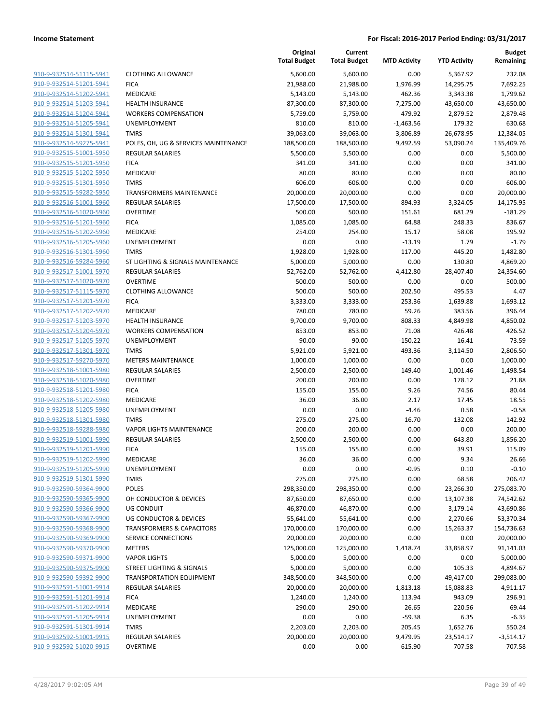|                                                    |                                      | Original<br><b>Total Budget</b> | Current<br><b>Total Budget</b> | <b>MTD Activity</b> | <b>YTD Activity</b> | <b>Budget</b><br>Remaining |
|----------------------------------------------------|--------------------------------------|---------------------------------|--------------------------------|---------------------|---------------------|----------------------------|
| 910-9-932514-51115-5941                            | <b>CLOTHING ALLOWANCE</b>            | 5,600.00                        | 5,600.00                       | 0.00                | 5,367.92            | 232.08                     |
| 910-9-932514-51201-5941                            | <b>FICA</b>                          | 21,988.00                       | 21,988.00                      | 1,976.99            | 14,295.75           | 7,692.25                   |
| 910-9-932514-51202-5941                            | MEDICARE                             | 5,143.00                        | 5,143.00                       | 462.36              | 3,343.38            | 1,799.62                   |
| 910-9-932514-51203-5941                            | <b>HEALTH INSURANCE</b>              | 87,300.00                       | 87,300.00                      | 7,275.00            | 43,650.00           | 43,650.00                  |
| 910-9-932514-51204-5941                            | <b>WORKERS COMPENSATION</b>          | 5,759.00                        | 5,759.00                       | 479.92              | 2,879.52            | 2,879.48                   |
| 910-9-932514-51205-5941                            | UNEMPLOYMENT                         | 810.00                          | 810.00                         | $-1,463.56$         | 179.32              | 630.68                     |
| 910-9-932514-51301-5941                            | <b>TMRS</b>                          | 39,063.00                       | 39,063.00                      | 3,806.89            | 26,678.95           | 12,384.05                  |
| 910-9-932514-59275-5941                            | POLES, OH, UG & SERVICES MAINTENANCE | 188,500.00                      | 188,500.00                     | 9,492.59            | 53,090.24           | 135,409.76                 |
| 910-9-932515-51001-5950                            | <b>REGULAR SALARIES</b>              | 5,500.00                        | 5,500.00                       | 0.00                | 0.00                | 5,500.00                   |
| 910-9-932515-51201-5950                            | <b>FICA</b>                          | 341.00                          | 341.00                         | 0.00                | 0.00                | 341.00                     |
| 910-9-932515-51202-5950                            | <b>MEDICARE</b>                      | 80.00                           | 80.00                          | 0.00                | 0.00                | 80.00                      |
| 910-9-932515-51301-5950                            | <b>TMRS</b>                          | 606.00                          | 606.00                         | 0.00                | 0.00                | 606.00                     |
| 910-9-932515-59282-5950                            | <b>TRANSFORMERS MAINTENANCE</b>      | 20,000.00                       | 20,000.00                      | 0.00                | 0.00                | 20,000.00                  |
| 910-9-932516-51001-5960                            | <b>REGULAR SALARIES</b>              | 17,500.00                       | 17,500.00                      | 894.93              | 3,324.05            | 14,175.95                  |
| 910-9-932516-51020-5960                            | <b>OVERTIME</b>                      | 500.00                          | 500.00                         | 151.61              | 681.29              | $-181.29$                  |
| 910-9-932516-51201-5960                            | <b>FICA</b>                          | 1,085.00                        | 1,085.00                       | 64.88               | 248.33              | 836.67                     |
| 910-9-932516-51202-5960                            | MEDICARE                             | 254.00                          | 254.00                         | 15.17               | 58.08               | 195.92                     |
| 910-9-932516-51205-5960                            | UNEMPLOYMENT                         | 0.00                            | 0.00                           | $-13.19$            | 1.79                | $-1.79$                    |
| 910-9-932516-51301-5960                            | <b>TMRS</b>                          | 1,928.00                        | 1,928.00                       | 117.00              | 445.20              | 1,482.80                   |
| 910-9-932516-59284-5960                            | ST LIGHTING & SIGNALS MAINTENANCE    | 5,000.00                        | 5,000.00                       | 0.00                | 130.80              | 4,869.20                   |
| 910-9-932517-51001-5970                            | <b>REGULAR SALARIES</b>              | 52,762.00                       | 52,762.00                      | 4,412.80            | 28,407.40           | 24,354.60                  |
| 910-9-932517-51020-5970                            | <b>OVERTIME</b>                      | 500.00                          | 500.00                         | 0.00                | 0.00                | 500.00                     |
| 910-9-932517-51115-5970                            | <b>CLOTHING ALLOWANCE</b>            | 500.00                          | 500.00                         | 202.50              | 495.53              | 4.47                       |
| 910-9-932517-51201-5970                            | <b>FICA</b>                          | 3,333.00                        | 3,333.00                       | 253.36              | 1,639.88            | 1,693.12                   |
| 910-9-932517-51202-5970                            | MEDICARE                             | 780.00                          | 780.00                         | 59.26               | 383.56              | 396.44                     |
| 910-9-932517-51203-5970                            | <b>HEALTH INSURANCE</b>              | 9,700.00                        | 9,700.00                       | 808.33              | 4,849.98            | 4,850.02                   |
| 910-9-932517-51204-5970                            | <b>WORKERS COMPENSATION</b>          | 853.00                          | 853.00                         | 71.08               | 426.48              | 426.52                     |
| 910-9-932517-51205-5970                            | UNEMPLOYMENT                         | 90.00                           | 90.00                          | $-150.22$           | 16.41               | 73.59                      |
| 910-9-932517-51301-5970                            | <b>TMRS</b>                          | 5,921.00                        | 5,921.00                       | 493.36              | 3,114.50            | 2,806.50                   |
| 910-9-932517-59270-5970                            | <b>METERS MAINTENANCE</b>            | 1,000.00                        | 1,000.00                       | 0.00                | 0.00                | 1,000.00                   |
| 910-9-932518-51001-5980                            | <b>REGULAR SALARIES</b>              | 2,500.00                        | 2,500.00                       | 149.40              | 1,001.46            | 1,498.54                   |
| 910-9-932518-51020-5980                            | <b>OVERTIME</b>                      | 200.00                          | 200.00                         | 0.00                | 178.12              | 21.88                      |
| 910-9-932518-51201-5980                            | <b>FICA</b>                          | 155.00                          | 155.00                         | 9.26                | 74.56               | 80.44                      |
| 910-9-932518-51202-5980                            | MEDICARE                             | 36.00                           | 36.00                          | 2.17                | 17.45               | 18.55                      |
| 910-9-932518-51205-5980                            | UNEMPLOYMENT                         | 0.00                            | 0.00                           | $-4.46$             | 0.58                | $-0.58$                    |
| 910-9-932518-51301-5980                            | TMRS                                 | 275.00                          | 275.00                         | 16.70               | 132.08              | 142.92                     |
| 910-9-932518-59288-5980                            | <b>VAPOR LIGHTS MAINTENANCE</b>      | 200.00                          | 200.00                         | 0.00                | 0.00                | 200.00                     |
| 910-9-932519-51001-5990                            | <b>REGULAR SALARIES</b>              | 2,500.00                        | 2,500.00                       | 0.00                | 643.80              | 1,856.20                   |
| 910-9-932519-51201-5990                            | <b>FICA</b>                          | 155.00                          | 155.00                         | 0.00                | 39.91               | 115.09                     |
| 910-9-932519-51202-5990                            | <b>MEDICARE</b>                      | 36.00                           | 36.00                          | 0.00                | 9.34                | 26.66                      |
| 910-9-932519-51205-5990                            | UNEMPLOYMENT                         | 0.00                            | 0.00                           | -0.95               | 0.10                | $-0.10$                    |
| 910-9-932519-51301-5990                            | <b>TMRS</b>                          | 275.00                          | 275.00                         | 0.00                | 68.58               | 206.42                     |
| 910-9-932590-59364-9900                            | POLES                                | 298,350.00                      | 298,350.00                     | 0.00                | 23,266.30           | 275,083.70                 |
| 910-9-932590-59365-9900                            | OH CONDUCTOR & DEVICES               | 87,650.00                       | 87,650.00                      | 0.00                | 13,107.38           | 74,542.62                  |
| 910-9-932590-59366-9900                            | <b>UG CONDUIT</b>                    | 46,870.00                       | 46,870.00                      | 0.00                | 3,179.14            | 43,690.86                  |
| 910-9-932590-59367-9900<br>910-9-932590-59368-9900 | UG CONDUCTOR & DEVICES               | 55,641.00                       | 55,641.00                      | 0.00                | 2,270.66            | 53,370.34                  |
| 910-9-932590-59369-9900                            | <b>TRANSFORMERS &amp; CAPACITORS</b> | 170,000.00                      | 170,000.00                     | 0.00                | 15,263.37           | 154,736.63                 |
|                                                    | SERVICE CONNECTIONS                  | 20,000.00                       | 20,000.00                      | 0.00                | 0.00                | 20,000.00                  |
| 910-9-932590-59370-9900<br>910-9-932590-59371-9900 | <b>METERS</b>                        | 125,000.00                      | 125,000.00                     | 1,418.74            | 33,858.97           | 91,141.03                  |
|                                                    | <b>VAPOR LIGHTS</b>                  | 5,000.00                        | 5,000.00                       | 0.00                | 0.00                | 5,000.00                   |
| 910-9-932590-59375-9900                            | STREET LIGHTING & SIGNALS            | 5,000.00                        | 5,000.00                       | 0.00                | 105.33<br>49,417.00 | 4,894.67                   |
| 910-9-932590-59392-9900                            | <b>TRANSPORTATION EQUIPMENT</b>      | 348,500.00                      | 348,500.00                     | 0.00                |                     | 299,083.00                 |
| 910-9-932591-51001-9914                            | REGULAR SALARIES                     | 20,000.00                       | 20,000.00                      | 1,813.18            | 15,088.83           | 4,911.17                   |
| 910-9-932591-51201-9914<br>910-9-932591-51202-9914 | <b>FICA</b><br>MEDICARE              | 1,240.00                        | 1,240.00                       | 113.94              | 943.09              | 296.91                     |
|                                                    |                                      | 290.00                          | 290.00                         | 26.65               | 220.56              | 69.44                      |
| 910-9-932591-51205-9914                            | UNEMPLOYMENT                         | 0.00                            | 0.00                           | $-59.38$            | 6.35                | $-6.35$                    |
| 910-9-932591-51301-9914                            | <b>TMRS</b>                          | 2,203.00                        | 2,203.00                       | 205.45              | 1,652.76            | 550.24                     |
| 910-9-932592-51001-9915                            | <b>REGULAR SALARIES</b>              | 20,000.00                       | 20,000.00                      | 9,479.95            | 23,514.17           | $-3,514.17$                |
| 910-9-932592-51020-9915                            | OVERTIME                             | 0.00                            | 0.00                           | 615.90              | 707.58              | $-707.58$                  |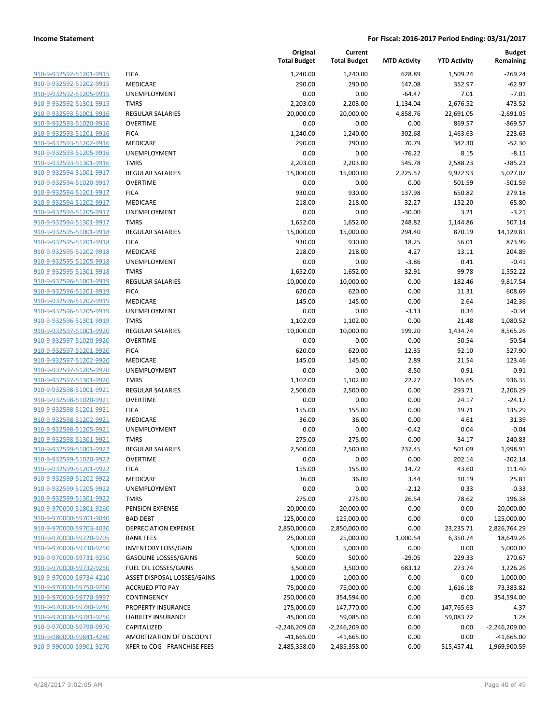| <u>910-9-932592-51201-9915</u> |
|--------------------------------|
| 910-9-932592-51202-9915        |
| 910-9-932592-51205-9915        |
| 910-9-932592-51301-9915        |
| 910-9-932593-51001-9916        |
| 910-9-932593-51020-9916        |
| 910-9-932593-51201-9916        |
| 910-9-932593-51202-9916        |
| 910-9-932593-51205-9916        |
| 910-9-932593-51301-9916        |
| 910-9-932594-51001-9917        |
| 910-9-932594-51020-9917        |
| 910-9-932594-51201-9917        |
| 910-9-932594-51202-9917        |
| 910-9-932594-51205-9917        |
| 910-9-932594-51301-9917        |
| 910-9-932595-51001-9918        |
| 910-9-932595-51201-9918        |
| 910-9-932595-51202-9918        |
| 910-9-932595-51205-9918        |
| 910-9-932595-51301-9918        |
| 910-9-932596-51001-9919        |
| 910-9-932596-51201-9919        |
| 910-9-932596-51202-9919        |
| 910-9-932596-51205-9919        |
| 910-9-932596-51301-9919        |
| 910-9-932597-51001-9920        |
| 910-9-932597-51020-9920        |
| 910-9-932597-51201-9920        |
| 910-9-932597-51202-9920        |
| 910-9-932597-51205-9920        |
| 910-9-932597-51301-9920        |
| 910-9-932598-51001-9921        |
| 910-9-932598-51020-9921        |
| 910-9-932598-51201-9921        |
| 910-9-932598-51202-9921        |
| 910-9-932598-51205-9921        |
| 910-9-932598-51301-9921        |
| 910-9-932599-51001-9922        |
| 910-9-932599-51020-9922        |
| 910-9-932599-51201-9922        |
|                                |
| 910-9-932599-51202-9922        |
| 910-9-932599-51205-9922        |
| 910-9-932599-51301-9922        |
| 910-9-970000-51801-9260        |
| 910-9-970000-59701-9040        |
| 910-9-970000-59703-4030        |
| 910-9-970000-59720-9705        |
| 910-9-970000-59730-9250        |
| 910-9-970000-59731-9250        |
| 910-9-970000-59732-9250        |
| 910-9-970000-59734-4210        |
| 910-9-970000-59750-9260        |
| 910-9-970000-59770-9997        |
| 910-9-970000-59780-9240        |
| 910-9-970000-59781-9250        |
| 910-9-970000-59790-9970        |
| 910-9-980000-59841-4280        |
| 910-9-990000-59901-9270        |
|                                |

|                                                    |                                | Original<br><b>Total Budget</b> | Current<br><b>Total Budget</b> | <b>MTD Activity</b> | <b>YTD Activity</b> | <b>Budget</b><br>Remaining |
|----------------------------------------------------|--------------------------------|---------------------------------|--------------------------------|---------------------|---------------------|----------------------------|
| 910-9-932592-51201-9915                            | <b>FICA</b>                    | 1,240.00                        | 1,240.00                       | 628.89              | 1,509.24            | $-269.24$                  |
| 910-9-932592-51202-9915                            | MEDICARE                       | 290.00                          | 290.00                         | 147.08              | 352.97              | $-62.97$                   |
| 910-9-932592-51205-9915                            | UNEMPLOYMENT                   | 0.00                            | 0.00                           | $-64.47$            | 7.01                | $-7.01$                    |
| 910-9-932592-51301-9915                            | <b>TMRS</b>                    | 2,203.00                        | 2,203.00                       | 1,134.04            | 2,676.52            | $-473.52$                  |
| 910-9-932593-51001-9916                            | <b>REGULAR SALARIES</b>        | 20,000.00                       | 20,000.00                      | 4,858.76            | 22,691.05           | $-2,691.05$                |
| 910-9-932593-51020-9916                            | <b>OVERTIME</b>                | 0.00                            | 0.00                           | 0.00                | 869.57              | $-869.57$                  |
| 910-9-932593-51201-9916                            | <b>FICA</b>                    | 1,240.00                        | 1,240.00                       | 302.68              | 1,463.63            | $-223.63$                  |
| 910-9-932593-51202-9916                            | <b>MEDICARE</b>                | 290.00                          | 290.00                         | 70.79               | 342.30              | $-52.30$                   |
| 910-9-932593-51205-9916                            | UNEMPLOYMENT                   | 0.00                            | 0.00                           | $-76.22$            | 8.15                | $-8.15$                    |
| 910-9-932593-51301-9916                            | <b>TMRS</b>                    | 2,203.00                        | 2,203.00                       | 545.78              | 2,588.23            | $-385.23$                  |
| 910-9-932594-51001-9917                            | <b>REGULAR SALARIES</b>        | 15,000.00                       | 15,000.00                      | 2,225.57            | 9,972.93            | 5,027.07                   |
| 910-9-932594-51020-9917                            | <b>OVERTIME</b>                | 0.00                            | 0.00                           | 0.00                | 501.59              | $-501.59$                  |
| 910-9-932594-51201-9917                            | <b>FICA</b>                    | 930.00                          | 930.00                         | 137.98              | 650.82              | 279.18                     |
| 910-9-932594-51202-9917                            | MEDICARE                       | 218.00                          | 218.00                         | 32.27               | 152.20              | 65.80                      |
| 910-9-932594-51205-9917                            | UNEMPLOYMENT                   | 0.00                            | 0.00                           | $-30.00$            | 3.21                | $-3.21$                    |
| 910-9-932594-51301-9917                            | <b>TMRS</b>                    | 1,652.00                        | 1,652.00                       | 248.82              | 1,144.86            | 507.14                     |
| 910-9-932595-51001-9918                            | <b>REGULAR SALARIES</b>        | 15,000.00                       | 15,000.00                      | 294.40              | 870.19              | 14,129.81                  |
| 910-9-932595-51201-9918                            | <b>FICA</b>                    | 930.00                          | 930.00                         | 18.25               | 56.01               | 873.99                     |
| 910-9-932595-51202-9918                            | MEDICARE                       | 218.00                          | 218.00                         | 4.27                | 13.11               | 204.89                     |
| 910-9-932595-51205-9918                            | UNEMPLOYMENT                   | 0.00                            | 0.00                           | $-3.86$             | 0.41                | $-0.41$                    |
| 910-9-932595-51301-9918                            | <b>TMRS</b>                    | 1,652.00                        | 1,652.00                       | 32.91               | 99.78               | 1,552.22                   |
| 910-9-932596-51001-9919                            | <b>REGULAR SALARIES</b>        | 10,000.00                       | 10,000.00                      | 0.00                | 182.46              | 9,817.54                   |
| 910-9-932596-51201-9919                            | <b>FICA</b>                    | 620.00                          | 620.00                         | 0.00                | 11.31               | 608.69                     |
| 910-9-932596-51202-9919                            | MEDICARE                       | 145.00                          | 145.00                         | 0.00                | 2.64                | 142.36                     |
| 910-9-932596-51205-9919                            | UNEMPLOYMENT                   | 0.00                            | 0.00                           | $-3.13$             | 0.34                | $-0.34$                    |
| 910-9-932596-51301-9919                            | <b>TMRS</b>                    | 1,102.00                        | 1,102.00                       | 0.00                | 21.48               | 1,080.52                   |
| 910-9-932597-51001-9920                            | <b>REGULAR SALARIES</b>        | 10,000.00                       | 10,000.00                      | 199.20              | 1,434.74            | 8,565.26                   |
| 910-9-932597-51020-9920                            | <b>OVERTIME</b>                | 0.00                            | 0.00                           | 0.00                | 50.54               | $-50.54$                   |
| 910-9-932597-51201-9920                            | <b>FICA</b>                    | 620.00                          | 620.00                         | 12.35               | 92.10               | 527.90                     |
| 910-9-932597-51202-9920                            | MEDICARE                       | 145.00                          | 145.00                         | 2.89                | 21.54               | 123.46                     |
| 910-9-932597-51205-9920                            | UNEMPLOYMENT                   | 0.00                            | 0.00                           | $-8.50$             | 0.91                | $-0.91$                    |
| 910-9-932597-51301-9920                            | <b>TMRS</b>                    | 1,102.00                        | 1,102.00                       | 22.27               | 165.65              | 936.35                     |
| 910-9-932598-51001-9921                            | <b>REGULAR SALARIES</b>        | 2,500.00                        | 2,500.00                       | 0.00                | 293.71              | 2,206.29                   |
| 910-9-932598-51020-9921                            | <b>OVERTIME</b>                | 0.00                            | 0.00                           | 0.00                | 24.17               | $-24.17$                   |
| 910-9-932598-51201-9921                            | <b>FICA</b>                    | 155.00                          | 155.00                         | 0.00                | 19.71               | 135.29                     |
| 910-9-932598-51202-9921                            | <b>MEDICARE</b>                | 36.00                           | 36.00                          | 0.00                | 4.61                | 31.39                      |
| 910-9-932598-51205-9921                            | UNEMPLOYMENT                   | 0.00                            | 0.00                           | $-0.42$             | 0.04                | $-0.04$                    |
| 910-9-932598-51301-9921                            | <b>TMRS</b>                    | 275.00                          | 275.00                         | 0.00                | 34.17               | 240.83                     |
| 910-9-932599-51001-9922                            | REGULAR SALARIES               | 2,500.00                        | 2,500.00                       | 237.45              | 501.09              | 1,998.91                   |
| 910-9-932599-51020-9922                            | <b>OVERTIME</b>                | 0.00                            | 0.00                           | 0.00                | 202.14              | $-202.14$                  |
| 910-9-932599-51201-9922<br>910-9-932599-51202-9922 | <b>FICA</b>                    | 155.00                          | 155.00                         | 14.72               | 43.60               | 111.40                     |
| 910-9-932599-51205-9922                            | MEDICARE                       | 36.00                           | 36.00                          | 3.44                | 10.19               | 25.81                      |
| 910-9-932599-51301-9922                            | UNEMPLOYMENT                   | 0.00                            | 0.00                           | $-2.12$             | 0.33                | $-0.33$                    |
| 910-9-970000-51801-9260                            | <b>TMRS</b><br>PENSION EXPENSE | 275.00<br>20,000.00             | 275.00<br>20,000.00            | 26.54<br>0.00       | 78.62<br>0.00       | 196.38<br>20,000.00        |
| 910-9-970000-59701-9040                            | <b>BAD DEBT</b>                | 125,000.00                      | 125,000.00                     | 0.00                | 0.00                | 125,000.00                 |
| 910-9-970000-59703-4030                            | <b>DEPRECIATION EXPENSE</b>    | 2,850,000.00                    | 2,850,000.00                   | 0.00                | 23,235.71           | 2,826,764.29               |
| 910-9-970000-59720-9705                            | <b>BANK FEES</b>               | 25,000.00                       | 25,000.00                      | 1,000.54            | 6,350.74            | 18,649.26                  |
| 910-9-970000-59730-9250                            | <b>INVENTORY LOSS/GAIN</b>     | 5,000.00                        | 5,000.00                       | 0.00                | 0.00                | 5,000.00                   |
| 910-9-970000-59731-9250                            | <b>GASOLINE LOSSES/GAINS</b>   | 500.00                          | 500.00                         | $-29.05$            | 229.33              | 270.67                     |
| 910-9-970000-59732-9250                            | FUEL OIL LOSSES/GAINS          | 3,500.00                        | 3,500.00                       | 683.12              | 273.74              | 3,226.26                   |
| 910-9-970000-59734-4210                            | ASSET DISPOSAL LOSSES/GAINS    | 1,000.00                        | 1,000.00                       | 0.00                | 0.00                | 1,000.00                   |
| 910-9-970000-59750-9260                            | <b>ACCRUED PTO PAY</b>         | 75,000.00                       | 75,000.00                      | 0.00                | 1,616.18            | 73,383.82                  |
| 910-9-970000-59770-9997                            | CONTINGENCY                    | 250,000.00                      | 354,594.00                     | 0.00                | 0.00                | 354,594.00                 |
| 910-9-970000-59780-9240                            | PROPERTY INSURANCE             | 175,000.00                      | 147,770.00                     | 0.00                | 147,765.63          | 4.37                       |
| 910-9-970000-59781-9250                            | LIABILITY INSURANCE            | 45,000.00                       | 59,085.00                      | 0.00                | 59,083.72           | 1.28                       |
| 910-9-970000-59790-9970                            | CAPITALIZED                    | $-2,246,209.00$                 | $-2,246,209.00$                | 0.00                | 0.00                | $-2,246,209.00$            |
| 910-9-980000-59841-4280                            | AMORTIZATION OF DISCOUNT       | $-41,665.00$                    | $-41,665.00$                   | 0.00                | 0.00                | $-41,665.00$               |
| 910-9-990000-59901-9270                            | XFER to COG - FRANCHISE FEES   | 2,485,358.00                    | 2,485,358.00                   | 0.00                | 515,457.41          | 1,969,900.59               |
|                                                    |                                |                                 |                                |                     |                     |                            |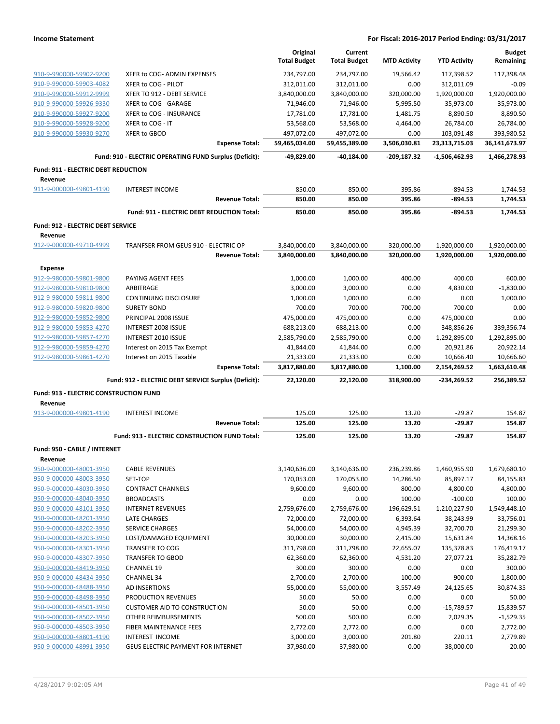|                                               |                                                        | Original            | Current             |                     |                     | <b>Budget</b> |
|-----------------------------------------------|--------------------------------------------------------|---------------------|---------------------|---------------------|---------------------|---------------|
|                                               |                                                        | <b>Total Budget</b> | <b>Total Budget</b> | <b>MTD Activity</b> | <b>YTD Activity</b> | Remaining     |
| 910-9-990000-59902-9200                       | XFER to COG- ADMIN EXPENSES                            | 234,797.00          | 234,797.00          | 19,566.42           | 117,398.52          | 117,398.48    |
| 910-9-990000-59903-4082                       | XFER to COG - PILOT                                    | 312,011.00          | 312,011.00          | 0.00                | 312,011.09          | $-0.09$       |
| 910-9-990000-59912-9999                       | XFER TO 912 - DEBT SERVICE                             | 3,840,000.00        | 3,840,000.00        | 320,000.00          | 1,920,000.00        | 1,920,000.00  |
| 910-9-990000-59926-9330                       | XFER to COG - GARAGE                                   | 71,946.00           | 71,946.00           | 5,995.50            | 35,973.00           | 35,973.00     |
| 910-9-990000-59927-9200                       | XFER to COG - INSURANCE                                | 17,781.00           | 17,781.00           | 1,481.75            | 8,890.50            | 8,890.50      |
| 910-9-990000-59928-9200                       | XFER to COG - IT                                       | 53,568.00           | 53,568.00           | 4,464.00            | 26,784.00           | 26,784.00     |
| 910-9-990000-59930-9270                       | <b>XFER to GBOD</b>                                    | 497,072.00          | 497,072.00          | 0.00                | 103,091.48          | 393,980.52    |
|                                               | <b>Expense Total:</b>                                  | 59,465,034.00       | 59,455,389.00       | 3,506,030.81        | 23,313,715.03       | 36,141,673.97 |
|                                               | Fund: 910 - ELECTRIC OPERATING FUND Surplus (Deficit): | -49,829.00          | -40,184.00          | -209,187.32         | $-1,506,462.93$     | 1,466,278.93  |
| Fund: 911 - ELECTRIC DEBT REDUCTION           |                                                        |                     |                     |                     |                     |               |
| Revenue                                       |                                                        |                     |                     |                     |                     |               |
| 911-9-000000-49801-4190                       | <b>INTEREST INCOME</b>                                 | 850.00              | 850.00              | 395.86              | $-894.53$           | 1,744.53      |
|                                               | <b>Revenue Total:</b>                                  | 850.00              | 850.00              | 395.86              | $-894.53$           | 1,744.53      |
|                                               | Fund: 911 - ELECTRIC DEBT REDUCTION Total:             | 850.00              | 850.00              | 395.86              | $-894.53$           | 1,744.53      |
| <b>Fund: 912 - ELECTRIC DEBT SERVICE</b>      |                                                        |                     |                     |                     |                     |               |
| Revenue                                       |                                                        |                     |                     |                     |                     |               |
| 912-9-000000-49710-4999                       | TRANFSER FROM GEUS 910 - ELECTRIC OP                   | 3,840,000.00        | 3,840,000.00        | 320,000.00          | 1,920,000.00        | 1,920,000.00  |
|                                               | <b>Revenue Total:</b>                                  | 3,840,000.00        | 3,840,000.00        | 320,000.00          | 1,920,000.00        | 1,920,000.00  |
| Expense                                       |                                                        |                     |                     |                     |                     |               |
| 912-9-980000-59801-9800                       | PAYING AGENT FEES                                      | 1,000.00            | 1,000.00            | 400.00              | 400.00              | 600.00        |
| 912-9-980000-59810-9800                       | ARBITRAGE                                              | 3,000.00            | 3,000.00            | 0.00                | 4,830.00            | $-1,830.00$   |
| 912-9-980000-59811-9800                       | <b>CONTINUING DISCLOSURE</b>                           | 1,000.00            | 1,000.00            | 0.00                | 0.00                | 1,000.00      |
| 912-9-980000-59820-9800                       | <b>SURETY BOND</b>                                     | 700.00              | 700.00              | 700.00              | 700.00              | 0.00          |
| 912-9-980000-59852-9800                       | PRINCIPAL 2008 ISSUE                                   | 475,000.00          | 475,000.00          | 0.00                | 475,000.00          | 0.00          |
| 912-9-980000-59853-4270                       | INTEREST 2008 ISSUE                                    | 688,213.00          | 688,213.00          | 0.00                | 348,856.26          | 339,356.74    |
| 912-9-980000-59857-4270                       | INTEREST 2010 ISSUE                                    | 2,585,790.00        | 2,585,790.00        | 0.00                | 1,292,895.00        | 1,292,895.00  |
| 912-9-980000-59859-4270                       | Interest on 2015 Tax Exempt                            | 41,844.00           | 41,844.00           | 0.00                | 20,921.86           | 20,922.14     |
| 912-9-980000-59861-4270                       | Interest on 2015 Taxable                               | 21,333.00           | 21,333.00           | 0.00                | 10,666.40           | 10,666.60     |
|                                               | <b>Expense Total:</b>                                  | 3,817,880.00        | 3,817,880.00        | 1,100.00            | 2,154,269.52        | 1,663,610.48  |
|                                               | Fund: 912 - ELECTRIC DEBT SERVICE Surplus (Deficit):   | 22,120.00           | 22,120.00           | 318,900.00          | $-234,269.52$       | 256,389.52    |
| <b>Fund: 913 - ELECTRIC CONSTRUCTION FUND</b> |                                                        |                     |                     |                     |                     |               |
| Revenue                                       |                                                        |                     |                     |                     |                     |               |
| 913-9-000000-49801-4190                       | <b>INTEREST INCOME</b>                                 | 125.00              | 125.00              | 13.20               | $-29.87$            | 154.87        |
|                                               | <b>Revenue Total:</b>                                  | 125.00              | 125.00              | 13.20               | -29.87              | 154.87        |
|                                               | Fund: 913 - ELECTRIC CONSTRUCTION FUND Total:          | 125.00              | 125.00              | 13.20               | $-29.87$            | 154.87        |
|                                               |                                                        |                     |                     |                     |                     |               |
| Fund: 950 - CABLE / INTERNET                  |                                                        |                     |                     |                     |                     |               |
| Revenue<br>950-9-000000-48001-3950            | <b>CABLE REVENUES</b>                                  | 3,140,636.00        | 3,140,636.00        | 236,239.86          | 1,460,955.90        | 1,679,680.10  |
| 950-9-000000-48003-3950                       | SET-TOP                                                | 170,053.00          | 170,053.00          | 14,286.50           | 85,897.17           | 84,155.83     |
| 950-9-000000-48030-3950                       | <b>CONTRACT CHANNELS</b>                               | 9,600.00            | 9,600.00            | 800.00              | 4,800.00            | 4,800.00      |
| 950-9-000000-48040-3950                       | <b>BROADCASTS</b>                                      | 0.00                | 0.00                | 100.00              | $-100.00$           | 100.00        |
| 950-9-000000-48101-3950                       | <b>INTERNET REVENUES</b>                               | 2,759,676.00        | 2,759,676.00        | 196,629.51          | 1,210,227.90        | 1,549,448.10  |
| 950-9-000000-48201-3950                       | LATE CHARGES                                           | 72,000.00           | 72,000.00           | 6,393.64            | 38,243.99           | 33,756.01     |
| 950-9-000000-48202-3950                       | <b>SERVICE CHARGES</b>                                 | 54,000.00           | 54,000.00           | 4,945.39            | 32,700.70           | 21,299.30     |
| 950-9-000000-48203-3950                       | LOST/DAMAGED EQUIPMENT                                 | 30,000.00           | 30,000.00           | 2,415.00            | 15,631.84           | 14,368.16     |
| 950-9-000000-48301-3950                       | <b>TRANSFER TO COG</b>                                 | 311,798.00          | 311,798.00          | 22,655.07           | 135,378.83          | 176,419.17    |
| 950-9-000000-48307-3950                       | <b>TRANSFER TO GBOD</b>                                | 62,360.00           | 62,360.00           | 4,531.20            | 27,077.21           | 35,282.79     |
| 950-9-000000-48419-3950                       | <b>CHANNEL 19</b>                                      | 300.00              | 300.00              | 0.00                | 0.00                | 300.00        |
| 950-9-000000-48434-3950                       | <b>CHANNEL 34</b>                                      | 2,700.00            | 2,700.00            | 100.00              | 900.00              | 1,800.00      |
| 950-9-000000-48488-3950                       | AD INSERTIONS                                          | 55,000.00           | 55,000.00           | 3,557.49            | 24,125.65           | 30,874.35     |
| 950-9-000000-48498-3950                       | PRODUCTION REVENUES                                    | 50.00               | 50.00               | 0.00                | 0.00                | 50.00         |
| 950-9-000000-48501-3950                       | <b>CUSTOMER AID TO CONSTRUCTION</b>                    | 50.00               | 50.00               | 0.00                | $-15,789.57$        | 15,839.57     |
| 950-9-000000-48502-3950                       | OTHER REIMBURSEMENTS                                   | 500.00              | 500.00              | 0.00                | 2,029.35            | $-1,529.35$   |
| 950-9-000000-48503-3950                       | FIBER MAINTENANCE FEES                                 | 2,772.00            | 2,772.00            | 0.00                | 0.00                | 2,772.00      |
|                                               |                                                        |                     |                     |                     |                     |               |
| 950-9-000000-48801-4190                       | <b>INTEREST INCOME</b>                                 | 3,000.00            | 3,000.00            | 201.80              | 220.11              | 2,779.89      |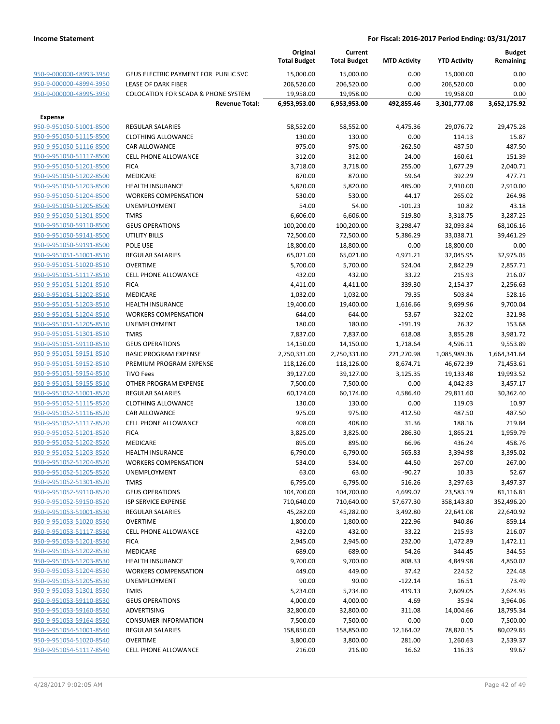|                                                    |                                                   |                       | Original<br><b>Total Budget</b> | Current<br><b>Total Budget</b> | <b>MTD Activity</b> | <b>YTD Activity</b> | <b>Budget</b><br>Remaining |
|----------------------------------------------------|---------------------------------------------------|-----------------------|---------------------------------|--------------------------------|---------------------|---------------------|----------------------------|
| 950-9-000000-48993-3950                            | GEUS ELECTRIC PAYMENT FOR PUBLIC SVC              |                       | 15,000.00                       | 15,000.00                      | 0.00                | 15,000.00           | 0.00                       |
| 950-9-000000-48994-3950                            | LEASE OF DARK FIBER                               |                       | 206,520.00                      | 206,520.00                     | 0.00                | 206,520.00          | 0.00                       |
| 950-9-000000-48995-3950                            | <b>COLOCATION FOR SCADA &amp; PHONE SYSTEM</b>    |                       | 19,958.00                       | 19,958.00                      | 0.00                | 19,958.00           | 0.00                       |
|                                                    |                                                   | <b>Revenue Total:</b> | 6,953,953.00                    | 6,953,953.00                   | 492,855.46          | 3,301,777.08        | 3,652,175.92               |
|                                                    |                                                   |                       |                                 |                                |                     |                     |                            |
| <b>Expense</b>                                     |                                                   |                       |                                 |                                |                     |                     |                            |
| 950-9-951050-51001-8500                            | <b>REGULAR SALARIES</b>                           |                       | 58,552.00                       | 58,552.00                      | 4,475.36            | 29,076.72           | 29,475.28                  |
| 950-9-951050-51115-8500                            | <b>CLOTHING ALLOWANCE</b><br><b>CAR ALLOWANCE</b> |                       | 130.00                          | 130.00                         | 0.00                | 114.13              | 15.87                      |
| 950-9-951050-51116-8500<br>950-9-951050-51117-8500 | <b>CELL PHONE ALLOWANCE</b>                       |                       | 975.00<br>312.00                | 975.00<br>312.00               | $-262.50$<br>24.00  | 487.50<br>160.61    | 487.50<br>151.39           |
| 950-9-951050-51201-8500                            | <b>FICA</b>                                       |                       | 3,718.00                        | 3,718.00                       | 255.00              | 1,677.29            | 2,040.71                   |
| 950-9-951050-51202-8500                            | <b>MEDICARE</b>                                   |                       | 870.00                          | 870.00                         | 59.64               | 392.29              | 477.71                     |
| 950-9-951050-51203-8500                            | <b>HEALTH INSURANCE</b>                           |                       | 5,820.00                        | 5,820.00                       | 485.00              | 2,910.00            | 2,910.00                   |
| 950-9-951050-51204-8500                            | <b>WORKERS COMPENSATION</b>                       |                       | 530.00                          | 530.00                         | 44.17               | 265.02              | 264.98                     |
| 950-9-951050-51205-8500                            | UNEMPLOYMENT                                      |                       | 54.00                           | 54.00                          | $-101.23$           | 10.82               | 43.18                      |
| 950-9-951050-51301-8500                            | <b>TMRS</b>                                       |                       | 6,606.00                        | 6,606.00                       | 519.80              | 3,318.75            | 3,287.25                   |
| 950-9-951050-59110-8500                            | <b>GEUS OPERATIONS</b>                            |                       | 100,200.00                      | 100,200.00                     | 3,298.47            | 32,093.84           | 68,106.16                  |
| 950-9-951050-59141-8500                            | UTILITY BILLS                                     |                       | 72,500.00                       | 72,500.00                      | 5,386.29            | 33,038.71           | 39,461.29                  |
| 950-9-951050-59191-8500                            | POLE USE                                          |                       | 18,800.00                       | 18,800.00                      | 0.00                | 18,800.00           | 0.00                       |
| 950-9-951051-51001-8510                            | <b>REGULAR SALARIES</b>                           |                       | 65,021.00                       | 65,021.00                      | 4,971.21            | 32,045.95           | 32,975.05                  |
| 950-9-951051-51020-8510                            | <b>OVERTIME</b>                                   |                       | 5,700.00                        | 5,700.00                       | 524.04              | 2,842.29            | 2,857.71                   |
| 950-9-951051-51117-8510                            | <b>CELL PHONE ALLOWANCE</b>                       |                       | 432.00                          | 432.00                         | 33.22               | 215.93              | 216.07                     |
| 950-9-951051-51201-8510                            | <b>FICA</b>                                       |                       | 4,411.00                        | 4,411.00                       | 339.30              | 2,154.37            | 2,256.63                   |
| 950-9-951051-51202-8510                            | MEDICARE                                          |                       | 1,032.00                        | 1,032.00                       | 79.35               | 503.84              | 528.16                     |
| 950-9-951051-51203-8510                            | <b>HEALTH INSURANCE</b>                           |                       | 19,400.00                       | 19,400.00                      | 1,616.66            | 9,699.96            | 9,700.04                   |
| 950-9-951051-51204-8510                            | <b>WORKERS COMPENSATION</b>                       |                       | 644.00                          | 644.00                         | 53.67               | 322.02              | 321.98                     |
| 950-9-951051-51205-8510                            | <b>UNEMPLOYMENT</b>                               |                       | 180.00                          | 180.00                         | $-191.19$           | 26.32               | 153.68                     |
| 950-9-951051-51301-8510                            | <b>TMRS</b>                                       |                       | 7,837.00                        | 7,837.00                       | 618.08              | 3,855.28            | 3,981.72                   |
| 950-9-951051-59110-8510                            | <b>GEUS OPERATIONS</b>                            |                       | 14,150.00                       | 14,150.00                      | 1,718.64            | 4,596.11            | 9,553.89                   |
| 950-9-951051-59151-8510                            | <b>BASIC PROGRAM EXPENSE</b>                      |                       | 2,750,331.00                    | 2,750,331.00                   | 221,270.98          | 1,085,989.36        | 1,664,341.64               |
| 950-9-951051-59152-8510                            | PREMIUM PROGRAM EXPENSE                           |                       | 118,126.00                      | 118,126.00                     | 8,674.71            | 46,672.39           | 71,453.61                  |
| 950-9-951051-59154-8510                            | <b>TIVO Fees</b>                                  |                       | 39,127.00                       | 39,127.00                      | 3,125.35            | 19,133.48           | 19,993.52                  |
| 950-9-951051-59155-8510                            | OTHER PROGRAM EXPENSE                             |                       | 7,500.00                        | 7,500.00                       | 0.00                | 4,042.83            | 3,457.17                   |
| 950-9-951052-51001-8520                            | <b>REGULAR SALARIES</b>                           |                       | 60,174.00                       | 60,174.00                      | 4,586.40            | 29,811.60           | 30,362.40                  |
| 950-9-951052-51115-8520                            | <b>CLOTHING ALLOWANCE</b>                         |                       | 130.00                          | 130.00                         | 0.00                | 119.03              | 10.97                      |
| 950-9-951052-51116-8520                            | <b>CAR ALLOWANCE</b>                              |                       | 975.00                          | 975.00                         | 412.50              | 487.50              | 487.50                     |
| 950-9-951052-51117-8520                            | <b>CELL PHONE ALLOWANCE</b>                       |                       | 408.00                          | 408.00                         | 31.36               | 188.16              | 219.84                     |
| 950-9-951052-51201-8520                            | <b>FICA</b>                                       |                       | 3,825.00                        | 3,825.00                       | 286.30              | 1,865.21            | 1,959.79                   |
| 950-9-951052-51202-8520                            | <b>MEDICARE</b>                                   |                       | 895.00                          | 895.00                         | 66.96               | 436.24              | 458.76                     |
| 950-9-951052-51203-8520                            | <b>HEALTH INSURANCE</b>                           |                       | 6,790.00                        | 6,790.00                       | 565.83              | 3,394.98            | 3,395.02                   |
| 950-9-951052-51204-8520                            | <b>WORKERS COMPENSATION</b>                       |                       | 534.00                          | 534.00                         | 44.50               | 267.00              | 267.00                     |
| 950-9-951052-51205-8520                            | <b>UNEMPLOYMENT</b>                               |                       | 63.00                           | 63.00                          | $-90.27$            | 10.33               | 52.67                      |
| 950-9-951052-51301-8520                            | TMRS                                              |                       | 6,795.00                        | 6,795.00                       | 516.26              | 3,297.63            | 3,497.37                   |
| 950-9-951052-59110-8520                            | <b>GEUS OPERATIONS</b>                            |                       | 104,700.00                      | 104,700.00                     | 4,699.07            | 23,583.19           | 81,116.81                  |
| 950-9-951052-59150-8520                            | <b>ISP SERVICE EXPENSE</b>                        |                       | 710,640.00                      | 710,640.00                     | 57,677.30           | 358,143.80          | 352,496.20                 |
| 950-9-951053-51001-8530                            | <b>REGULAR SALARIES</b>                           |                       | 45,282.00                       | 45,282.00                      | 3,492.80            | 22,641.08           | 22,640.92                  |
| 950-9-951053-51020-8530                            | <b>OVERTIME</b>                                   |                       | 1,800.00                        | 1,800.00                       | 222.96              | 940.86              | 859.14                     |
| 950-9-951053-51117-8530                            | <b>CELL PHONE ALLOWANCE</b>                       |                       | 432.00                          | 432.00                         | 33.22               | 215.93              | 216.07                     |
| 950-9-951053-51201-8530                            | <b>FICA</b>                                       |                       | 2,945.00                        | 2,945.00                       | 232.00              | 1,472.89            | 1,472.11                   |
| 950-9-951053-51202-8530                            | <b>MEDICARE</b><br><b>HEALTH INSURANCE</b>        |                       | 689.00                          | 689.00                         | 54.26               | 344.45<br>4,849.98  | 344.55                     |
| 950-9-951053-51203-8530<br>950-9-951053-51204-8530 | <b>WORKERS COMPENSATION</b>                       |                       | 9,700.00<br>449.00              | 9,700.00<br>449.00             | 808.33<br>37.42     |                     | 4,850.02<br>224.48         |
| 950-9-951053-51205-8530                            | UNEMPLOYMENT                                      |                       | 90.00                           | 90.00                          | $-122.14$           | 224.52<br>16.51     | 73.49                      |
| 950-9-951053-51301-8530                            | TMRS                                              |                       | 5,234.00                        | 5,234.00                       | 419.13              | 2,609.05            | 2,624.95                   |
| 950-9-951053-59110-8530                            | <b>GEUS OPERATIONS</b>                            |                       | 4,000.00                        | 4,000.00                       | 4.69                | 35.94               | 3,964.06                   |
| 950-9-951053-59160-8530                            | ADVERTISING                                       |                       | 32,800.00                       | 32,800.00                      | 311.08              | 14,004.66           | 18,795.34                  |
| 950-9-951053-59164-8530                            | <b>CONSUMER INFORMATION</b>                       |                       | 7,500.00                        | 7,500.00                       | 0.00                | 0.00                | 7,500.00                   |
| 950-9-951054-51001-8540                            | <b>REGULAR SALARIES</b>                           |                       | 158,850.00                      | 158,850.00                     | 12,164.02           | 78,820.15           | 80,029.85                  |
| 950-9-951054-51020-8540                            | <b>OVERTIME</b>                                   |                       | 3,800.00                        | 3,800.00                       | 281.00              | 1,260.63            | 2,539.37                   |
| 950-9-951054-51117-8540                            | CELL PHONE ALLOWANCE                              |                       | 216.00                          | 216.00                         | 16.62               | 116.33              | 99.67                      |
|                                                    |                                                   |                       |                                 |                                |                     |                     |                            |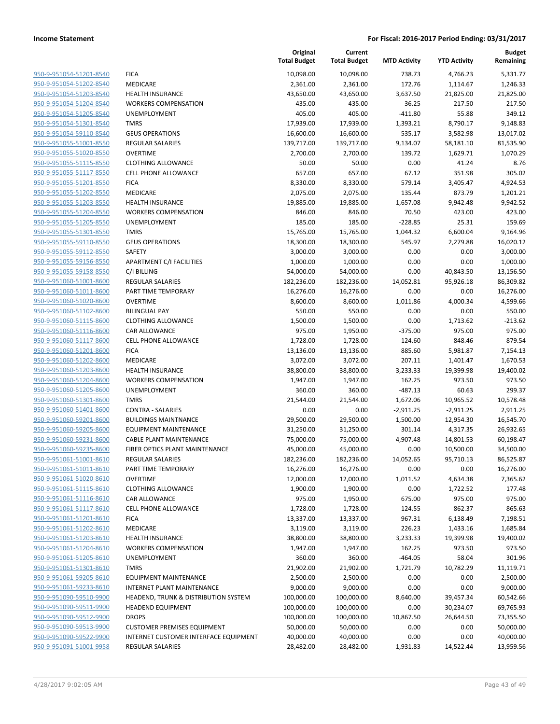|                                                    |                                                           | Original<br><b>Total Budget</b> | Current<br><b>Total Budget</b> | <b>MTD Activity</b> | <b>YTD Activity</b>    | Budget<br>Remaining    |
|----------------------------------------------------|-----------------------------------------------------------|---------------------------------|--------------------------------|---------------------|------------------------|------------------------|
| 950-9-951054-51201-8540                            | <b>FICA</b>                                               | 10,098.00                       | 10,098.00                      | 738.73              | 4,766.23               | 5,331.77               |
| 950-9-951054-51202-8540                            | MEDICARE                                                  | 2,361.00                        | 2,361.00                       | 172.76              | 1,114.67               | 1,246.33               |
| 950-9-951054-51203-8540                            | <b>HEALTH INSURANCE</b>                                   | 43,650.00                       | 43,650.00                      | 3,637.50            | 21,825.00              | 21,825.00              |
| 950-9-951054-51204-8540                            | <b>WORKERS COMPENSATION</b>                               | 435.00                          | 435.00                         | 36.25               | 217.50                 | 217.50                 |
| 950-9-951054-51205-8540                            | UNEMPLOYMENT                                              | 405.00                          | 405.00                         | $-411.80$           | 55.88                  | 349.12                 |
| 950-9-951054-51301-8540                            | <b>TMRS</b>                                               | 17,939.00                       | 17,939.00                      | 1,393.21            | 8,790.17               | 9,148.83               |
| 950-9-951054-59110-8540                            | <b>GEUS OPERATIONS</b>                                    | 16,600.00                       | 16,600.00                      | 535.17              | 3,582.98               | 13,017.02              |
| 950-9-951055-51001-8550                            | REGULAR SALARIES                                          | 139,717.00                      | 139,717.00                     | 9,134.07            | 58,181.10              | 81,535.90              |
| 950-9-951055-51020-8550                            | <b>OVERTIME</b>                                           | 2,700.00                        | 2,700.00                       | 139.72              | 1,629.71               | 1,070.29               |
| 950-9-951055-51115-8550                            | <b>CLOTHING ALLOWANCE</b>                                 | 50.00                           | 50.00                          | 0.00                | 41.24                  | 8.76                   |
| 950-9-951055-51117-8550                            | CELL PHONE ALLOWANCE                                      | 657.00                          | 657.00                         | 67.12               | 351.98                 | 305.02                 |
| 950-9-951055-51201-8550                            | <b>FICA</b>                                               | 8,330.00                        | 8,330.00                       | 579.14              | 3,405.47               | 4,924.53               |
| 950-9-951055-51202-8550                            | MEDICARE                                                  | 2,075.00                        | 2,075.00                       | 135.44              | 873.79                 | 1,201.21               |
| 950-9-951055-51203-8550                            | <b>HEALTH INSURANCE</b>                                   | 19,885.00                       | 19,885.00                      | 1,657.08            | 9,942.48               | 9,942.52               |
| 950-9-951055-51204-8550                            | <b>WORKERS COMPENSATION</b>                               | 846.00                          | 846.00                         | 70.50               | 423.00                 | 423.00                 |
| 950-9-951055-51205-8550                            | UNEMPLOYMENT                                              | 185.00                          | 185.00                         | $-228.85$           | 25.31                  | 159.69                 |
| 950-9-951055-51301-8550                            | <b>TMRS</b>                                               | 15,765.00                       | 15,765.00                      | 1,044.32            | 6,600.04               | 9,164.96               |
| 950-9-951055-59110-8550                            | <b>GEUS OPERATIONS</b>                                    | 18,300.00                       | 18,300.00                      | 545.97              | 2,279.88               | 16,020.12              |
| 950-9-951055-59112-8550                            | SAFETY                                                    | 3,000.00                        | 3,000.00                       | 0.00                | 0.00                   | 3,000.00               |
| 950-9-951055-59156-8550                            | APARTMENT C/I FACILITIES                                  | 1,000.00                        | 1,000.00                       | 0.00                | 0.00                   | 1,000.00               |
| 950-9-951055-59158-8550                            | C/I BILLING                                               | 54,000.00                       | 54,000.00                      | 0.00                | 40,843.50              | 13,156.50              |
| 950-9-951060-51001-8600                            | <b>REGULAR SALARIES</b>                                   | 182,236.00                      | 182,236.00                     | 14,052.81           | 95,926.18              | 86,309.82              |
| 950-9-951060-51011-8600                            | PART TIME TEMPORARY                                       | 16,276.00                       | 16,276.00                      | 0.00                | 0.00                   | 16,276.00              |
| 950-9-951060-51020-8600                            | <b>OVERTIME</b>                                           | 8,600.00                        | 8,600.00                       | 1,011.86            | 4,000.34               | 4,599.66               |
| 950-9-951060-51102-8600                            | <b>BILINGUAL PAY</b>                                      | 550.00                          | 550.00                         | 0.00                | 0.00                   | 550.00                 |
| 950-9-951060-51115-8600                            | <b>CLOTHING ALLOWANCE</b>                                 | 1,500.00                        | 1,500.00                       | 0.00                | 1,713.62               | $-213.62$              |
| 950-9-951060-51116-8600                            | <b>CAR ALLOWANCE</b>                                      | 975.00                          | 1,950.00                       | $-375.00$           | 975.00                 | 975.00                 |
| 950-9-951060-51117-8600                            | CELL PHONE ALLOWANCE                                      | 1,728.00                        | 1,728.00                       | 124.60              | 848.46                 | 879.54                 |
| 950-9-951060-51201-8600                            | <b>FICA</b>                                               | 13,136.00                       | 13,136.00                      | 885.60              | 5,981.87               | 7,154.13               |
| 950-9-951060-51202-8600                            | MEDICARE                                                  | 3,072.00                        | 3,072.00                       | 207.11              | 1,401.47               | 1,670.53               |
| 950-9-951060-51203-8600                            | <b>HEALTH INSURANCE</b>                                   | 38,800.00                       | 38,800.00                      | 3,233.33            | 19,399.98              | 19,400.02              |
| 950-9-951060-51204-8600                            | <b>WORKERS COMPENSATION</b>                               | 1,947.00                        | 1,947.00                       | 162.25              | 973.50                 | 973.50                 |
| 950-9-951060-51205-8600                            | UNEMPLOYMENT                                              | 360.00                          | 360.00                         | $-487.13$           | 60.63                  | 299.37                 |
| 950-9-951060-51301-8600                            | <b>TMRS</b>                                               | 21,544.00                       | 21,544.00                      | 1,672.06            | 10,965.52              | 10,578.48              |
| 950-9-951060-51401-8600                            | <b>CONTRA - SALARIES</b>                                  | 0.00                            | 0.00                           | $-2,911.25$         | $-2,911.25$            | 2,911.25               |
| 950-9-951060-59201-8600                            | <b>BUILDINGS MAINTNANCE</b>                               | 29,500.00                       | 29,500.00                      | 1,500.00            | 12,954.30              | 16,545.70              |
| 950-9-951060-59205-8600                            | <b>EQUIPMENT MAINTENANCE</b>                              | 31,250.00                       | 31,250.00                      | 301.14              | 4,317.35               | 26,932.65              |
| 950-9-951060-59231-8600                            | CABLE PLANT MAINTENANCE                                   | 75,000.00                       | 75,000.00                      | 4,907.48            | 14,801.53              | 60,198.47              |
| 950-9-951060-59235-8600                            | FIBER OPTICS PLANT MAINTENANCE<br><b>REGULAR SALARIES</b> | 45,000.00                       | 45,000.00<br>182,236.00        | 0.00                | 10,500.00<br>95,710.13 | 34,500.00<br>86,525.87 |
| 950-9-951061-51001-8610<br>950-9-951061-51011-8610 |                                                           | 182,236.00<br>16,276.00         |                                | 14,052.65<br>0.00   | 0.00                   |                        |
| 950-9-951061-51020-8610                            | PART TIME TEMPORARY<br><b>OVERTIME</b>                    | 12,000.00                       | 16,276.00                      | 1,011.52            |                        | 16,276.00<br>7,365.62  |
| 950-9-951061-51115-8610                            | <b>CLOTHING ALLOWANCE</b>                                 | 1,900.00                        | 12,000.00                      | 0.00                | 4,634.38               | 177.48                 |
| 950-9-951061-51116-8610                            | <b>CAR ALLOWANCE</b>                                      | 975.00                          | 1,900.00<br>1,950.00           | 675.00              | 1,722.52<br>975.00     | 975.00                 |
| 950-9-951061-51117-8610                            | CELL PHONE ALLOWANCE                                      | 1,728.00                        | 1,728.00                       | 124.55              | 862.37                 | 865.63                 |
| 950-9-951061-51201-8610                            | <b>FICA</b>                                               | 13,337.00                       | 13,337.00                      | 967.31              | 6,138.49               | 7,198.51               |
| 950-9-951061-51202-8610                            | MEDICARE                                                  | 3,119.00                        | 3,119.00                       | 226.23              | 1,433.16               | 1,685.84               |
| 950-9-951061-51203-8610                            | HEALTH INSURANCE                                          | 38,800.00                       | 38,800.00                      | 3,233.33            | 19,399.98              | 19,400.02              |
| 950-9-951061-51204-8610                            | <b>WORKERS COMPENSATION</b>                               | 1,947.00                        | 1,947.00                       | 162.25              | 973.50                 | 973.50                 |
| 950-9-951061-51205-8610                            | <b>UNEMPLOYMENT</b>                                       | 360.00                          | 360.00                         | $-464.05$           | 58.04                  | 301.96                 |
| 950-9-951061-51301-8610                            | <b>TMRS</b>                                               | 21,902.00                       | 21,902.00                      | 1,721.79            | 10,782.29              | 11,119.71              |
| 950-9-951061-59205-8610                            | <b>EQUIPMENT MAINTENANCE</b>                              | 2,500.00                        | 2,500.00                       | 0.00                | 0.00                   | 2,500.00               |
| 950-9-951061-59233-8610                            | INTERNET PLANT MAINTENANCE                                | 9,000.00                        | 9,000.00                       | 0.00                | 0.00                   | 9,000.00               |
| 950-9-951090-59510-9900                            | HEADEND, TRUNK & DISTRIBUTION SYSTEM                      | 100,000.00                      | 100,000.00                     | 8,640.00            | 39,457.34              | 60,542.66              |
| 950-9-951090-59511-9900                            | <b>HEADEND EQUIPMENT</b>                                  | 100,000.00                      | 100,000.00                     | 0.00                | 30,234.07              | 69,765.93              |
| 950-9-951090-59512-9900                            | <b>DROPS</b>                                              | 100,000.00                      | 100,000.00                     | 10,867.50           | 26,644.50              | 73,355.50              |
| 950-9-951090-59513-9900                            | <b>CUSTOMER PREMISES EQUIPMENT</b>                        | 50,000.00                       | 50,000.00                      | 0.00                | 0.00                   | 50,000.00              |
| 950-9-951090-59522-9900                            | INTERNET CUSTOMER INTERFACE EQUIPMENT                     | 40,000.00                       | 40,000.00                      | 0.00                | 0.00                   | 40,000.00              |
| 950-9-951091-51001-9958                            | REGULAR SALARIES                                          | 28,482.00                       | 28,482.00                      |                     | 14,522.44              | 13,959.56              |
|                                                    |                                                           |                                 |                                | 1,931.83            |                        |                        |

**Original**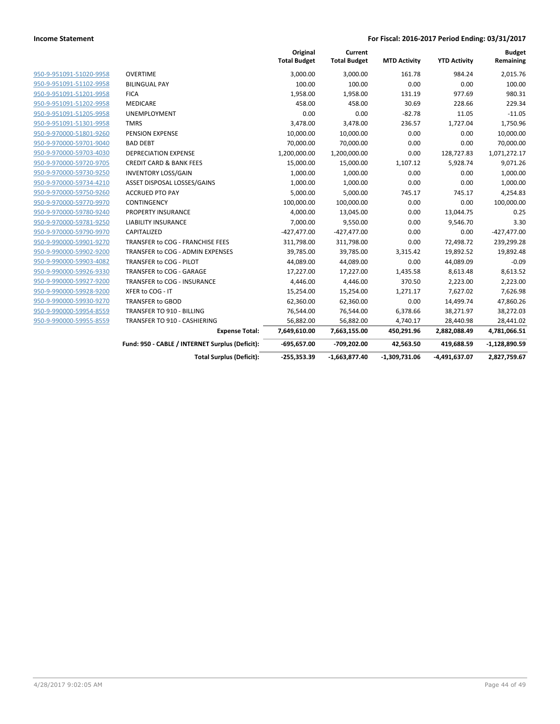|                         |                                                 | Original<br><b>Total Budget</b> | Current<br><b>Total Budget</b> | <b>MTD Activity</b> | <b>YTD Activity</b> | <b>Budget</b><br>Remaining |
|-------------------------|-------------------------------------------------|---------------------------------|--------------------------------|---------------------|---------------------|----------------------------|
| 950-9-951091-51020-9958 | <b>OVERTIME</b>                                 | 3,000.00                        | 3,000.00                       | 161.78              | 984.24              | 2,015.76                   |
| 950-9-951091-51102-9958 | <b>BILINGUAL PAY</b>                            | 100.00                          | 100.00                         | 0.00                | 0.00                | 100.00                     |
| 950-9-951091-51201-9958 | <b>FICA</b>                                     | 1,958.00                        | 1,958.00                       | 131.19              | 977.69              | 980.31                     |
| 950-9-951091-51202-9958 | <b>MEDICARE</b>                                 | 458.00                          | 458.00                         | 30.69               | 228.66              | 229.34                     |
| 950-9-951091-51205-9958 | UNEMPLOYMENT                                    | 0.00                            | 0.00                           | $-82.78$            | 11.05               | $-11.05$                   |
| 950-9-951091-51301-9958 | <b>TMRS</b>                                     | 3,478.00                        | 3,478.00                       | 236.57              | 1,727.04            | 1,750.96                   |
| 950-9-970000-51801-9260 | PENSION EXPENSE                                 | 10,000.00                       | 10,000.00                      | 0.00                | 0.00                | 10,000.00                  |
| 950-9-970000-59701-9040 | <b>BAD DEBT</b>                                 | 70,000.00                       | 70,000.00                      | 0.00                | 0.00                | 70,000.00                  |
| 950-9-970000-59703-4030 | <b>DEPRECIATION EXPENSE</b>                     | 1,200,000.00                    | 1,200,000.00                   | 0.00                | 128,727.83          | 1,071,272.17               |
| 950-9-970000-59720-9705 | <b>CREDIT CARD &amp; BANK FEES</b>              | 15,000.00                       | 15,000.00                      | 1,107.12            | 5,928.74            | 9,071.26                   |
| 950-9-970000-59730-9250 | <b>INVENTORY LOSS/GAIN</b>                      | 1,000.00                        | 1,000.00                       | 0.00                | 0.00                | 1,000.00                   |
| 950-9-970000-59734-4210 | ASSET DISPOSAL LOSSES/GAINS                     | 1,000.00                        | 1,000.00                       | 0.00                | 0.00                | 1,000.00                   |
| 950-9-970000-59750-9260 | <b>ACCRUED PTO PAY</b>                          | 5,000.00                        | 5,000.00                       | 745.17              | 745.17              | 4,254.83                   |
| 950-9-970000-59770-9970 | CONTINGENCY                                     | 100,000.00                      | 100,000.00                     | 0.00                | 0.00                | 100,000.00                 |
| 950-9-970000-59780-9240 | PROPERTY INSURANCE                              | 4,000.00                        | 13,045.00                      | 0.00                | 13,044.75           | 0.25                       |
| 950-9-970000-59781-9250 | <b>LIABILITY INSURANCE</b>                      | 7,000.00                        | 9,550.00                       | 0.00                | 9,546.70            | 3.30                       |
| 950-9-970000-59790-9970 | CAPITALIZED                                     | $-427,477.00$                   | $-427,477.00$                  | 0.00                | 0.00                | $-427,477.00$              |
| 950-9-990000-59901-9270 | TRANSFER to COG - FRANCHISE FEES                | 311,798.00                      | 311,798.00                     | 0.00                | 72,498.72           | 239,299.28                 |
| 950-9-990000-59902-9200 | TRANSFER to COG - ADMIN EXPENSES                | 39,785.00                       | 39,785.00                      | 3,315.42            | 19,892.52           | 19,892.48                  |
| 950-9-990000-59903-4082 | TRANSFER to COG - PILOT                         | 44,089.00                       | 44,089.00                      | 0.00                | 44,089.09           | $-0.09$                    |
| 950-9-990000-59926-9330 | TRANSFER to COG - GARAGE                        | 17,227.00                       | 17,227.00                      | 1,435.58            | 8,613.48            | 8,613.52                   |
| 950-9-990000-59927-9200 | TRANSFER to COG - INSURANCE                     | 4,446.00                        | 4,446.00                       | 370.50              | 2,223.00            | 2,223.00                   |
| 950-9-990000-59928-9200 | XFER to COG - IT                                | 15,254.00                       | 15,254.00                      | 1,271.17            | 7,627.02            | 7,626.98                   |
| 950-9-990000-59930-9270 | TRANSFER to GBOD                                | 62,360.00                       | 62,360.00                      | 0.00                | 14,499.74           | 47,860.26                  |
| 950-9-990000-59954-8559 | <b>TRANSFER TO 910 - BILLING</b>                | 76,544.00                       | 76,544.00                      | 6,378.66            | 38,271.97           | 38,272.03                  |
| 950-9-990000-59955-8559 | TRANSFER TO 910 - CASHIERING                    | 56,882.00                       | 56,882.00                      | 4,740.17            | 28,440.98           | 28,441.02                  |
|                         | <b>Expense Total:</b>                           | 7,649,610.00                    | 7,663,155.00                   | 450,291.96          | 2,882,088.49        | 4,781,066.51               |
|                         | Fund: 950 - CABLE / INTERNET Surplus (Deficit): | $-695,657.00$                   | -709,202.00                    | 42,563.50           | 419,688.59          | $-1,128,890.59$            |
|                         | <b>Total Surplus (Deficit):</b>                 | $-255,353.39$                   | $-1,663,877.40$                | $-1,309,731.06$     | -4,491,637.07       | 2,827,759.67               |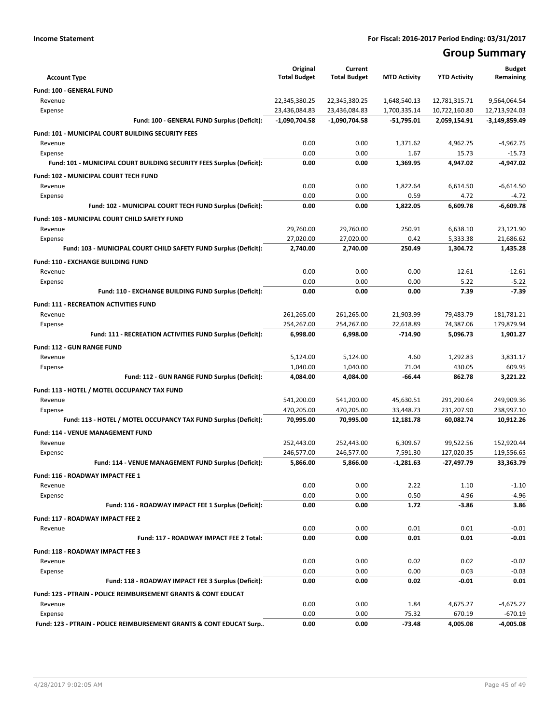# **Group Summary**

| <b>Account Type</b>                                                        | Original<br><b>Total Budget</b> | Current<br><b>Total Budget</b> | <b>MTD Activity</b>     | <b>YTD Activity</b>        | <b>Budget</b><br>Remaining |
|----------------------------------------------------------------------------|---------------------------------|--------------------------------|-------------------------|----------------------------|----------------------------|
| Fund: 100 - GENERAL FUND                                                   |                                 |                                |                         |                            |                            |
| Revenue                                                                    | 22,345,380.25                   | 22,345,380.25                  | 1,648,540.13            | 12,781,315.71              | 9,564,064.54               |
| Expense                                                                    | 23,436,084.83                   | 23,436,084.83                  | 1,700,335.14            | 10,722,160.80              | 12,713,924.03              |
| Fund: 100 - GENERAL FUND Surplus (Deficit):                                | $-1,090,704.58$                 | $-1,090,704.58$                | $-51,795.01$            | 2,059,154.91               | $-3,149,859.49$            |
| <b>Fund: 101 - MUNICIPAL COURT BUILDING SECURITY FEES</b>                  |                                 |                                |                         |                            |                            |
| Revenue                                                                    | 0.00                            | 0.00                           | 1,371.62                | 4,962.75                   | $-4,962.75$                |
| Expense                                                                    | 0.00                            | 0.00                           | 1.67                    | 15.73                      | $-15.73$                   |
| Fund: 101 - MUNICIPAL COURT BUILDING SECURITY FEES Surplus (Deficit):      | 0.00                            | 0.00                           | 1,369.95                | 4,947.02                   | $-4,947.02$                |
|                                                                            |                                 |                                |                         |                            |                            |
| Fund: 102 - MUNICIPAL COURT TECH FUND<br>Revenue                           | 0.00                            | 0.00                           | 1,822.64                | 6,614.50                   | $-6,614.50$                |
| Expense                                                                    | 0.00                            | 0.00                           | 0.59                    | 4.72                       | $-4.72$                    |
| Fund: 102 - MUNICIPAL COURT TECH FUND Surplus (Deficit):                   | 0.00                            | 0.00                           | 1,822.05                | 6,609.78                   | $-6,609.78$                |
|                                                                            |                                 |                                |                         |                            |                            |
| Fund: 103 - MUNICIPAL COURT CHILD SAFETY FUND<br>Revenue                   | 29,760.00                       | 29,760.00                      | 250.91                  | 6,638.10                   | 23,121.90                  |
| Expense                                                                    | 27,020.00                       | 27,020.00                      | 0.42                    | 5,333.38                   | 21,686.62                  |
| Fund: 103 - MUNICIPAL COURT CHILD SAFETY FUND Surplus (Deficit):           | 2,740.00                        | 2,740.00                       | 250.49                  | 1,304.72                   | 1,435.28                   |
|                                                                            |                                 |                                |                         |                            |                            |
| Fund: 110 - EXCHANGE BUILDING FUND                                         | 0.00                            | 0.00                           | 0.00                    | 12.61                      | $-12.61$                   |
| Revenue<br>Expense                                                         | 0.00                            | 0.00                           | 0.00                    | 5.22                       | $-5.22$                    |
| Fund: 110 - EXCHANGE BUILDING FUND Surplus (Deficit):                      | 0.00                            | 0.00                           | 0.00                    | 7.39                       | $-7.39$                    |
|                                                                            |                                 |                                |                         |                            |                            |
| Fund: 111 - RECREATION ACTIVITIES FUND<br>Revenue                          |                                 |                                |                         |                            | 181,781.21                 |
| Expense                                                                    | 261,265.00<br>254,267.00        | 261,265.00<br>254,267.00       | 21,903.99<br>22,618.89  | 79,483.79<br>74,387.06     | 179,879.94                 |
| Fund: 111 - RECREATION ACTIVITIES FUND Surplus (Deficit):                  | 6,998.00                        | 6,998.00                       | $-714.90$               | 5,096.73                   | 1,901.27                   |
|                                                                            |                                 |                                |                         |                            |                            |
| <b>Fund: 112 - GUN RANGE FUND</b>                                          |                                 |                                |                         |                            |                            |
| Revenue                                                                    | 5,124.00                        | 5,124.00                       | 4.60                    | 1,292.83                   | 3,831.17                   |
| Expense<br>Fund: 112 - GUN RANGE FUND Surplus (Deficit):                   | 1,040.00<br>4,084.00            | 1,040.00<br>4,084.00           | 71.04<br>$-66.44$       | 430.05<br>862.78           | 609.95<br>3,221.22         |
|                                                                            |                                 |                                |                         |                            |                            |
| Fund: 113 - HOTEL / MOTEL OCCUPANCY TAX FUND                               |                                 |                                |                         |                            |                            |
| Revenue                                                                    | 541,200.00                      | 541,200.00                     | 45,630.51               | 291,290.64                 | 249,909.36                 |
| Expense<br>Fund: 113 - HOTEL / MOTEL OCCUPANCY TAX FUND Surplus (Deficit): | 470,205.00<br>70,995.00         | 470,205.00<br>70,995.00        | 33,448.73<br>12,181.78  | 231,207.90<br>60,082.74    | 238,997.10<br>10,912.26    |
|                                                                            |                                 |                                |                         |                            |                            |
| <b>Fund: 114 - VENUE MANAGEMENT FUND</b>                                   |                                 |                                |                         |                            |                            |
| Revenue                                                                    | 252,443.00<br>246,577.00        | 252,443.00                     | 6,309.67                | 99,522.56                  | 152,920.44                 |
| Expense<br>Fund: 114 - VENUE MANAGEMENT FUND Surplus (Deficit):            | 5,866.00                        | 246,577.00<br>5,866.00         | 7,591.30<br>$-1,281.63$ | 127,020.35<br>$-27,497.79$ | 119,556.65<br>33,363.79    |
|                                                                            |                                 |                                |                         |                            |                            |
| Fund: 116 - ROADWAY IMPACT FEE 1                                           |                                 |                                |                         |                            |                            |
| Revenue                                                                    | 0.00                            | 0.00                           | 2.22                    | 1.10                       | $-1.10$<br>$-4.96$         |
| Expense<br>Fund: 116 - ROADWAY IMPACT FEE 1 Surplus (Deficit):             | 0.00<br>0.00                    | 0.00<br>0.00                   | 0.50<br>1.72            | 4.96<br>$-3.86$            | 3.86                       |
|                                                                            |                                 |                                |                         |                            |                            |
| Fund: 117 - ROADWAY IMPACT FEE 2                                           |                                 |                                |                         |                            |                            |
| Revenue<br>Fund: 117 - ROADWAY IMPACT FEE 2 Total:                         | 0.00                            | 0.00                           | 0.01                    | 0.01                       | $-0.01$                    |
|                                                                            | 0.00                            | 0.00                           | 0.01                    | 0.01                       | -0.01                      |
| Fund: 118 - ROADWAY IMPACT FEE 3                                           |                                 |                                |                         |                            |                            |
| Revenue                                                                    | 0.00                            | 0.00                           | 0.02                    | 0.02                       | $-0.02$                    |
| Expense                                                                    | 0.00                            | 0.00                           | 0.00                    | 0.03                       | $-0.03$                    |
| Fund: 118 - ROADWAY IMPACT FEE 3 Surplus (Deficit):                        | 0.00                            | 0.00                           | 0.02                    | $-0.01$                    | 0.01                       |
| Fund: 123 - PTRAIN - POLICE REIMBURSEMENT GRANTS & CONT EDUCAT             |                                 |                                |                         |                            |                            |
| Revenue                                                                    | 0.00                            | 0.00                           | 1.84                    | 4,675.27                   | $-4,675.27$                |
| Expense                                                                    | 0.00                            | 0.00                           | 75.32                   | 670.19                     | $-670.19$                  |
| Fund: 123 - PTRAIN - POLICE REIMBURSEMENT GRANTS & CONT EDUCAT Surp        | 0.00                            | 0.00                           | $-73.48$                | 4,005.08                   | $-4,005.08$                |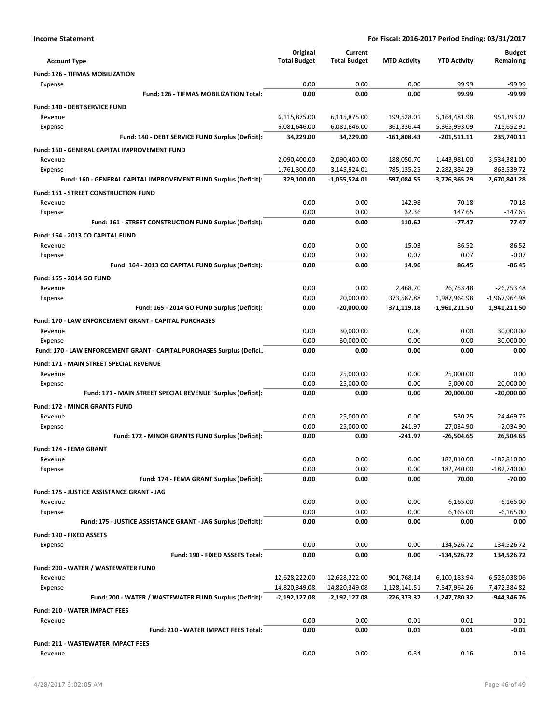|                                                                       | Original                         | Current                          |                               |                                 | <b>Budget</b>               |
|-----------------------------------------------------------------------|----------------------------------|----------------------------------|-------------------------------|---------------------------------|-----------------------------|
| <b>Account Type</b>                                                   | <b>Total Budget</b>              | <b>Total Budget</b>              | <b>MTD Activity</b>           | <b>YTD Activity</b>             | Remaining                   |
| <b>Fund: 126 - TIFMAS MOBILIZATION</b>                                |                                  |                                  |                               |                                 |                             |
| Expense                                                               | 0.00                             | 0.00                             | 0.00                          | 99.99                           | $-99.99$                    |
| Fund: 126 - TIFMAS MOBILIZATION Total:                                | 0.00                             | 0.00                             | 0.00                          | 99.99                           | -99.99                      |
| <b>Fund: 140 - DEBT SERVICE FUND</b>                                  |                                  |                                  |                               |                                 |                             |
| Revenue                                                               | 6,115,875.00                     | 6,115,875.00                     | 199,528.01                    | 5,164,481.98                    | 951,393.02                  |
| Expense<br>Fund: 140 - DEBT SERVICE FUND Surplus (Deficit):           | 6,081,646.00<br>34,229.00        | 6,081,646.00<br>34,229.00        | 361,336.44<br>$-161,808.43$   | 5,365,993.09<br>$-201,511.11$   | 715,652.91<br>235,740.11    |
|                                                                       |                                  |                                  |                               |                                 |                             |
| Fund: 160 - GENERAL CAPITAL IMPROVEMENT FUND                          |                                  |                                  |                               |                                 |                             |
| Revenue<br>Expense                                                    | 2,090,400.00<br>1,761,300.00     | 2,090,400.00<br>3,145,924.01     | 188,050.70<br>785,135.25      | $-1,443,981.00$<br>2,282,384.29 | 3,534,381.00<br>863,539.72  |
| Fund: 160 - GENERAL CAPITAL IMPROVEMENT FUND Surplus (Deficit):       | 329,100.00                       | -1,055,524.01                    | -597,084.55                   | -3,726,365.29                   | 2,670,841.28                |
|                                                                       |                                  |                                  |                               |                                 |                             |
| Fund: 161 - STREET CONSTRUCTION FUND<br>Revenue                       | 0.00                             | 0.00                             | 142.98                        | 70.18                           | $-70.18$                    |
| Expense                                                               | 0.00                             | 0.00                             | 32.36                         | 147.65                          | $-147.65$                   |
| Fund: 161 - STREET CONSTRUCTION FUND Surplus (Deficit):               | 0.00                             | 0.00                             | 110.62                        | $-77.47$                        | 77.47                       |
| Fund: 164 - 2013 CO CAPITAL FUND                                      |                                  |                                  |                               |                                 |                             |
| Revenue                                                               | 0.00                             | 0.00                             | 15.03                         | 86.52                           | $-86.52$                    |
| Expense                                                               | 0.00                             | 0.00                             | 0.07                          | 0.07                            | $-0.07$                     |
| Fund: 164 - 2013 CO CAPITAL FUND Surplus (Deficit):                   | 0.00                             | 0.00                             | 14.96                         | 86.45                           | -86.45                      |
| Fund: 165 - 2014 GO FUND                                              |                                  |                                  |                               |                                 |                             |
| Revenue                                                               | 0.00                             | 0.00                             | 2,468.70                      | 26,753.48                       | $-26,753.48$                |
| Expense                                                               | 0.00                             | 20,000.00                        | 373,587.88                    | 1,987,964.98                    | $-1,967,964.98$             |
| Fund: 165 - 2014 GO FUND Surplus (Deficit):                           | 0.00                             | $-20,000.00$                     | $-371,119.18$                 | $-1,961,211.50$                 | 1,941,211.50                |
| Fund: 170 - LAW ENFORCEMENT GRANT - CAPITAL PURCHASES                 |                                  |                                  |                               |                                 |                             |
| Revenue                                                               | 0.00                             | 30,000.00                        | 0.00                          | 0.00                            | 30,000.00                   |
| Expense                                                               | 0.00                             | 30,000.00                        | 0.00                          | 0.00                            | 30,000.00                   |
| Fund: 170 - LAW ENFORCEMENT GRANT - CAPITAL PURCHASES Surplus (Defici | 0.00                             | 0.00                             | 0.00                          | 0.00                            | 0.00                        |
| Fund: 171 - MAIN STREET SPECIAL REVENUE                               |                                  |                                  |                               |                                 |                             |
| Revenue                                                               | 0.00                             | 25,000.00                        | 0.00                          | 25,000.00                       | 0.00                        |
| Expense                                                               | 0.00                             | 25,000.00                        | 0.00                          | 5,000.00                        | 20,000.00                   |
| Fund: 171 - MAIN STREET SPECIAL REVENUE Surplus (Deficit):            | 0.00                             | 0.00                             | 0.00                          | 20,000.00                       | $-20,000.00$                |
| <b>Fund: 172 - MINOR GRANTS FUND</b>                                  |                                  |                                  |                               |                                 |                             |
| Revenue                                                               | 0.00                             | 25,000.00                        | 0.00                          | 530.25                          | 24,469.75                   |
| Expense                                                               | 0.00                             | 25,000.00                        | 241.97                        | 27,034.90                       | $-2,034.90$                 |
| Fund: 172 - MINOR GRANTS FUND Surplus (Deficit):                      | 0.00                             | 0.00                             | $-241.97$                     | $-26,504.65$                    | 26,504.65                   |
| <b>Fund: 174 - FEMA GRANT</b>                                         |                                  |                                  |                               |                                 |                             |
| Revenue                                                               | 0.00                             | 0.00                             | 0.00                          | 182,810.00                      | $-182,810.00$               |
| Expense                                                               | 0.00                             | 0.00                             | 0.00                          | 182,740.00                      | $-182,740.00$               |
| Fund: 174 - FEMA GRANT Surplus (Deficit):                             | 0.00                             | 0.00                             | 0.00                          | 70.00                           | $-70.00$                    |
| Fund: 175 - JUSTICE ASSISTANCE GRANT - JAG                            |                                  |                                  |                               |                                 |                             |
| Revenue                                                               | 0.00                             | 0.00                             | 0.00                          | 6,165.00                        | $-6,165.00$                 |
| Expense                                                               | 0.00                             | 0.00                             | 0.00                          | 6,165.00                        | $-6,165.00$                 |
| Fund: 175 - JUSTICE ASSISTANCE GRANT - JAG Surplus (Deficit):         | 0.00                             | 0.00                             | 0.00                          | 0.00                            | 0.00                        |
| Fund: 190 - FIXED ASSETS                                              |                                  |                                  |                               |                                 |                             |
| Expense                                                               | 0.00                             | 0.00                             | 0.00                          | $-134,526.72$                   | 134,526.72                  |
| Fund: 190 - FIXED ASSETS Total:                                       | 0.00                             | 0.00                             | 0.00                          | $-134,526.72$                   | 134,526.72                  |
| Fund: 200 - WATER / WASTEWATER FUND                                   |                                  |                                  |                               |                                 |                             |
| Revenue                                                               | 12,628,222.00                    | 12,628,222.00                    | 901,768.14                    | 6,100,183.94                    | 6,528,038.06                |
| Expense<br>Fund: 200 - WATER / WASTEWATER FUND Surplus (Deficit):     | 14,820,349.08<br>$-2,192,127.08$ | 14,820,349.08<br>$-2,192,127.08$ | 1,128,141.51<br>$-226,373.37$ | 7,347,964.26<br>-1,247,780.32   | 7,472,384.82<br>-944,346.76 |
|                                                                       |                                  |                                  |                               |                                 |                             |
| <b>Fund: 210 - WATER IMPACT FEES</b>                                  | 0.00                             | 0.00                             | 0.01                          | 0.01                            | $-0.01$                     |
| Revenue<br>Fund: 210 - WATER IMPACT FEES Total:                       | 0.00                             | 0.00                             | 0.01                          | 0.01                            | $-0.01$                     |
|                                                                       |                                  |                                  |                               |                                 |                             |
| <b>Fund: 211 - WASTEWATER IMPACT FEES</b>                             |                                  |                                  |                               |                                 |                             |
| Revenue                                                               | 0.00                             | 0.00                             | 0.34                          | 0.16                            | $-0.16$                     |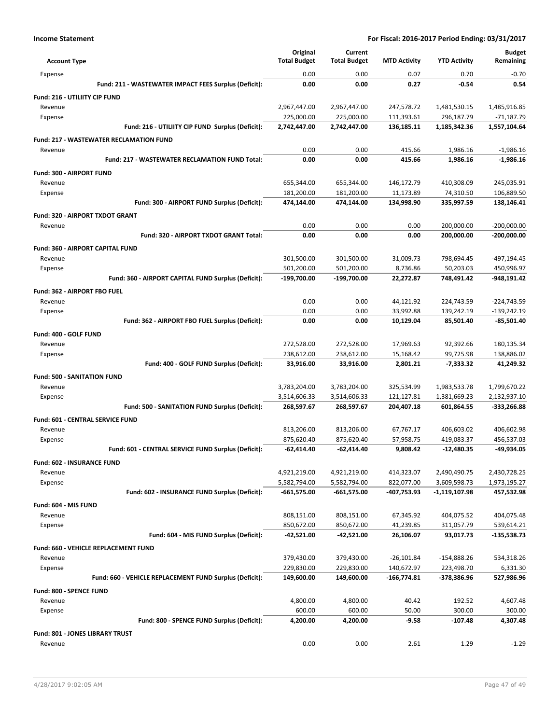|                                                         | Original                 | Current                  |                         |                          | <b>Budget</b>                |
|---------------------------------------------------------|--------------------------|--------------------------|-------------------------|--------------------------|------------------------------|
| <b>Account Type</b>                                     | <b>Total Budget</b>      | <b>Total Budget</b>      | <b>MTD Activity</b>     | <b>YTD Activity</b>      | Remaining                    |
| Expense                                                 | 0.00                     | 0.00                     | 0.07                    | 0.70                     | $-0.70$                      |
| Fund: 211 - WASTEWATER IMPACT FEES Surplus (Deficit):   | 0.00                     | 0.00                     | 0.27                    | $-0.54$                  | 0.54                         |
| Fund: 216 - UTILIITY CIP FUND                           |                          |                          |                         |                          |                              |
| Revenue                                                 | 2,967,447.00             | 2,967,447.00             | 247,578.72              | 1,481,530.15             | 1,485,916.85                 |
| Expense                                                 | 225,000.00               | 225,000.00               | 111,393.61              | 296,187.79               | $-71,187.79$                 |
| Fund: 216 - UTILIITY CIP FUND Surplus (Deficit):        | 2,742,447.00             | 2,742,447.00             | 136,185.11              | 1,185,342.36             | 1,557,104.64                 |
| <b>Fund: 217 - WASTEWATER RECLAMATION FUND</b>          |                          |                          |                         |                          |                              |
| Revenue                                                 | 0.00                     | 0.00                     | 415.66                  | 1,986.16                 | $-1,986.16$                  |
| <b>Fund: 217 - WASTEWATER RECLAMATION FUND Total:</b>   | 0.00                     | 0.00                     | 415.66                  | 1,986.16                 | $-1,986.16$                  |
| Fund: 300 - AIRPORT FUND                                |                          |                          |                         |                          |                              |
| Revenue                                                 | 655,344.00               | 655,344.00               | 146,172.79              | 410,308.09               | 245,035.91                   |
| Expense<br>Fund: 300 - AIRPORT FUND Surplus (Deficit):  | 181,200.00<br>474,144.00 | 181,200.00<br>474,144.00 | 11,173.89<br>134,998.90 | 74,310.50<br>335,997.59  | 106,889.50<br>138,146.41     |
|                                                         |                          |                          |                         |                          |                              |
| Fund: 320 - AIRPORT TXDOT GRANT                         |                          |                          |                         |                          |                              |
| Revenue<br>Fund: 320 - AIRPORT TXDOT GRANT Total:       | 0.00<br>0.00             | 0.00<br>0.00             | 0.00<br>0.00            | 200,000.00<br>200,000.00 | $-200,000.00$<br>-200,000.00 |
|                                                         |                          |                          |                         |                          |                              |
| <b>Fund: 360 - AIRPORT CAPITAL FUND</b>                 |                          |                          |                         |                          |                              |
| Revenue<br>Expense                                      | 301,500.00<br>501,200.00 | 301,500.00<br>501,200.00 | 31,009.73<br>8,736.86   | 798,694.45<br>50,203.03  | -497,194.45<br>450,996.97    |
| Fund: 360 - AIRPORT CAPITAL FUND Surplus (Deficit):     | -199,700.00              | -199,700.00              | 22,272.87               | 748,491.42               | -948,191.42                  |
|                                                         |                          |                          |                         |                          |                              |
| <b>Fund: 362 - AIRPORT FBO FUEL</b><br>Revenue          | 0.00                     | 0.00                     | 44,121.92               | 224,743.59               | $-224,743.59$                |
| Expense                                                 | 0.00                     | 0.00                     | 33,992.88               | 139,242.19               | $-139,242.19$                |
| Fund: 362 - AIRPORT FBO FUEL Surplus (Deficit):         | 0.00                     | 0.00                     | 10,129.04               | 85,501.40                | -85,501.40                   |
| Fund: 400 - GOLF FUND                                   |                          |                          |                         |                          |                              |
| Revenue                                                 | 272,528.00               | 272,528.00               | 17,969.63               | 92,392.66                | 180,135.34                   |
| Expense                                                 | 238,612.00               | 238,612.00               | 15,168.42               | 99,725.98                | 138,886.02                   |
| Fund: 400 - GOLF FUND Surplus (Deficit):                | 33,916.00                | 33,916.00                | 2,801.21                | $-7,333.32$              | 41,249.32                    |
| <b>Fund: 500 - SANITATION FUND</b>                      |                          |                          |                         |                          |                              |
| Revenue                                                 | 3,783,204.00             | 3,783,204.00             | 325,534.99              | 1,983,533.78             | 1,799,670.22                 |
| Expense                                                 | 3,514,606.33             | 3,514,606.33             | 121,127.81              | 1,381,669.23             | 2,132,937.10                 |
| Fund: 500 - SANITATION FUND Surplus (Deficit):          | 268,597.67               | 268,597.67               | 204,407.18              | 601,864.55               | -333,266.88                  |
| Fund: 601 - CENTRAL SERVICE FUND                        |                          |                          |                         |                          |                              |
| Revenue                                                 | 813,206.00               | 813,206.00               | 67,767.17               | 406,603.02               | 406,602.98                   |
| Expense                                                 | 875,620.40               | 875,620.40               | 57,958.75               | 419,083.37               | 456,537.03                   |
| Fund: 601 - CENTRAL SERVICE FUND Surplus (Deficit):     | -62,414.40               | $-62,414.40$             | 9,808.42                | -12,480.35               | -49,934.05                   |
| Fund: 602 - INSURANCE FUND                              |                          |                          |                         |                          |                              |
| Revenue                                                 | 4,921,219.00             | 4,921,219.00             | 414,323.07              | 2,490,490.75             | 2,430,728.25                 |
| Expense                                                 | 5,582,794.00             | 5,582,794.00             | 822,077.00              | 3,609,598.73             | 1,973,195.27                 |
| Fund: 602 - INSURANCE FUND Surplus (Deficit):           | $-661,575.00$            | $-661,575.00$            | -407,753.93             | -1,119,107.98            | 457,532.98                   |
| Fund: 604 - MIS FUND                                    |                          |                          |                         |                          |                              |
| Revenue                                                 | 808,151.00               | 808,151.00               | 67,345.92               | 404,075.52               | 404,075.48                   |
| Expense                                                 | 850,672.00               | 850,672.00               | 41,239.85               | 311,057.79               | 539,614.21                   |
| Fund: 604 - MIS FUND Surplus (Deficit):                 | -42,521.00               | $-42,521.00$             | 26,106.07               | 93,017.73                | -135,538.73                  |
| Fund: 660 - VEHICLE REPLACEMENT FUND                    |                          |                          |                         |                          |                              |
| Revenue                                                 | 379,430.00               | 379,430.00               | $-26,101.84$            | $-154,888.26$            | 534,318.26                   |
| Expense                                                 | 229,830.00               | 229,830.00               | 140,672.97              | 223,498.70               | 6,331.30                     |
| Fund: 660 - VEHICLE REPLACEMENT FUND Surplus (Deficit): | 149,600.00               | 149,600.00               | -166,774.81             | -378,386.96              | 527,986.96                   |
| Fund: 800 - SPENCE FUND                                 |                          |                          |                         |                          |                              |
| Revenue                                                 | 4,800.00                 | 4,800.00                 | 40.42                   | 192.52                   | 4,607.48                     |
| Expense                                                 | 600.00                   | 600.00                   | 50.00                   | 300.00                   | 300.00                       |
| Fund: 800 - SPENCE FUND Surplus (Deficit):              | 4,200.00                 | 4,200.00                 | $-9.58$                 | $-107.48$                | 4,307.48                     |
| <b>Fund: 801 - JONES LIBRARY TRUST</b>                  |                          |                          |                         |                          |                              |
| Revenue                                                 | 0.00                     | 0.00                     | 2.61                    | 1.29                     | $-1.29$                      |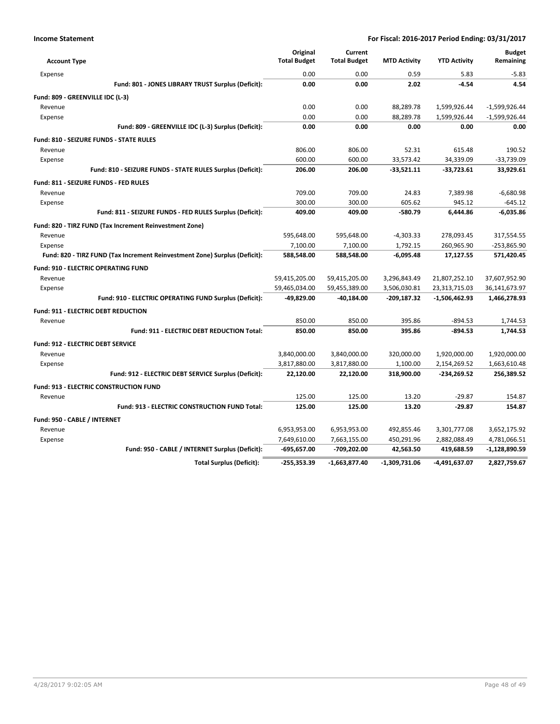|                                                                            | Original<br><b>Total Budget</b> | Current<br><b>Total Budget</b> | <b>MTD Activity</b> | <b>YTD Activity</b> | <b>Budget</b><br>Remaining |
|----------------------------------------------------------------------------|---------------------------------|--------------------------------|---------------------|---------------------|----------------------------|
| <b>Account Type</b>                                                        |                                 |                                |                     |                     |                            |
| Expense                                                                    | 0.00                            | 0.00                           | 0.59                | 5.83                | $-5.83$                    |
| Fund: 801 - JONES LIBRARY TRUST Surplus (Deficit):                         | 0.00                            | 0.00                           | 2.02                | $-4.54$             | 4.54                       |
| Fund: 809 - GREENVILLE IDC (L-3)                                           |                                 |                                |                     |                     |                            |
| Revenue                                                                    | 0.00                            | 0.00                           | 88,289.78           | 1,599,926.44        | $-1,599,926.44$            |
| Expense                                                                    | 0.00                            | 0.00                           | 88.289.78           | 1,599,926.44        | $-1,599,926.44$            |
| Fund: 809 - GREENVILLE IDC (L-3) Surplus (Deficit):                        | 0.00                            | 0.00                           | 0.00                | 0.00                | 0.00                       |
| <b>Fund: 810 - SEIZURE FUNDS - STATE RULES</b>                             |                                 |                                |                     |                     |                            |
| Revenue                                                                    | 806.00                          | 806.00                         | 52.31               | 615.48              | 190.52                     |
| Expense                                                                    | 600.00                          | 600.00                         | 33,573.42           | 34,339.09           | $-33,739.09$               |
| Fund: 810 - SEIZURE FUNDS - STATE RULES Surplus (Deficit):                 | 206.00                          | 206.00                         | $-33,521.11$        | $-33,723.61$        | 33,929.61                  |
| Fund: 811 - SEIZURE FUNDS - FED RULES                                      |                                 |                                |                     |                     |                            |
| Revenue                                                                    | 709.00                          | 709.00                         | 24.83               | 7,389.98            | $-6,680.98$                |
| Expense                                                                    | 300.00                          | 300.00                         | 605.62              | 945.12              | $-645.12$                  |
| Fund: 811 - SEIZURE FUNDS - FED RULES Surplus (Deficit):                   | 409.00                          | 409.00                         | -580.79             | 6,444.86            | $-6,035.86$                |
| Fund: 820 - TIRZ FUND (Tax Increment Reinvestment Zone)                    |                                 |                                |                     |                     |                            |
| Revenue                                                                    | 595,648.00                      | 595,648.00                     | $-4,303.33$         | 278,093.45          | 317,554.55                 |
| Expense                                                                    | 7,100.00                        | 7,100.00                       | 1,792.15            | 260,965.90          | $-253,865.90$              |
| Fund: 820 - TIRZ FUND (Tax Increment Reinvestment Zone) Surplus (Deficit): | 588,548.00                      | 588,548.00                     | $-6,095.48$         | 17,127.55           | 571,420.45                 |
| <b>Fund: 910 - ELECTRIC OPERATING FUND</b>                                 |                                 |                                |                     |                     |                            |
| Revenue                                                                    | 59,415,205.00                   | 59,415,205.00                  | 3,296,843.49        | 21,807,252.10       | 37,607,952.90              |
| Expense                                                                    | 59,465,034.00                   | 59,455,389.00                  | 3,506,030.81        | 23,313,715.03       | 36,141,673.97              |
| Fund: 910 - ELECTRIC OPERATING FUND Surplus (Deficit):                     | -49,829.00                      | $-40,184.00$                   | $-209,187.32$       | $-1,506,462.93$     | 1,466,278.93               |
| <b>Fund: 911 - ELECTRIC DEBT REDUCTION</b>                                 |                                 |                                |                     |                     |                            |
| Revenue                                                                    | 850.00                          | 850.00                         | 395.86              | $-894.53$           | 1,744.53                   |
| <b>Fund: 911 - ELECTRIC DEBT REDUCTION Total:</b>                          | 850.00                          | 850.00                         | 395.86              | $-894.53$           | 1,744.53                   |
| <b>Fund: 912 - ELECTRIC DEBT SERVICE</b>                                   |                                 |                                |                     |                     |                            |
| Revenue                                                                    | 3,840,000.00                    | 3,840,000.00                   | 320,000.00          | 1,920,000.00        | 1,920,000.00               |
| Expense                                                                    | 3,817,880.00                    | 3,817,880.00                   | 1,100.00            | 2,154,269.52        | 1,663,610.48               |
| Fund: 912 - ELECTRIC DEBT SERVICE Surplus (Deficit):                       | 22,120.00                       | 22,120.00                      | 318,900.00          | $-234,269.52$       | 256,389.52                 |
| <b>Fund: 913 - ELECTRIC CONSTRUCTION FUND</b>                              |                                 |                                |                     |                     |                            |
| Revenue                                                                    | 125.00                          | 125.00                         | 13.20               | $-29.87$            | 154.87                     |
| Fund: 913 - ELECTRIC CONSTRUCTION FUND Total:                              | 125.00                          | 125.00                         | 13.20               | $-29.87$            | 154.87                     |
| Fund: 950 - CABLE / INTERNET                                               |                                 |                                |                     |                     |                            |
| Revenue                                                                    | 6,953,953.00                    | 6,953,953.00                   | 492,855.46          | 3,301,777.08        | 3,652,175.92               |
| Expense                                                                    | 7,649,610.00                    | 7,663,155.00                   | 450,291.96          | 2,882,088.49        | 4,781,066.51               |
| Fund: 950 - CABLE / INTERNET Surplus (Deficit):                            | $-695,657.00$                   | -709,202.00                    | 42,563.50           | 419,688.59          | $-1,128,890.59$            |
| <b>Total Surplus (Deficit):</b>                                            | $-255,353.39$                   | $-1,663,877.40$                | $-1,309,731.06$     | -4,491,637.07       | 2,827,759.67               |